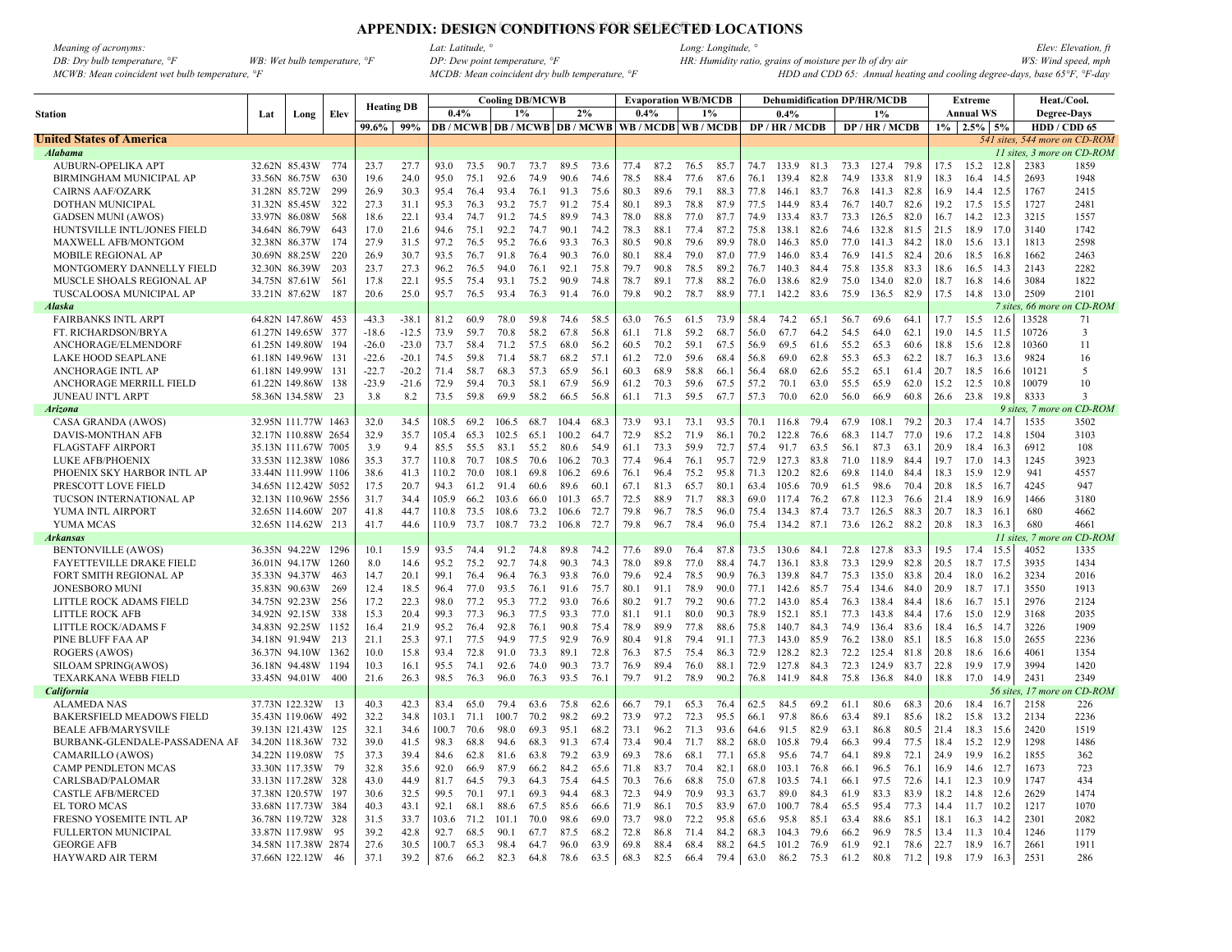# APPENDIX: DESIGN CONDITIONS FOR SELECTED LOCATIONS

| <i>Meaning of acronyms:</i>                               |                                       |
|-----------------------------------------------------------|---------------------------------------|
| DB: Dry bulb temperature, $\degree$ F                     | WB: Wet bulb temperature, $\degree$ F |
| $MCWB: Mean$ coincident wet bulb temperature. $\degree F$ |                                       |

|                                  |                |                     |      |                   |         |       |      |       | <b>Cooling DB/MCWB</b> |                                          |      |      |      | <b>Evaporation WB/MCDB</b> |      |      | <b>Dehumidification DP/HR/MCDB</b> |      |      |                 |      |       | Extreme          |           | Heat./Cool.                   |              |
|----------------------------------|----------------|---------------------|------|-------------------|---------|-------|------|-------|------------------------|------------------------------------------|------|------|------|----------------------------|------|------|------------------------------------|------|------|-----------------|------|-------|------------------|-----------|-------------------------------|--------------|
| <b>Station</b>                   | Lat            | Long                | Elev | <b>Heating DB</b> |         | 0.4%  |      | 1%    |                        | 2%                                       |      | 0.4% |      |                            | 1%   |      | 0.4%                               |      |      | 1%              |      |       | <b>Annual WS</b> |           | <b>Degree-Days</b>            |              |
|                                  |                |                     |      | 99.6%             | 99%     |       |      |       |                        | <b>DB</b> / MCWB   DB / MCWB   DB / MCWB |      |      |      | WB / MCDB   WB / MCDB      |      |      | DP / HR / MCDB                     |      |      | DP / HR / MCDB  |      | $1\%$ | 2.5%             | 5%        | HDD / CDD 65                  |              |
| <b>United States of America</b>  |                |                     |      |                   |         |       |      |       |                        |                                          |      |      |      |                            |      |      |                                    |      |      |                 |      |       |                  |           | 541 sites, 544 more on CD-ROM |              |
| Alabama                          |                |                     |      |                   |         |       |      |       |                        |                                          |      |      |      |                            |      |      |                                    |      |      |                 |      |       |                  |           | 11 sites, 3 more on CD-ROM    |              |
| AUBURN-OPELIKA APT               |                | 32.62N 85.43W 774   |      | 23.7              | 27.7    | 93.0  | 73.5 | 90.7  | 73.7                   | 89.5                                     | 73.6 | 77.4 | 87.2 | 76.5                       | 85.7 |      | 74.7 133.9 81.3                    |      |      | 73.3 127.4 79.8 |      | 17.5  | 15.2             | 12.8      | 2383                          | 1859         |
| BIRMINGHAM MUNICIPAL AP          | 33.56N 86.75W  |                     | 630  | 19.6              | 24.0    | 95.0  | 75.1 | 92.6  | 74.9                   | 90.6                                     | 74.6 | 78.5 | 88.4 | 77.6                       | 87.6 | 76.1 | 139.4                              | 82.8 | 74.9 | 133.8           | 81.9 | 18.3  | 164              | 14.5      | 2693                          | 1948         |
| <b>CAIRNS AAF/OZARK</b>          | 31.28N 85.72W  |                     | 299  | 26.9              | 30.3    | 95.4  | 76.4 | 93.4  | 76.1                   | 91.3                                     | 75.6 | 80.3 | 89.6 | 79.1                       | 88.3 | 77.8 | 146.1                              | 83.7 | 76.8 | 141.3           | 82.8 | 16.9  | 14.4             | 12.5      | 1767                          | 2415         |
| DOTHAN MUNICIPAL                 | 31.32N 85.45W  |                     | 322  | 27.3              | 31.1    | 95.3  | 76.3 | 93.2  | 75.7                   | 91.2                                     | 75.4 | 80.1 | 89.3 | 78.8                       | 87.9 | 77.5 | 144.9                              | 83.4 | 76.7 | 140.7           | 82.6 | 19.2  | 17.5             | 15.5      | 1727                          | 2481         |
| <b>GADSEN MUNI (AWOS)</b>        |                | 33.97N 86.08W       | 568  | 18.6              | 22.1    | 93.4  | 74.7 | 91.2  | 74.5                   | 89.9                                     | 74.3 | 78.0 | 88.8 | 77.0                       | 87.7 | 74.9 | 133.4                              | 83.7 | 73.3 | 126.5           | 82.0 | 16.7  | 14.2             | 12.3      | 3215                          | 1557         |
| HUNTSVILLE INTL/JONES FIELD      | 34.64N 86.79W  |                     | 643  | 17.0              | 21.6    | 94.6  | 75.1 | 92.2  | 74.7                   | 90.1                                     | 74.2 | 78.3 | 88.1 | 77.4                       | 87.2 | 75.8 | 138.1                              | 82.6 | 74.6 | 132.8           | 81.5 | 21.5  | 18.9             | 17.0      | 3140                          | 1742         |
| MAXWELL AFB/MONTGOM              | 32.38N 86.37W  |                     | 174  | 27.9              | 31.5    | 97.2  | 76.5 | 95.2  | 76.6                   | 93.3                                     | 76.3 | 80.5 | 90.8 | 79.6                       | 89.9 | 78.0 | 146.3                              | 85.0 | 77.0 | 141.3           | 84.2 | 18.0  | 15.6             | 13.       | 1813                          | 2598         |
| <b>MOBILE REGIONAL AP</b>        | 30.69N 88.25W  |                     | 220  | 26.9              | 30.7    | 93.5  | 76.7 | 91.8  | 76.4                   | 90.3                                     | 76.0 | 80.1 | 88.4 | 79.0                       | 87.0 | 77.9 | 146.0                              | 83.4 | 76.9 | 141.5           | 82.4 | 20.6  | 18.5             | 16.8      | 1662                          | 2463         |
| MONTGOMERY DANNELLY FIELD        |                | 32.30N 86.39W       | 203  | 23.7              | 27.3    | 96.2  | 76.5 | 94.0  | 76.1                   | 92.1                                     | 75.8 | 79.7 | 90.8 | 78.5                       | 89.2 | 76.7 | 140.3                              | 84.4 | 75.8 | 135.8           | 83.3 | 18.6  | 16.5             | 14.3      | 2143                          | 2282         |
| MUSCLE SHOALS REGIONAL AP        |                | 34.75N 87.61W       | 561  | 17.8              | 22.1    | 95.5  | 75.4 | 93.1  | 75.2                   | 90.9                                     | 74.8 | 78.7 | 89.1 | 77.8                       | 88.2 | 76.0 | 138.6                              | 82.9 | 75.0 | 134.0           | 82.0 | 18.7  | 16.8             | 14.6      | 3084                          | 1822         |
| TUSCALOOSA MUNICIPAL AP          | 33.21N 87.62W  |                     | 187  | 20.6              | 25.0    | 95.7  | 76.5 | 93.4  | 76.3                   | 91.4                                     | 76.0 | 79.8 | 90.2 | 78.7                       | 88.9 | 77.1 | 142.2                              | 83.6 | 75.9 | 136.5           | 82.9 | 17.5  | 14.8             | 13.0      | 2509                          | 2101         |
| Alaska                           |                |                     |      |                   |         |       |      |       |                        |                                          |      |      |      |                            |      |      |                                    |      |      |                 |      |       |                  |           | 7 sites, 66 more              | n CD-ROM     |
| <b>FAIRBANKS INTL ARPT</b>       |                | 64.82N 147.86W      | 453  | $-43.3$           | $-38.1$ | 81.2  | 60.9 | 78.0  | 59.8                   | 74.6                                     | 58.5 | 63.0 | 76.5 | 61.5                       | 73.9 | 58.4 | 74.2                               | 65.1 | 56.7 | 69.6            | 64.1 | 17.7  | 15.5             | 12.6      | 13528                         | 71           |
| FT. RICHARDSON/BRYA              |                | 61.27N 149.65W 377  |      | $-18.6$           | $-12.5$ | 73.9  | 59.7 | 70.8  | 58.2                   | 67.8                                     | 56.8 | 61.1 | 71.8 | 59.2                       | 68.7 | 56.0 | 67.7                               | 64.2 | 54.5 | 64.0            | 62.1 | 19.0  | 14.5             | 11.5      | 10726                         | 3            |
| ANCHORAGE/ELMENDORF              |                | 61.25N 149.80W      | 194  | $-26.0$           | $-23.0$ | 73.7  | 58.4 | 71.2  | 57.5                   | 68.0                                     | 56.2 | 60.5 | 70.2 | 59.1                       | 67.5 | 56.9 | 69.5                               | 61.6 | 55.2 | 65.3            | 60.6 | 18.8  | 15.6             | 12.8      | 10360                         | 11           |
| <b>LAKE HOOD SEAPLANE</b>        |                | 61.18N 149.96W      | 131  | $-22.6$           | $-20.1$ | 74.5  | 59.8 | 71.4  | 58.7                   | 68.2                                     | 57.1 | 61.2 | 72.0 | 59.6                       | 68.4 | 56.8 | 69.0                               | 62.8 | 55.3 | 65.3            | 62.2 | 18.7  | 16.3             | 13.6      | 9824                          | 16           |
| <b>ANCHORAGE INTL AP</b>         |                | 61.18N 149.99W      | 131  | $-22.7$           | $-20.2$ | 71.4  | 58.7 | 68.3  | 57.3                   | 65.9                                     | 56.1 | 60.3 | 68.9 | 58.8                       | 66.1 | 56.4 | 68.0                               | 62.6 | 55.2 | 65.1            | 61.4 | 20.7  | 18.5             | 16.6      | 10121                         | 5            |
| ANCHORAGE MERRILL FIELD          |                | 61.22N 149.86W 138  |      | $-23.9$           | $-21.6$ | 72.9  | 59.4 | 70.3  | 58.1                   | 67.9                                     | 56.9 | 61.2 | 70.3 | 59.6                       | 67.5 | 57.2 | 70.1                               | 63.0 | 55.5 | 65.9            | 62.0 | 15.2  | 12.5             | 10.8      | 10079                         | 10           |
| <b>JUNEAU INT'L ARPT</b>         |                | 58.36N 134.58W      | - 23 | 3.8               | 8.2     | 73.5  | 59.8 | 69.9  | 58.2                   | 66.5                                     | 56.8 | 61.1 | 71.3 | 59.5                       | 67.7 | 57.3 | 70.0                               | 62.0 | 56.0 | 66.9            | 60.8 | 26.6  | 23.8             | 19.8      | 8333                          | $\mathbf{3}$ |
| <b>Arizona</b>                   |                |                     |      |                   |         |       |      |       |                        |                                          |      |      |      |                            |      |      |                                    |      |      |                 |      |       |                  |           | 9 sites, 7 more               | on CD-ROM    |
| CASA GRANDA (AWOS)               |                | 32.95N 111.77W 1463 |      | 32.0              | 34.5    | 108.5 | 69.2 | 106.5 | 68.7                   | 104.4                                    | 68.3 | 73.9 | 93.1 | 73.1                       | 93.5 | 70.1 | 116.8                              | 79.4 | 67.9 | 108.1           | 79.2 | 20.3  | 17.4             | 14.7      | 1535                          | 3502         |
| <b>DAVIS-MONTHAN AFB</b>         |                | 32.17N 110.88W 2654 |      | 32.9              | 35.7    | 105.4 | 65.3 | 102.5 | 65.1                   | 100.2                                    | 64.7 | 72.9 | 85.2 | 71.9                       | 86.1 | 70.2 | 122.8                              | 76.6 | 68.3 | 114.7           | 77.0 | 19.6  | 17.2             | 14.8      | 1504                          | 3103         |
| <b>FLAGSTAFF AIRPORT</b>         |                | 35.13N 111.67W 7005 |      | 3.9               | 9.4     | 85.5  | 55.5 | 83.1  | 55.2                   | 80.6                                     | 54.9 | 61.1 | 73.3 | 59.9                       | 72.7 | 57.4 | 91.7                               | 63.5 | 56.1 | 87.3            | 63.1 | 20.9  | 18.4             | 16.3      | 6912                          | 108          |
| LUKE AFB/PHOENIX                 |                | 33.53N 112.38W 1086 |      | 35.3              | 37.7    | 110.8 | 70.7 | 108.5 | 70.6                   | 106.2                                    | 70.3 | 77.4 | 96.4 | 76.1                       | 95.7 | 72.9 | 127.3                              | 83.8 | 71.0 | 118.9           | 84.4 | 19.7  | 17.0             | 14.3      | 1245                          | 3923         |
| PHOENIX SKY HARBOR INTL AP       |                | 33.44N 111.99W      | 1106 | 38.6              | 41.3    | 110.2 | 70.0 | 108.1 | 69.8                   | 106.2                                    | 69.6 | 76.1 | 96.4 | 75.2                       | 95.8 | 71.3 | 120.2                              | 82.6 | 69.8 | 114.0           | 84.4 | 18.3  | 15.9             | 12.9      | 941                           | 4557         |
| PRESCOTT LOVE FIELD              |                | 34.65N 112.42W 5052 |      | 17.5              | 20.7    | 94.3  | 61.2 | 91.4  | 60.6                   | 89.6                                     | 60.1 | 67.1 | 81.3 | 65.7                       | 80.1 | 63.4 | 105.6                              | 70.9 | 61.5 | 98.6            | 70.4 | 20.8  | 18.5             | 16.7      | 4245                          | 947          |
| TUCSON INTERNATIONAL AP          |                | 32.13N 110.96W 2556 |      | 31.7              | 34.4    | 105.9 | 66.2 | 103.6 | 66.0                   | 101.3                                    | 65.7 | 72.5 | 88.9 | 71.7                       | 88.3 | 69.0 | 117.4                              | 76.2 | 67.8 | 112.3           | 76.6 | 21.4  | 18.9             | 16.9      | 1466                          | 3180         |
| YUMA INTL AIRPORT                |                | 32.65N 114.60W      | 207  | 41.8              | 44.7    | 110.8 | 73.5 | 108.6 | 73.2                   | 106.6                                    | 72.7 | 79.8 | 96.7 | 78.5                       | 96.0 | 75.4 | 134.3 87.4                         |      | 73.7 | 126.5           | 88.3 | 20.7  | 18.3             | -16.1     | 680                           | 4662         |
| YUMA MCAS                        |                | 32.65N 114.62W      | 213  | 41.7              | 44.6    | 110.9 | 73.7 | 108.7 | 73.2                   | 106.8                                    | 72.7 | 79.8 | 96.7 | 78.4                       | 96.0 | 75.4 | 134.2                              | 87.1 | 73.6 | 126.2           | 88.2 | 20.8  | 18.3             | 16.3      | 680                           | 4661         |
| Arkansas                         |                |                     |      |                   |         |       |      |       |                        |                                          |      |      |      |                            |      |      |                                    |      |      |                 |      |       |                  |           | 11 sites, 7 mor               | n CD-ROM     |
| <b>BENTONVILLE (AWOS)</b>        |                | 36.35N 94.22W 1296  |      | 10.1              | 15.9    | 93.5  | 74.4 | 91.2  | 74.8                   | 89.8                                     | 74.2 | 77.6 | 89.0 | 76.4                       | 87.8 | 73.5 | 130.6                              | 84.1 | 72.8 | 127.8           | 83.3 | 19.5  | 17.4             | 15.5      | 4052                          | 1335         |
| <b>FAYETTEVILLE DRAKE FIELD</b>  |                | 36.01N 94.17W 1260  |      | 8.0               | 14.6    | 95.2  | 75.2 | 92.7  | 74.8                   | 90.3                                     | 743  | 78.0 | 89.8 | 77.0                       | 88.4 | 74.7 | 136.1                              | 83.8 | 73.3 | 129.9           | 82.8 | 20.5  | 18.7             | 17.5      | 3935                          | 1434         |
| FORT SMITH REGIONAL AP           | 35.33N 94.37W  |                     | 463  | 14.7              | 20.1    | 99.1  | 76.4 | 96.4  | 76.3                   | 93.8                                     | 76.0 | 79.6 | 92.4 | 78.5                       | 90.9 | 76.3 | 139.8                              | 84.7 | 75.3 | 135.0           | 83.8 | 20.4  | 18.0             | 16.2      | 3234                          | 2016         |
| <b>JONESBORO MUNI</b>            | 35.83N 90.63W  |                     | 269  | 12.4              | 18.5    | 96.4  | 77.0 | 93.5  | 76.1                   | 91.6                                     | 75.7 | 80.1 | 91.1 | 78.9                       | 90.0 | 77.1 | 142.6                              | 85.7 | 75.4 | 134.6           | 84.0 | 20.9  | 18.7             | 17.1      | 3550                          | 1913         |
| LITTLE ROCK ADAMS FIELD          |                | 34.75N 92.23W       | 256  | 17.2              | 22.3    | 98.0  | 77.2 | 95.3  | 77.2                   | 93.0                                     | 76.6 | 80.2 | 91.7 | 79.2                       | 90.6 | 77.2 | 143.0                              | 85.4 | 76.3 | 138.4           | 84.4 | 18.6  | $16.7$ 15.1      |           | 2976                          | 2124         |
| <b>LITTLE ROCK AFB</b>           |                | 34.92N 92.15W       | 338  | 15.3              | 20.4    | 99.3  | 77.3 | 96.3  | 77.5                   | 93.3                                     | 77.0 | 81.1 | 91.1 | 80.0                       | 90.3 | 78.9 | 152.1                              | 85.1 | 77.3 | 143.8           | 84.4 | 17.6  | 15.0 12.9        |           | 3168                          | 2035         |
| LITTLE ROCK/ADAMS F              |                | 34.83N 92.25W       | 1152 | 16.4              | 21.9    | 95.2  | 76.4 | 92.8  | 76.1                   | 90.8                                     | 75.4 | 78.9 | 89.9 | 77.8                       | 88.6 | 75.8 | 140.7                              | 84.3 | 74.9 | 136.4           | 83.6 | 18.4  | 16.5             | 14.7      | 3226                          | 1909         |
| PINE BLUFF FAA AP                | 34.18N 91.94W  |                     | 213  | 21.1              | 25.3    | 97.1  | 77.5 | 94.9  | 77.5                   | 92.9                                     | 76.9 | 80.4 | 91.8 | 79.4                       | 91.1 | 77.3 | 143.0                              | 85.9 | 76.2 | 138.0           | 85.1 | 18.5  | 16.8             | 15.0      | 2655                          | 2236         |
| ROGERS (AWOS)                    |                | 36.37N 94.10W 1362  |      | 10.0              | 15.8    | 93.4  | 72.8 | 91.0  | 73.3                   | 89.1                                     | 72.8 | 76.3 | 87.5 | 75.4                       | 86.3 | 72.9 | 128.2                              | 82.3 | 72.2 | 125.4           | 81.8 | 20.8  | 18.6             | 16.6      | 4061                          | 1354         |
| SILOAM SPRING(AWOS)              |                | 36.18N 94.48W       | 1194 | 10.3              | 16.1    | 95.5  | 74.1 | 92.6  | 74.0                   | 90.3                                     | 73.7 | 76.9 | 89.4 | 76.0                       | 88.1 | 72.9 | 127.8                              | 84.3 | 72.3 | 124.9           | 83.7 | 22.8  | 19.9             | 17.9      | 3994                          | 1420         |
| <b>TEXARKANA WEBB FIELD</b>      | 33.45N 94.01W  |                     | 400  | 21.6              | 26.3    | 98.5  | 76.3 | 96.0  | 76.3                   | 93.5                                     | 76.1 | 79.7 | 91.2 | 78.9                       | 90.2 | 76.8 | 141.9                              | 84.8 | 75.8 | 136.8           | 84.0 | 18.8  | 17.0             | 14.9      | 2431                          | 2349         |
| <b>California</b>                |                |                     |      |                   |         |       |      |       |                        |                                          |      |      |      |                            |      |      |                                    |      |      |                 |      |       |                  | 56 sites. | 17 more                       | n CD-ROM     |
| <b>ALAMEDA NAS</b>               |                | 37.73N 122.32W      | 13   | 40.3              | 42.3    | 83.4  | 65.0 | 79.4  | 63.6                   | 75.8                                     | 62.6 | 66.7 | 79.1 | 65.3                       | 76.4 | 62.5 | 84.5                               | 69.2 | 61.1 | 80.6            | 68.3 | 20.6  | 18.4             | 16.7      | 2158                          | 226          |
| <b>BAKERSFIELD MEADOWS FIELD</b> |                | 35.43N 119.06W      | 492  | 32.2              | 34.8    | 103.1 | 71.1 | 100.7 | 70.2                   | 98.2                                     | 69.2 | 73.9 | 97.2 | 72.3                       | 95.5 | 66.1 | 97.8                               | 86.6 | 63.4 | 89.1            | 85.6 | 18.2  | 15.8             | 13.2      | 2134                          | 2236         |
| <b>BEALE AFB/MARYSVILE</b>       |                | 39.13N 121.43W      | 125  | 32.1              | 34.6    | 100.7 | 70.6 | 98.0  | 69.3                   | 95.1                                     | 68.2 | 73.1 | 96.2 | 71.3                       | 93.6 | 64.6 | 91.5                               | 82.9 | 63.1 | 86.8            | 80.5 | 21.4  | 18.3             | 15.6      | 2420                          | 1519         |
| BURBANK-GLENDALE-PASSADENA AF    | 34.20N 118.36W |                     | 732  | 39.0              | 41.5    | 98.3  | 68.8 | 94.6  | 68.3                   | 91.3                                     | 67.4 | 73.4 | 90.4 | 71.7                       | 88.2 | 68.0 | 105.8                              | 79.4 | 66.3 | 99.4            | 77.5 | 18.4  | 15.2             | 12.9      | 1298                          | 1486         |
| CAMARILLO (AWOS)                 |                | 34.22N 119.08W      | 75   | 37.3              | 39.4    | 84.6  | 62.8 | 81.6  | 63.8                   | 79.2                                     | 63.9 | 69.3 | 78.6 | 68.1                       | 77.1 | 65.8 | 95.6                               | 74.7 | 64.1 | 89.8            | 72.1 | 24.9  | 19.9             | 16.2      | 1855                          | 362          |
| <b>CAMP PENDLETON MCAS</b>       |                | 33.30N 117.35W      | 79   | 32.8              | 35.6    | 92.0  | 66.9 | 87.9  | 66.2                   | 84.2                                     | 65.6 | 71.8 | 83.7 | 70.4                       | 82.1 | 68.0 | 103.1                              | 76.8 | 66.1 | 96.5            | 76.1 | 16.9  | 14.6             | 12.7      | 1673                          | 723          |
| CARLSBAD/PALOMAR                 |                | 33.13N 117.28W      | 328  | 43.0              | 44.9    | 81.7  | 64.5 | 79.3  | 64.3                   | 75.4                                     | 64.5 | 70.3 | 76.6 | 68.8                       | 75.0 | 67.8 | 103.5                              | 74.1 | 66.1 | 97.5            | 72.6 | 14.1  | 12.3             | 10.9      | 1747                          | 434          |
| <b>CASTLE AFB/MERCED</b>         |                | 37.38N 120.57W      | 197  | 30.6              | 32.5    | 99.5  | 70.1 | 97.1  | 69.3                   | 94.4                                     | 68.3 | 72.3 | 94.9 | 70.9                       | 93.3 | 63.7 | 89.0                               | 84.3 | 61.9 | 83.3            | 83.9 | 18.2  | 14.8             | 12.6      | 2629                          | 1474         |
| EL TORO MCAS                     |                | 33.68N 117.73W 384  |      | 40.3              | 43.1    | 92.1  | 68.1 | 88.6  | 67.5                   | 85.6                                     | 66.6 | 71.9 | 86.1 | 70.5                       | 83.9 | 67.0 | 100.7                              | 78.4 | 65.5 | 95.4            | 77.3 | 14.4  | 11.7             | 10.2      | 1217                          | 1070         |
| FRESNO YOSEMITE INTL AP          |                | 36.78N 119.72W 328  |      | 31.5              | 33.7    | 103.6 | 71.2 | 101.1 | 70.0                   | 98.6                                     | 69.0 | 73.7 | 98.0 | 72.2                       | 95.8 | 65.6 | 95.8                               | 85.1 | 63.4 | 88.6            | 85.1 | 18.1  | 16.3             | 14.2      | 2301                          | 2082         |
| <b>FULLERTON MUNICIPAL</b>       |                | 33.87N 117.98W      | 95   | 39.2              | 42.8    | 92.7  | 68.5 | 90.1  | 67.7                   | 87.5                                     | 68.2 | 72.8 | 86.8 | 71.4                       | 84.2 | 68.3 | 104.3                              | 79.6 | 66.2 | 96.9            | 78.5 | 13.4  | 11.3             | 10.4      | 1246                          | 1179         |
| <b>GEORGE AFB</b>                |                | 34.58N 117.38W 2874 |      | 27.6              | 30.5    | 100.7 | 65.3 | 98.4  | 64.7                   | 96.0                                     | 63.9 | 69.8 | 88.4 | 68.4                       | 88.2 | 64.5 | 101.2                              | 76.9 | 61.9 | 92.1            | 78.6 | 22.7  | 18.9             | 16.7      | 2661                          | 1911         |
| HAYWARD AIR TERM                 |                | 37.66N 122.12W      | 46   | 37.1              | 39.2    | 87.6  | 66.2 | 82.3  | 64.8                   | 78.6                                     | 63.5 | 68.3 | 82.5 | 66.4                       | 79.4 | 63.0 | 86.2                               | 75.3 | 61.2 | 80.8            | 71.2 | 19.8  | 17.9             | 16.3      | 2531                          | 286          |
|                                  |                |                     |      |                   |         |       |      |       |                        |                                          |      |      |      |                            |      |      |                                    |      |      |                 |      |       |                  |           |                               |              |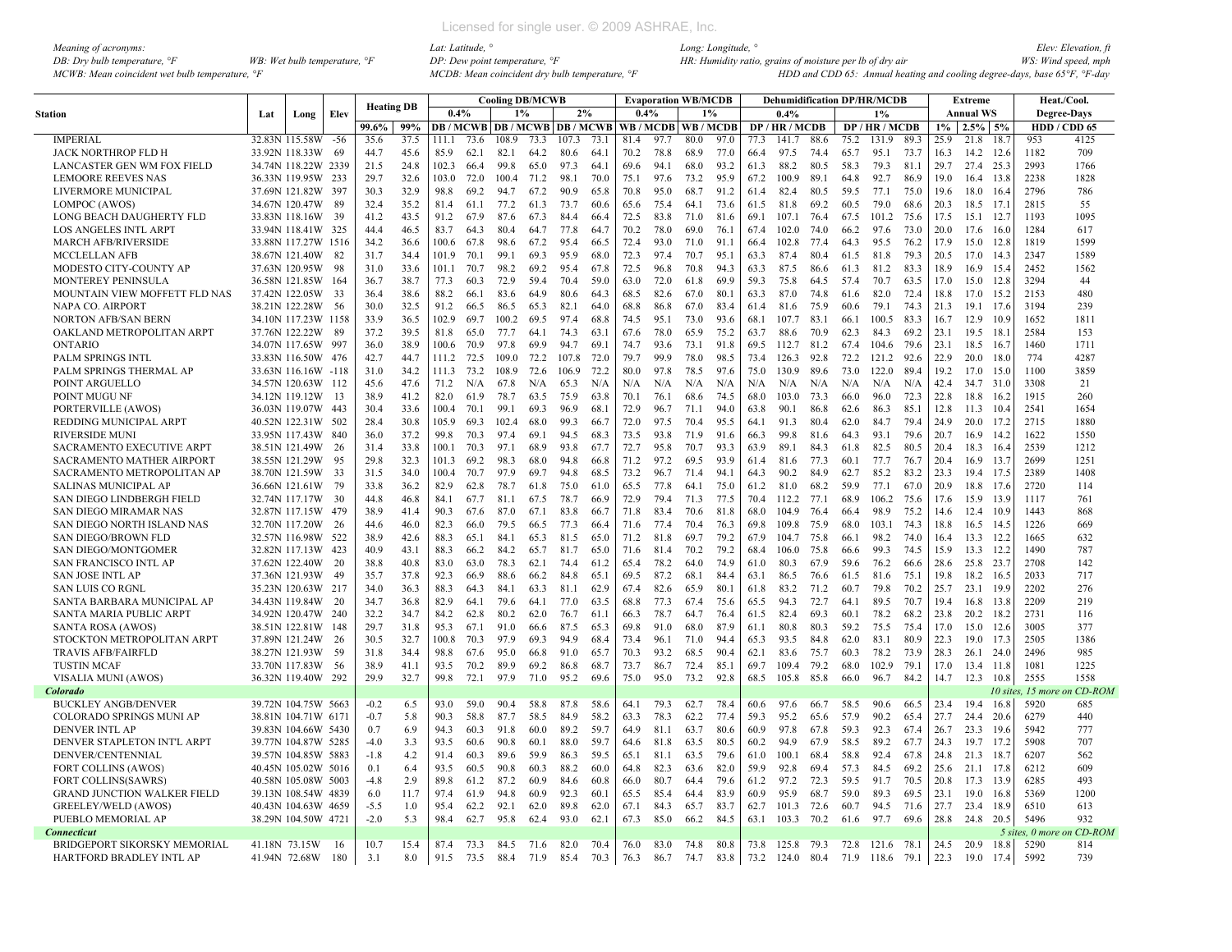| Meaning of acronyms:                           |                                       |
|------------------------------------------------|---------------------------------------|
| DB: Dry bulb temperature, $\mathcal{F}$        | WB: Wet bulb temperature, $\degree$ F |
| MCWB: Mean coincident wet bulb temperature. °F |                                       |

|                                    |               |                     |       | <b>Heating DB</b> |      |       |      | <b>Cooling DB/MCWB</b> |      |                                |      |      | Evaporation WB/MCDB |      |       |      | <b>Dehumidification DP/HR/MCDB</b> |      |      |            |      |       | Extreme          |         |                 | Heat./Cool.  |
|------------------------------------|---------------|---------------------|-------|-------------------|------|-------|------|------------------------|------|--------------------------------|------|------|---------------------|------|-------|------|------------------------------------|------|------|------------|------|-------|------------------|---------|-----------------|--------------|
| <b>Station</b>                     | Lat           | Long                | Elev  |                   |      | 0.4%  |      | 1%                     |      | 2%                             |      | 0.4% |                     |      | $1\%$ |      | 0.4%                               |      |      | 1%         |      |       | <b>Annual WS</b> |         |                 | Degree-Days  |
|                                    |               |                     |       | 99.6%             | 99%  |       |      |                        |      | <b>DB/MCWB DB/MCWB DB/MCWB</b> |      |      | WB/MCDB WB/MCDB     |      |       |      | DP/HR/MCDB                         |      |      | DP/HR/MCDB |      | $1\%$ | $2.5\%$ 5%       |         |                 | HDD / CDD 65 |
| <b>IMPERIAL</b>                    |               | 32.83N 115.58W      | $-56$ | 35.6              | 37.5 | 111.1 | 73.6 | 108.9                  | 73.3 | 107.3                          | 73.1 | 81.4 | 97.7                | 80.0 | 97.0  | 77.3 | 141.7                              | 88.6 | 75.2 | 131.9      | 89.3 | 25.9  | 21.8             | 18.7    | 953             | 4125         |
| JACK NORTHROP FLD H                |               | 33.92N 118.33W      | -69   | 44.7              | 45.6 | 85.9  | 62.1 | 82.1                   | 64.2 | 80.6                           | 64.1 | 70.2 | 78.8                | 68.9 | 77.0  | 66.4 | 97.5                               | 74.4 | 65.7 | 95.1       | 73.7 | 16.3  | 14.2 12.6        |         | 1182            | 709          |
| LANCASTER GEN WM FOX FIELD         |               | 34.74N 118.22W 2339 |       | 21.5              | 24.8 | 102.3 | 66.4 | 99.8                   | 65.0 | 97.3                           | 64.1 | 69.6 | 94.1                | 68.0 | 93.2  | 61.3 | 88.2                               | 80.5 | 58.3 | 79.3       | 81.1 | 29.7  | 27.4 25.3        |         | 2993            | 1766         |
| <b>LEMOORE REEVES NAS</b>          |               | 36.33N 119.95W 233  |       | 29.7              | 32.6 | 103.0 | 72.0 | 100.4                  | 71.2 | 98.1                           | 70.0 | 75.1 | 97.6                | 73.2 | 95.9  | 67.2 | 100.9                              | 89.1 | 64.8 | 92.7       | 86.9 | 19.0  | 16.4 13.8        |         | 2238            | 1828         |
| LIVERMORE MUNICIPAL                |               | 37.69N 121.82W 397  |       | 30.3              | 32.9 | 98.8  | 69.2 | 94.7                   | 67.2 | 90.9                           | 65.8 | 70.8 | 95.0                | 68.7 | 91.2  | 61.4 | 82.4                               | 80.5 | 59.5 | 77.1       | 75.0 | 19.6  | 18.0             | 16.4    | 2796            | 786          |
| LOMPOC (AWOS)                      |               | 34.67N 120.47W      | -89   | 32.4              | 35.2 | 81.4  | 61.1 | 77.2                   | 61.3 | 73.7                           | 60.6 | 65.6 | 75.4                | 64.1 | 73.6  | 61.5 | 81.8                               | 69.2 | 60.5 | 79.0       | 68.6 | 20.3  | 18.5 17.1        |         | 2815            | 55           |
| LONG BEACH DAUGHERTY FLD           |               | 33.83N 118.16W      | 39    | 41.2              | 43.5 | 91.2  | 67.9 | 87.6                   | 67.3 | 84.4                           | 66.4 | 72.5 | 83.8                | 71.0 | 81.6  | 69.1 | 107.1                              | 76.4 | 67.5 | 101.2      | 75.6 | 17.5  | 15.1 12.7        |         | 1193            | 1095         |
| <b>LOS ANGELES INTL ARPT</b>       |               | 33.94N 118.41W 325  |       | 44.4              | 46.5 | 83.7  | 643  | 80.4                   | 64.7 | 77.8                           | 64.7 | 70.2 | 78.0                | 69.0 | 76.1  | 67.4 | 102.0                              | 74.0 | 66.2 | 97.6       | 73.0 | 20.0  | 17.6             | 16.0    | 1284            | 617          |
| <b>MARCH AFB/RIVERSIDE</b>         |               | 33.88N 117.27W 1516 |       | 34.2              | 36.6 | 100.6 | 67.8 | 98.6                   | 67.2 | 95.4                           | 66.5 | 72.4 | 93.0                | 71.0 | 91.1  | 66.4 | 102.8                              | 774  | 64.3 | 95.5       | 76.2 | 17.9  | 15.0 12.8        |         | 1819            | 1599         |
| MCCLELLAN AFB                      |               | 38.67N 121.40W 82   |       | 31.7              | 34.4 | 101.9 | 70.1 | 99.1                   | 69.3 | 95.9                           | 68.0 | 72.3 | 97.4                | 70.7 | 95.1  | 63.3 | 87.4                               | 804  | 61.5 | 81.8       | 79.3 | 20.5  | 17.0 14.3        |         | 2347            | 1589         |
| MODESTO CITY-COUNTY AP             |               | 37.63N 120.95W      | - 98  | 31.0              | 33.6 | 101.1 | 70.7 | 98.2                   | 69.2 | 95.4                           | 67.8 | 72.5 | 96.8                | 70.8 | 94.3  | 63.3 | 87.5                               | 86.6 | 61.3 | 81.2       | 83.3 | 18.9  | 16.9             | 15.4    | 2452            | 1562         |
| <b>MONTEREY PENINSULA</b>          |               | 36.58N 121.85W 164  |       | 36.7              | 38.7 | 77.3  | 60.3 | 72.9                   | 59.4 | 70.4                           | 59.0 | 63.0 | 72.0                | 61.8 | 69.9  | 59.3 | 75.8                               | 64.5 | 574  | 70.7       | 63.5 | 17.0  | 15.0             | 12.8    | 3294            | 44           |
| MOUNTAIN VIEW MOFFETT FLD NAS      |               | 37.42N 122.05W 33   |       | 36.4              | 38.6 | 88.2  | 66.1 | 83.6                   | 64.9 | 80.6                           | 643  | 68.5 | 82.6                | 67.0 | 80.1  | 63.3 | 87.0                               | 74.8 | 61.6 | 82.0       | 72.4 | 18.8  | 17.0             | 15.2    | 2153            | 480          |
| NAPA CO. AIRPORT                   |               | 38.21N 122.28W 56   |       | 30.0              | 32.5 | 91.2  | 66.5 | 86.5                   | 65.3 | 82.1                           | 64.0 | 68.8 | 86.8                | 67.0 | 83.4  | 61.4 | 81.6                               | 75.9 | 60.6 | 79.1       | 74.3 | 21.3  | 19.1 17.6        |         | 3194            | 239          |
| NORTON AFB/SAN BERN                |               | 34.10N 117.23W 1158 |       | 33.9              | 36.5 | 102.9 | 69.7 | 100.2                  | 69.5 | 97.4                           | 68.8 | 74.5 | 95.1                | 73.0 | 93.6  | 68.1 | 107.7                              | 83.1 | 66.1 | 100.5      | 83.3 | 16.7  | 12.9             | 10.9    | 1652            | 1811         |
| OAKLAND METROPOLITAN ARPT          |               | 37.76N 122.22W      | -89   | 37.2              | 39.5 | 81.8  | 65.0 | 77.7                   | 64.1 | 74.3                           | 63.1 | 67.6 | 78.0                | 65.9 | 75.2  | 63.7 | 88.6                               | 70.9 | 62.3 | 84.3       | 69.2 | 23.1  | 19.5             | 18.1    | 2584            | 153          |
| <b>ONTARIO</b>                     |               | 34.07N 117.65W 997  |       | 36.0              | 38.9 | 100.6 | 70.9 | 97.8                   | 69.9 | 94.7                           | 69.1 | 74.7 | 93.6                | 73.1 | 91.8  | 69.5 | 112.7                              | 81.2 | 67.4 | 104.6      | 79.6 | 23.1  | 18.5             | 16.7    | 1460            | 1711         |
| PALM SPRINGS INTL                  |               | 33.83N 116.50W 476  |       | 42.7              | 44.7 | 111.2 | 72.5 | 109.0                  | 72.2 | 107.8                          | 72.0 | 79.7 | 99.9                | 78.0 | 98.5  | 73.4 | 126.3                              | 92.8 | 72.2 | 121.2      | 92.6 | 22.9  | 20.0             | 18.0    | 774             | 4287         |
| PALM SPRINGS THERMAL AP            |               | 33.63N 116.16W -118 |       | 31.0              | 34.2 | 111.3 | 73.2 | 108.9                  | 72.6 | 106.9                          | 72.2 | 80.0 | 97.8                | 78.5 | 97.6  | 75.0 | 130.9                              | 89.6 | 73.0 | 122.0      | 89.4 | 19.2  | 17.0             | 15.0    | 1100            | 3859         |
| POINT ARGUELLO                     |               | 34.57N 120.63W 112  |       | 45.6              | 47.6 | 71.2  | N/A  | 67.8                   | N/A  | 65.3                           | N/A  | N/A  | N/A                 | N/A  | N/A   | N/A  | N/A                                | N/A  | N/A  | N/A        | N/A  | 42.4  | 34.7 31.0        |         | 3308            | 21           |
| POINT MUGU NF                      |               | 34.12N 119.12W 13   |       | 38.9              | 41.2 | 82.0  | 61.9 | 78.7                   | 63.5 | 75.9                           | 63.8 | 70.1 | 76.1                | 68.6 | 74.5  | 68.0 | 103.0                              | 73.3 | 66.0 | 96.0       | 72.3 | 22.8  | 18.8             | 16.2    | 1915            | 260          |
| PORTERVILLE (AWOS)                 |               | 36.03N 119.07W 443  |       | 30.4              | 33.6 | 100.4 | 70.1 | 99.1                   | 69.3 | 96.9                           | 68.1 | 72.9 | 96.7                | 71.1 | 94.0  | 63.8 | 90.1                               | 86.8 | 62.6 | 86.3       | 85.1 | 12.8  | 11.3 10.4        |         | 2541            | 1654         |
| REDDING MUNICIPAL ARPT             |               | 40.52N 122.31W 502  |       | 28.4              | 30.8 | 105.9 | 69.3 | 102.4                  | 68.0 | 99.3                           | 66.7 | 72.0 | 97.5                | 70.4 | 95.5  | 64.1 | 91.3                               | 80.4 | 62.0 | 84.7       | 79.4 | 24.9  | 20.0             | 17.2    | 2715            | 1880         |
| RIVERSIDE MUNI                     |               | 33.95N 117.43W      | 840   | 36.0              | 37.2 | 99.8  | 70.3 | 97.4                   | 69.1 | 94.5                           | 68.3 | 73.5 | 93.8                | 71.9 | 91.6  | 66.3 | 99.8                               | 81.6 | 64.3 | 93.1       | 79.6 | 20.7  | 16.9             | 14.2    | 1622            | 1550         |
| <b>SACRAMENTO EXECUTIVE ARPT</b>   |               | 38.51N 121.49W 26   |       | 31.4              | 33.8 | 100.1 | 70.3 | 97.1                   | 68.9 | 93.8                           | 67.7 | 72.7 | 95.8                | 70.7 | 93.3  | 63.9 | 89.1                               | 84.3 | 61.8 | 82.5       | 80.5 | 20.4  | 18.3             | - 16.4  | 2539            | 1212         |
| SACRAMENTO MATHER AIRPORT          |               | 38.55N 121.29W      | -95   | 29.8              | 32.3 | 101.3 | 69.2 | 98.3                   | 68.0 | 94.8                           | 66.8 | 71.2 | 97.2                | 69.5 | 93.9  | 61.4 | 81.6                               | 77.3 | 60.1 | 77.7       | 76.7 | 20.4  | 16.9             | 13.7    | 2699            | 1251         |
| SACRAMENTO METROPOLITAN AP         |               | 38.70N 121.59W      | -33   | 31.5              | 34.0 | 100.4 | 70.7 | 97.9                   | 69.7 | 94.8                           | 68.5 | 73.2 | 96.7                | 71.4 | 94.1  | 64.3 | 90.2                               | 84.9 | 62.7 | 85.2       | 83.2 | 23.3  | 19.4 17.5        |         | 2389            | 1408         |
| SALINAS MUNICIPAL AP               |               | 36.66N 121.61W      | 79    | 33.8              | 36.2 | 82.9  | 62.8 | 78.7                   | 61.8 | 75.0                           | 61.0 | 65.5 | 77.8                | 64.1 | 75.0  | 61.2 | 81.0                               | 68.2 | 59.9 | 77.1       | 67.0 | 20.9  | 18.8             | 17.6    | 2720            | 114          |
| SAN DIEGO LINDBERGH FIELD          |               | 32.74N 117.17W 30   |       | 44.8              | 46.8 | 84.1  | 67.7 | 81.1                   | 67.5 | 78.7                           | 66.9 | 72.9 | 79.4                | 71.3 | 77.5  | 70.4 | 112.2                              | 77.1 | 68.9 | 106.2      | 75.6 | 17.6  | 15.9             | 13.9    | 1117            | 761          |
| <b>SAN DIEGO MIRAMAR NAS</b>       |               | 32.87N 117.15W 479  |       | 38.9              | 41.4 | 90.3  | 67.6 | 87.0                   | 67.1 | 83.8                           | 66.7 | 71.8 | 83.4                | 70.6 | 81.8  | 68.0 | 104.9                              | 76.4 | 66.4 | 98.9       | 75.2 | 14.6  | 12.4 10.9        |         | 1443            | 868          |
| SAN DIEGO NORTH ISLAND NAS         |               | 32.70N 117.20W      | -26   | 44.6              | 46.0 | 82.3  | 66.0 | 79.5                   | 66.5 | 77.3                           | 66.4 | 71.6 | 77.4                | 70.4 | 76.3  | 69.8 | 109.8                              | 75.9 | 68.0 | 103.1      | 74.3 | 18.8  | 16.5             | 14.5    | 1226            | 669          |
| <b>SAN DIEGO/BROWN FLD</b>         |               | 32.57N 116.98W      | 522   | 38.9              | 42.6 | 88.3  | 65.1 | 84.1                   | 65.3 | 81.5                           | 65.0 | 71.2 | 81.8                | 69.7 | 79.2  | 67.9 | 104.7                              | 75.8 | 66.1 | 98.2       | 74.0 | 16.4  | 13.3             | 12.2    | 1665            | 632          |
| <b>SAN DIEGO/MONTGOMER</b>         |               | 32.82N 117.13W 423  |       | 40.9              | 43.1 | 88.3  | 66.2 | 84.2                   | 65.7 | 81.7                           | 65.0 | 71.6 | 81.4                | 70.2 | 79.2  | 68.4 | 106.0                              | 75.8 | 66.6 | 99.3       | 74.5 | 15.9  | 13.3             | 12.2    | 1490            | 787          |
| SAN FRANCISCO INTL AP              |               | 37.62N 122.40W      | -20   | 38.8              | 40.8 | 83.0  | 63.0 | 78.3                   | 62.1 | 74.4                           | 61.2 | 65.4 | 78.2                | 64.0 | 74.9  | 61.0 | 80.3                               | 67.9 | 59.6 | 76.2       | 66.6 | 28.6  | 25.8 23.7        |         | 2708            | 142          |
| <b>SAN JOSE INTL AP</b>            |               | 37.36N 121.93W      | 49    | 35.7              | 37.8 | 92.3  | 66.9 | 88.6                   | 66.2 | 84.8                           | 65.1 | 69.5 | 87.2                | 68.1 | 84.4  | 63.1 | 86.5                               | 76.6 | 61.5 | 81.6       | 75.1 | 19.8  | 18.2             | 16.5    | 2033            | 717          |
| <b>SAN LUIS CO RGNL</b>            |               | 35.23N 120.63W 217  |       | 34.0              | 36.3 | 88.3  | 64.3 | 84.1                   | 63.3 | 81.1                           | 62.9 | 67.4 | 82.6                | 65.9 | 80.1  | 61.8 | 83.2                               | 71.2 | 60.7 | 79.8       | 70.2 | 25.7  | 23.1             | 19.9    | 2202            | 276          |
| SANTA BARBARA MUNICIPAL AP         |               | 34.43N 119.84W 20   |       | 34.7              | 36.8 | 82.9  | 64.1 | 79.6                   | 64.1 | 77.0                           | 63.5 | 68.8 | 77.3                | 67.4 | 75.6  | 65.5 | 94.3                               | 72.7 | 64.1 | 89.5       | 70.7 | 19.4  | 16.8             | 13.8    | 2209            | 219          |
| SANTA MARIA PUBLIC ARPT            |               | 34.92N 120.47W 240  |       | 32.2              | 34.7 | 84.2  | 62.8 | 80.2                   | 62.0 | 76.7                           | 61.1 | 66.3 | 78.7                | 64.7 | 76.4  | 61.5 | 82.4                               | 69.3 | 60.1 | 78.2       | 68.2 | 23.8  | 20.2 18.2        |         | 2731            | 116          |
| <b>SANTA ROSA (AWOS)</b>           |               | 38.51N 122.81W 148  |       | 29.7              | 31.8 | 95.3  | 67.1 | 91.0                   | 66.6 | 87.5                           | 65.3 | 69.8 | 91.0                | 68.0 | 87.9  | 61.1 | 80.8                               | 80.3 | 59.2 | 75.5       | 75.4 | 17.0  | 15.0             | 12.6    | 3005            | 377          |
| STOCKTON METROPOLITAN ARPT         |               | 37.89N 121.24W      | 26    | 30.5              | 32.7 | 100.8 | 70.3 | 97.9                   | 69.3 | 94.9                           | 68.4 | 73.4 | 96.1                | 71.0 | 94.4  | 65.3 | 93.5                               | 84.8 | 62.0 | 83.1       | 80.9 | 22.3  | 19.0             | 17.3    | 2505            | 1386         |
| <b>TRAVIS AFB/FAIRFLD</b>          |               | 38.27N 121.93W 59   |       | 31.8              | 34.4 | 98.8  | 67.6 | 95.0                   | 66.8 | 91.0                           | 65.7 | 70.3 | 93.2                | 68.5 | 90.4  | 62.1 | 83.6                               | 75.7 | 60.3 | 78.2       | 73.9 | 28.3  | 26.1             | 24.0    | 2496            | 985          |
| <b>TUSTIN MCAF</b>                 |               | 33.70N 117.83W      | -56   | 38.9              | 41.1 | 93.5  | 70.2 | 89.9                   | 69.2 | 86.8                           | 68.7 | 73.7 | 86.7                | 72.4 | 85.1  | 69.7 | 109.4                              | 79.2 | 68.0 | 102.9      | 79.1 | 17.0  | 13.4             | 11.8    | 1081            | 1225         |
| VISALIA MUNI (AWOS)                |               | 36.32N 119.40W 292  |       | 29.9              | 32.7 | 99.8  | 72.1 | 97.9                   | 71.0 | 95.2                           | 69.6 | 75.0 | 95.0                | 73.2 | 92.8  | 68.5 | 105.8                              | 85.8 | 66.0 | 96.7       | 84.2 | 14.7  | 12.3             | 10.8    | 2555            | 1558         |
| Colorado                           |               |                     |       |                   |      |       |      |                        |      |                                |      |      |                     |      |       |      |                                    |      |      |            |      |       |                  | 10 site | 15 more         | ı CD-ROM     |
| <b>BUCKLEY ANGB/DENVER</b>         |               | 39.72N 104.75W 5663 |       | $-0.2$            | 6.5  | 93.0  | 59.0 | 90.4                   | 58.8 | 87.8                           | 58.6 | 64.1 | 79.3                | 62.7 | 78.4  | 60.6 | 97.6                               | 66.7 | 58.5 | 90.6       | 66.5 | 23.4  | 19.4             | 16.8    | 5920            | 685          |
| COLORADO SPRINGS MUNI AP           |               | 38.81N 104.71W 6171 |       | $-0.7$            | 5.8  | 90.3  | 58.8 | 87.7                   | 58.5 | 84.9                           | 58.2 | 63.3 | 78.3                | 62.2 | 77.4  | 59.3 | 95.2                               | 65.6 | 57.9 | 90.2       | 65.4 | 27.7  | 24.4             | 20.6    | 6279            | 440          |
| <b>DENVER INTL AP</b>              |               | 39.83N 104.66W 5430 |       | 0.7               | 6.9  | 94.3  | 60.3 | 91.8                   | 60.0 | 89.2                           | 59.7 | 64.9 | 81.1                | 63.7 | 80.6  | 60.9 | 97.8                               | 67.8 | 59.3 | 92.3       | 67.4 | 26.7  | 23.3             | 19.6    | 5942            | 777          |
| DENVER STAPLETON INT'L ARPT        |               | 39.77N 104.87W 5285 |       | $-4.0$            | 3.3  | 93.5  | 60.6 | 90.8                   | 60.1 | 88.0                           | 59.7 | 64.6 | 81.8                | 63.5 | 80.5  | 60.2 | 94.9                               | 67.9 | 58.5 | 89.2       | 67.7 | 24.3  | 19.7             | 17.2    | 5908            | 707          |
| DENVER/CENTENNIAL                  |               | 39.57N 104.85W 5883 |       | $-1.8$            | 4.2  | 91.4  | 60.3 | 89.6                   | 59.9 | 86.3                           | 59.5 | 65.1 | 81.1                | 63.5 | 79.6  | 61.0 | 100.1                              | 68.4 | 58.8 | 92.4       | 67.8 | 24.8  | 21.3             | 18.7    | 6207            | 562          |
| <b>FORT COLLINS (AWOS)</b>         |               | 40.45N 105.02W 5016 |       | 0.1               | 6.4  | 93.5  | 60.5 | 90.8                   | 60.3 | 88.2                           | 60.0 | 64.8 | 82.3                | 63.6 | 82.0  | 59.9 | 92.8                               | 69.4 | 57.3 | 84.5       | 69.2 | 25.6  | 21.1 17.8        |         | 6212            | 609          |
| <b>FORT COLLINS(SAWRS)</b>         |               | 40.58N 105.08W 5003 |       | $-4.8$            | 2.9  | 89.8  | 61.2 | 87.2                   | 60.9 | 84.6                           | 60.8 | 66.0 | 80.7                | 64.4 | 79.6  | 61.2 | 97.2                               | 72.3 | 59.5 | 91.7       | 70.5 | 20.8  | 17.3 13.9        |         | 6285            | 493          |
| <b>GRAND JUNCTION WALKER FIELD</b> |               | 39.13N 108.54W 4839 |       | 6.0               | 11.7 | 97.4  | 61.9 | 94.8                   | 60.9 | 92.3                           | 60.1 | 65.5 | 85.4                | 64.4 | 83.9  | 60.9 | 95.9                               | 68.7 | 59.0 | 89.3       | 69.5 | 23.1  | 19.0             | 16.8    | 5369            | 1200         |
| GREELEY/WELD (AWOS)                |               | 40.43N 104.63W 4659 |       | $-5.5$            | 1.0  | 95.4  | 62.2 | 92.1                   | 62.0 | 89.8                           | 62.0 | 67.1 | 84.3                | 65.7 | 83.7  | 62.7 | 101.3                              | 72.6 | 60.7 | 94.5       | 71.6 | 27.7  | 23.4             | - 18.9  | 6510            | 613          |
| PUEBLO MEMORIAL AP                 |               | 38.29N 104.50W 4721 |       | $-2.0$            | 5.3  | 98.4  | 62.7 | 95.8                   | 62.4 | 93.0                           | 62.1 | 67.3 | 85.0                | 66.2 | 84.5  | 63.1 | 103.3                              | 70.2 | 61.6 | 97.7       | 69.6 | 28.8  | 24.8 20.5        |         | 5496            | 932          |
| <b>Connecticut</b>                 |               |                     |       |                   |      |       |      |                        |      |                                |      |      |                     |      |       |      |                                    |      |      |            |      |       |                  |         | 5 sites, 0 more | n CD-ROM     |
| BRIDGEPORT SIKORSKY MEMORIAL       | 41.18N 73.15W |                     | 16    | 10.7              | 15.4 | 87.4  | 73.3 | 84.5                   | 71.6 | 82.0                           | 70.4 | 76.0 | 83.0                | 74.8 | 80.8  | 73.8 | 125.8                              | 79.3 | 72.8 | 121.6      | 78.1 | 24.5  | 20.9             | 18.8    | 5290            | 814          |
| HARTFORD BRADLEY INTL AP           |               | 41.94N 72.68W       | - 180 | 3.1               | 8.0  | 91.5  | 73.5 | 88.4                   | 71.9 | 85.4                           | 70.3 | 76.3 | 86.7                | 74.7 | 83.8  | 73.2 | 124.0 80.4                         |      | 71.9 | 118.6 79.1 |      | 22.3  | 19.0             | 17.4    | 5992            | 739          |
|                                    |               |                     |       |                   |      |       |      |                        |      |                                |      |      |                     |      |       |      |                                    |      |      |            |      |       |                  |         |                 |              |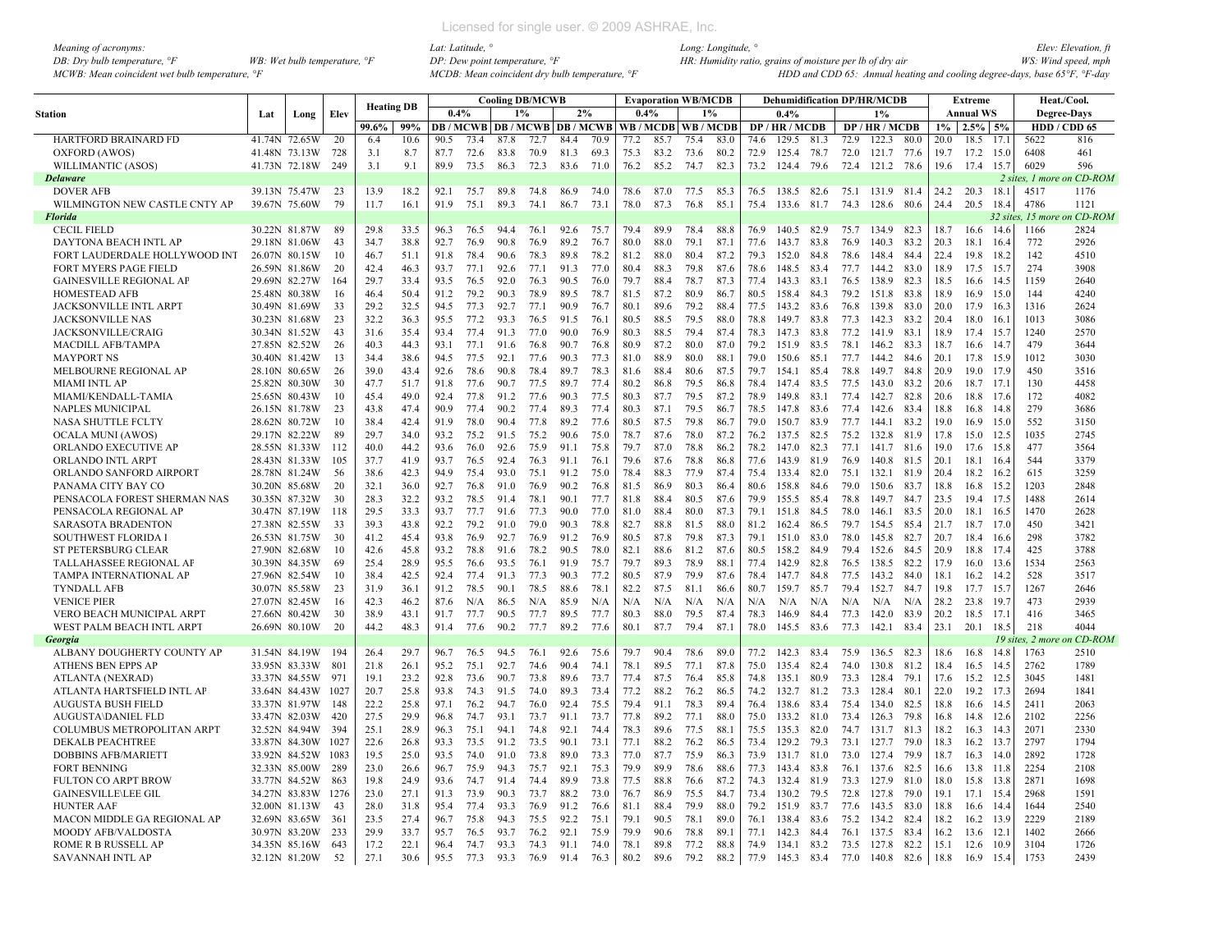| Meaning of acronyms:                                         |                                       |
|--------------------------------------------------------------|---------------------------------------|
| DB: Dry bulb temperature, $\mathcal{F}$                      | WB: Wet bulb temperature, $\degree$ F |
| $MCWB$ : Mean coincident wet bulb temperature. $\mathcal{F}$ |                                       |

|                                |     |               |      |                   |      |      |      |      | <b>Cooling DB/MCWB</b> |                                          |      |      |      | <b>Evaporation WB/MCDB</b> |                       |      | <b>Dehumidification DP/HR/MCDB</b> |      |      |                 |      |       | <b>Extreme</b>   |        |                   | Heat./Cool.        |
|--------------------------------|-----|---------------|------|-------------------|------|------|------|------|------------------------|------------------------------------------|------|------|------|----------------------------|-----------------------|------|------------------------------------|------|------|-----------------|------|-------|------------------|--------|-------------------|--------------------|
| <b>Station</b>                 | Lat | Long          | Elev | <b>Heating DB</b> |      | 0.4% |      |      | 1%                     | 2%                                       |      | 0.4% |      | 1%                         |                       |      | 0.4%                               |      |      | $1\%$           |      |       | <b>Annual WS</b> |        |                   | <b>Degree-Days</b> |
|                                |     |               |      | 99.6%             | 99%  |      |      |      |                        | <b>DB / MCWB   DB / MCWB   DB / MCWB</b> |      |      |      |                            | WB / MCDB   WB / MCDB |      | DP / HR / MCDB                     |      |      | DP / HR / MCDB  |      | $1\%$ | $2.5\%$ 5%       |        |                   | HDD / CDD 65       |
| HARTFORD BRAINARD FD           |     | 41.74N 72.65W | 20   | 6.4               | 10.6 | 90.5 | 73.4 | 87.8 | 72.7                   | 84.4                                     | 70.9 | 77.2 | 85.7 | 75.4                       | 83.0                  | 74.6 | 129.5                              | 81.3 | 72.9 | 122.3           | 80.0 | 20.0  | 18.5             | 17.1   | 5622              | 816                |
| OXFORD (AWOS)                  |     | 41.48N 73.13W | 728  | 3.1               | 8.7  | 87.7 | 72.6 | 83.8 | 70.9                   | 81.3                                     | 69.3 | 75.3 | 83.2 | 73.6                       | 80.2                  | 72.9 | 125.4                              | 78.7 | 72.0 | 121.7 77.6      |      | 19.7  | 17.2             | 15.0   | 6408              | 461                |
| <b>WILLIMANTIC (ASOS)</b>      |     | 41.73N 72.18W | 249  | 3.1               | 9.1  | 89.9 | 73.5 | 86.3 | 72.3                   | 83.6                                     | 71.0 | 76.2 | 85.2 | 74.7                       | 82.3                  | 73.2 | 124.4                              | 79.6 | 72.4 | 121.2 78.6      |      | 19.6  | 17.4             | 15.7   | 6029              | 596                |
| <b>Delaware</b>                |     |               |      |                   |      |      |      |      |                        |                                          |      |      |      |                            |                       |      |                                    |      |      |                 |      |       |                  |        | 2 sites, 1 more   | on CD-ROM          |
| <b>DOVER AFB</b>               |     | 39.13N 75.47W | 23   | 13.9              | 18.2 | 92.1 | 75.7 | 89.8 | 74.8                   | 86.9                                     | 74.0 | 78.6 | 87.0 | 77.5                       | 85.3                  | 76.5 | 138.5 82.6                         |      |      | 75.1 131.9 81.4 |      | 24.2  | 20.3             | 18.1   | 4517              | 1176               |
| WILMINGTON NEW CASTLE CNTY AP  |     | 39.67N 75.60W | 79   | 11.7              | 16.1 | 91.9 | 75.1 | 893  | 74.1                   | 86.7                                     | 73.1 | 78.0 | 87.3 | 76.8                       | 85.1                  | 75.4 | 133.6                              | 81.7 | 74.3 | 128.6           | 80.6 | 244   | 20.5             | 18.4   | 4786              | 1121               |
| <b>Florida</b>                 |     |               |      |                   |      |      |      |      |                        |                                          |      |      |      |                            |                       |      |                                    |      |      |                 |      |       |                  |        | 32 sites, 15 more | on CD-ROM          |
| <b>CECIL FIELD</b>             |     | 30.22N 81.87W | 89   | 29.8              | 33.5 | 96.3 | 76.5 | 94.4 | 76.1                   | 92.6                                     | 75.7 | 79.4 | 89.9 | 78.4                       | 88.8                  | 76.9 | 140.5                              | 82.9 | 75.7 | 134.9 82.3      |      | 18.7  | 16.6             | 14.6   | 1166              | 2824               |
| DAYTONA BEACH INTL AP          |     | 29.18N 81.06W | 43   | 34.7              | 38.8 | 92.7 | 76.9 | 90.8 | 76.9                   | 89.2                                     | 76.7 | 80.0 | 88.0 | 79.1                       | 87.1                  | 77.6 | 143.7                              | 83.8 | 76.9 | 140.3           | 83.2 | 20.3  | 18.1             | 16.4   | 772               | 2926               |
| FORT LAUDERDALE HOLLYWOOD INT  |     | 26.07N 80.15W | 10   | 46.7              | 51.1 | 91.8 | 78.4 | 90.6 | 78.3                   | 89.8                                     | 78.2 | 81.2 | 88.0 | 80.4                       | 87.2                  | 79.3 | 152.0                              | 84.8 | 78.6 | 148.4           | 84.4 | 22.4  | 19.8             | 18.2   | 142               | 4510               |
| <b>FORT MYERS PAGE FIELD</b>   |     | 26.59N 81.86W | 20   | 42.4              | 463  | 93.7 | 77.1 | 92.6 | 77.1                   | 91.3                                     | 77.0 | 80.4 | 88.3 | 79.8                       | 87.6                  | 78.6 | 148.5                              | 83.4 | 77.7 | 144.2           | 83.0 | 18.9  | 17.5             | 15.7   | 274               | 3908               |
| <b>GAINESVILLE REGIONAL AP</b> |     | 29.69N 82.27W | 164  | 29.7              | 33.4 | 93.5 | 76.5 | 92.0 | 76.3                   | 90.5                                     | 76.0 | 79.7 | 884  | 78.7                       | 87.3                  | 774  | 143.3                              | 83.1 | 76.5 | 138.9           | 82.3 | 18.5  | 16.6             | - 14.5 | 1159              | 2640               |
| <b>HOMESTEAD AFB</b>           |     | 25.48N 80.38W | 16   | 464               | 50.4 | 91.2 | 79.2 | 90.3 | 78.9                   | 89.5                                     | 78.7 | 81.5 | 87.2 | 80.9                       | 86.7                  | 80.5 | 158.4                              | 843  | 79.2 | 151.8           | 83.8 | 18.9  | 16.9             | 15.0   | 144               | 4240               |
| JACKSONVILLE INTL ARPT         |     | 30.49N 81.69W | 33   | 29.2              | 32.5 | 94.5 | 77.3 | 92.7 | 77.1                   | 90.9                                     | 76.7 | 80.1 | 89.6 | 79.2                       | 88.4                  | 77.5 | 143.2                              | 83.6 | 76.8 | 139.8           | 83.0 | 20.0  | 17.9             | 16.3   | 1316              | 2624               |
| <b>JACKSONVILLE NAS</b>        |     | 30.23N 81.68W | 23   | 32.2              | 36.3 | 95.5 | 77.2 | 93.3 | 76.5                   | 91.5                                     | 76.1 | 80.5 | 88.5 | 79.5                       | 88.0                  | 78.8 | 149.7                              | 83.8 | 77.3 | 142.3           | 83.2 | 20.4  | 18.0             | 16.1   | 1013              | 3086               |
| JACKSONVILLE/CRAIG             |     | 30.34N 81.52W | 43   | 31.6              | 35.4 | 93.4 | 77.4 | 91.3 | 77.0                   | 90.0                                     | 76.9 | 80.3 | 88.5 | 79.4                       | 87.4                  | 78.3 | 147.3                              | 83.8 | 77.2 | 141.9           | 83.1 | 18.9  | 17.4             | 15.7   | 1240              | 2570               |
| MACDILL AFB/TAMPA              |     | 27.85N 82.52W | 26   | 40.3              | 44.3 | 93.1 | 77.1 | 91.6 | 76.8                   | 90.7                                     | 76.8 | 80.9 | 87.2 | 80.0                       | 87.0                  | 79.2 | 151.9                              | 83.5 | 78.1 | 146.2           | 83.3 | 18.7  | 16.6             | -14.7  | 479               | 3644               |
| <b>MAYPORT NS</b>              |     | 30.40N 81.42W | 13   | 34.4              | 38.6 | 94.5 | 77.5 | 92.1 | 77.6                   | 90.3                                     | 77.3 | 81.0 | 88.9 | 80.0                       | 88.1                  | 79.0 | 150.6                              | 85.1 | 77.7 | 144.2           | 84.6 | 20.1  | 17.8             | 15.9   | 1012              | 3030               |
| MELBOURNE REGIONAL AP          |     | 28.10N 80.65W | 26   | 39.0              | 43.4 | 92.6 | 78.6 | 90.8 | 78.4                   | 89.7                                     | 78.3 | 81.6 | 88.4 | 80.6                       | 87.5                  | 79.7 | 154.1                              | 85.4 | 78.8 | 149.7           | 84.8 | 20.9  | 19.0             | 17.9   | 450               | 3516               |
| MIAMI INTL AP                  |     | 25.82N 80.30W | 30   | 47.7              | 51.7 | 91.8 | 77.6 | 90.7 | 77.5                   | 89.7                                     | 77.4 | 80.2 | 86.8 | 79.5                       | 86.8                  | 78.4 | 147.4                              | 83.5 | 77.5 | 143.0           | 83.2 | 20.6  | 18.7             | 17.1   | 130               | 4458               |
| MIAMI/KENDALL-TAMIA            |     | 25.65N 80.43W | 10   | 45.4              | 49.0 | 92.4 | 77.8 | 91.2 | 77.6                   | 90.3                                     | 77.5 | 80.3 | 87.7 | 79.5                       | 87.2                  | 78.9 | 149.8                              | 83.1 | 77.4 | 142.7           | 82.8 | 20.6  | 18.8             | - 17.6 | 172               | 4082               |
| <b>NAPLES MUNICIPAL</b>        |     | 26.15N 81.78W | 23   | 43.8              | 47.4 | 90.9 | 77.4 | 90.2 | 77.4                   | 89.3                                     | 77.4 | 80.3 | 87.1 | 79.5                       | 86.7                  | 78.5 | 147.8                              | 83.6 | 77.4 | 142.6           | 83.4 | 18.8  | 16.8             | 14.8   | 279               | 3686               |
| NASA SHUTTLE FCLTY             |     | 28.62N 80.72W | 10   | 38.4              | 42.4 | 91.9 | 78.0 | 90.4 | 77.8                   | 89.2                                     | 77.6 | 80.5 | 87.5 | 79.8                       | 86.7                  | 79.0 | 150.7                              | 83.9 | 77.7 | 144.1           | 83.2 | 19.0  | 16.9             | 15.0   | 552               | 3150               |
| <b>OCALA MUNI (AWOS)</b>       |     | 29.17N 82.22W | 89   | 29.7              | 34.0 | 93.2 | 75.2 | 91.5 | 75.2                   | 90.6                                     | 75.0 | 78.7 | 87.6 | 78.0                       | 87.2                  | 76.2 | 137.5                              | 82.5 | 75.2 | 132.8           | 81.9 | 17.8  | 15.0             | 12.5   | 1035              | 2745               |
| ORLANDO EXECUTIVE AP           |     | 28.55N 81.33W | 112  | 40.0              | 44.2 | 93.6 | 76.0 | 92.6 | 75.9                   | 91.1                                     | 75.8 | 79.7 | 87.0 | 78.8                       | 86.2                  | 78.2 | 147.0                              | 82.3 | 77.1 | 141.7 81.6      |      | 19.0  | 17.6             | 15.8   | 477               | 3564               |
| ORLANDO INTL ARPT              |     | 28.43N 81.33W | 105  | 37.7              | 41.9 | 93.7 | 76.5 | 92.4 | 76.3                   | 91.1                                     | 76.1 | 79.6 | 87.6 | 78.8                       | 86.8                  | 77.6 | 143.9                              | 81.9 | 76.9 | 140.8           | 81.5 | 20.1  | 18.1             | 16.4   | 544               | 3379               |
| ORLANDO SANFORD AIRPORT        |     | 28.78N 81.24W | -56  | 38.6              | 42.3 | 94.9 | 75.4 | 93.0 | 75.1                   | 91.2                                     | 75.0 | 78.4 | 88.3 | 77.9                       | 87.4                  | 75.4 | 133.4                              | 82.0 | 75.1 | 132.1           | 81.9 | 20.4  | 18.2             | 16.2   | 615               | 3259               |
| PANAMA CITY BAY CO             |     | 30.20N 85.68W | 20   | 32.1              | 36.0 | 92.7 | 76.8 | 91.0 | 76.9                   | 90.2                                     | 76.8 | 81.5 | 86.9 | 80.3                       | 86.4                  | 80.6 | 158.8                              | 84.6 | 79.0 | 150.6           | 83.7 | 18.8  | 16.8             | 15.2   | 1203              | 2848               |
| PENSACOLA FOREST SHERMAN NAS   |     | 30.35N 87.32W | 30   | 28.3              | 32.2 | 93.2 | 78.5 | 91.4 | 78.1                   | 90.1                                     | 77.7 | 81.8 | 88.4 | 80.5                       | 87.6                  | 79.9 | 155.5                              | 85.4 | 78.8 | 149.7           | 84.7 | 23.5  | 19.4             | 17.5   | 1488              | 2614               |
| PENSACOLA REGIONAL AP          |     | 30.47N 87.19W | 118  | 29.5              | 33.3 | 93.7 | 77.7 | 91.6 | 77.3                   | 90.0                                     | 77.0 | 81.0 | 88.4 | 80.0                       | 87.3                  | 79.1 | 151.8                              | 84.5 | 78.0 | 146.1           | 83.5 | 20.0  | 18.1             | 16.5   | 1470              | 2628               |
| <b>SARASOTA BRADENTON</b>      |     | 27.38N 82.55W | 33   | 39.3              | 43.8 | 92.2 | 79.2 | 91.0 | 79.0                   | 90.3                                     | 78.8 | 82.7 | 88.8 | 81.5                       | 88.0                  | 81.2 | 162.4                              | 86.5 | 79.7 | 154.5           | 85.4 | 21.7  | 18.7             | 17.0   | 450               | 3421               |
| <b>SOUTHWEST FLORIDA I</b>     |     | 26.53N 81.75W | 30   | 41.2              | 45.4 | 93.8 | 76.9 | 92.7 | 76.9                   | 91.2                                     | 76.9 | 80.5 | 87.8 | 79.8                       | 87.3                  | 79.1 | 151.0                              | 83.0 | 78.0 | 145.8           | 82.7 | 20.7  | 18.4             | 16.6   | 298               | 3782               |
| ST PETERSBURG CLEAR            |     | 27.90N 82.68W | 10   | 42.6              | 45.8 | 93.2 | 78.8 | 91.6 | 78.2                   | 90.5                                     | 78.0 | 82.1 | 88.6 | 81.2                       | 87.6                  | 80.5 | 158.2                              | 84.9 | 79.4 | 152.6           | 84.5 | 20.9  | 18.8             | 17.4   | 425               | 3788               |
| TALLAHASSEE REGIONAL AF        |     | 30.39N 84.35W | 69   | 25.4              | 28.9 | 95.5 | 76.6 | 93.5 | 76.1                   | 91.9                                     | 75.7 | 79.7 | 89.3 | 78.9                       | 88.1                  | 77.4 | 142.9                              | 82.8 | 76.5 | 138.5           | 82.2 | 17.9  | 16.0             | 13.6   | 1534              | 2563               |
| TAMPA INTERNATIONAL AP         |     | 27.96N 82.54W | 10   | 38.4              | 42.5 | 92.4 | 77.4 | 91.3 | 77.3                   | 90.3                                     | 77.2 | 80.5 | 87.9 | 79.9                       | 87.6                  | 78.4 | 147.7                              | 84.8 | 77.5 | 143.2           | 84.0 | 18.1  | 16.2             | 14.2   | 528               | 3517               |
| <b>TYNDALL AFB</b>             |     | 30.07N 85.58W | 23   | 31.9              | 36.1 | 91.2 | 78.5 | 90.1 | 78.5                   | 88.6                                     | 78.1 | 82.2 | 87.5 | 81.1                       | 86.6                  | 80.7 | 159.7                              | 85.7 | 79.4 | 152.7           | 84.7 | 19.8  | 17.7             | 15.7   | 1267              | 2646               |
| <b>VENICE PIER</b>             |     | 27.07N 82.45W | 16   | 42.3              | 46.2 | 87.6 | N/A  | 86.5 | N/A                    | 85.9                                     | N/A  | N/A  | N/A  | N/A                        | N/A                   | N/A  | N/A                                | N/A  | N/A  | N/A             | N/A  | 28.2  | 23.8             | 19.7   | 473               | 2939               |
| VERO BEACH MUNICIPAL ARPT      |     | 27.66N 80.42W | 30   | 38.9              | 43.1 | 91.7 | 77.7 | 90.5 | 77.7                   | 89.5                                     | 77.7 | 80.3 | 88.0 | 79.5                       | 87.4                  | 78.3 | 146.9                              | 84.4 | 77.3 | 142.0           | 83.9 | 20.2  | 18.5             | 17.1   | 416               | 3465               |
| WEST PALM BEACH INTL ARPT      |     | 26.69N 80.10W | 20   | 44.2              | 48.3 | 91.4 | 77.6 | 90.2 | 77.7                   | 89.2                                     | 77.6 | 80.1 | 87.7 | 79.4                       | 87.1                  | 78.0 | 145.5                              | 83.6 | 77.3 | 142.1           | 83.4 | 23.1  | 20.1             | 18.5   | 218               | 4044               |
| Georgia                        |     |               |      |                   |      |      |      |      |                        |                                          |      |      |      |                            |                       |      |                                    |      |      |                 |      |       |                  |        | 19 sites, 2 more  | ו CD-ROM           |
| ALBANY DOUGHERTY COUNTY AP     |     | 31.54N 84.19W | 194  | 26.4              | 29.7 | 96.7 | 76.5 | 94.5 | 76.1                   | 92.6                                     | 75.6 | 79.7 | 90.4 | 78.6                       | 89.0                  | 77.2 | 142.3                              | 83.4 | 75.9 | 136.5 82.3      |      | 18.6  | 16.8             | 14.8   | 1763              | 2510               |
| ATHENS BEN EPPS AP             |     | 33.95N 83.33W | 801  | 21.8              | 26.1 | 95.2 | 75.1 | 92.7 | 74.6                   | 90.4                                     | 74.1 | 78.1 | 89.5 | 77.1                       | 87.8                  | 75.0 | 135.4                              | 82.4 | 74.0 | 130.8           | 81.2 | 18.4  | 16.5             | 14.5   | 2762              | 1789               |
| ATLANTA (NEXRAD)               |     | 33.37N 84.55W | 971  | 19.1              | 23.2 | 92.8 | 73.6 | 90.7 | 73.8                   | 89.6                                     | 73.7 | 77.4 | 87.5 | 76.4                       | 85.8                  | 74.8 | 135.1                              | 80.9 | 73.3 | 128.4           | 79.1 | 17.6  | 15.2             | 12.5   | 3045              | 1481               |
| ATLANTA HARTSFIELD INTL AP     |     | 33.64N 84.43W | 1027 | 20.7              | 25.8 | 93.8 | 74.3 | 91.5 | 74.0                   | 89.3                                     | 73.4 | 77.2 | 88.2 | 76.2                       | 86.5                  | 74.2 | 132.7                              | 81.2 | 73.3 | 128.4           | 80.1 | 22.0  | 19.2             | 17.3   | 2694              | 1841               |
| <b>AUGUSTA BUSH FIELD</b>      |     | 33.37N 81.97W | 148  | 22.2              | 25.8 | 97.1 | 76.2 | 94.7 | 76.0                   | 92.4                                     | 75.5 | 79.4 | 91.1 | 78.3                       | 89.4                  | 76.4 | 138.6                              | 83.4 | 75.4 | 134.0           | 82.5 | 18.8  | 16.6             | - 14.5 | 2411              | 2063               |
| <b>AUGUSTA\DANIEL FLD</b>      |     | 33.47N 82.03W | 420  | 27.5              | 29.9 | 96.8 | 74.7 | 93.1 | 73.7                   | 91.1                                     | 73.7 | 77.8 | 89.2 | 77.1                       | 88.0                  | 75.0 | 133.2                              | 81.0 | 73.4 | 126.3           | 79.8 | 16.8  | 14.8             | 12.6   | 2102              | 2256               |
| COLUMBUS METROPOLITAN ARPT     |     | 32.52N 84.94W | 394  | 25.1              | 28.9 | 96.3 | 75.1 | 94.1 | 74.8                   | 92.1                                     | 74.4 | 78.3 | 89.6 | 77.5                       | 88.1                  | 75.5 | 135.3                              | 82.0 | 74.7 | 131.7           | 81.3 | 18.2  | 16.3             | 14.3   | 2071              | 2330               |
| <b>DEKALB PEACHTREE</b>        |     | 33.87N 84.30W | 1027 | 22.6              | 26.8 | 93.3 | 73.5 | 91.2 | 73.5                   | 90.1                                     | 73.1 | 77.1 | 88.2 | 76.2                       | 86.5                  | 73.4 | 129.2                              | 79.3 | 73.1 | 127.7           | 79.0 | 18.3  | 16.2             | 13.7   | 2797              | 1794               |
| <b>DOBBINS AFB/MARIETT</b>     |     | 33.92N 84.52W | 1083 | 19.5              | 25.0 | 93.5 | 74.0 | 91.0 | 73.8                   | 89.0                                     | 73.3 | 77.0 | 87.7 | 75.9                       | 86.3                  | 73.9 | 131.7                              | 81.0 | 73.0 | 127.4           | 79.9 | 18.7  | $16.3$ 14.0      |        | 2892              | 1728               |
| <b>FORT BENNING</b>            |     | 32.33N 85.00W | 289  | 23.0              | 26.6 | 96.7 | 75.9 | 94.3 | 75.7                   | 92.1                                     | 75.3 | 79.9 | 89.9 | 78.6                       | 88.6                  | 77.3 | 143.4                              | 83.8 | 76.1 | 137.6           | 82.5 | 16.6  | 13.8 11.8        |        | 2254              | 2108               |
| <b>FULTON CO ARPT BROW</b>     |     | 33.77N 84.52W | 863  | 19.8              | 24.9 | 93.6 | 74.7 | 91.4 | 74.4                   | 89.9                                     | 73.8 | 77.5 | 88.8 | 76.6                       | 87.2                  | 74.3 | 132.4                              | 81.9 | 73.3 | 127.9           | 81.0 | 18.0  | 15.8             | 13.8   | 2871              | 1698               |
| <b>GAINESVILLE\LEE GIL</b>     |     | 34.27N 83.83W | 1276 | 23.0              | 27.1 | 91.3 | 73.9 | 90.3 | 73.7                   | 88.2                                     | 73.0 | 76.7 | 86.9 | 75.5                       | 84.7                  | 73.4 | 130.2                              | 79.5 | 72.8 | 127.8           | 79.0 | 19.1  | 17.1             | 15.4   | 2968              | 1591               |
| <b>HUNTER AAF</b>              |     | 32.00N 81.13W | 43   | 28.0              | 31.8 | 95.4 | 77.4 | 93.3 | 76.9                   | 91.2                                     | 76.6 | 81.1 | 88.4 | 79.9                       | 88.0                  | 79.2 | 151.9                              | 83.7 | 77.6 | 143.5           | 83.0 | 18.8  | 16.6             | - 14.4 | 1644              | 2540               |
| MACON MIDDLE GA REGIONAL AP    |     | 32.69N 83.65W | 361  | 23.5              | 27.4 | 96.7 | 75.8 | 94.3 | 75.5                   | 92.2                                     | 75.1 | 79.1 | 90.5 | 78.1                       | 89.0                  | 76.1 | 138.4                              | 83.6 | 75.2 | 134.2           | 82.4 | 18.2  | 16.2             | 13.9   | 2229              | 2189               |
| MOODY AFB/VALDOSTA             |     | 30.97N 83.20W | 233  | 29.9              | 33.7 | 95.7 | 76.5 | 93.7 | 76.2                   | 92.1                                     | 75.9 | 79.9 | 90.6 | 78.8                       | 89.1                  | 77.1 | 142.3                              | 84.4 | 76.1 | 137.5           | 83.4 | 16.2  | 13.6             | 12.1   | 1402              | 2666               |
| ROME R B RUSSELL AP            |     | 34.35N 85.16W | 643  | 17.2              | 22.1 | 96.4 | 74.7 | 93.3 | 74.3                   | 91.1                                     | 74.0 | 78.1 | 89.8 | 77.2                       | 88.8                  | 74.9 | 134.1                              | 83.2 | 73.5 | 127.8           | 82.2 | 15.1  | 12.6             | 10.9   | 3104              | 1726               |
| SAVANNAH INTL AP               |     | 32.12N 81.20W | 52   | 27.1              | 30.6 | 95.5 | 77.3 | 93.3 | 76.9                   | 91.4                                     | 76.3 | 80.2 | 89.6 | 79.2                       | 88.2                  | 77.9 | 145.3 83.4                         |      |      | 77.0 140.8      | 82.6 | 18.8  | 16.9             | 15.4   | 1753              | 2439               |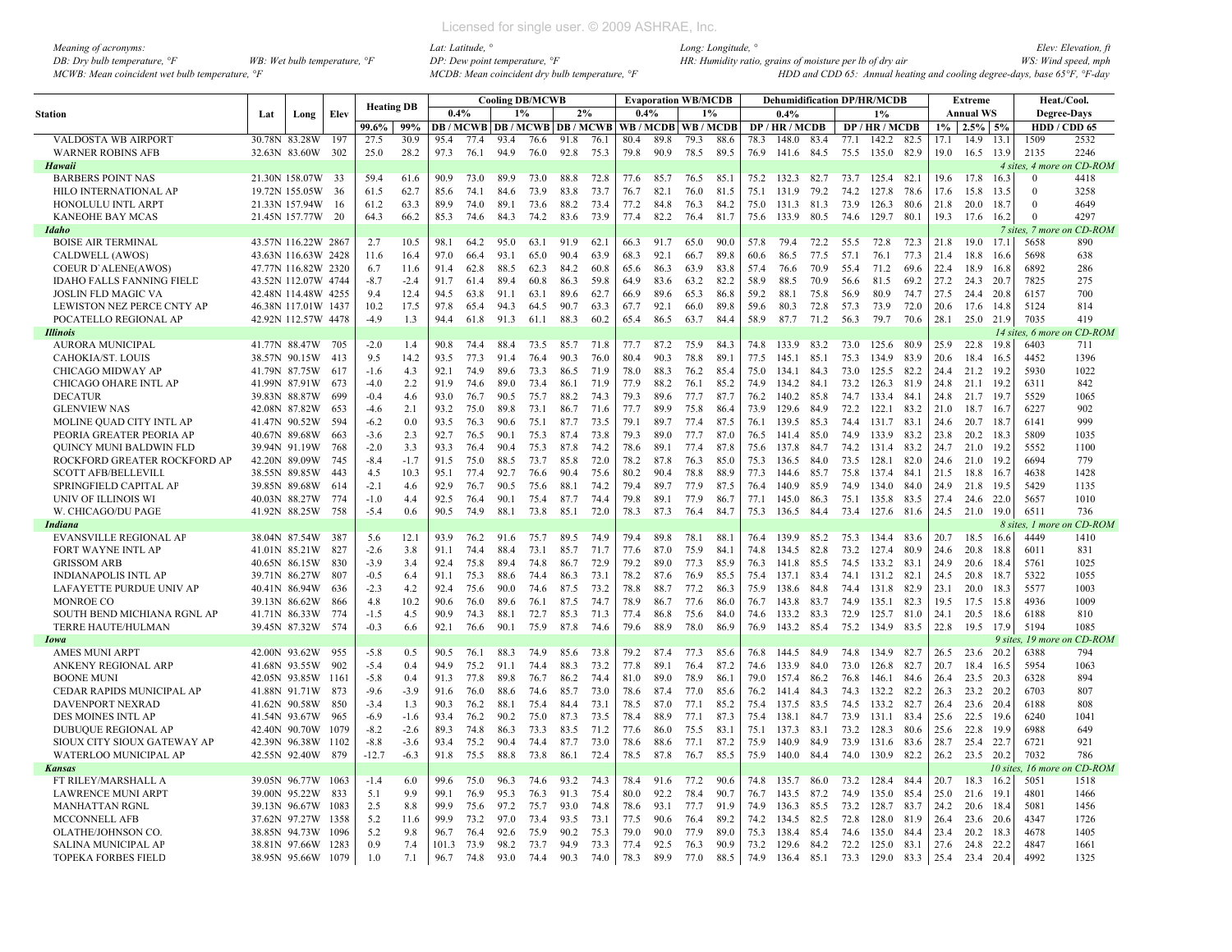| Meaning of acronyms:                           |                                       |
|------------------------------------------------|---------------------------------------|
| DB: Dry bulb temperature, $\degree$ F          | WB: Wet bulb temperature, $\degree$ F |
| MCWB: Mean coincident wet bulb temperature, °F |                                       |

|                               |     |                     |               |                   |        |       |      |      | <b>Cooling DB/MCWB</b>                   |      |      |      |      | <b>Evaporation WB/MCDB</b> |      |      | <b>Dehumidification DP/HR/MCDB</b> |      |      |            |      |       | <b>Extreme</b>   |           |                    | Heat./Cool.                |
|-------------------------------|-----|---------------------|---------------|-------------------|--------|-------|------|------|------------------------------------------|------|------|------|------|----------------------------|------|------|------------------------------------|------|------|------------|------|-------|------------------|-----------|--------------------|----------------------------|
|                               |     |                     |               | <b>Heating DB</b> |        | 0.4%  |      |      | 1%                                       | 2%   |      | 0.4% |      | 1%                         |      |      | 0.4%                               |      |      | 1%         |      |       | <b>Annual WS</b> |           | <b>Degree-Days</b> |                            |
| Station                       | Lat | Long                | Elev          |                   |        |       |      |      |                                          |      |      |      |      |                            |      |      |                                    |      |      |            |      |       |                  |           |                    |                            |
|                               |     |                     |               | 99.6%             | 99%    |       |      |      | <b>DB</b> / MCWB   DB / MCWB   DB / MCWB |      |      |      |      | WB / MCDB   WB / MCDB      |      |      | DP/HR/MCDB                         |      |      | DP/HR/MCDB |      | $1\%$ | 2.5%             | 5%        |                    | HDD / CDD 65               |
| VALDOSTA WB AIRPORT           |     | 30.78N 83.28W       | 197           | 27.5              | 30.9   | 95.4  | 77.4 | 93.4 | 76.6                                     | 91.8 | 76.1 | 80.4 | 89.8 | 79.3                       | 88.6 | 78.3 | 148.0                              | 83.4 | 77.1 | 142.2      | 82.5 | 17.1  | 14.9             | 13.1      | 1509               | 2532                       |
| <b>WARNER ROBINS AFB</b>      |     | 32.63N 83.60W       | 302           | 25.0              | 28.2   | 97.3  | 76.1 | 94.9 | 76.0                                     | 92.8 | 75.3 | 79.8 | 90.9 | 78.5                       | 89.5 | 76.9 | 141.6                              | 84.5 | 75.5 | 135.0      | 82.9 | 19.0  | 16.5 13.9        |           | 2135               | 2246                       |
| Hawaii                        |     |                     |               |                   |        |       |      |      |                                          |      |      |      |      |                            |      |      |                                    |      |      |            |      |       |                  |           |                    | 4 sites, 4 more on CD-ROM  |
| <b>BARBERS POINT NAS</b>      |     | 21.30N 158.07W      | -33           | 59.4              | 61.6   | 90.9  | 73.0 | 89.9 | 73.0                                     | 88.8 | 72.8 | 77.6 | 85.7 | 76.5                       | 85.1 | 75.2 | 132.3                              | 82.7 | 73.7 | 125.4      | 82.1 | 19.6  | 17.8             | 16.3      | $\Omega$           | 4418                       |
| HILO INTERNATIONAL AP         |     | 19.72N 155.05W      | 36            | 61.5              | 62.7   | 85.6  | 74.1 | 84.6 | 73.9                                     | 83.8 | 73.7 | 76.7 | 82.1 | 76.0                       | 81.5 | 75.1 | 131.9                              | 79.2 | 74.2 | 127.8      | 78.6 | 17.6  | 15.8             | 13.5      | $\Omega$           | 3258                       |
| HONOLULU INTL ARPT            |     | 21.33N 157.94W      | <sup>16</sup> | 61.2              | 63.3   | 89.9  | 74.0 | 89.1 | 73.6                                     | 88.2 | 73.4 | 77.2 | 84.8 | 76.3                       | 84.2 | 75.0 | 131.3                              | 81.3 | 73.9 | 126.3      | 80.6 | 21.8  | 20.0             | 18.7      |                    | 4649                       |
| KANEOHE BAY MCAS              |     | 21.45N 157.77W      | -20           | 64.3              | 66.2   | 85.3  | 74.6 | 84.3 | 74.2                                     | 83.6 | 73.9 | 77.4 | 82.2 | 76.4                       | 81.7 | 75.6 | 133.9                              | 80.5 | 74.6 | 129.7      | 80.1 | 19.3  | 17.6             | 16.2      | $\mathbf{0}$       | 4297                       |
| Idaho                         |     |                     |               |                   |        |       |      |      |                                          |      |      |      |      |                            |      |      |                                    |      |      |            |      |       |                  |           | 7 sites, 7 more    | on CD-ROM                  |
| <b>BOISE AIR TERMINAL</b>     |     | 43.57N 116.22W 2867 |               | 2.7               | 10.5   | 98.1  | 64.2 | 95.0 | 63.1                                     | 91.9 | 62.1 | 66.3 | 91.7 | 65.0                       | 90.0 | 57.8 | 79.4                               | 72.2 | 55.5 | 72.8       | 72.3 | 21.8  | 19.0             | 17.1      | 5658               | 890                        |
| CALDWELL (AWOS)               |     | 43.63N 116.63W 2428 |               | 11.6              | 16.4   | 97.0  | 66.4 | 93.1 | 65.0                                     | 90.4 | 63.9 | 68.3 | 92.1 | 66.7                       | 89.8 | 60.6 | 86.5                               | 77.5 | 57.1 | 76.1       | 77.3 | 21.4  | 18.8             | 16.6      | 5698               | 638                        |
| <b>COEUR D'ALENE(AWOS)</b>    |     | 47.77N 116.82W 2320 |               | 6.7               | 11.6   | 91.4  | 62.8 | 88.5 | 62.3                                     | 84.2 | 60.8 | 65.6 | 86.3 | 63.9                       | 83.8 | 57.4 | 76.6                               | 70.9 | 55.4 | 71.2       | 69.6 | 22.4  | 18.9             | 16.8      | 6892               | 286                        |
| IDAHO FALLS FANNING FIELD     |     | 43.52N 112.07W 4744 |               | $-8.7$            | $-2.4$ | 91.7  | 61.4 | 89.4 | 60.8                                     | 86.3 | 59.8 | 64.9 | 83.6 | 63.2                       | 82.2 | 58.9 | 88.5                               | 70.9 | 56.6 | 81.5       | 69.2 | 27.2  | 24.3             | 20.7      | 7825               | 275                        |
| <b>JOSLIN FLD MAGIC VA</b>    |     | 42.48N 114.48W 4255 |               | 9.4               | 12.4   | 94.5  | 63.8 | 91.1 | 63.1                                     | 89.6 | 62.7 | 66.9 | 89.6 | 65.3                       | 86.8 | 59.2 | 88.1                               | 75.8 | 56.9 | 80.9       | 74.7 | 27.5  | 24.4             | 20.8      | 6157               | 700                        |
| LEWISTON NEZ PERCE CNTY AP    |     | 46.38N 117.01W 1437 |               | 10.2              | 17.5   | 97.8  | 65.4 | 94.3 | 64.5                                     | 90.7 | 63.3 | 67.7 | 92.1 | 66.0                       | 89.8 | 59.6 | 80.3                               | 72.8 | 57.3 | 73.9       | 72.0 | 20.6  | 17.6             | 14.8      | 5124               | 814                        |
| POCATELLO REGIONAL AP         |     | 42.92N 112.57W 4478 |               | $-4.9$            | 1.3    | 94.4  | 61.8 | 91.3 | 61.1                                     | 88.3 | 60.2 | 65.4 | 86.5 | 63.7                       | 84.4 | 58.9 | 87.7                               | 71.2 | 56.3 | 79.7       | 70.6 | 28.1  | 25.0 21.9        |           | 7035               | 419                        |
| <b>Illinois</b>               |     |                     |               |                   |        |       |      |      |                                          |      |      |      |      |                            |      |      |                                    |      |      |            |      |       |                  |           |                    | 14 sites, 6 more on CD-ROM |
| <b>AURORA MUNICIPAL</b>       |     | 41.77N 88.47W       | 705           | $-2.0$            | 1.4    | 90.8  | 74.4 | 88.4 | 73.5                                     | 85.7 | 71.8 | 77.7 | 87.2 | 75.9                       | 84.3 | 74.8 | 133.9                              | 83.2 | 73.0 | 125.6      | 80.9 | 25.9  | 22.8             | 19.8      | 6403               | 711                        |
| CAHOKIA/ST. LOUIS             |     | 38.57N 90.15W       | 413           | 9.5               | 14.2   | 93.5  | 77.3 | 91.4 | 76.4                                     | 90.3 | 76.0 | 80.4 | 90.3 | 78.8                       | 89.1 | 77.5 | 145.1                              | 85.1 | 75.3 | 134.9      | 83.9 | 20.6  | 18.4             | 16.5      | 4452               | 1396                       |
| CHICAGO MIDWAY AP             |     | 41.79N 87.75W       | 617           | $-1.6$            | 4.3    | 92.1  | 74.9 | 89.6 | 73.3                                     | 86.5 | 71.9 | 78.0 | 88.3 | 76.2                       | 85.4 | 75.0 | 134.1                              | 84.3 | 73.0 | 125.5      | 82.2 | 24.4  | 21.2             | 19.2      | 5930               | 1022                       |
| CHICAGO OHARE INTL AP         |     | 41.99N 87.91W       | 673           | $-4.0$            | 2.2    | 91.9  | 74.6 | 89.0 | 73.4                                     | 86.1 | 71.9 | 77.9 | 88.2 | 76.1                       | 85.2 | 74.9 | 134.2                              | 84.1 | 73.2 | 126.3      | 81.9 | 24.8  | 21.1             | 19.2      | 6311               | 842                        |
| <b>DECATUR</b>                |     | 39.83N 88.87W       | 699           | $-0.4$            | 4.6    | 93.0  | 76.7 | 90.5 | 75.7                                     | 88.2 | 74.3 | 79.3 | 89.6 | 77.7                       | 87.7 | 76.2 | 140.2                              | 85.8 | 74.7 | 133.4 84.1 |      | 24.8  | 21.7             | 19.7      | 5529               | 1065                       |
| <b>GLENVIEW NAS</b>           |     | 42.08N 87.82W       | 653           | $-4.6$            | 2.1    | 93.2  | 75.0 | 89.8 | 73.1                                     | 86.7 | 71.6 | 77.7 | 89.9 | 75.8                       | 86.4 | 73.9 | 129.6                              | 84.9 | 72.2 | 122.1      | 83.2 | 21.0  | 18.7             | 16.7      | 6227               | 902                        |
| MOLINE QUAD CITY INTL AP      |     | 41.47N 90.52W       | 594           | $-6.2$            | 0.0    | 93.5  | 76.3 | 90.6 | 75.1                                     | 87.7 | 73.5 | 79.1 | 89.7 | 77.4                       | 87.5 | 76.1 | 139.5                              | 85.3 | 74.4 | 131.7 83.1 |      | 24.6  | 20.7 18.7        |           | 6141               | 999                        |
| PEORIA GREATER PEORIA AP      |     | 40.67N 89.68W       | -663          | $-3.6$            | 2.3    | 92.7  | 76.5 | 90.1 | 75.3                                     | 87.4 | 73.8 | 79.3 | 89.0 | 77.7                       | 87.0 | 76.5 | 141.4                              | 85.0 | 74.9 | 133.9      | 83.2 | 23.8  | 20.2             | 18.3      | 5809               | 1035                       |
| QUINCY MUNI BALDWIN FLD       |     | 39.94N 91.19W       | 768           | $-2.0$            | 3.3    | 93.3  | 76.4 | 90.4 | 75.3                                     | 87.8 | 74.2 | 78.6 | 89.1 | 77.4                       | 87.8 | 75.6 | 137.8                              | 84.7 | 74.2 | 131.4 83.2 |      | 24.7  | 21.0             | 19.2      | 5552               | 1100                       |
| ROCKFORD GREATER ROCKFORD AP  |     | 42.20N 89.09W       | 745           | $-8.4$            | $-1.7$ | 91.5  | 75.0 | 88.5 | 73.7                                     | 85.8 | 72.0 | 78.2 | 87.8 | 76.3                       | 85.0 | 75.3 | 136.5                              | 84.0 | 73.5 | 128.1      | 82.0 | 24.6  | 21.0             | 19.2      | 6694               | 779                        |
| <b>SCOTT AFB/BELLEVILL</b>    |     | 38.55N 89.85W       | 443           | 4.5               | 10.3   | 95.1  | 77.4 | 92.7 | 76.6                                     | 90.4 | 75.6 | 80.2 | 90.4 | 78.8                       | 88.9 | 77.3 | 144.6                              | 85.7 | 75.8 | 137.4 84.1 |      | 21.5  | 18.8             | - 16.7    | 4638               | 1428                       |
| SPRINGFIELD CAPITAL AP        |     | 39.85N 89.68W       | 614           | $-2.1$            | 4.6    | 92.9  | 76.7 | 90.5 | 75.6                                     | 88.1 | 74.2 | 79.4 | 89.7 | 77.9                       | 87.5 | 76.4 | 140.9                              | 85.9 | 74.9 | 134.0      | 84.0 | 24.9  | 21.8             | 19.5      | 5429               | 1135                       |
| UNIV OF ILLINOIS WI           |     | 40.03N 88.27W       | 774           | $-1.0$            | 4.4    | 92.5  | 76.4 | 90.1 | 75.4                                     | 87.7 | 74.4 | 79.8 | 89.1 | 77.9                       | 86.7 | 77.1 | 145.0                              | 86.3 | 75.1 | 135.8      | 83.5 | 27.4  | 24.6             | 22.0      | 5657               | 1010                       |
| W. CHICAGO/DU PAGE            |     | 41.92N 88.25W       | 758           | $-5.4$            | 0.6    | 90.5  | 74.9 | 88.1 | 73.8                                     | 85.1 | 72.0 | 78.3 | 87.3 | 76.4                       | 84.7 | 75.3 | 136.5                              | 84.4 | 73.4 | 127.6      | 81.6 | 24.5  | 21.0             | 19.0      | 6511               | 736                        |
| Indiana                       |     |                     |               |                   |        |       |      |      |                                          |      |      |      |      |                            |      |      |                                    |      |      |            |      |       |                  |           | 8 sites. 1 more    | m CD-ROM                   |
| <b>EVANSVILLE REGIONAL AP</b> |     | 38.04N 87.54W       | 387           | 5.6               | 12.1   | 93.9  | 76.2 | 91.6 | 75.7                                     | 89.5 | 74.9 | 79.4 | 89.8 | 78.1                       | 88.1 | 76.4 | 139.9                              | 85.2 | 75.3 | 134.4 83.6 |      | 20.7  | 18.5             | 16.6      | 4449               | 1410                       |
| <b>FORT WAYNE INTL AP</b>     |     | 41.01N 85.21W       | 827           | $-2.6$            | 3.8    | 91.1  | 74.4 | 88.4 | 73.1                                     | 85.7 | 71.7 | 77.6 | 87.0 | 75.9                       | 84.1 | 74.8 | 134.5                              | 82.8 | 73.2 | 127.4      | 80.9 | 24.6  | 20.8             | 18.8      | 6011               | 831                        |
| <b>GRISSOM ARB</b>            |     | 40.65N 86.15W       | 830           | $-3.9$            | 3.4    | 92.4  | 75.8 | 89.4 | 74.8                                     | 86.7 | 72.9 | 79.2 | 89.0 | 77.3                       | 85.9 | 76.3 | 141.8                              | 85.5 | 74.5 | 133.2      | 83.1 | 24.9  | 20.6             | 18.4      | 5761               | 1025                       |
| INDIANAPOLIS INTL AP          |     | 39.71N 86.27W       | 807           | $-0.5$            | 6.4    | 91.1  | 75.3 | 88.6 | 74.4                                     | 86.3 | 73.1 | 78.2 | 87.6 | 76.9                       | 85.5 | 75.4 | 137.1                              | 83.4 | 74.1 | 131.2 82.1 |      | 24.5  | 20.8             | 18.7      | 5322               | 1055                       |
| LAFAYETTE PURDUE UNIV AP      |     | 40.41N 86.94W       | 636           | $-2.3$            | 4.2    | 92.4  | 75.6 | 90.0 | 74.6                                     | 87.5 | 73.2 | 78.8 | 88.7 | 77.2                       | 86.3 | 75.9 | 138.6                              | 84.8 | 74.4 | 131.8      | 82.9 | 23.1  | 20.0             | 18.3      | 5577               | 1003                       |
| <b>MONROE CO</b>              |     | 39.13N 86.62W       | 866           | 4.8               | 10.2   | 90.6  | 76.0 | 89.6 | 76.1                                     | 87.5 | 74.7 | 78.9 | 86.7 | 77.6                       | 86.0 | 76.7 | 143.8                              | 83.7 | 74.9 | 135.1      | 82.3 | 19.5  | 17.5             | 15.8      | 4936               | 1009                       |
| SOUTH BEND MICHIANA RGNL AP   |     | 41.71N 86.33W       | 774           | $-1.5$            | 4.5    | 90.9  | 74.3 | 88.1 | 72.7                                     | 85.3 | 71.3 | 77.4 | 86.8 | 75.6                       | 84.0 | 74.6 | 133.2                              | 83.3 | 72.9 | 125.7      | 81.0 | 24.1  | 20.5             | 18.6      | 6188               | 810                        |
| <b>TERRE HAUTE/HULMAN</b>     |     | 39.45N 87.32W       | 574           | $-0.3$            | 6.6    | 92.1  | 76.6 | 90.1 | 75.9                                     | 87.8 | 74.6 | 79.6 | 88.9 | 78.0                       | 86.9 | 76.9 | 143.2                              | 85.4 | 75.2 | 134.9      | 83.5 | 22.8  | 19.5             | 17.9      | 5194               | 1085                       |
| Iowa                          |     |                     |               |                   |        |       |      |      |                                          |      |      |      |      |                            |      |      |                                    |      |      |            |      |       |                  | 9 sites   | $19$ more          | n CD-ROM                   |
| <b>AMES MUNI ARPT</b>         |     | 42.00N 93.62W       | 955           | $-5.8$            | 0.5    | 90.5  | 76.1 | 88.3 | 74.9                                     | 85.6 | 73.8 | 79.2 | 87.4 | 77.3                       | 85.6 | 76.8 | 144.5                              | 84.9 | 74.8 | 134.9 82.7 |      | 26.5  | 23.6             | 20.2      | 6388               | 794                        |
| ANKENY REGIONAL ARP           |     | 41.68N 93.55W       | 902           | $-5.4$            | 0.4    | 94.9  | 75.2 | 91.1 | 74.4                                     | 88.3 | 73.2 | 77.8 | 89.1 | 76.4                       | 87.2 | 74.6 | 133.9                              | 84.0 | 73.0 | 126.8      | 82.7 | 20.7  | 18.4             | 16.5      | 5954               | 1063                       |
| <b>BOONE MUNI</b>             |     | 42.05N 93.85W       | 1161          | $-5.8$            | 0.4    | 91.3  | 77.8 | 89.8 | 76.7                                     | 86.2 | 74.4 | 81.0 | 89.0 | 78.9                       | 86.1 | 79.0 | 157.4                              | 86.2 | 76.8 | 146.1      | 84.6 | 26.4  | 23.5             | 20.3      | 6328               | 894                        |
| CEDAR RAPIDS MUNICIPAL AP     |     | 41.88N 91.71W       | 873           | $-9.6$            | $-3.9$ | 91.6  | 76.0 | 88.6 | 74.6                                     | 85.7 | 73.0 | 78.6 | 87.4 | 77.0                       | 85.6 | 76.2 | 141.4                              | 84.3 | 74.3 | 132.2      | 82.2 | 26.3  | 23.2 20.2        |           | 6703               | 807                        |
| DAVENPORT NEXRAD              |     | 41.62N 90.58W       | 850           | $-3.4$            | 1.3    | 90.3  | 76.2 | 88.1 | 75.4                                     | 84.4 | 73.1 | 78.5 | 87.0 | 77.1                       | 85.2 | 75.4 | 137.5                              | 83.5 | 74.5 | 133.2 82.7 |      | 26.4  | 23.6 20.4        |           | 6188               | 808                        |
| DES MOINES INTL AP            |     | 41.54N 93.67W       | 965           | $-6.9$            | $-1.6$ | 93.4  | 76.2 | 90.2 | 75.0                                     | 87.3 | 73.5 | 78.4 | 88.9 | 77.1                       | 87.3 | 75.4 | 138.1                              | 84.7 | 73.9 | 131.1      | 83.4 | 25.6  | 22.5             | 19.6      | 6240               | 1041                       |
| <b>DUBUQUE REGIONAL AP</b>    |     | 42.40N 90.70W       | 1079          | $-8.2$            | $-2.6$ | 89.3  | 74.8 | 86.3 | 73.3                                     | 83.5 | 71.2 | 77.6 | 86.0 | 75.5                       | 83.1 | 75.1 | 137.3                              | 83.1 | 73.2 | 128.3      | 80.6 | 25.6  | 22.8             | 19.9      | 6988               | 649                        |
| SIOUX CITY SIOUX GATEWAY AP   |     | 42.39N 96.38W 1102  |               | $-8.8$            | $-3.6$ | 93.4  | 75.2 | 90.4 | 74.4                                     | 87.7 | 73.0 | 78.6 | 88.6 | 77.1                       | 87.2 | 75.9 | 140.9                              | 84.9 | 73.9 | 131.6 83.6 |      | 28.7  | 25.4             | 22.7      | 6721               | 921                        |
| WATERLOO MUNICIPAL AP         |     | 42.55N 92.40W       | 879           | $-12.7$           | $-6.3$ | 91.8  | 75.5 | 88.8 | 73.8                                     | 86.1 | 72.4 | 78.5 | 87.8 | 76.7                       | 85.5 | 75.9 | 140.0                              | 84.4 | 74.0 | 130.9      | 82.2 | 26.2  | 23.5             | 20.2      | 7032               | 786                        |
| Kansas                        |     |                     |               |                   |        |       |      |      |                                          |      |      |      |      |                            |      |      |                                    |      |      |            |      |       |                  | 10 sites. |                    | 16 more on CD-ROM          |
| FT RILEY/MARSHALL A           |     | 39.05N 96.77W       | 1063          | $-1.4$            | 6.0    | 99.6  | 75.0 | 96.3 | 74.6                                     | 93.2 | 74.3 | 78.4 | 91.6 | 77.2                       | 90.6 | 74.8 | 135.7                              | 86.0 | 73.2 | 128.4 84.4 |      | 20.7  | 18.3             | 16.2      | 5051               | 1518                       |
| <b>LAWRENCE MUNI ARPT</b>     |     | 39.00N 95.22W       | 833           | 5.1               | 9.9    | 99.1  | 76.9 | 95.3 | 76.3                                     | 91.3 | 75.4 | 80.0 | 92.2 | 78.4                       | 90.7 | 76.7 | 143.5                              | 87.2 | 74.9 | 135.0      | 85.4 | 25.0  | 21.6             | 19.1      | 4801               | 1466                       |
| <b>MANHATTAN RGNL</b>         |     | 39.13N 96.67W       | 1083          | 2.5               | 8.8    | 99.9  | 75.6 | 97.2 | 75.7                                     | 93.0 | 74.8 | 78.6 | 93.1 | 77.7                       | 91.9 | 74.9 | 136.3                              | 85.5 | 73.2 | 128.7      | 83.7 | 24.2  | 20.6             | 18.4      | 5081               | 1456                       |
| MCCONNELL AFB                 |     | 37.62N 97.27W       | 1358          | 5.2               | 11.6   | 99.9  | 73.2 | 97.0 | 73.4                                     | 93.5 | 73.1 | 77.5 | 90.6 | 76.4                       | 89.2 | 74.2 | 134.5                              | 82.5 | 72.8 | 128.0      | 81.9 | 26.4  | 23.6             | -20.6     | 4347               | 1726                       |
| OLATHE/JOHNSON CO.            |     | 38.85N 94.73W       | 1096          | 5.2               | 9.8    | 96.7  | 76.4 | 92.6 | 75.9                                     | 90.2 | 75.3 | 79.0 | 90.0 | 77.9                       | 89.0 | 75.3 | 138.4                              | 85.4 | 74.6 | 135.0      | 84.4 | 23.4  | 20.2             | 18.3      | 4678               | 1405                       |
| <b>SALINA MUNICIPAL AP</b>    |     | 38.81N 97.66W 1283  |               | 0.9               | 7.4    | 101.3 | 73.9 | 98.2 | 73.7                                     | 94.9 | 73.3 | 77.4 | 92.5 | 76.3                       | 90.9 |      | 73.2 129.6 84.2                    |      |      | 72.2 125.0 | 83.1 | 27.6  | 24.8             | 22.2      | 4847               | 1661                       |
| <b>TOPEKA FORBES FIELD</b>    |     | 38.95N 95.66W       | 1079          | 10                | 7.1    | 96.7  | 74.8 | 93.0 | 74.4                                     | 90.3 | 74.0 | 78.3 | 899  | 77.0                       | 88.5 | 74.9 | 136.4 85.1                         |      | 73.3 | 129.0      | 83.3 | 25.4  | 23.4             | 20.4      | 4992               | 1325                       |
|                               |     |                     |               |                   |        |       |      |      |                                          |      |      |      |      |                            |      |      |                                    |      |      |            |      |       |                  |           |                    |                            |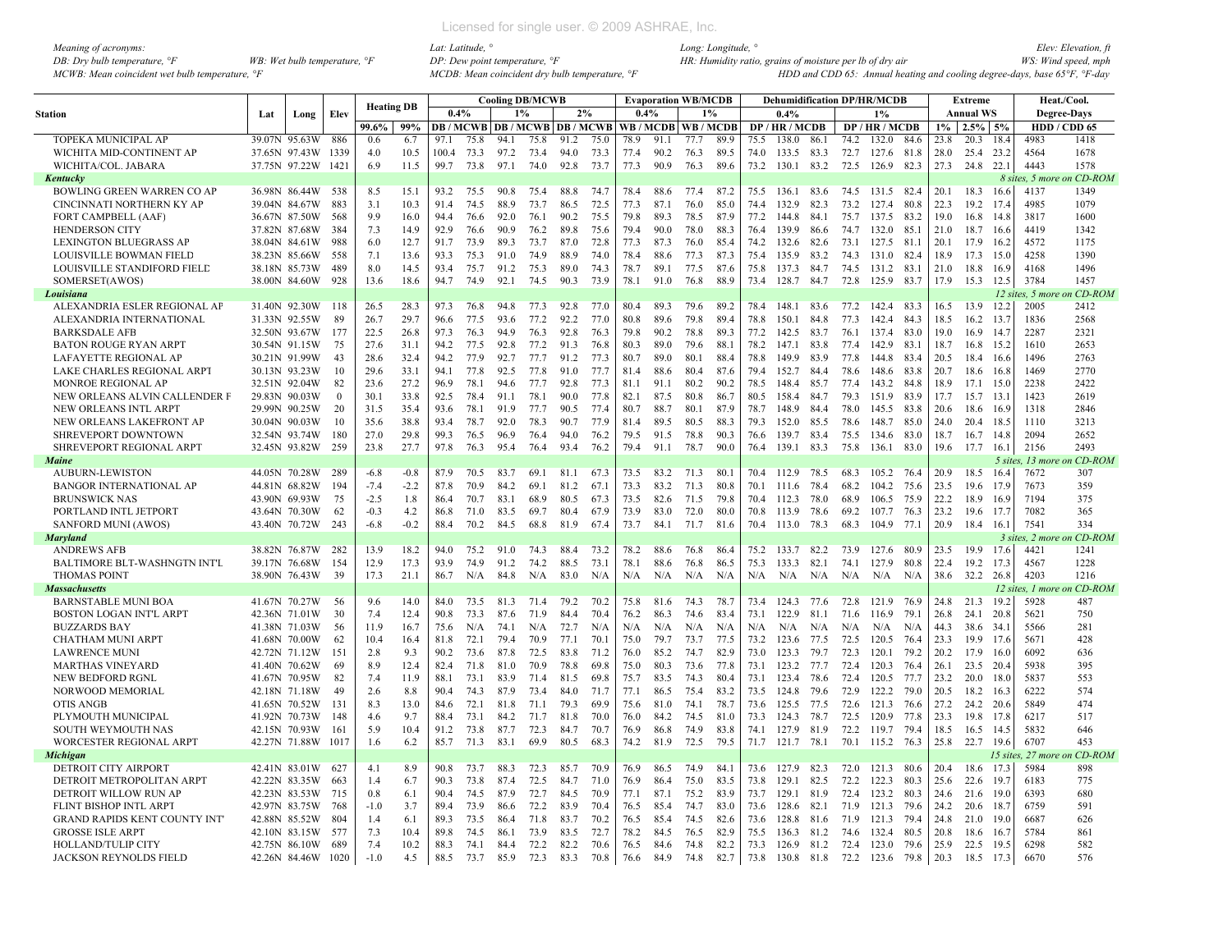| Meaning of acronyms:                           |                                         |
|------------------------------------------------|-----------------------------------------|
| DB: Dry bulb temperature, $\mathcal{F}$        | WB: Wet bulb temperature, $\mathcal{F}$ |
| MCWB: Mean coincident wet bulb temperature, °F |                                         |

|                                     |               |               |              | <b>Heating DB</b> |        |       |      |       | <b>Cooling DB/MCWB</b> |      |      |                                                | <b>Evaporation WB/MCDB</b> |      |       |      |            |              |      | <b>Dehumidification DP/HR/MCDB</b> |       |       | <b>Extreme</b>   |                  | Heat./Cool.        |           |
|-------------------------------------|---------------|---------------|--------------|-------------------|--------|-------|------|-------|------------------------|------|------|------------------------------------------------|----------------------------|------|-------|------|------------|--------------|------|------------------------------------|-------|-------|------------------|------------------|--------------------|-----------|
| <b>Station</b>                      | Lat           | Long          | Elev         |                   |        | 0.4%  |      | $1\%$ |                        | 2%   |      | 0.4%                                           |                            |      | $1\%$ |      | 0.4%       |              |      | $1\%$                              |       |       | <b>Annual WS</b> |                  | <b>Degree-Days</b> |           |
|                                     |               |               |              | 99.6%             | 99%    |       |      |       |                        |      |      | <b>DB/MCWB DB/MCWB DB/MCWB WB/MCDB WB/MCDB</b> |                            |      |       |      | DP/HR/MCDB |              |      | DP/HR/MCDB                         |       | $1\%$ | $2.5\%$ 5%       |                  | HDD / CDD 65       |           |
| TOPEKA MUNICIPAL AP                 | 39.07N        | 95.63W        | 886          | 0.6               | 6.7    | 97.1  | 75.8 | 94.1  | 75.8                   | 91.2 | 75.0 | 78.9                                           | 91.1                       | 77.7 | 89.9  | 75.5 | 138.0      | 86.1         | 74.2 | 132.0                              | 84.6  | 23.8  | 20.3             | 18.4             | 4983               | 1418      |
| WICHITA MID-CONTINENT AP            |               | 37.65N 97.43W | 1339         | 4.0               | 10.5   | 100.4 | 73.3 | 97.2  | 73.4                   | 94.0 | 73.3 | 77.4                                           | 90.2                       | 76.3 | 89.5  | 74.0 | 133.5 83.3 |              | 72.7 | 127.6                              | 81.8  | 28.0  | 25.4             | 23.2             | 4564               | 1678      |
| WICHITA/COL. JABARA                 | 37.75N 97.22W |               | 1421         | 6.9               | 11.5   | 99.7  | 73.8 | 97.1  | 74.0                   | 92.8 | 73.7 | 77.3                                           | 90.9                       | 76.3 | 89.6  | 73.2 | 130.1      | 83.2         | 72.5 | 126.9                              | 82.3  | 27.3  | 24.8             | 22.1             | 4443               | 1578      |
| Kentucky                            |               |               |              |                   |        |       |      |       |                        |      |      |                                                |                            |      |       |      |            |              |      |                                    |       |       |                  |                  | 8 sites, 5 more    | n CD-ROM  |
| BOWLING GREEN WARREN CO AP          |               | 36.98N 86.44W | 538          | 8.5               | 15.1   | 93.2  | 75.5 | 90.8  | 75.4                   | 88.8 | 74.7 | 78.4                                           | 88.6                       | 77.4 | 87.2  | 75.5 | 136.1      | 83.6         | 74.5 | 131.5 82.4                         |       | 20.1  | 18.3             | 16.6             | 4137               | 1349      |
| CINCINNATI NORTHERN KY AP           |               | 39.04N 84.67W | 883          | 3.1               | 10.3   | 91.4  | 74.5 | 88.9  | 73.7                   | 86.5 | 72.5 | 77.3                                           | 87.1                       | 76.0 | 85.0  | 74.4 | 132.9      | 82.3         | 73.2 | 127.4                              | 80.8  | 22.3  | 19.2             | 17.4             | 4985               | 1079      |
| <b>FORT CAMPBELL (AAF)</b>          |               | 36.67N 87.50W | 568          | 9.9               | 16.0   | 94.4  | 76.6 | 92.0  | 76.1                   | 90.2 | 75.5 | 79.8                                           | 89.3                       | 78.5 | 87.9  | 77.2 | 144.8      | 84.1         | 75.7 | 137.5                              | 83.2  | 19.0  | 16.8             | 14.8             | 3817               | 1600      |
| <b>HENDERSON CITY</b>               |               | 37.82N 87.68W | 384          | 7.3               | 14.9   | 92.9  | 76.6 | 90.9  | 76.2                   | 89.8 | 75.6 | 79.4                                           | 90.0                       | 78.0 | 88.3  | 76.4 | 139.9      | 86.6         | 74.7 | 132.0                              | 85.1  | 21.0  | 18.7             | - 16.6           | 4419               | 1342      |
| <b>LEXINGTON BLUEGRASS AP</b>       |               | 38.04N 84.61W | 988          | 6.0               | 12.7   | 91.7  | 73.9 | 89.3  | 73.7                   | 87.0 | 72.8 | 77.3                                           | 87.3                       | 76.0 | 85.4  | 74.2 | 132.6      | 82.6         | 73.1 | 127.5                              | 81.1  | 20.1  | 17.9             | 16.2             | 4572               | 1175      |
| LOUISVILLE BOWMAN FIELD             |               | 38.23N 85.66W | 558          | 7.1               | 13.6   | 93.3  | 75.3 | 91.0  | 74.9                   | 88.9 | 74.0 | 78.4                                           | 88.6                       | 77.3 | 87.3  | 75.4 | 135.9      | 83.2         | 74.3 | 131.0 82.4                         |       | 18.9  | 17.3 15.0        |                  | 4258               | 1390      |
| LOUISVILLE STANDIFORD FIELD         |               | 38.18N 85.73W | 489          | 8.0               | 14.5   | 93.4  | 75.7 | 91.2  | 75.3                   | 89.0 | 74.3 | 78.7                                           | 89.1                       | 77.5 | 87.6  | 75.8 | 137.3      | 84.7         | 74.5 | 131.2                              | -83.1 | 21.0  | 18.8             | 16.9             | 4168               | 1496      |
| SOMERSET(AWOS)                      | 38.00N 84.60W |               | 928          | 13.6              | 18.6   | 94.7  | 74.9 | 92.1  | 74.5                   | 90.3 | 73.9 | 78.1                                           | 91.0                       | 76.8 | 88.9  | 73.4 | 128.7      | 84.7         | 72.8 | 125.9                              | 83.7  | 17.9  | 15.3             | 12.5             | 3784               | 1457      |
| Louisiana                           |               |               |              |                   |        |       |      |       |                        |      |      |                                                |                            |      |       |      |            |              |      |                                    |       |       |                  |                  | 12 sites, 5 mor    | ı CD-ROM  |
| ALEXANDRIA ESLER REGIONAL AP        |               | 31.40N 92.30W | 118          | 26.5              | 28.3   | 97.3  | 76.8 | 94.8  | 77.3                   | 92.8 | 77.0 | 80.4                                           | 89.3                       | 79.6 | 89.2  | 78.4 | 148.1      | 83.6         | 77.2 | 142.4 83.3                         |       | 16.5  | 13.9             | 12.2             | 2005               | 2412      |
| ALEXANDRIA INTERNATIONAL            | 31.33N 92.55W |               | 89           | 26.7              | 29.7   | 96.6  | 77.5 | 93.6  | 77.2                   | 92.2 | 77.0 | 80.8                                           | 89.6                       | 79.8 | 89.4  | 78.8 | 150.1      | 84.8         | 77.3 | 142.4                              | 84.3  | 18.5  | 16.2             | 13.7             | 1836               | 2568      |
| <b>BARKSDALE AFB</b>                | 32.50N 93.67W |               | 177          | 22.5              | 26.8   | 97.3  | 76.3 | 94.9  | 76.3                   | 92.8 | 76.3 | 79.8                                           | 90.2                       | 78.8 | 89.3  | 77.2 | 142.5      | 83.7         | 76.1 | 137.4                              | 83.0  | 19.0  | 16.9             | 14.7             | 2287               | 2321      |
| <b>BATON ROUGE RYAN ARPT</b>        |               | 30.54N 91.15W | 75           | 27.6              | 31.1   | 94.2  | 77.5 | 92.8  | 77.2                   | 91.3 | 76.8 | 80.3                                           | 89.0                       | 79.6 | 88.1  | 78.2 | 147.1      | 83.8         | 77.4 | 142.9                              | 83.1  | 18.7  | 16.8 15.2        |                  | 1610               | 2653      |
| LAFAYETTE REGIONAL AF               | 30.21N 91.99W |               | 43           | 28.6              | 32.4   | 94.2  | 77.9 | 92.7  | 77.7                   | 91.2 | 77.3 | 80.7                                           | 89.0                       | 80.1 | 88.4  | 78.8 | 149.9      | 83.9         | 77.8 | 144.8                              | 83.4  | 20.5  | 18.4 16.6        |                  | 1496               | 2763      |
| LAKE CHARLES REGIONAL ARPT          | 30.13N 93.23W |               | 10           | 29.6              | 33.1   | 94.1  | 77.8 | 92.5  | 77.8                   | 91.0 | 77.7 | 81.4                                           | 88.6                       | 80.4 | 87.6  | 79.4 | 152.7      | 84.4         | 78.6 | 148.6                              | 83.8  | 20.7  | 18.6             | 16.8             | 1469               | 2770      |
| MONROE REGIONAL AP                  |               | 32.51N 92.04W | 82           | 23.6              | 27.2   | 96.9  | 78.1 | 94.6  | 77.7                   | 92.8 | 77.3 | 81.1                                           | 91.1                       | 80.2 | 90.2  | 78.5 | 148.4      | 85.7         | 77.4 | 143.2                              | 84.8  | 18.9  | 17.1             | 15.0             | 2238               | 2422      |
| NEW ORLEANS ALVIN CALLENDER F       | 29.83N 90.03W |               | $\mathbf{0}$ | 30.1              | 33.8   | 92.5  | 78.4 | 91.1  | 78.1                   | 90.0 | 77.8 | 82.1                                           | 87.5                       | 80.8 | 86.7  | 80.5 | 158.4      | 84.7         | 79.3 | 151.9                              | 83.9  | 17.7  | $15.7$ 13.       |                  | 1423               | 2619      |
| NEW ORLEANS INTL ARPT               | 29.99N 90.25W |               | 20           | 31.5              | 35.4   | 93.6  | 78.1 | 91.9  | 77.7                   | 90.5 | 77.4 | 80.7                                           | 88.7                       | 80.1 | 87.9  | 78.7 | 148.9      | 84.4         | 78.0 | 145.5                              | 83.8  | 20.6  | 18.6             | - 16.9           | 1318               | 2846      |
| NEW ORLEANS LAKEFRONT AP            | 30.04N 90.03W |               | 10           | 35.6              | 38.8   | 93.4  | 78.7 | 92.0  | 78.3                   | 90.7 | 77.9 | 81.4                                           | 89.5                       | 80.5 | 88.3  | 79.3 | 152.0      | 85.5         | 78.6 | 148.7                              | 85.0  | 24.0  | 20.4             | - 18.5           | 1110               | 3213      |
| SHREVEPORT DOWNTOWN                 | 32.54N 93.74W |               | 180          | 27.0              | 29.8   | 99.3  | 76.5 | 96.9  | 76.4                   | 94.0 | 76.2 | 79.5                                           | 91.5                       | 78.8 | 90.3  | 76.6 | 139.7      | 83.4         | 75.5 | 134.6                              | 83.0  | 18.7  | 16.7             | - 14.8           | 2094               | 2652      |
| SHREVEPORT REGIONAL ARPT            |               | 32.45N 93.82W | 259          | 23.8              | 27.7   | 97.8  | 76.3 | 95.4  | 76.4                   | 93.4 | 76.2 | 79.4                                           | 91.1                       | 78.7 | 90.0  | 76.4 | 139.1 83.3 |              | 75.8 | 136.1                              | 83.0  | 19.6  | 17.7             | - 16.1           | 2156               | 2493      |
| Maine                               |               |               |              |                   |        |       |      |       |                        |      |      |                                                |                            |      |       |      |            |              |      |                                    |       |       |                  |                  | 5 sites, 13 more   | n CD-ROM  |
| <b>AUBURN-LEWISTON</b>              |               | 44.05N 70.28W | 289          | $-6.8$            | $-0.8$ | 87.9  | 70.5 | 83.7  | 69.1                   | 81.1 | 67.3 | 73.5                                           | 83.2                       | 71.3 | 80.   | 70.4 | 112.9 78.5 |              | 68.3 | 105.2 76.4                         |       | 20.9  | 18.5             | 16.4             | 7672               | 307       |
| <b>BANGOR INTERNATIONAL AP</b>      |               | 44.81N 68.82W | 194          | $-7.4$            | $-2.2$ | 87.8  | 70.9 | 84.2  | 69.1                   | 81.2 | 67.1 | 73.3                                           | 83.2                       | 71.3 | 80.8  | 70.1 | 111.6      | 78.4         | 68.2 | 104.2 75.6                         |       | 23.5  | 19.6             | 17.9             | 7673               | 359       |
| <b>BRUNSWICK NAS</b>                |               | 43.90N 69.93W | 75           | $-2.5$            | 1.8    | 86.4  | 70.7 | 83.1  | 68.9                   | 80.5 | 67.3 | 73.5                                           | 82.6                       | 71.5 | 79.8  | 70.4 | 112.3 78.0 |              | 68.9 | 106.5 75.9                         |       | 22.2  | 18.9             | 16.9             | 7194               | 375       |
| PORTLAND INTL JETPORT               |               | 43.64N 70.30W | 62           | $-0.3$            | 4.2    | 86.8  | 71.0 | 83.5  | 69.7                   | 80.4 | 67.9 | 73.9                                           | 83.0                       | 72.0 | 80.0  | 70.8 | 113.9 78.6 |              | 69.2 | 107.7 76.3                         |       | 23.2  | 19.6 17.7        |                  | 7082               | 365       |
| <b>SANFORD MUNI (AWOS)</b>          |               | 43.40N 70.72W | 243          | $-6.8$            | $-0.2$ | 88.4  | 70.2 | 84.5  | 68.8                   | 81.9 | 67.4 | 73.7                                           | 84.1                       | 71.7 | 81.6  | 70.4 | 113.0      | 78.3         | 68.3 | 104.9 77.1                         |       | 20.9  | 18.4             | - 16.1           | 7541               | 334       |
| <b>Maryland</b>                     |               |               |              |                   |        |       |      |       |                        |      |      |                                                |                            |      |       |      |            |              |      |                                    |       |       |                  |                  | 3 sites, 2 more    | n CD-ROM  |
| <b>ANDREWS AFB</b>                  |               | 38.82N 76.87W | 282          | 13.9              | 18.2   | 94.0  | 75.2 | 91.0  | 74.3                   | 88.4 | 73.2 | 78.2                                           | 88.6                       | 76.8 | 86.4  | 75.2 | 133.7 82.2 |              | 73.9 | 127.6 80.9                         |       | 23.5  | 19.9             | 17.6             | 4421               | 1241      |
| BALTIMORE BLT-WASHNGTN INT'L        |               | 39.17N 76.68W | 154          | 12.9              | 17.3   | 93.9  | 74.9 | 91.2  | 74.2                   | 88.5 | 73.1 | 78.1                                           | 88.6                       | 76.8 | 86.5  | 75.3 | 133.3      | 82.1         | 74.1 | 127.9                              | 80.8  | 22.4  | 19.2             | 17.3             | 4567               | 1228      |
| <b>THOMAS POINT</b>                 |               | 38.90N 76.43W | 39           | 17.3              | 21.1   | 86.7  | N/A  | 84.8  | N/A                    | 83.0 | N/A  | N/A                                            | N/A                        | N/A  | N/A   | N/A  | N/A        | N/A          | N/A  | N/A                                | N/A   | 38.6  | 32.2             | 26.8             | 4203               | 1216      |
| <b>Massachusetts</b>                |               |               |              |                   |        |       |      |       |                        |      |      |                                                |                            |      |       |      |            |              |      |                                    |       |       |                  |                  | 12 sites, 1 more   | CD-ROM    |
| <b>BARNSTABLE MUNI BOA</b>          |               | 41.67N 70.27W | -56          | 9.6               | 14.0   | 84.0  | 73.5 | 81.3  | 71.4                   | 79.2 | 70.2 | 75.8                                           | 81.6                       | 74.3 | 78.7  | 73.4 | 124.3 77.6 |              | 72.8 | 121.9 76.9                         |       | 24.8  | 21.3             | 19.2             | 5928               | 487       |
| <b>BOSTON LOGAN INT'L ARPT</b>      |               | 42.36N 71.01W | 30           | 7.4               | 12.4   | 90.8  | 73.3 | 87.6  | 71.9                   | 84.4 | 70.4 | 76.2                                           | 86.3                       | 74.6 | 83.4  | 73.1 | 122.9      | 81.1         | 71.6 | 116.9                              | 79.1  | 26.8  | 24.1             | 20.8             | 5621               | 750       |
| <b>BUZZARDS BAY</b>                 |               | 41.38N 71.03W | 56           | 11.9              | 16.7   | 75.6  | N/A  | 74.1  | N/A                    | 72.7 | N/A  | N/A                                            | N/A                        | N/A  | N/A   | N/A  | N/A        | N/A          | N/A  | N/A                                | N/A   | 44.3  | 38.6             | 34.1             | 5566               | 281       |
| <b>CHATHAM MUNI ARPT</b>            |               | 41.68N 70.00W | 62           | 10.4              | 16.4   | 81.8  | 72.1 | 79.4  | 70.9                   | 77.1 | 70.1 | 75.0                                           | 79.7                       | 73.7 | 77.5  | 73.2 | 123.6      | 77.5         | 72.5 | 120.5                              | 76.4  | 23.3  | 19.9             | 17.6             | 5671               | 428       |
| <b>LAWRENCE MUNI</b>                |               | 42.72N 71.12W | 151          | 2.8               | 9.3    | 90.2  | 73.6 | 87.8  | 72.5                   | 83.8 | 71.2 | 76.0                                           | 85.2                       | 74.7 | 82.9  | 73.0 | 123.3      | 79.7         | 72.3 | 120.1                              | 79.2  | 20.2  | 17.9             | 16.0             | 6092               | 636       |
| <b>MARTHAS VINEYARD</b>             |               | 41.40N 70.62W | 69           | 8.9               | 12.4   | 82.4  | 71.8 | 81.0  | 70.9                   | 78.8 | 69.8 | 75.0                                           | 80.3                       | 73.6 | 77.8  | 73.1 | 123.2 77.7 |              | 72.4 | 120.3                              | 76.4  | 26.1  | 23.5 20.4        |                  | 5938               | 395       |
| NEW BEDFORD RGNL                    | 41.67N 70.95W |               | 82           | 7.4               | 11.9   | 88.1  | 73.1 | 83.9  | 71.4                   | 81.5 | 69.8 | 75.7                                           | 83.5                       | 74.3 | 80.4  | 73.1 | 123.4 78.6 |              | 72.4 | 120.5                              | 77.7  | 23.2  | 20.0 18.0        |                  | 5837               | 553       |
| NORWOOD MEMORIAL                    |               | 42.18N 71.18W | 49           | 2.6               | 8.8    | 90.4  | 74.3 | 87.9  | 73.4                   | 84.0 | 71.7 | 77.1                                           | 86.5                       | 75.4 | 83.2  | 73.5 | 124.8      | 79.6         | 72.9 | 122.2                              | 79.0  | 20.5  | 18.2             | 16.3             | 6222               | 574       |
| <b>OTIS ANGB</b>                    |               | 41.65N 70.52W | 131          | 8.3               | 13.0   | 84.6  | 72.1 | 81.8  | 71.1                   | 79.3 | 69.9 | 75.6                                           | 81.0                       | 74.1 | 78.7  | 73.6 | 125.5 77.5 |              | 72.6 | 121.3 76.6                         |       | 27.2  | 24.2 20.6        |                  | 5849               | 474       |
| PLYMOUTH MUNICIPAL                  | 41.92N 70.73W |               | 148          | 4.6               | 9.7    | 88.4  | 73.1 | 84.2  | 71.7                   | 81.8 | 70.0 | 76.0                                           | 84.2                       | 74.5 | 81.0  | 73.3 | 124.3      | 78.7         | 72.5 | 120.9                              | 77.8  | 23.3  | 19.8             | 17.8             | 6217               | 517       |
| <b>SOUTH WEYMOUTH NAS</b>           |               | 42.15N 70.93W | 161          | 5.9               | 10.4   | 91.2  | 73.8 | 87.7  | 72.3                   | 84.7 | 70.7 | 76.9                                           | 86.8                       | 74.9 | 83.8  | 74.1 | 127.9      | 81.9         | 72.2 | 119.7                              | 79.4  | 18.5  | 16.5             | 14.5             | 5832               | 646       |
|                                     | 42.27N 71.88W |               | 1017         | 1.6               | 6.2    |       | 71.3 | 83.1  | 69.9                   | 80.5 | 68.3 | 74.2                                           | 81.9                       | 72.5 | 79.5  |      | 121.7      | 78.1         | 70.1 | 115.2 76.3                         |       | 25.8  | 22.7             | 19.6             | 6707               | 453       |
| WORCESTER REGIONAL ARPT             |               |               |              |                   |        | 85.7  |      |       |                        |      |      |                                                |                            |      |       | 71.7 |            |              |      |                                    |       |       |                  |                  | $27$ moi           | $CD$ -ROM |
| Michigan<br>DETROIT CITY AIRPORT    |               | 42.41N 83.01W | 627          | 4.1               | 8.9    | 90.8  | 73.7 | 88.3  | 72.3                   | 85.7 | 70.9 | 76.9                                           | 86.5                       | 74.9 | 84.1  | 73.6 | 127.9 82.3 |              | 72.0 | 121.3 80.6                         |       | 20.4  | 18.6             | 15 sites<br>17.3 | 5984               | 898       |
| DETROIT METROPOLITAN ARPT           |               | 42.22N 83.35W | 663          | 14                | 6.7    | 90.3  | 73.8 | 874   | 72.5                   | 84.7 | 71.0 | 76.9                                           | 864                        | 75.0 | 83.5  | 73.8 | 129.1      | 82.5         | 72.2 | 122.3                              | 80.3  | 25.6  | 22.6             |                  | 6183               | 775       |
| DETROIT WILLOW RUN AP               |               |               | 715          | 0.8               |        | 90.4  | 74.5 | 87.9  | 72.7                   | 84.5 | 70.9 | 77.1                                           |                            | 75.2 | 83.9  |      | 129.1      | 81.9         | 72.4 | 123.2                              | 80.3  | 24.6  | 21.6             | 19.7             | 6393               | 680       |
|                                     |               | 42.23N 83.53W |              |                   | 6.1    |       |      |       |                        |      | 70.4 |                                                | 87.1                       | 74.7 | 83.0  | 73.7 |            |              | 71.9 |                                    |       |       |                  | 19.0             |                    |           |
| FLINT BISHOP INTL ARPT              |               | 42.97N 83.75W | 768          | $-1.0$<br>1.4     | 3.7    | 89.4  | 73.9 | 86.6  | 72.2                   | 83.9 |      | 76.5                                           | 85.4                       | 74.5 |       | 73.6 | 128.6      | 82.1<br>81.6 | 71.9 | 121.3                              | 79.6  | 24.2  | 20.6 18.7        |                  | 6759               | 591       |
| <b>GRAND RAPIDS KENT COUNTY INT</b> |               | 42.88N 85.52W | 804          |                   | 6.1    | 89.3  | 73.5 | 86.4  | 71.8                   | 83.7 | 70.2 | 76.5                                           | 85.4                       |      | 82.6  | 73.6 | 128.8      |              |      | 121.3                              | 79.4  | 24.8  | 21.0 19.0        |                  | 6687               | 626       |
| <b>GROSSE ISLE ARPT</b>             |               | 42.10N 83.15W | 577          | 7.3               | 10.4   | 89.8  | 74.5 | 86.1  | 73.9                   | 83.5 | 72.7 | 78.2                                           | 84.5                       | 76.5 | 82.9  | 75.5 | 136.3      | 81.2         | 74.6 | 132.4                              | 80.5  | 20.8  | 18.6             | - 16.7           | 5784               | 861       |
| HOLLAND/TULIP CITY                  |               | 42.75N 86.10W | 689          | 7.4               | 10.2   | 88.3  | 74.1 | 84.4  | 72.2                   | 82.2 | 70.6 | 76.5                                           | 84.6                       | 74.8 | 82.2  | 73.3 | 126.9      | 81.2         | 72.4 | 123.0                              | 79.6  | 25.9  | 22.5             | 19.5             | 6298               | 582       |
| JACKSON REYNOLDS FIELD              |               | 42.26N 84.46W | 1020         | $-1.0$            | 4.5    | 88.5  | 73.7 | 85.9  | 72.3                   | 83.3 | 70.8 | 76.6                                           | 84.9                       | 74.8 | 82.7  | 73.8 | 130.8 81.8 |              | 72.2 | 123.6 79.8                         |       | 20.3  | 18.5             | 17.3             | 6670               | 576       |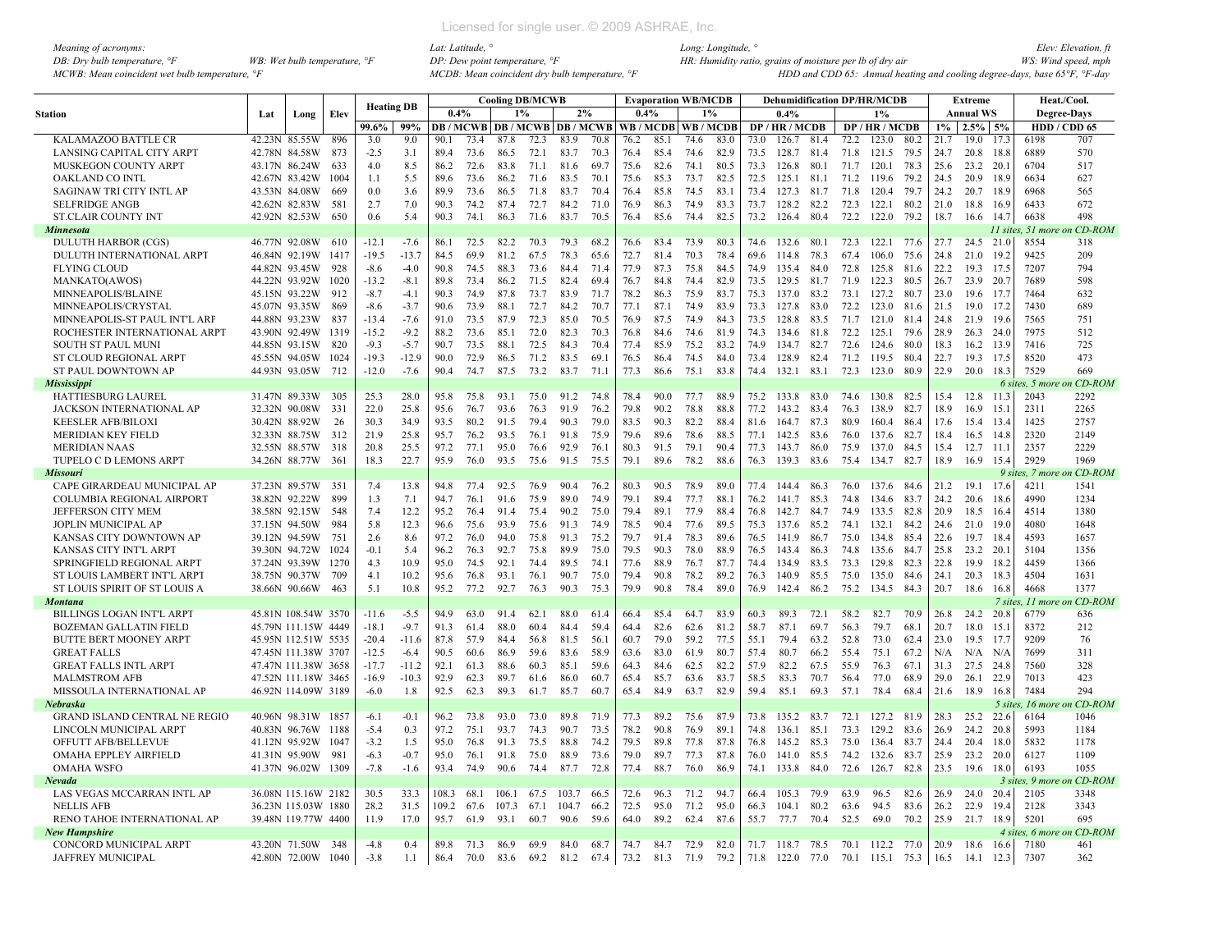| Meaning of acronyms:                           |                                         |
|------------------------------------------------|-----------------------------------------|
| DB: Dry bulb temperature, $\mathcal{F}$        | WB: Wet bulb temperature, $\mathcal{F}$ |
| MCWB: Mean coincident wet bulb temperature, °F |                                         |

|                                                         |               |                                |             | <b>Heating DB</b> |                  |              |              | <b>Cooling DB/MCWB</b> |              |                                |              |              | <b>Evaporation WB/MCDB</b> |              |              |              | <b>Dehumidification DP/HR/MCDB</b> |              |              |                 |              |              | Extreme                |              |                         | Heat./Cool.          |
|---------------------------------------------------------|---------------|--------------------------------|-------------|-------------------|------------------|--------------|--------------|------------------------|--------------|--------------------------------|--------------|--------------|----------------------------|--------------|--------------|--------------|------------------------------------|--------------|--------------|-----------------|--------------|--------------|------------------------|--------------|-------------------------|----------------------|
| <b>Station</b>                                          | Lat           | Long                           | Elev        |                   |                  | 0.4%         |              | $1\%$                  |              | 2%                             |              | 0.4%         |                            | 1%           |              |              | 0.4%                               |              |              | 1%              |              |              | <b>Annual WS</b>       |              |                         | <b>Degree-Days</b>   |
|                                                         |               |                                |             | 99.6%             | 99%              |              |              |                        |              | <b>DB/MCWB DB/MCWB DB/MCWB</b> |              |              | WB/MCDB                    | WB/MCDB      |              |              | DP/HR/MCDB                         |              |              | DP/HR/MCDB      |              | $1\%$        | $2.5\%$ 5%             |              |                         | HDD / CDD 65         |
| KALAMAZOO BATTLE CR                                     |               | 42.23N 85.55W                  | 896         | 3.0               | 9.0              | 90.1         | 73.4         | 87.8                   | 72.3         | 83.9                           | 70.8         | 76.2         | 85.1                       | 74.6         | 83.0         | 73.0         | 126.7                              | 81.4         | 72.2         | 123.0           | 80.2         | 21.7         | 19.0                   | 17.3         | 6198                    | 707                  |
| LANSING CAPITAL CITY ARPT                               |               | 42.78N 84.58W                  | 873         | $-2.5$            | 3.1              | 89.4         | 73.6         | 86.5                   | 72.1         | 83.7                           | 70.3         | 76.4         | 85.4                       | 74.6         | 82.9         | 73.5         | 128.7 81.4                         |              | 71.8         | 121.5           | 79.5         | 24.7         | 20.8 18.8              |              | 6889                    | 570                  |
| MUSKEGON COUNTY ARPT                                    |               | 43.17N 86.24W                  | 633         | 4.0               | 8.5              | 86.2         | 72.6         | 83.8                   | 71.1         | 81.6                           | 69.7         | 75.6         | 82.6                       | 74.1         | 80.5         | 73.3         | 126.8                              | 80.1         | 71.7         | 120.1           | 78.3         | 25.6         | 23.2 20.1              |              | 6704                    | 517                  |
| <b>OAKLAND CO INTL</b>                                  |               | 42.67N 83.42W                  | 1004        | 1.1               | 5.5              | 89.6         | 73.6         | 86.2                   | 71.6         | 83.5                           | 70.1         | 75.6         | 85.3                       | 73.7         | 82.5         | 72.5         | 125.1                              | 81.1         | 71.2         | 119.6           | 79.2         | 24.5         | 20.9 18.9              |              | 6634                    | 627                  |
| SAGINAW TRI CITY INTL AP                                |               | 43.53N 84.08W                  | 669         | 0 <sub>0</sub>    | 3.6              | 899          | 73.6         | 86.5                   | 71.8         | 83.7                           | 70.4         | 76.4         | 85.8                       | 74.5         | 83.1         | 73.4         | 127.3                              | 81.7         | 71.8         | 120.4           | 79.7         | 24.2         | 20.7 18.9              |              | 6968                    | 565                  |
| <b>SELFRIDGE ANGB</b>                                   |               | 42.62N 82.83W                  | 581         | 2.7               | 7.0              | 90.3         | 74 2         | 874                    | 72.7         | 84.2                           | 71.0         | 76.9         | 86.3                       | 74.9         | 833          | 73.7         | 128.2                              | 82.2         | 72.3         | 122.1           | 80.2         | 21.0         | 18.8                   | 16.9         | 6433                    | 672                  |
| <b>ST.CLAIR COUNTY INT</b>                              |               | 42.92N 82.53W                  | 650         | 0.6               | 5.4              | 90.3         | 74.1         | 86.3                   | 71.6         | 83.7                           | 70.5         | 76.4         | 85.6                       | 74.4         | 82.5         | 73.2         | 126.4                              | 80.4         | 72.2         | 122.0           | 79.2         | 18.7         | 16.6                   | 14.7         | 6638                    | 498                  |
| <b>Minnesota</b>                                        |               |                                |             |                   |                  |              |              |                        |              |                                |              |              |                            |              |              |              |                                    |              |              |                 |              |              |                        | 11 sites.    | 51 more                 | CD-ROM               |
| DULUTH HARBOR (CGS)                                     |               | 46.77N 92.08W                  | 610         | $-12.1$           | $-7.6$           | 86.1         | 72.5         | 82.2                   | 70.3         | 79.3                           | 68.2         | 76.6         | 83.4                       | 73.9         | 80.3         | 74.6         | 132.6                              | 80.1         | 72.3         | 122.1 77.6      |              | 27.7         | 24.5 21.0              |              | 8554                    | 318                  |
| DULUTH INTERNATIONAL ARPT                               |               | 46.84N 92.19W                  | 1417        | $-19.5$           | $-13.7$          | 84.5         | 69.9         | 81.2                   | 67.5         | 78.3                           | 65.6         | 72.7         | 81.4                       | 70.3         | 78.4         | 69.6         | 114.8                              | 78.3         | 67.4         | 106.0           | 75.6         | 24.8         | 21.0                   | 19.2         | 9425                    | 209                  |
| <b>FLYING CLOUD</b>                                     |               | 44.82N 93.45W                  | 928         | $-8.6$            | $-4.0$           | 90.8         | 74.5         | 88.3                   | 73.6         | 84.4                           | 71.4         | 77.9         | 87.3                       | 75.8         | 84.5         | 74.9         | 135.4                              | 84.0         | 72.8         | 125.8           | 81.6         | 22.2         | 19.3                   | 17.5         | 7207                    | 794                  |
| MANKATO(AWOS)                                           |               | 44.22N 93.92W                  | 1020        | $-13.2$           | $-8.1$           | 89.8         | 73.4         | 86.2                   | 71.5         | 82.4                           | 69.4         | 76.7         | 84.8                       | 74.4         | 82.9         | 73.5         | 129.5                              | 81.7         | 71.9         | 122.3           | 80.5         | 26.7         | 23.9 20.7              |              | 7689                    | 598                  |
| MINNEAPOLIS/BLAINE                                      |               | 45.15N 93.22W                  | 912         | $-8.7$            | $-4.1$           | 90.3         | 74.9         | 87.8                   | 73.7         | 83.9                           | 71.7         | 78.2         | 86.3                       | 75.9         | 83.7         | 75.3         | 137.0                              | 83.2         | 73.1         | 127.2           | 80.7         | 23.0         | 19.6 17.7              |              | 7464                    | 632                  |
| MINNEAPOLIS/CRYSTAL                                     |               | 45.07N 93.35W<br>44.88N 93.23W | 869<br>837  | $-8.6$<br>$-13.4$ | $-3.7$<br>$-7.6$ | 90.6<br>91.0 | 73.9<br>73.5 | 88.1                   | 72.7<br>72.3 | 84.2<br>85.0                   | 70.7<br>70.5 | 77.1<br>76.9 | 87.1<br>87.5               | 74.9<br>74.9 | 83.9<br>84.3 | 73.3<br>73.5 | 127.8<br>128.8                     | 83.0<br>83.5 | 72.2<br>71.7 | 123.0<br>121.0  | 81.6<br>81.4 | 21.5<br>24.8 | 19.0 17.2<br>21.9 19.6 |              | 7430<br>7565            | 689                  |
| MINNEAPOLIS-ST PAUL INT'L ARF                           |               | 43.90N 92.49W                  | 1319        | $-15.2$           | $-9.2$           | 88.2         | 73.6         | 87.9<br>85.1           | 72.0         | 82.3                           | 70.3         | 76.8         | 84.6                       | 74.6         | 81.9         | 74.3         | 134.6                              | 81.8         | 72.2         | 125.1           | 79.6         |              | 26.3 24.0              |              | 7975                    | 751<br>512           |
| ROCHESTER INTERNATIONAL ARPT                            |               |                                |             | $-9.3$            |                  |              |              |                        |              |                                |              |              |                            |              |              |              |                                    |              |              |                 |              | 28.9         |                        |              |                         |                      |
| <b>SOUTH ST PAUL MUNI</b>                               |               | 44.85N 93.15W                  | 820         |                   | $-5.7$           | 90.7         | 73.5         | 88.1                   | 72.5         | 84.3                           | 70.4         | 77.4         | 85.9                       | 75.2         | 83.2         | 74.9         | 134.7                              | 82.7         | 72.6         | 124.6           | 80.0         | 18.3         | 16.2                   | 13.9         | 7416                    | 725                  |
| ST CLOUD REGIONAL ARPT                                  |               | 45.55N 94.05W                  | 1024        | $-19.3$           | $-12.9$          | 90.0         | 72.9         | 86.5                   | 71.2         | 83.5                           | 69.          | 76.5         | 86.4                       | 74.5         | 84.0         | 73.4         | 128.9                              | 82.4         | 71.2         | 119.5           | 80.4         | 22.7         | 19.3                   | 17.5         | 8520                    | 473                  |
| ST PAUL DOWNTOWN AP                                     |               | 44.93N 93.05W                  | 712         | $-12.0$           | $-7.6$           | 90.4         | 74.7         | 87.5                   | 73.2         | 83.7                           | 71.          | 77.3         | 86.6                       | 75.1         | 83.8         | 74.4         | 132.1                              | 83.1         | 72.3         | 123.0           | 80.9         | 22.9         | 20.0                   | 18.3         | 7529                    | 669                  |
| <b>Mississippi</b><br><b>HATTIESBURG LAUREL</b>         |               | 31.47N 89.33W                  | 305         | 25.3              | 28.0             | 95.8         | 75.8         | 93.1                   | 75.0         | 91.2                           | 74.8         | 78.4         | 90.0                       | 77.7         | 88.9         | 75.2         | 133.8                              | 83.0         | 74.6         | 130.8 82.5      |              | 15.4         | 12.8                   | 11.3         | 6 sites. 5 more<br>2043 | $CD$ -ROM<br>2292    |
|                                                         |               |                                |             | 22.0              |                  |              |              | 93.6                   |              |                                |              |              |                            | 78.8         |              |              |                                    | 834          |              |                 |              |              |                        |              |                         |                      |
| JACKSON INTERNATIONAL AP<br><b>KEESLER AFB/BILOXI</b>   |               | 32.32N 90.08W<br>30.42N 88.92W | 331<br>26   | 30.3              | 25.8<br>34.9     | 95.6<br>93.5 | 76.7<br>80.2 | 91.5                   | 76.3<br>79.4 | 91.9<br>90.3                   | 76.2<br>79.0 | 79.8<br>83.5 | 90.2<br>90.3               | 82.2         | 88.8<br>88.4 | 77.2<br>81.6 | 143.2<br>164.7                     | 87.3         | 76.3<br>80.9 | 138.9<br>160.4  | 82.7<br>86.4 | 18.9<br>17.6 | 16.9<br>15.4           | 15.1<br>13.4 | 2311<br>1425            | 2265<br>2757         |
| <b>MERIDIAN KEY FIELD</b>                               |               | 32.33N 88.75W                  | 312         | 21.9              | 25.8             | 95.7         | 76.2         | 93.5                   | 76.1         | 91.8                           | 75.9         | 79.6         | 89.6                       | 78.6         | 88.5         | 77.1         | 142.5                              | 83.6         | 76.0         | 137.6           | 82.7         | 18.4         | 16.5                   | 14.8         | 2320                    | 2149                 |
|                                                         |               |                                |             | 20.8              | 25.5             | 97.2         | 77.1         | 95.0                   |              | 92.9                           |              |              |                            | 79.1         | 90.4         |              |                                    |              |              |                 | 84.5         |              |                        |              | 2357                    | 2229                 |
| <b>MERIDIAN NAAS</b>                                    |               | 32.55N 88.57W                  | 318<br>-361 | 18.3              | 22.7             |              | 76.0         | 93.5                   | 76.6         | 91.5                           | 76.1         | 80.3<br>79.1 | 91.5<br>89.6               | 78.2         |              | 77.3         | 143.7<br>139.3                     | 86.0         | 75.9         | 137.0           | 82.7         | 15.4<br>18.9 | 12.7                   | - 11.1       | 2929                    | 1969                 |
| TUPELO C D LEMONS ARPT<br><b>Missouri</b>               |               | 34.26N 88.77W                  |             |                   |                  | 95.9         |              |                        | 75.6         |                                | 75.5         |              |                            |              | 88.6         | 76.3         |                                    | 83.6         | 75.4         | 134.7           |              |              | 16.9                   | 15.4         | 9 sites, 7 mor          | CD-ROM               |
|                                                         |               |                                | -35         |                   |                  |              | 77.4         | 92.5                   |              | 90.4                           | 76.2         |              | 90.5                       | 78.9         | 89.0         |              |                                    |              |              |                 | 84.6         | 21.2         | 19.1                   |              | 4211                    |                      |
| CAPE GIRARDEAU MUNICIPAL AP                             |               | 37.23N 89.57W<br>38.82N 92.22W | 899         | 7.4<br>1.3        | 13.8<br>7.1      | 94.8         | 76.1         | 91.6                   | 76.9<br>75.9 | 89.0                           | 74.9         | 80.3<br>79.1 | 89.4                       | 77.7         | 88.1         | 77.4         | 144.4<br>141.7                     | 86.3<br>85.3 | 76.0<br>74.8 | 137.6<br>134.6  | 83.7         |              | 20.6                   | 17.6         | 4990                    | 1541<br>1234         |
| COLUMBIA REGIONAL AIRPORT                               |               |                                | 548         | 7.4               | 12.2             | 94.7         |              | 91.4                   |              | 90.2                           |              | 79.4         | 89.1                       | 77.9         | 88.4         | 76.2         |                                    | 84.7         |              |                 | 82.8         | 24.2<br>20.9 |                        | - 18.6       | 4514                    |                      |
| <b>JEFFERSON CITY MEM</b><br><b>JOPLIN MUNICIPAL AP</b> |               | 38.58N 92.15W<br>37.15N 94.50W | 984         | 5.8               | 12.3             | 95.2<br>96.6 | 76.4<br>75.6 | 93.9                   | 75.4<br>75.6 | 91.3                           | 75.0<br>74.9 | 78.5         | 90.4                       | 77.6         | 89.5         | 76.8<br>75.3 | 142.7<br>137.6                     | 85.2         | 74.9<br>74.1 | 133.5<br>132.1  | 84.2         | 24.6         | 18.5<br>21.0 19.0      | 16.4         | 4080                    | 1380<br>1648         |
| KANSAS CITY DOWNTOWN AP                                 |               | 39.12N 94.59W                  | 751         | 2.6               | 8.6              | 97.2         | 76.0         | 94.0                   | 75.8         | 91.3                           | 75.2         | 79.7         | 91.4                       | 78.3         | 89.6         | 76.5         | 141.9                              | 86.7         | 75.0         | 134.8           | 85.4         | 22.6         | 19.7                   | -18.4        | 4593                    | 1657                 |
| KANSAS CITY INT'L ARPT                                  |               | 39.30N 94.72W                  | 1024        | $-0.1$            | 5.4              | 96.2         | 76.3         | 92.7                   | 75.8         | 89.9                           | 75.0         | 79.5         | 90.3                       | 78.0         | 88.9         | 76.5         | 143.4                              | 86.3         | 74.8         | 135.6           | 84.7         | 25.8         | 23.2 20.1              |              | 5104                    | 1356                 |
| SPRINGFIELD REGIONAL ARPT                               |               | 37.24N 93.39W                  | 1270        | 4.3               | 10.9             | 95.0         | 74.5         | 92.1                   | 74.4         | 89.5                           | 74.1         | 77.6         | 88.9                       | 76.7         | 87.7         | 74.4         | 134.9                              | 83.5         | 73.3         | 129.8           | 82.3         | 22.8         | 19.9                   | 18.2         | 4459                    | 1366                 |
| ST LOUIS LAMBERT INT'L ARPT                             |               | 38.75N 90.37W                  | 709         | 4.1               | 10.2             | 95.6         | 76.8         | 93.1                   | 76.1         | 90.7                           | 75.0         | 79.4         | 90.8                       | 78.2         | 89.2         | 76.3         | 140.9                              | 85.5         | 75.0         | 135.0           | 84.6         | 24.1         | 20.3                   | 18.3         | 4504                    | 1631                 |
| ST LOUIS SPIRIT OF ST LOUIS A                           | 38.66N 90.66W |                                | 463         | 5.1               | 10.8             | 95.2         | 77.2         | 92.7                   | 76.3         | 90.3                           | 75.3         | 79.9         | 90.8                       | 78.4         | 89.0         | 76.9         | 142.4                              | 86.2         | 75.2         | 134.5           | 84.3         | 20.7         | 18.6                   | 16.8         | 4668                    | 1377                 |
| <b>Montana</b>                                          |               |                                |             |                   |                  |              |              |                        |              |                                |              |              |                            |              |              |              |                                    |              |              |                 |              |              |                        |              | 7 sites, 11 more        | $CD$ -ROM            |
| BILLINGS LOGAN INT'L ARPT                               |               | 45.81N 108.54W 3570            |             | $-11.6$           | $-5.5$           | 94.9         | 63.0         | 91.4                   | 62.1         | 88.0                           | 61.4         | 66.4         | 85.4                       | 64.7         | 83.9         | 60.3         | 89.3                               | 72.1         | 58.2         | 82.7            | 70.9         | 26.8         | 24.2 20.8              |              | 6779                    | 636                  |
| <b>BOZEMAN GALLATIN FIELD</b>                           |               | 45.79N 111.15W 4449            |             | $-18.1$           | $-9.7$           | 91.3         | 61.4         | 88.0                   | 60.4         | 84.4                           | 59.4         | 64.4         | 82.6                       | 62.6         | 81.2         | 58.7         | 87.1                               | 69.7         | 56.3         | 79.7            | 68.1         | 20.7         | 18.0                   | 15.1         | 8372                    | 212                  |
| <b>BUTTE BERT MOONEY ARPT</b>                           |               | 45.95N 112.51W 5535            |             | $-20.4$           | $-11.6$          | 87.8         | 57.9         | 84.4                   | 56.8         | 81.5                           | 56.1         | 60.7         | 79.0                       | 59.2         | 77.5         | 55.1         | 79.4                               | 63.2         | 52.8         | 73.0            | 62.4         | 23.0         | 19.5                   | 17.7         | 9209                    | 76                   |
| <b>GREAT FALLS</b>                                      |               | 47.45N 111.38W 3707            |             | $-12.5$           | $-6.4$           | 90.5         | 60.6         | 86.9                   | 59.6         | 83.6                           | 58.9         | 63.6         | 83.0                       | 61.9         | 80.7         | 57.4         | 80.7                               | 66.2         | 55.4         | 75.1            | 67.2         | N/A          | $N/A$ $N/A$            |              | 7699                    | 311                  |
| <b>GREAT FALLS INTL ARPT</b>                            |               | 47.47N 111.38W 3658            |             | $-17.7$           | $-11.2$          | 92.1         | 61.3         | 88.6                   | 60.3         | 85.1                           | 59.6         | 64.3         | 84.6                       | 62.5         | 82.2         | 57.9         | 82.2                               | 67.5         | 55.9         | 76.3            | 67.1         | 31.3         | 27.5 24.8              |              | 7560                    | 328                  |
| <b>MALMSTROM AFB</b>                                    |               | 47.52N 111.18W 3465            |             | $-16.9$           | $-10.3$          | 92.9         | 62.3         | 89.7                   | 61.6         | 86.0                           | 60.7         | 65.4         | 85.7                       | 63.6         | 83.7         | 58.5         | 83.3                               | 70.7         | 56.4         | 77.0            | 68.9         | 29.0         | 26.1 22.9              |              | 7013                    | 423                  |
| MISSOULA INTERNATIONAL AP                               |               | 46.92N 114.09W 3189            |             | $-6.0$            | 1.8              | 92.5         | 62.3         | 89.3                   | 61.7         | 85.7                           | 60.7         | 65.4         | 84.9                       | 63.7         | 82.9         | 59.4         | 85.1                               | 69.3         | 57.1         | 78.4            | 68.4         | 21.6         | 18.9                   | 16.8         | 7484                    | 294                  |
| Nebraska                                                |               |                                |             |                   |                  |              |              |                        |              |                                |              |              |                            |              |              |              |                                    |              |              |                 |              |              |                        | 5 sites.     | $16$ more               | CD-ROM               |
| <b>GRAND ISLAND CENTRAL NE REGIO</b>                    |               | 40.96N 98.31W 1857             |             | $-6.1$            | $-0.1$           | 96.2         | 73.8         | 93.0                   | 73.0         | 89.8                           | 71.9         | 77.3         | 89.2                       | 75.6         | 87.9         | 73.8         | 135.2                              | 83.7         | 72.1         | 127.2 81.9      |              | 28.3         | 25.2                   | 22.6         | 6164                    | 1046                 |
| LINCOLN MUNICIPAL ARPT                                  |               | 40.83N 96.76W 1188             |             | $-5.4$            | 0.3              | 97.2         | 75.1         | 93.7                   | 74.3         | 90.7                           | 73.5         | 78.2         | 90.8                       | 76.9         | 89.1         | 74.8         | 136.1                              | 85.1         | 73.3         | 129.2           | 83.6         | 26.9         | 24.2 20.8              |              | 5993                    | 1184                 |
| OFFUTT AFB/BELLEVUE                                     |               | 41.12N 95.92W                  | 1047        | $-3.2$            | 1.5              | 95.0         | 76.8         | 91.3                   | 75.5         | 88.8                           | 74.2         | 79.5         | 89.8                       | 77.8         | 87.8         | 76.8         | 145.2                              | 85.3         | 75.0         | 136.4           | 83.7         | 24.4         | 20.4                   | 18.0         | 5832                    | 1178                 |
| <b>OMAHA EPPLEY AIRFIELD</b>                            |               | 41.31N 95.90W                  | -981        | $-6.3$            | $-0.7$           | 95.0         | 76.1         | 91.8                   | 75.0         | 88.9                           | 73.6         | 79.0         | 89.7                       | 77.3         | 87.8         | 76.0         | 141.0                              | 85.5         | 74.2         | 132.6           | 83.7         | 25.9         | 23.2 20.0              |              | 6127                    | 1109                 |
| <b>OMAHA WSFO</b>                                       |               | 41.37N 96.02W 1309             |             | $-7.8$            | $-1.6$           | 93.4         | 74.9         | 90.6                   | 74.4         | 87.7                           | 72.8         | 77.4         | 88.7                       | 76.0         | 86.9         | 74.1         | 133.8                              | 84.0         | 72.6         | 126.7           | 82.8         | 23.5         | 19.6 18.0              |              | 6193                    | 1055                 |
| Nevada                                                  |               |                                |             |                   |                  |              |              |                        |              |                                |              |              |                            |              |              |              |                                    |              |              |                 |              |              |                        |              | 3 sites, 9 mor          | <i><b>CD-ROM</b></i> |
| LAS VEGAS MCCARRAN INTL AP                              |               | 36.08N 115.16W 2182            |             | 30.5              | 33.3             | 108.3        | 68.1         | 106.1                  | 67.5         | 103.7                          | 66.5         | 72.6         | 96.3                       | 71.2         | 94.7         | 66.4         | 105.3                              | 79.9         | 63.9         | 96.5            | 82.6         | 26.9         | 24.0                   | 20.4         | 2105                    | 3348                 |
| <b>NELLIS AFB</b>                                       |               | 36.23N 115.03W 1880            |             | 28.2              | 31.5             | 109.2        | 67.6         | 107.3                  | 67.1         | 104.7                          | 66.2         | 72.5         | 95.0                       | 71.2         | 95.0         | 66.3         | 104.1                              | 80.2         | 63.6         | 94.5            | 83.6         | 26.2         | 22.9                   | 19.4         | 2128                    | 3343                 |
| RENO TAHOE INTERNATIONAL AP                             |               | 39.48N 119.77W 4400            |             | 11.9              | 17.0             | 95.7         | 61.9         | 93.1                   | 60.7         | 90.6                           | 59.6         | 64.0         | 89.2                       | 62.4         | 87.6         | 55.7         | 77.7                               | 70.4         | 52.5         | 69.0            | 70.2         | 25.9 21.7    |                        | 18.9         | 5201                    | 695                  |
| <b>New Hampshire</b>                                    |               |                                |             |                   |                  |              |              |                        |              |                                |              |              |                            |              |              |              |                                    |              |              |                 |              |              |                        |              | 4 sites, 6 more         | n CD-ROM             |
| CONCORD MUNICIPAL ARPT                                  |               | 43.20N 71.50W                  | 348         | $-4.8$            | 0.4              | 89.8         | 71.3         | 86.9                   | 69.9         | 84.0                           | 68.7         | 74.7         | 84.7                       | 72.9         | 82.0         | 71.7         | 118.7 78.5                         |              | 70.1         | 112.2 77.0      |              | 20.9         | 18.6                   | 16.6         | 7180                    | 461                  |
| JAFFREY MUNICIPAL                                       |               | 42.80N 72.00W                  | 1040        | $-3.8$            | 1.1              | 86.4         | 70.0         | 83.6                   | 69.2         | 81.2                           | 67.4         | 73.2         | 81.3                       | 71.9         | 79.2         |              | 71.8 122.0 77.0                    |              |              | 70.1 115.1 75.3 |              | 16.5         | 14.1                   | 12.3         | 7307                    | 362                  |
|                                                         |               |                                |             |                   |                  |              |              |                        |              |                                |              |              |                            |              |              |              |                                    |              |              |                 |              |              |                        |              |                         |                      |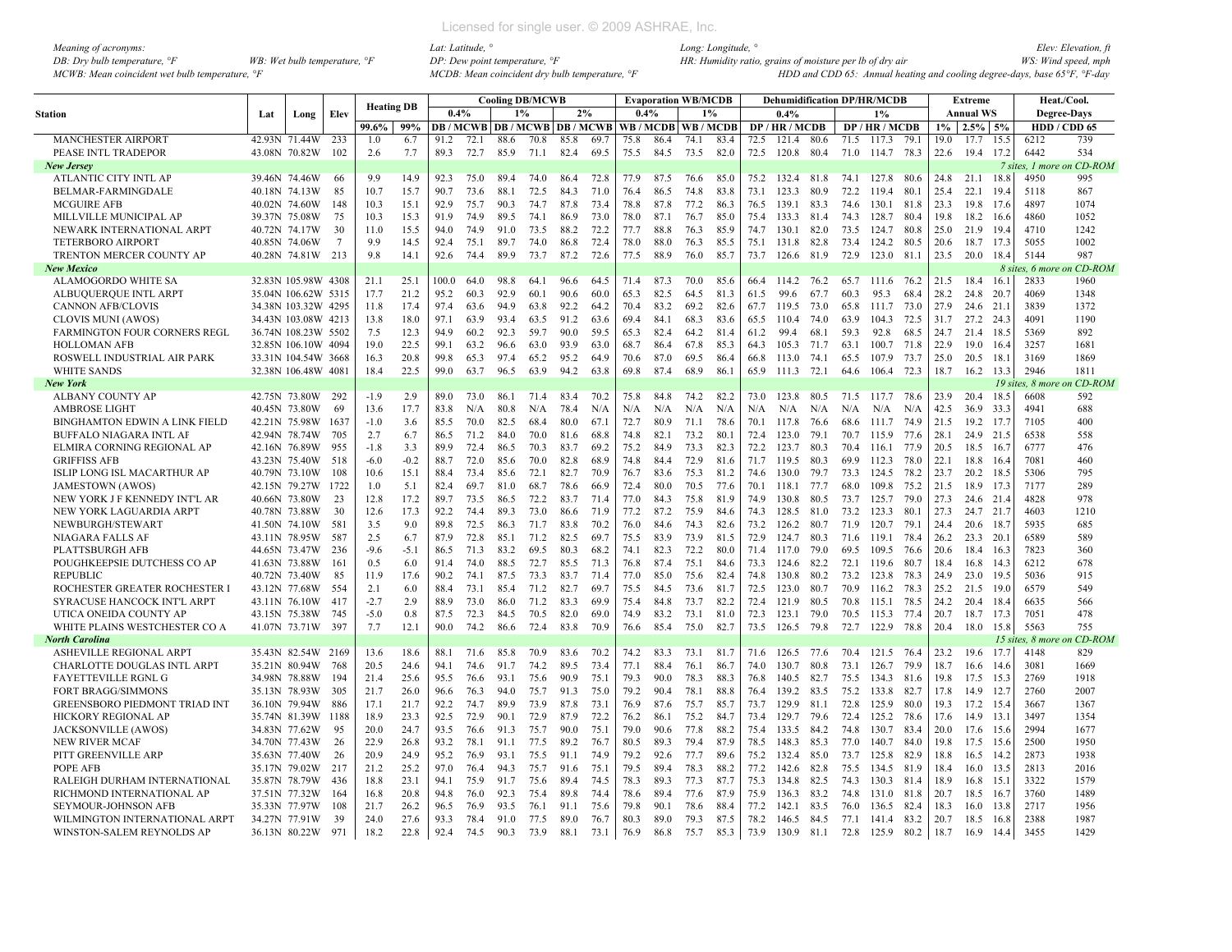| Meaning of acronyms:                           |                                         |
|------------------------------------------------|-----------------------------------------|
| DB: Dry bulb temperature, $\mathcal{F}$        | WB: Wet bulb temperature, $\mathcal{F}$ |
| MCWB: Mean coincident wet bulb temperature, °F |                                         |

|                                      |     |                     |                | <b>Heating DB</b> |        |       |      |      | <b>Cooling DB/MCWB</b> |                                |      |      |      | <b>Evaporation WB/MCDB</b> |      |      | <b>Dehumidification DP/HR/MCDB</b> |      |      |                      |      |       | <b>Extreme</b>   |        |                    | Heat./Cool.               |
|--------------------------------------|-----|---------------------|----------------|-------------------|--------|-------|------|------|------------------------|--------------------------------|------|------|------|----------------------------|------|------|------------------------------------|------|------|----------------------|------|-------|------------------|--------|--------------------|---------------------------|
| Station                              | Lat | Long                | Elev           |                   |        | 0.4%  |      | 1%   |                        | 2%                             |      | 0.4% |      | 1%                         |      |      | 0.4%                               |      |      | 1%                   |      |       | <b>Annual WS</b> |        | <b>Degree-Days</b> |                           |
|                                      |     |                     |                | 99.6%             | 99%    |       |      |      |                        | <b>DB/MCWB DB/MCWB DB/MCWB</b> |      |      |      | WB / MCDB   WB / MCDB      |      |      | DP / HR / MCDB                     |      |      | DP / HR / MCDB       |      | $1\%$ | $2.5\%$ 5%       |        |                    | HDD / CDD 65              |
| <b>MANCHESTER AIRPORT</b>            |     | 42.93N 71.44W       | 233            | 1.0               | 6.7    | 91.2  | 72.1 | 88.6 | 70.8                   | 85.8                           | 69.7 | 75.8 | 86.4 | 74.1                       | 83.4 | 72.5 | 121.4                              | 80.6 | 71.5 | 117.3                | 79.1 | 19.0  | 17.7             | 15.5   | 6212               | 739                       |
| PEASE INTL TRADEPOR                  |     | 43.08N 70.82W       | 102            | 2.6               | 7.7    | 89.3  | 72.7 | 85.9 | 71.1                   | 82.4                           | 69.5 | 75.5 | 84.5 | 73.5                       | 82.0 | 72.5 | 120.8                              | 80.4 | 71.0 | 114.7 78.3           |      | 22.6  | 19.4             | 17.2   | 6442               | 534                       |
| <b>New Jersey</b>                    |     |                     |                |                   |        |       |      |      |                        |                                |      |      |      |                            |      |      |                                    |      |      |                      |      |       |                  |        |                    | 7 sites. 1 more on CD-ROM |
| ATLANTIC CITY INTL AP                |     | 39.46N 74.46W       | 66             | 9.9               | 14.9   | 92.3  | 75.0 | 89.4 | 74.0                   | 86.4                           | 72.8 | 77.9 | 87.5 | 76.6                       | 85.0 | 75.2 | 132.4                              | 81.8 | 74.1 | 127.8 80.6           |      | 24.8  | 21.1             | 18.8   | 4950               | 995                       |
| BELMAR-FARMINGDALE                   |     | 40.18N 74.13W       | 85             | 10.7              | 15.7   | 90.7  | 73.6 | 88.1 | 72.5                   | 84.3                           | 71.0 | 76.4 | 86.5 | 74.8                       | 83.8 | 73.1 | 123.3                              | 80.9 | 72.2 | 119.4                | 80.1 | 25.4  | 22.1             | 19.4   | 5118               | 867                       |
| <b>MCGUIRE AFB</b>                   |     | 40.02N 74.60W       | 148            | 10.3              | 15.1   | 92.9  | 75.7 | 90.3 | 74.7                   | 87.8                           | 73.4 | 78.8 | 87.8 | 77.2                       | 86.3 | 76.5 | 139.1                              | 83.3 | 74.6 | 130.1                | 81.8 | 23.3  | 19.8             | 17.6   | 4897               | 1074                      |
| MILLVILLE MUNICIPAL AF               |     | 39.37N 75.08W       | 75             | 10.3              | 15.3   | 91.9  | 74.9 | 89.5 | 74.1                   | 86.9                           | 73.0 | 78.0 | 87.1 | 76.7                       | 85.0 | 75.4 | 133.3 81.4                         |      | 74.3 | 128.7 80.4           |      | 19.8  | 18.2             | 16.6   | 4860               | 1052                      |
| NEWARK INTERNATIONAL ARPT            |     | 40.72N 74.17W       | 30             | 11.0              | 15.5   | 94.0  | 74.9 | 91.0 | 73.5                   | 88.2                           | 72.2 | 77.7 | 88.8 | 76.3                       | 85.9 | 74.7 | 130.1                              | 82.0 | 73.5 | 124.7 80.8           |      | 25.0  | 21.9             | 19.4   | 4710               | 1242                      |
| <b>TETERBORO AIRPORT</b>             |     | 40.85N 74.06W       | $\overline{7}$ | 9.9               | 14.5   | 92.4  | 75.1 | 89.7 | 74.0                   | 86.8                           | 72.4 | 78.0 | 88.0 | 76.3                       | 85.5 | 75.1 | 131.8                              | 82.8 | 73.4 | 124.2 80.5           |      | 20.6  | 18.7             | 17.3   | 5055               | 1002                      |
| TRENTON MERCER COUNTY AP             |     | 40.28N 74.81W 213   |                | 9.8               | 14.1   | 92.6  | 74.4 | 89.9 | 73.7                   | 87.2                           | 72.6 | 77.5 | 88.9 | 76.0                       | 85.7 | 73.7 | 126.6                              | 81.9 | 72.9 | 123.0                | 81.1 | 23.5  | 20.0             | 18.4   | 5144               | 987                       |
| <b>New Mexico</b>                    |     |                     |                |                   |        |       |      |      |                        |                                |      |      |      |                            |      |      |                                    |      |      |                      |      |       |                  |        | 8 sites, 6 mor     | CD-ROM                    |
| ALAMOGORDO WHITE SA                  |     | 32.83N 105.98W 4308 |                | 21.1              | 25.1   | 100.0 | 64.0 | 98.8 | 64.1                   | 96.6                           | 64.5 | 71.4 | 87.3 | 70.0                       | 85.6 | 66.4 | 114.2                              | 76.2 | 65.7 | 111.6 76.2           |      | 21.5  | 18.4             | 16.1   | 2833               | 1960                      |
| ALBUQUERQUE INTL ARPT                |     | 35.04N 106.62W 5315 |                | 17.7              | 21.2   | 95.2  | 60.3 | 92.9 | 60.1                   | 90.6                           | 60.0 | 65.3 | 82.5 | 64.5                       | 81.3 | 61.5 | 99.6                               | 67.7 | 60.3 | 95.3                 | 68.4 | 28.2  | 24.8             | 20.7   | 4069               | 1348                      |
| <b>CANNON AFB/CLOVIS</b>             |     | 34.38N 103.32W 4295 |                | 11.8              | 17.4   | 97.4  | 63.6 | 94.9 | 63.8                   | 92.2                           | 64.2 | 70.4 | 83.2 | 69.2                       | 82.6 | 67.7 | 119.5                              | 73.0 | 65.8 | 111.7                | 73.0 | 27.9  | 24.6 21.1        |        | 3839               | 1372                      |
| <b>CLOVIS MUNI (AWOS)</b>            |     | 34.43N 103.08W 4213 |                | 13.8              | 18.0   | 97.1  | 63.9 | 93.4 | 63.5                   | 91.2                           | 63.6 | 69.4 | 84.1 | 68.3                       | 83.6 | 65.5 | 110.4                              | 74.0 | 63.9 | 104.3                | 72.5 | 31.7  | 27.2 24.3        |        | 4091               | 1190                      |
| <b>FARMINGTON FOUR CORNERS REGL</b>  |     | 36.74N 108.23W 5502 |                | 7.5               | 12.3   | 94.9  | 60.2 | 92.3 | 59.7                   | 90.0                           | 59.5 | 65.3 | 82.4 | 64.2                       | 81.4 | 61.2 | 99.4                               | 68.1 | 59.3 | 92.8                 | 68.5 | 24.7  | 21.4 18.5        |        | 5369               | 892                       |
| <b>HOLLOMAN AFB</b>                  |     | 32.85N 106.10W 4094 |                | 19.0              | 22.5   | 99.1  | 63.2 | 96.6 | 63.0                   | 93.9                           | 63.0 | 68.7 | 86.4 | 67.8                       | 85.3 | 64.3 | 105.3 71.7                         |      | 63.1 | 100.7 71.8           |      | 22.9  | 19.0             | 16.4   | 3257               | 1681                      |
| ROSWELL INDUSTRIAL AIR PARK          |     | 33.31N 104.54W 3668 |                | 16.3              | 20.8   | 99.8  | 65.3 | 97.4 | 65.2                   | 95.2                           | 64.9 | 70.6 | 87.0 | 69.5                       | 86.4 | 66.8 | 113.0 74.1                         |      | 65.5 | 107.9 73.7           |      | 25.0  | 20.5             | 18.1   | 3169               | 1869                      |
| <b>WHITE SANDS</b>                   |     | 32.38N 106.48W 4081 |                | 18.4              | 22.5   | 99.0  | 63.7 | 96.5 | 63.9                   | 94.2                           | 63.8 | 69.8 | 87.4 | 68.9                       | 86.1 | 65.9 | 111.3                              | 72.1 | 64.6 | 106.4 72.3           |      | 18.7  | 16.2             | 13.3   | 2946               | 1811                      |
| New York                             |     |                     |                |                   |        |       |      |      |                        |                                |      |      |      |                            |      |      |                                    |      |      |                      |      |       |                  |        | 19 sites, 8 more   | CD-ROM                    |
| ALBANY COUNTY AP                     |     | 42.75N 73.80W       | 292            | $-1.9$            | 2.9    | 89.0  | 73.0 | 86.1 | 71.4                   | 83.4                           | 70.2 | 75.8 | 84.8 | 74.2                       | 82.2 | 73.0 | 123.8                              | 80.5 | 71.5 | 117.7 78.6           |      | 23.9  | 20.4             | 18.5   | 6608               | 592                       |
| <b>AMBROSE LIGHT</b>                 |     | 40.45N 73.80W       | 69             | 13.6              | 17.7   | 83.8  | N/A  | 80.8 | N/A                    | 78.4                           | N/A  | N/A  | N/A  | N/A                        | N/A  | N/A  | N/A                                | N/A  | N/A  | N/A                  | N/A  | 42.5  | 36.9             | 33.3   | 4941               | 688                       |
| BINGHAMTON EDWIN A LINK FIELD        |     | 42.21N 75.98W       | 1637           | $-1.0$            | 3.6    | 85.5  | 70.0 | 82.5 | 68.4                   | 80.0                           | 67.1 | 72.7 | 80.9 | 71.1                       | 78.6 | 70.1 | 117.8                              | 76.6 | 68.6 | 111.7 74.9           |      | 21.5  | 19.2             | 17.7   | 7105               | 400                       |
| BUFFALO NIAGARA INTL AP              |     | 42.94N 78.74W       | 705            | 2.7               | 6.7    | 86.5  | 71.2 | 84.0 | 70.0                   | 81.6                           | 68.8 | 74.8 | 82.1 | 73.2                       | 80.1 | 72.4 | 123.0                              | 79.1 | 70.7 | 115.9 77.6           |      | 28.1  | 24.9             | 21.5   | 6538               | 558                       |
| ELMIRA CORNING REGIONAL AP           |     | 42.16N 76.89W       | 955            | $-1.8$            | 3.3    | 89.9  | 72.4 | 86.5 | 70.3                   | 83.7                           | 69.2 | 75.2 | 84.9 | 73.3                       | 82.3 | 72.2 | 123.7 80.3                         |      | 70.4 | 116.1 77.9           |      | 20.5  | 18.5             | 16.7   | 6777               | 476                       |
| <b>GRIFFISS AFB</b>                  |     | 43.23N 75.40W       | 518            | $-6.0$            | $-0.2$ | 88.7  | 72.0 | 85.6 | 70.0                   | 82.8                           | 68.9 | 74.8 | 84.4 | 72.9                       | 81.6 | 71.7 | 119.5 80.3                         |      | 69.9 | 112.3 78.0           |      | 22.1  | 18.8             | -16.4  | 7081               | 460                       |
| ISLIP LONG ISL MACARTHUR AP          |     | 40.79N 73.10W       | 108            | 10.6              | 15.1   | 88.4  | 73.4 | 85.6 | 72.1                   | 82.7                           | 70.9 | 76.7 | 83.6 | 75.3                       | 81.2 | 74.6 | 130.0                              | 79.7 | 73.3 | 124.5                | 78.2 | 23.7  | 20.2             | 18.5   | 5306               | 795                       |
| <b>JAMESTOWN (AWOS)</b>              |     | 42.15N 79.27W 1722  |                | 1.0               | 5.1    | 82.4  | 69.7 | 81.0 | 68.7                   | 78.6                           | 66.9 | 72.4 | 80.0 | 70.5                       | 77.6 | 70.1 | 118.1                              | 77.7 | 68.0 | 109.8                | 75.2 | 21.5  | 18.9             | 17.3   | 7177               | 289                       |
| NEW YORK J F KENNEDY INT'L AR        |     | 40.66N 73.80W       | 23             | 12.8              | 17.2   | 89.7  | 73.5 | 86.5 | 72.2                   | 83.7                           | 71.4 | 77.0 | 84.3 | 75.8                       | 81.9 | 74.9 | 130.8                              | 80.5 | 73.7 | 125.7 79.0           |      | 27.3  | 24.6 21.4        |        | 4828               | 978                       |
| NEW YORK LAGUARDIA ARPT              |     | 40.78N 73.88W       | 30             | 12.6              | 17.3   | 92.2  | 74.4 | 89.3 | 73.0                   | 86.6                           | 71.9 | 77.2 | 87.2 | 75.9                       | 84.6 | 74.3 | 128.5                              | 81.0 | 73.2 | 123.3                | 80.1 | 27.3  | 24.7 21.7        |        | 4603               | 1210                      |
| NEWBURGH/STEWART                     |     | 41.50N 74.10W       | 581            | 3.5               | 9.0    | 89.8  | 72.5 | 86.3 | 71.7                   | 83.8                           | 70.2 | 76.0 | 84.6 | 74.3                       | 82.6 | 73.2 | 126.2                              | 80.7 | 71.9 | 120.7                | 79.1 | 24.4  | 20.6             | 18.7   | 5935               | 685                       |
| NIAGARA FALLS AF                     |     | 43.11N 78.95W       | 587            | 2.5               | 6.7    | 87.9  | 72.8 | 85.1 | 71.2                   | 82.5                           | 69.7 | 75.5 | 83.9 | 73.9                       | 81.5 | 72.9 | 124.7 80.3                         |      | 71.6 | 119.1 78.4           |      | 26.2  | 23.3 20.1        |        | 6589               | 589                       |
| PLATTSBURGH AFB                      |     | 44.65N 73.47W       | 236            | $-9.6$            | $-5.1$ | 86.5  | 71.3 | 83.2 | 69.5                   | 80.3                           | 68.2 | 74.1 | 82.3 | 72.2                       | 80.0 |      | 71.4 117.0                         | 79.0 | 69.5 | 109.5 76.6           |      | 20.6  | 18.4 16.3        |        | 7823               | 360                       |
| POUGHKEEPSIE DUTCHESS CO AP          |     | 41.63N 73.88W       | 161            | 0.5               | 6.0    | 91.4  | 74.0 | 88.5 | 72.7                   | 85.5                           | 71.3 | 76.8 | 87.4 | 75.1                       | 84.6 | 73.3 | 124.6                              | 82.2 | 72.1 | 119.6                | 80.7 | 18.4  | 16.8             | 14.3   | 6212               | 678                       |
| <b>REPUBLIC</b>                      |     | 40.72N 73.40W       | 85             | 11.9              | 17.6   | 90.2  | 74.1 | 87.5 | 73.3                   | 83.7                           | 71.4 | 77.0 | 85.0 | 75.6                       | 82.4 | 74.8 | 130.8                              | 80.2 | 73.2 | 123.8                | 78.3 | 24.9  | 23.0             | 19.5   | 5036               | 915                       |
| ROCHESTER GREATER ROCHESTER I        |     | 43.12N 77.68W       | 554            | 2.1               | 6.0    | 88.4  | 73.1 | 85.4 | 71.2                   | 82.7                           | 69.7 | 75.5 | 84.5 | 73.6                       | 81.7 | 72.5 | 123.0                              | 80.7 | 70.9 | 116.2                | 78.3 | 25.2  | 21.5             | - 19.0 | 6579               | 549                       |
| SYRACUSE HANCOCK INT'L ARPT          |     | 43.11N 76.10W       | 417            | $-2.7$            | 2.9    | 88.9  | 73.0 | 86.0 | 71.2                   | 83.3                           | 69.9 | 75.4 | 84.8 | 73.7                       | 82.2 | 72.4 | 121.9                              | 80.5 | 70.8 | 115.1                | 78.5 | 24.2  | 20.4             | 18.4   | 6635               | 566                       |
| UTICA ONEIDA COUNTY AP               |     | 43.15N 75.38W       | 745            | $-5.0$            | 0.8    | 87.5  | 72.3 | 84.5 | 70.5                   | 82.0                           | 69.0 | 74.9 | 83.2 | 73.1                       | 81.0 | 72.3 | 123.1                              | 79.0 | 70.5 | 115.3                | 77.4 | 20.7  | 18.7             | 17.3   | 7051               | 478                       |
| WHITE PLAINS WESTCHESTER CO A        |     | 41.07N 73.71W 397   |                | 7.7               | 12.1   | 90.0  | 74.2 | 86.6 | 72.4                   | 83.8                           | 70.9 | 76.6 | 85.4 | 75.0                       | 82.7 | 73.5 | 126.5 79.8                         |      |      | 72.7 122.9 78.8      |      | 20.4  | 18.0             | 15.8   | 5563               | 755                       |
| <b>North Carolina</b>                |     |                     |                |                   |        |       |      |      |                        |                                |      |      |      |                            |      |      |                                    |      |      |                      |      |       |                  |        | 15 sites, 8 moi    | CD-ROM                    |
| ASHEVILLE REGIONAL ARPT              |     | 35.43N 82.54W       | 2169           | 13.6              | 18.6   | 88.1  | 71.6 | 85.8 | 70.9                   | 83.6                           | 70.2 | 74.2 | 83.3 | 73.1                       | 81.7 | 71.6 | 126.5                              | 77.6 | 70.4 | 121.5                | 76.4 | 23.2  | 19.6             | 17.7   | 4148               | 829                       |
| CHARLOTTE DOUGLAS INTL ARPT          |     | 35.21N 80.94W       | 768            | 20.5              | 24.6   | 94.1  | 74.6 | 91.7 | 74.2                   | 89.5                           | 73.4 | 77.1 | 88.4 | 76.1                       | 86.7 | 74.0 | 130.7                              | 80.8 | 73.1 | 126.7                | 79.9 | 18.7  | 16.6             | 14.6   | 3081               | 1669                      |
| <b>FAYETTEVILLE RGNL G</b>           |     | 34.98N 78.88W       | 194            | 21.4              | 25.6   | 95.5  | 76.6 | 93.1 | 75.6                   | 90.9                           | 75.1 | 79.3 | 90.0 | 78.3                       | 88.3 | 76.8 | 140.5                              | 82.7 | 75.5 | 134.3 81.6           |      | 19.8  | 17.5             | 15.3   | 2769               | 1918                      |
| <b>FORT BRAGG/SIMMONS</b>            |     | 35.13N 78.93W       | 305            | 21.7              | 26.0   | 96.6  | 76.3 | 94.0 | 75.7                   | 91.3                           | 75.0 | 79.2 | 90.4 | 78.1                       | 88.8 | 76.4 | 139.2                              | 83.5 | 75.2 | 133.8                | 82.7 | 17.8  | 14.9             | 12.7   | 2760               | 2007                      |
| <b>GREENSBORO PIEDMONT TRIAD INT</b> |     | 36.10N 79.94W       | 886            | 17.1              | 21.7   | 92.2  | 74.7 | 89.9 | 73.9                   | 87.8                           | 73.1 | 76.9 | 87.6 | 75.7                       | 85.7 | 73.7 | 129.9                              | 81.1 | 72.8 | 125.9                | 80.0 | 19.3  | 17.2             | 15.4   | 3667               | 1367                      |
| HICKORY REGIONAL AP                  |     | 35.74N 81.39W 1188  |                | 18.9              | 23.3   | 92.5  | 72.9 | 90.1 | 72.9                   | 87.9                           | 72.2 | 76.2 | 86.1 | 75.2                       | 84.7 | 73.4 | 129.7 79.6                         |      | 72.4 | 125.2 78.6           |      | 17.6  | 14.9             | 13.1   | 3497               | 1354                      |
| <b>JACKSONVILLE (AWOS)</b>           |     | 34.83N 77.62W       | 95             | 20.0              | 24.7   | 93.5  | 76.6 | 91.3 | 75.7                   | 90.0                           | 75.1 | 79.0 | 90.6 | 77.8                       | 88.2 | 75.4 | 133.5 84.2                         |      | 74.8 | 130.7                | 83.4 | 20.0  | 17.6 15.6        |        | 2994               | 1677                      |
| NEW RIVER MCAF                       |     | 34.70N 77.43W       | 26             | 22.9              | 26.8   | 93.2  | 78.1 | 91.1 | 77.5                   | 89.2                           | 76.7 | 80.5 | 89.3 | 79.4                       | 87.9 | 78.5 | 148.3                              | 85.3 | 77.0 | 140.7 84.0           |      | 19.8  | 17.5             | 15.6   | 2500               | 1950                      |
| PITT GREENVILLE ARP                  |     | 35.63N 77.40W       | 26             | 20.9              | 24.9   | 95.2  | 76.9 | 93.1 | 75.5                   | 91.1                           | 74.9 | 79.2 | 92.6 | 77.7                       | 89.6 | 75.2 | 132.4                              | 85.0 | 73.7 | 125.8                | 82.9 | 18.8  | 16.5             | 14.2   | 2873               | 1938                      |
| POPE AFB                             |     | 35.17N 79.02W       | 217            | 21.2              | 25.2   | 97.0  | 76.4 | 94.3 | 75.7                   | 91.6                           | 75.1 | 79.5 | 89.4 | 78.3                       | 88.2 | 77.2 | 142.6                              | 82.8 | 75.5 | 134.5 81.9           |      | 18.4  | 16.0 13.5        |        | 2813               | 2016                      |
| RALEIGH DURHAM INTERNATIONAL         |     | 35.87N 78.79W       | 436            | 18.8              | 23.1   | 94.1  | 75.9 | 91.7 | 75.6                   | 89.4                           | 74.5 | 78.3 | 89.3 | 77.3                       | 87.7 | 75.3 | 134.8                              | 82.5 | 74.3 | 130.3 81.4           |      | 18.9  | 16.8             | - 15.1 | 3322               | 1579                      |
| RICHMOND INTERNATIONAL AP            |     | 37.51N 77.32W       | 164            | 16.8              | 20.8   | 94.8  | 76.0 | 92.3 | 75.4                   | 89.8                           | 74.4 | 78.6 | 89.4 | 77.6                       | 87.9 | 75.9 | 136.3                              | 83.2 | 74.8 | 131.0                | 81.8 | 20.7  | 18.5             | 16.7   | 3760               | 1489                      |
| <b>SEYMOUR-JOHNSON AFB</b>           |     | 35.33N 77.97W       | 108            | 21.7              | 26.2   | 96.5  | 76.9 | 93.5 | 76.1                   | 91.1                           | 75.6 | 79.8 | 90.1 | 78.6                       | 88.4 | 77.2 | 142.1                              | 83.5 | 76.0 | 136.5                | 82.4 | 18.3  | 16.0             | 13.8   | 2717               | 1956                      |
| WILMINGTON INTERNATIONAL ARPT        |     | 34.27N 77.91W       | 39             | 24.0              | 27.6   | 93.3  | 78.4 | 91.0 | 77.5                   | 89.0                           | 76.7 | 80.3 | 89.0 | 79.3                       | 87.5 | 78.2 | 146.5 84.5                         |      | 77.1 | 141.4 83.2           |      | 20.7  | 18.5             | 16.8   | 2388               | 1987                      |
| WINSTON-SALEM REYNOLDS AP            |     | 36.13N 80.22W       | 971            | 18.2              | 22.8   | 92.4  | 74.5 | 90.3 | 73.9                   | 88.1                           | 73.1 | 76.9 | 86.8 | 75.7                       | 85.3 | 73.9 | 130.9 81.1                         |      |      | 72.8 125.9 80.2 18.7 |      |       | 16.9             | 14.4   | 3455               | 1429                      |
|                                      |     |                     |                |                   |        |       |      |      |                        |                                |      |      |      |                            |      |      |                                    |      |      |                      |      |       |                  |        |                    |                           |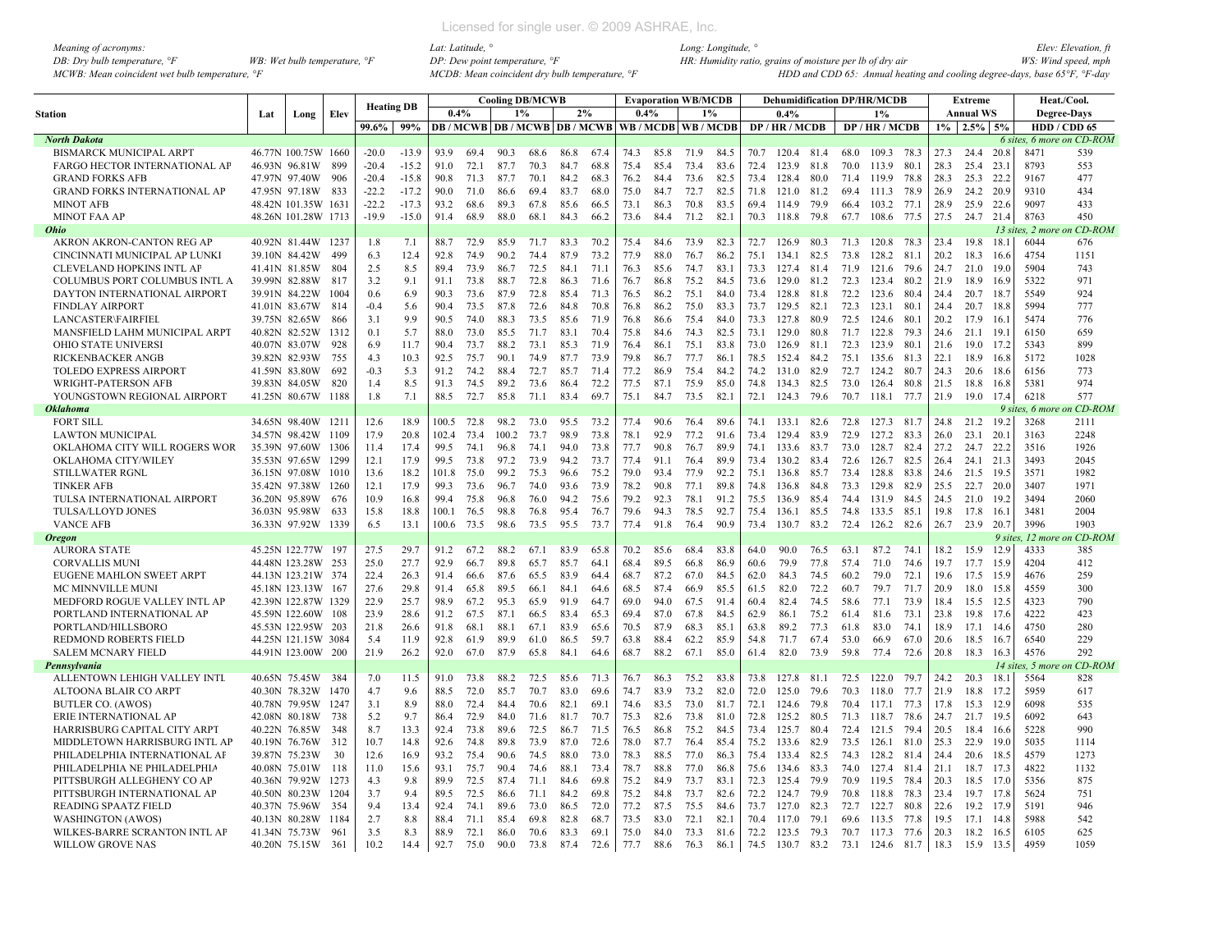| Meaning of acronyms:                           |                                         |  |
|------------------------------------------------|-----------------------------------------|--|
| DB: Dry bulb temperature, $\mathcal{F}$        | WB: Wet bulb temperature, $\mathcal{F}$ |  |
| MCWB: Mean coincident wet bulb temperature, °F |                                         |  |

|                                      |     |                                |      |                   |            |              |              |       | <b>Cooling DB/MCWB</b>         |      |      |      |              | <b>Evaporation WB/MCDB</b> |              |              | <b>Dehumidification DP/HR/MCDB</b> |              |              |                 |      |              | <b>Extreme</b>   |        | Heat./Cool.              |                           |
|--------------------------------------|-----|--------------------------------|------|-------------------|------------|--------------|--------------|-------|--------------------------------|------|------|------|--------------|----------------------------|--------------|--------------|------------------------------------|--------------|--------------|-----------------|------|--------------|------------------|--------|--------------------------|---------------------------|
| Station                              | Lat | Long                           | Elev | <b>Heating DB</b> |            | 0.4%         |              | 1%    |                                |      | 2%   | 0.4% |              | 1%                         |              |              | 0.4%                               |              |              | $1\%$           |      |              | <b>Annual WS</b> |        | <b>Degree-Days</b>       |                           |
|                                      |     |                                |      | 99.6%             | 99%        |              |              |       | <b>DB/MCWB DB/MCWB DB/MCWB</b> |      |      |      |              | WB / MCDB   WB / MCDB      |              |              | DP/HR/MCDB                         |              |              | DP / HR / MCDB  |      |              | $1\%$ 2.5% 5%    |        | HDD / CDD 65             |                           |
| <b>North Dakota</b>                  |     |                                |      |                   |            |              |              |       |                                |      |      |      |              |                            |              |              |                                    |              |              |                 |      |              |                  |        |                          | 6 sites, 6 more on CD-ROM |
| <b>BISMARCK MUNICIPAL ARPT</b>       |     | 46.77N 100.75W 1660            |      | $-20.0$           | $-13.9$    | 93.9         | 69.4         | 90.3  | 68.6                           | 86.8 | 67.4 | 74.3 | 85.8         | 71.9                       | 84.5         | 70.7         | 120.4 81.4                         |              | 68.0         | 109.3 78.3      |      | 27.3         | 24.4             | 20.8   | 8471                     | 539                       |
| <b>FARGO HECTOR INTERNATIONAL AP</b> |     | 46.93N 96.81W                  | 899  | $-20.4$           | $-15.2$    | 91.0         | 72.1         | 87.7  | 70.3                           | 84.7 | 68.8 | 75.4 | 85.4         | 73.4                       | 83.6         | 72.4         | 123.9                              | 81.8         | 70.0         | 113.9           | 80.1 | 28.3         | 25.4             | 23.1   | 8793                     | 553                       |
| <b>GRAND FORKS AFB</b>               |     | 47.97N 97.40W                  | -906 | $-20.4$           | $-15.8$    | 90.8         | 71.3         | 87.7  | 70.1                           | 84.2 | 68.3 | 76.2 | 84.4         | 73.6                       | 82.5         | 73.4         | 128.4                              | 80.0         | 71.4         | 119.9           | 78.8 | 28.3         | 25.3             | 22.2   | 9167                     | 477                       |
| <b>GRAND FORKS INTERNATIONAL AP</b>  |     | 47.95N 97.18W                  | 833  | $-22.2$           | $-17.2$    | 90.0         | 71.0         | 86.6  | 69.4                           | 83.7 | 68.0 | 75.0 | 84.7         | 72.7                       | 82.5         | 71.8         | 121.0                              | 81.2         | 69.4         | 111.3           | 78.9 | 26.9         | 24.2             | 20.9   | 9310                     | 434                       |
| <b>MINOT AFB</b>                     |     | 48.42N 101.35W 1631            |      | $-22.2$           | $-17.3$    | 93.2         | 68.6         | 89.3  | 67.8                           | 85.6 | 66.5 | 73.1 | 86.3         | 70.8                       | 83.5         | 69.4         | 114.9                              | 79.9         | 66.4         | 103.2           | 77.1 | 28.9         | 25.9             | 22.6   | 9097                     | 433                       |
| <b>MINOT FAA AP</b>                  |     | 48.26N 101.28W 1713            |      | $-19.9$           | $-15.0$    | 91.4         | 68.9         | 88.0  | 68.1                           | 84.3 | 66.2 | 73.6 | 84.4         | 71.2                       | 82.1         | 70.3         | 118.8                              | 79.8         | 67.7         | 108.6           | 77.5 | 27.5         | 24.7 21.4        |        | 8763                     | 450                       |
| <b>Ohio</b>                          |     |                                |      |                   |            |              |              |       |                                |      |      |      |              |                            |              |              |                                    |              |              |                 |      |              |                  |        | 13 sites, 2 moi          | n CD-ROM                  |
| AKRON AKRON-CANTON REG AP            |     | 40.92N 81.44W 1237             |      | 1.8               | 7.1        | 88.7         | 72.9         | 85.9  | 71.7                           | 83.3 | 70.2 | 75.4 | 84.6         | 73.9                       | 82.3         | 72.7         | 126.9                              | 80.3         | 71.3         | 120.8 78.3      |      | 23.4         | 19.8             | 18.    | 6044                     | 676                       |
| CINCINNATI MUNICIPAL AP LUNKI        |     | 39.10N 84.42W                  | 499  | 6.3               | 12.4       | 92.8         | 74.9         | 90.2  | 74.4                           | 87.9 | 73.2 | 77.9 | 88.0         | 76.7                       | 86.2         | 75.1         | 134.1                              | 82.5         | 73.8         | 128.2           | 81.1 | 20.2         | 18.3             | 16.6   | 4754                     | 1151                      |
| <b>CLEVELAND HOPKINS INTL AF</b>     |     | 41.41N 81.85W                  | 804  | 2.5               | 8.5        | 89.4         | 73.9         | 86.7  | 72.5                           | 84.1 | 71.1 | 76.3 | 85.6         | 74.7                       | 83.1         | 73.3         | 127.4                              | 81.4         | 71.9         | 121.6           | 79.6 | 24.7         | 21.0             | 19.0   | 5904                     | 743                       |
| COLUMBUS PORT COLUMBUS INTL A        |     | 39.99N 82.88W                  | 817  | 3.2               | 9.1        | 91.1         | 73.8         | 88.7  | 72.8                           | 86.3 | 71.6 | 76.7 | 86.8         | 75.2                       | 84.5         | 73.6         | 129.0                              | 81.2         | 72.3         | 123.4           | 80.2 | 21.9         | 18.9             | 16.9   | 5322                     | 971                       |
| DAYTON INTERNATIONAL AIRPORT         |     | 39.91N 84.22W                  | 1004 | 0.6               | 6.9        | 90.3         | 73.6         | 87.9  | 72.8                           | 85.4 | 71.3 | 76.5 | 86.2         | 75.1                       | 84.0         | 73.4         | 128.8                              | 81.8         | 72.2         | 123.6           | 80.4 | 24.4         | 20.7             | 18.7   | 5549                     | 924                       |
| <b>FINDLAY AIRPORT</b>               |     | 41.01N 83.67W                  | 814  | $-0.4$            | 5.6        | 90.4         | 73.5         | 87.8  | 72.6                           | 84.8 | 70.8 | 76.8 | 86.2         | 75.0                       | 83.3         | 73.7         | 129.5                              | 82.1         | 72.3         | 123.1           | 80.1 | 24.4         | 20.7             | 18.8   | 5994                     | 777                       |
| <b>LANCASTER\FAIRFIEI</b>            |     | 39.75N 82.65W                  | 866  | 3.1               | 9.9        | 90.5         | 74.0         | 88.3  | 73.5                           | 85.6 | 71.9 | 76.8 | 86.6         | 75.4                       | 84.0         | 73.3         | 127.8                              | 80.9         | 72.5         | 124.6           | 80.1 | 20.2         | 17.9             | -16.1  | 5474                     | 776                       |
| MANSFIELD LAHM MUNICIPAL ARPT        |     | 40.82N 82.52W                  | 1312 | 0.1               | 5.7        | 88.0         | 73.0         | 85.5  | 71.7                           | 83.1 | 70.4 | 75.8 | 84.6         | 74.3                       | 82.5         | 73.1         | 129.0                              | 80.8         | 71.7         | 122.8           | 79.3 | 24.6         | 21.1             | 19.    | 6150                     | 659                       |
| OHIO STATE UNIVERSI                  |     | 40.07N 83.07W                  | 928  | 6.9               | 11.7       | 90.4         | 73.7         | 88.2  | 73.1                           | 85.3 | 71.9 | 76.4 | 86.1         | 75.1                       | 83.8         | 73.0         | 126.9                              | 81.1         | 72.3         | 123.9           | 80.1 | 21.6         | 19.0 17.2        |        | 5343                     | 899                       |
| RICKENBACKER ANGB                    |     | 39.82N 82.93W                  | 755  | 4.3               | 10.3       | 92.5         | 75.7         | 90.1  | 74.9                           | 87.7 | 73.9 | 79.8 | 86.7         | 77.7                       | 86.1         | 78.5         | 152.4                              | 84.2         | 75.1         | 135.6           | 81.3 | 22.1         | 18.9             | 16.8   | 5172                     | 1028                      |
| <b>TOLEDO EXPRESS AIRPORT</b>        |     | 41.59N 83.80W                  | 692  | $-0.3$            | 5.3        | 91.2         | 74.2         | 88.4  | 72.7                           | 85.7 | 71.4 | 77.2 | 86.9         | 75.4                       | 84.2         | 74.2         | 131.0                              | 82.9         | 72.7         | 124.2 80.7      |      | 24.3         | 20.6 18.6        |        | 6156                     | 773                       |
| WRIGHT-PATERSON AFB                  |     | 39.83N 84.05W                  | 820  | 1.4               | 8.5        | 91.3         | 74.5         | 89.2  | 73.6                           | 86.4 | 72.2 | 77.5 | 87.1         | 75.9                       | 85.0         | 74.8         | 134.3 82.5                         |              | 73.0         | 126.4           | 80.8 | 21.5         | 18.8             | 16.8   | 5381                     | 974                       |
| YOUNGSTOWN REGIONAL AIRPORT          |     | 41.25N 80.67W                  | 1188 | 1.8               | 7.1        | 88.5         | 72.7         | 85.8  | 71.1                           | 83.4 | 69.7 | 75.1 | 84.7         | 73.5                       | 82.1         | 72.1         | 124.3 79.6                         |              | 70.7         | 118.1           | 77.7 | 21.9         | 19.0             | 17.4   | 6218                     | 577                       |
| <b>Oklahoma</b>                      |     |                                |      |                   |            |              |              |       |                                |      |      |      |              |                            |              |              |                                    |              |              |                 |      |              |                  |        | 9 sites, 6 more          | n CD-ROM                  |
| <b>FORT SILL</b>                     |     | 34.65N 98.40W 1211             |      | 12.6              | 18.9       | 100.5        | 72.8         | 98.2  | 73.0                           | 95.5 | 73.2 | 77.4 | 90.6         | 76.4                       | 89.6         | 74.1         | 133.1                              | 82.6         | 72.8         | 127.3 81.7      |      | 24.8         | 21.2             | 19.2   | 3268                     | 2111                      |
| <b>LAWTON MUNICIPAL</b>              |     | 34.57N 98.42W 1109             |      | 17.9              | 20.8       | 102.4        | 73.4         | 100.2 | 73.7                           | 98.9 | 73.8 | 78.1 | 92.9         | 77.2                       | 91.6         | 73.4         | 129.4                              | 83.9         | 72.9         | 127.2           | 83.3 | 26.0         | 23.1             | 20.    | 3163                     | 2248                      |
| OKLAHOMA CITY WILL ROGERS WOR        |     | 35.39N 97.60W                  | 1306 | 11.4              | 17.4       | 99.5         | 74.1         | 96.8  | 74.1                           | 94.0 | 73.8 | 77.7 | 90.8         | 76.7                       | 89.9         | 74.1         | 133.6                              | 83.7         | 73.0         | 128.7           | 82.4 | 27.2         | 24.7             | 22.2   | 3516                     | 1926                      |
| OKLAHOMA CITY/WILEY                  |     | 35.53N 97.65W                  | 1299 | 12.1              | 17.9       | 99.5         | 73.8         | 97.2  | 73.9                           | 94.2 | 73.7 | 77.4 | 91.1         | 76.4                       | 89.9         | 73.4         | 130.2                              | 83.4         | 72.6         | 126.7           | 82.5 | 26.4         | 24.1             | 21.3   | 3493                     | 2045                      |
| STILLWATER RGNL                      |     | 36.15N 97.08W                  | 1010 | 13.6              | 18.2       | 101.8        | 75.0         | 99.2  | 75.3                           | 96.6 | 75.2 | 79.0 | 93.4         | 77.9                       | 92.2         | 75.1         | 136.8                              | 85.7         | 73.4         | 128.8           | 83.8 | 24.6         | 21.5             | 19.5   | 3571                     | 1982                      |
| <b>TINKER AFB</b>                    |     | 35.42N 97.38W                  | 1260 | 12.1              | 17.9       | 99.3         | 73.6         | 96.7  | 74.0                           | 93.6 | 73.9 | 78.2 | 90.8         | 77.1                       | 89.8         | 74.8         | 136.8                              | 84.8         | 73.3         | 129.8           | 82.9 | 25.5         | 22.7 20.0        |        | 3407                     | 1971                      |
| TULSA INTERNATIONAL AIRPORT          |     | 36.20N 95.89W                  | 676  | 10.9              | 16.8       | 99.4         | 75.8         | 96.8  | 76.0                           | 94.2 | 75.6 | 79.2 | 92.3         | 78.1                       | 91.2         | 75.5         | 136.9                              | 85.4         | 74.4         | 131.9           | 84.5 | 24.5         | 21.0             | 19.2   | 3494                     | 2060                      |
| TULSA/LLOYD JONES                    |     | 36.03N 95.98W                  | 633  | 15.8              | 18.8       | 100.1        | 76.5         | 98.8  | 76.8                           | 95.4 | 76.7 | 79.6 | 94.3         | 78.5                       | 92.7         | 75.4         | 136.1                              | 85.5         | 74.8         | 133.5           | 85.1 | 19.8         | 17.8             | 16.1   | 3481                     | 2004                      |
| <b>VANCE AFB</b>                     |     | 36.33N 97.92W                  | 1339 | 6.5               | 13.1       | 100.6        | 73.5         | 98.6  | 73.5                           | 95.5 | 73.7 | 77.4 | 91.8         | 76.4                       | 90.9         | 73.4         | 130.7 83.2                         |              | 72.4         | 126.2 82.6      |      | 26.7         | 23.9             | 20.7   | 3996                     | 1903                      |
| <b>Oregon</b>                        |     |                                |      |                   |            |              |              |       |                                |      |      |      |              |                            |              |              |                                    |              |              |                 |      |              |                  |        | 9 sites, 12 more         | n CD-ROM                  |
| <b>AURORA STATE</b>                  |     | 45.25N 122.77W 197             |      | 27.5              | 29.7       | 91.2         | 67.2         | 88.2  | 67.1                           | 83.9 | 65.8 | 70.2 | 85.6         | 68.4                       | 83.8         | 64.0         | 90.0                               | 76.5         | 63.1         | 87.2            | 74.1 | 18.2         | 15.9             | 12.9   | 4333                     | 385                       |
| <b>CORVALLIS MUNI</b>                |     | 44.48N 123.28W                 | 253  | 25.0              | 27.7       | 92.9         | 66.7         | 89.8  | 65.7                           | 85.7 | 64.1 | 68.4 | 89.5         | 66.8                       | 86.9         | 60.6         | 79.9                               | 77.8         | 57.4         | 71.0            | 74.6 | 19.7         | 17.7             | 15.9   | 4204                     | 412                       |
| EUGENE MAHLON SWEET ARPT             |     | 44.13N 123.21W 374             |      | 22.4              | 26.3       | 91.4         | 66.6         | 87.6  | 65.5                           | 83.9 | 64.4 | 68.7 | 87.2         | 67.0                       | 84.5         | 62.0         | 84.3                               | 74.5         | 60.2         | 79.0            | 72.1 | 19.6         | 17.5             | 15.9   | 4676                     | 259                       |
| MC MINNVILLE MUNI                    |     | 45.18N 123.13W                 | 167  | 27.6              | 29.8       | 91.4         | 65.8         | 89.5  | 66.1                           | 84.1 | 64.6 | 68.5 | 87.4         | 66.9                       | 85.5         | 61.5         | 82.0                               | 72.2         | 60.7         | 79.7            | 71.7 | 20.9         | 18.0             | 15.8   | 4559                     | 300                       |
| MEDFORD ROGUE VALLEY INTL AP         |     | 42.39N 122.87W 1329            |      | 22.9              | 25.7       | 98.9         | 67.2         | 95.3  | 65.9                           | 91.9 | 64.7 | 69.0 | 94.0         | 67.5                       | 91.4         | 60.4         | 82.4                               | 74.5         | 58.6         | 77.1            | 73.9 | 18.4         | 15.5             | 12.5   | 4323                     | 790                       |
| PORTLAND INTERNATIONAL AP            |     | 45.59N 122.60W                 | -108 | 23.9              | 28.6       | 91.2         | 67.5         | 87.1  | 66.5                           | 83.4 | 65.3 | 69.4 | 87.0         | 67.8                       | 84.5         | 62.9         | 86.1                               | 75.2         | 61.4         | 81.6            | 73.1 | 23.8         | 19.8             | 17.6   | 4222                     | 423                       |
| PORTLAND/HILLSBORO                   |     | 45.53N 122.95W 203             |      | 21.8              | 26.6       | 91.8         | 68.1         | 88.1  | 67.1                           | 83.9 | 65.6 | 70.5 | 87.9         | 68.3                       | 85.1         | 63.8         | 89.2                               | 77.3         | 61.8         | 83.0            | 74.1 | 18.9         | 17.1             | 14.6   | 4750                     | 280                       |
| REDMOND ROBERTS FIELD                |     | 44.25N 121.15W 3084            |      | 5.4               | 11.9       | 92.8         | 61.9         | 89.9  | 61.0                           | 86.5 | 59.7 | 63.8 | 88.4         | 62.2                       | 85.9         | 54.8         | 71.7                               | 67.4         | 53.0         | 66.9            | 67.0 | 20.6         | 18.5             | 16.7   | 6540                     | 229                       |
|                                      |     | 44.91N 123.00W 200             |      | 21.9              | 26.2       | 92.0         | 67.0         | 87.9  | 65.8                           | 84.1 | 64.6 | 68.7 | 88.2         | 67.1                       | 85.0         | 61.4         | 82.0                               | 73.9         | 59.8         | 77.4            | 72.6 | 20.8         | 18.3             | 16.3   | 4576                     | 292                       |
| <b>SALEM MCNARY FIELD</b>            |     |                                |      |                   |            |              |              |       |                                |      |      |      |              |                            |              |              |                                    |              |              |                 |      |              |                  |        |                          | n CD-ROM                  |
| Pennsylvania                         |     | 40.65N 75.45W                  | 384  | 7.0               | 11.5       |              | 73.8         | 88.2  | 72.5                           | 85.6 | 71.3 |      | 86.3         | 75.2                       | 83.8         | 73.8         | 127.8                              | 81.1         | 72.5         | 122.0           | 79.7 | 24.2         |                  | 18.1   | $14$ sites, 5 mo<br>5564 | 828                       |
| ALLENTOWN LEHIGH VALLEY INTL         |     |                                |      |                   |            | 91.0         |              |       |                                | 83.0 |      | 76.7 |              |                            |              |              |                                    |              |              |                 |      |              | 20.3             |        |                          |                           |
| ALTOONA BLAIR CO ARPT                |     | 40.30N 78.32W<br>40.78N 79.95W | 1470 | 4.7<br>3.1        | 9.6<br>8.9 | 88.5<br>88.0 | 72.0<br>72.4 | 85.7  | 70.7                           | 82.1 | 69.6 | 74.7 | 83.9<br>83.5 | 73.2<br>73.0               | 82.0<br>81.7 | 72.0<br>72.1 | 125.0                              | 79.6<br>79.8 | 70.3<br>70.4 | 118.0           | 77.7 | 21.9<br>17.8 | 18.8             | 17.2   | 5959<br>6098             | 617                       |
| <b>BUTLER CO. (AWOS)</b>             |     |                                | 1247 |                   |            |              |              | 84.4  | 70.6                           |      | 69.1 | 74.6 |              |                            |              |              | 124.6                              |              |              | 117.1           | 77.3 |              | 15.3             | 12.9   |                          | 535                       |
| ERIE INTERNATIONAL AP                |     | 42.08N 80.18W                  | 738  | 5.2               | 9.7        | 86.4         | 72.9         | 84.0  | 71.6                           | 81.7 | 70.7 | 75.3 | 82.6         | 73.8                       | 81.0         | 72.8         | 125.2                              | 80.5         | 71.3         | 118.7           | 78.6 | 24.7         | 21.7             | 19.5   | 6092                     | 643                       |
| HARRISBURG CAPITAL CITY ARPT         |     | 40.22N 76.85W                  | 348  | 8.7               | 13.3       | 92.4         | 73.8         | 89.6  | 72.5                           | 86.7 | 71.5 | 76.5 | 86.8         | 75.2                       | 84.5         | 73.4         | 125.7                              | 80.4         | 72.4         | 121.5           | 79.4 | 20.5         | 18.4             | 16.6   | 5228                     | 990                       |
| MIDDLETOWN HARRISBURG INTL AP        |     | 40.19N 76.76W                  | 312  | 10.7              | 14.8       | 92.6         | 74.8         | 89.8  | 73.9                           | 87.0 | 72.6 | 78.0 | 87.7         | 76.4                       | 85.4         | 75.2         | 133.6                              | 82.9         | 73.5         | 126.1           | 81.0 | 25.3         | 22.9             | 19.0   | 5035                     | 1114                      |
| PHILADELPHIA INTERNATIONAL AF        |     | 39.87N 75.23W                  | 30   | 12.6              | 16.9       | 93.2         | 75.4         | 90.6  | 74.5                           | 88.0 | 73.0 | 78.3 | 88.5         | 77.0                       | 86.3         | 75.4         | 133.4                              | 82.5         | 74.3         | 128.2 81.4      |      | 24.4         | 20.6             | 18.5   | 4579                     | 1273                      |
| PHILADELPHIA NE PHILADELPHIA         |     | 40.08N 75.01W                  | 118  | 11.0              | 15.6       | 93.1         | 75.7         | 90.4  | 74.6                           | 88.1 | 73.4 | 78.7 | 88.8         | 77.0                       | 86.8         | 75.6         | 134.6                              | 83.3         | 74.0         | 127.4           | 81.4 | 21.1         | 18.7             | - 17.3 | 4822                     | 1132                      |
| PITTSBURGH ALLEGHENY CO AP           |     | 40.36N 79.92W                  | 1273 | 4.3               | 9.8        | 89.9         | 72.5         | 87.4  | 71.1                           | 84.6 | 69.8 | 75.2 | 84.9         | 73.7                       | 83.1         | 72.3         | 125.4                              | 79.9         | 70.9         | 119.5           | 78.4 | 20.3         | 18.5             | 17.0   | 5356                     | 875                       |
| PITTSBURGH INTERNATIONAL AP          |     | 40.50N 80.23W                  | 1204 | 3.7               | 9.4        | 89.5         | 72.5         | 86.6  | 71.1                           | 84.2 | 69.8 | 75.2 | 84.8         | 73.7                       | 82.6         | 72.2         | 124.7                              | 79.9         | 70.8         | 118.8           | 78.3 | 23.4         | 19.7 17.8        |        | 5624                     | 751                       |
| <b>READING SPAATZ FIELD</b>          |     | 40.37N 75.96W                  | 354  | 94                | 13.4       | 92.4         | 74.1         | 89.6  | 73.0                           | 86.5 | 72.0 | 77.2 | 87.5         | 75.5                       | 84.6         | 73.7         | 127.0                              | 82.3         | 72.7         | 122.7           | 80.8 | 22.6         | 19.2 17.9        |        | 5191                     | 946                       |
| <b>WASHINGTON (AWOS)</b>             |     | 40.13N 80.28W                  | 1184 | 2.7               | 8.8        | 88.4         | 71.1         | 85.4  | 69.8                           | 82.8 | 68.7 | 73.5 | 83.0         | 72.1                       | 82.1         | 70.4         | 117.0                              | 79.1         | 69.6         | 113.5           | 77.8 | 19.5         | 17.1             | 14.8   | 5988                     | 542                       |
| WILKES-BARRE SCRANTON INTL AP        |     | 41.34N 75.73W                  | 961  | 3.5               | 8.3        | 88.9         | 72.1         | 86.0  | 70.6                           | 83.3 | 69.1 | 75.0 | 84.0         | 73.3                       | 81.6         | 72.2         | 123.5 79.3                         |              | 70.7         | 117.3 77.6      |      | 20.3         | 18.2             | 16.5   | 6105                     | 625                       |
| <b>WILLOW GROVE NAS</b>              |     | 40.20N 75.15W                  | 361  | 10.2              | 14.4       | 92.7         | 75.0         | 90.0  | 73.8                           | 87.4 | 72.6 | 77.7 | 88.6         | 76.3                       | 86.1         |              | 74.5 130.7 83.2                    |              |              | 73.1 124.6 81.7 |      | 18.3         | 15.9             | 13.5   | 4959                     | 1059                      |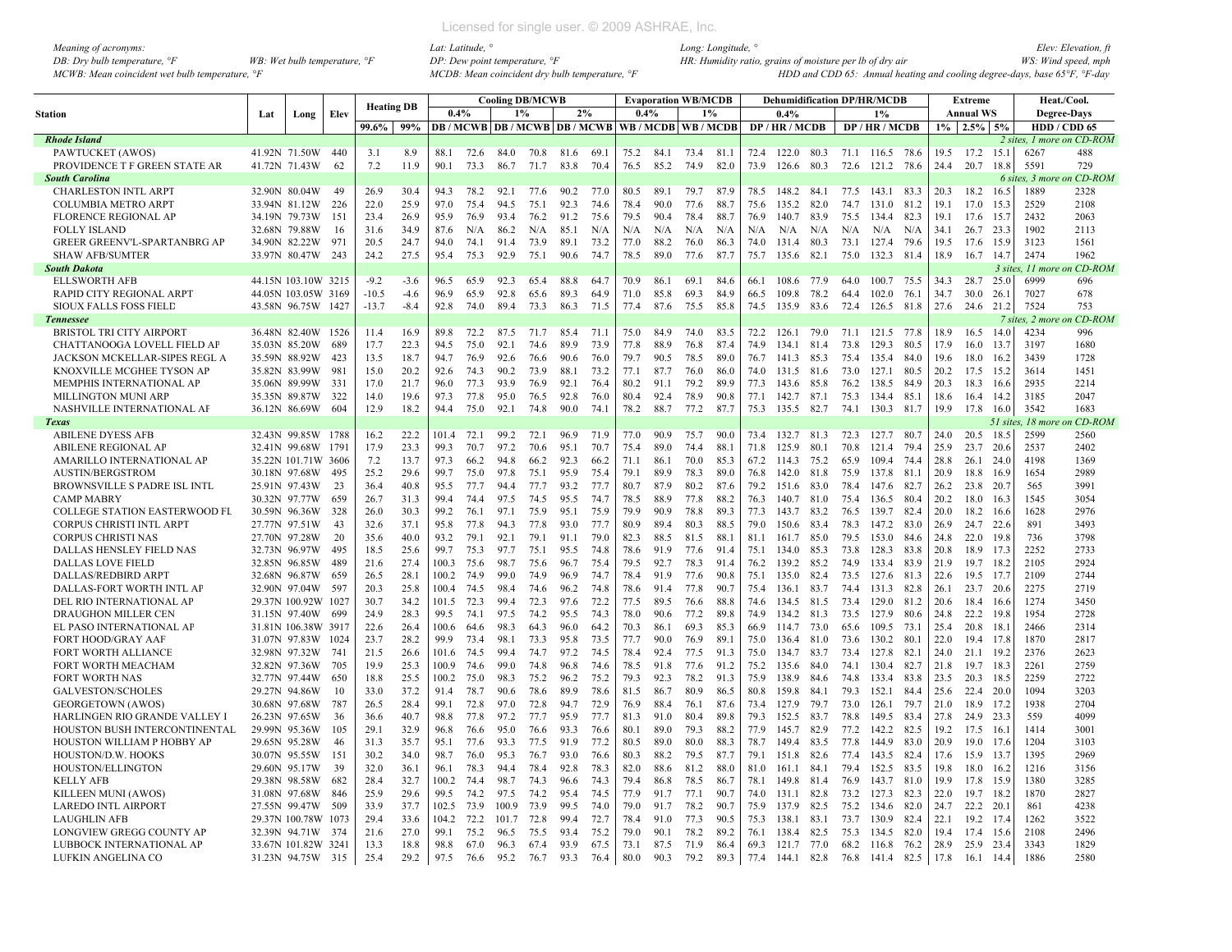| Meaning of acronyms:                           |                                         | Lat: Latitude, °                                             | Long: Longitude, $\degree$                                                | Elev: Elevation, fi |
|------------------------------------------------|-----------------------------------------|--------------------------------------------------------------|---------------------------------------------------------------------------|---------------------|
| DB: Dry bulb temperature, $\mathcal{F}$        | WB: Wet bulb temperature, $\mathcal{F}$ | $DP: Dew$ point temperature, $\mathcal{P}F$                  | HR: Humidity ratio, grains of moisture per lb of dry air                  | WS: Wind speed, mph |
| MCWB: Mean coincident wet bulb temperature, °F |                                         | $MCDB$ : Mean coincident dry bulb temperature, $\mathcal{F}$ | HDD and CDD 65: Annual heating and cooling degree-days, base 65°F, °F-day |                     |

|                                                         |     |                                |             | <b>Heating DB</b> |              |               |              |              | <b>Cooling DB/MCWB</b> |                                                           |              |              | <b>Evaporation WB/MCDB</b> |              |              |              |                     |              |              | <b>Dehumidification DP/HR/MCDB</b> |              |              | <b>Extreme</b>    |              | Heat./Cool.      |                           |
|---------------------------------------------------------|-----|--------------------------------|-------------|-------------------|--------------|---------------|--------------|--------------|------------------------|-----------------------------------------------------------|--------------|--------------|----------------------------|--------------|--------------|--------------|---------------------|--------------|--------------|------------------------------------|--------------|--------------|-------------------|--------------|------------------|---------------------------|
| Station                                                 | Lat | Long                           | Elev        |                   |              | 0.4%          |              |              | $1\%$                  | 2%                                                        |              | 0.4%         |                            |              | $1\%$        |              | 0.4%                |              |              | 1%                                 |              |              | <b>Annual WS</b>  |              | Degree-Days      |                           |
|                                                         |     |                                |             | 99.6%             | 99%          |               |              |              |                        | DB / MCWB   DB / MCWB   DB / MCWB   WB / MCDB   WB / MCDB |              |              |                            |              |              |              | DP / HR / MCDB      |              |              | DP / HR / MCDB                     |              |              | $1\%$ 2.5% 5%     |              | HDD / CDD 65     |                           |
| <b>Rhode Island</b>                                     |     |                                |             |                   |              |               |              |              |                        |                                                           |              |              |                            |              |              |              |                     |              |              |                                    |              |              |                   |              |                  | 2 sites, 1 more on CD-ROM |
| PAWTUCKET (AWOS)                                        |     | 41.92N 71.50W                  | -440        | 3.1               | 8.9          | 88.1          | 72.6         | 84.0         | 70.8                   | 81.6                                                      | 69.          | 75.2         | 84.1                       | 73.4         | 81.1         | 72.4         | 122.0 80.3          |              | 71.1         | 116.5 78.6                         |              | 19.5         | 17.2              | 15.1         | 6267             | 488                       |
| PROVIDENCE T F GREEN STATE AR                           |     | 41.72N 71.43W                  | -62         | 7.2               | 11.9         | 90.1          | 73.3         | 86.7         | 71.7                   | 83.8                                                      | 70.4         | 76.5         | 85.2                       | 74.9         | 82.0         | 73.9         | 126.6               | 80.3         | 72.6         | 121.2                              | 78.6         | 24.4         | 20.7              | 18.8         | 5591             | 729                       |
| <b>South Carolina</b>                                   |     |                                |             |                   |              |               |              |              |                        |                                                           |              |              |                            |              |              |              |                     |              |              |                                    |              |              |                   |              | 6 sites, 3 more  | n CD-ROM                  |
| <b>CHARLESTON INTL ARPT</b>                             |     | 32.90N 80.04W                  | 49          | 26.9              | 30.4         | 94.3          | 78.2         | 92.1         | 77.6                   | 90.2                                                      | 77.0         | 80.5         | 89.1                       | 79.7         | 87.9         | 78.5         | 148.2 84.1          |              |              | 77.5 143.1 83.3                    |              | 20.3         | 18.2              | 16.5         | 1889             | 2328                      |
| <b>COLUMBIA METRO ARPT</b>                              |     | 33.94N 81.12W                  | -226        | 22.0              | 25.9         | 97.0          | 75.4         | 94.5         | 75.1                   | 92.3                                                      | 74.6         | 78.4         | 90.0                       | 77.6         | 88.7         | 75.6         | 135.2 82.0          |              | 74.7         | 131.0                              | 81.2         | 19.1         | 17.0              | 15.3         | 2529             | 2108                      |
| <b>FLORENCE REGIONAL AP</b>                             |     | 34.19N 79.73W                  | 151         | 23.4              | 26.9         | 95.9          | 76.9         | 93.4         | 76.2                   | 91.2                                                      | 75.6         | 79.5         | 90.4                       | 78.4         | 88.7         | 76.9         | 140.7               | 83.9         | 75.5         | 134.4                              | 82.3         | 19.1         | 17.6              | 15.7         | 2432             | 2063                      |
| <b>FOLLY ISLAND</b>                                     |     | 32.68N 79.88W                  | -16         | 31.6              | 34.9         | 87.6          | N/A          | 86.2         | N/A                    | 85.1                                                      | N/A          | N/A          | N/A                        | N/A          | N/A          | N/A          | N/A                 | N/A          | N/A          | N/A                                | N/A          | 34.1         | 26.7              | 23.3         | 1902             | 2113                      |
| <b>GREER GREENV'L-SPARTANBRG AP</b>                     |     | 34.90N 82.22W                  | 971         | 20.5              | 24.7         | 94.0          | 74.1         | 91.4         | 73.9                   | 89.1                                                      | 73.2         | 77.0         | 88.2                       | 76.0         | 86.3         | 74.0         | 131.4               | 80.3         | 73.1         | 127.4                              | 79.6         | 19.5         | 17.6              | 15.9         | 3123             | 1561                      |
| <b>SHAW AFB/SUMTER</b>                                  |     | 33.97N 80.47W                  | 243         | 24.2              | 27.5         | 95.4          | 75.3         | 92.9         | 75.1                   | 90.6                                                      | 74.7         | 78.5         | 89.0                       | 77.6         | 87.7         | 75.7         | 135.6 82.1          |              | 75.0         | 132.3 81.4                         |              | 18.9         | 16.7              | 14.7         | 2474             | 1962                      |
| <b>South Dakota</b>                                     |     |                                |             |                   |              |               |              |              |                        |                                                           |              |              |                            |              |              |              |                     |              |              |                                    |              |              |                   |              | 3 sites, 11 more | CD-ROM                    |
| <b>ELLSWORTH AFB</b>                                    |     | 44.15N 103.10W 3215            |             | $-9.2$            | $-3.6$       | 96.5          | 65.9         | 92.3         | 65.4                   | 88.8                                                      | 64.7         | 70.9         | 86.1                       | 69.1         | 84.6         | 66.1         | 108.6               | 77.9         | 64.0         | 100.7 75.5                         |              | 34.3         | 28.7              | 25.0         | 6999             | 696                       |
| RAPID CITY REGIONAL ARPT                                |     | 44.05N 103.05W 3169            |             | $-10.5$           | $-4.6$       | 96.9          | 65.9         | 92.8         | 65.6                   | 89.3                                                      | 64.9         | 71.0         | 85.8                       | 69.3         | 84.9         | 66.5         | 109.8               | 78.2         | 64.4         | 102.0                              | 76.1         | 34.7         | 30.0              | 26.1         | 7027             | 678                       |
| <b>SIOUX FALLS FOSS FIELD</b>                           |     | 43.58N 96.75W 1427             |             | $-13.7$           | $-8.4$       | 92.8          | 74.0         | 89.4         | 73.3                   | 86.3                                                      | 71.5         | 77.4         | 87.6                       | 75.5         | 85.8         | 74.5         | 135.9               | 83.6         | 72.4         | 126.5 81.8                         |              | 27.6         | 24.6 21.2         |              | 7524             | 753                       |
| <b>Tennessee</b>                                        |     |                                |             |                   |              |               |              |              |                        |                                                           |              |              |                            |              |              |              |                     |              |              |                                    |              |              |                   |              | 7 sites, 2 more  | on CD-ROM                 |
| <b>BRISTOL TRI CITY AIRPORT</b>                         |     | 36.48N 82.40W 1526             |             | 11.4              | 16.9         | 89.8          | 72.2         | 87.5         | 71.7                   | 85.4                                                      | 71.1         | 75.0         | 84.9                       | 74.0         | 83.5         | 72.2         | 126.1               | 79.0         | 71.1         | 121.5 77.8                         |              | 18.9         | 16.5              | 14.0         | 4234             | 996                       |
| CHATTANOOGA LOVELL FIELD AF                             |     | 35.03N 85.20W                  | -689        | 17.7              | 22.3         | 94.5          | 75.0         | 92.1         | 74.6                   | 89.9                                                      | 73.9         | 77.8         | 88.9                       | 76.8         | 87.4         | 74.9         | 134.1 81.4          |              | 73.8         | 129.3                              | 80.5         | 17.9         | 16.0              | 13.7         | 3197             | 1680                      |
| JACKSON MCKELLAR-SIPES REGL A                           |     | 35.59N 88.92W                  | 423         | 13.5              | 18.7         | 94.7          | 76.9         | 92.6         | 76.6                   | 90.6                                                      | 76.0         | 79.7         | 90.5                       | 78.5         | 89.0         | 76.7         | 141.3 85.3          |              | 75.4         | 135.4 84.0                         |              | 19.6         | 18.0              | 16.2         | 3439             | 1728                      |
| KNOXVILLE MCGHEE TYSON AP                               |     | 35.82N 83.99W                  | 981         | 15.0              | 20.2         | 92.6          | 74.3         | 90.2         | 73.9                   | 88.1                                                      | 73.2         | 77.1         | 87.7                       | 76.0         | 86.0         | 74.0         | 131.5 81.6          |              | 73.0         | 127.1                              | 80.5         | 20.2         | 17.5              | 15.2         | 3614             | 1451                      |
| MEMPHIS INTERNATIONAL AP                                |     | 35.06N 89.99W                  | 331         | 17.0              | 21.7         | 96.0          | 77.3         | 93.9         | 76.9                   | 92.1                                                      | 76.4         | 80.2         | 91.1                       | 79.2         | 89.9         | 77.3         | 143.6               | 85.8         | 76.2         | 138.5                              | 84.9         | 20.3         | 18.3              | 16.6         | 2935             | 2214                      |
| MILLINGTON MUNI ARP                                     |     | 35.35N 89.87W                  | 322         | 14.0              | 19.6         | 97.3          | 77.8         | 95.0         | 76.5                   | 92.8                                                      | 76.0         | 80.4         | 92.4                       | 78.9         | 90.8         | 77.1         | 142.7 87.1          |              | 75.3         | 134.4 85.1                         |              | 18.6         | 16.4              | 14.2         | 3185             | 2047                      |
| NASHVILLE INTERNATIONAL AP                              |     | 36.12N 86.69W                  | 604         | 12.9              | 18.2         | 94.4          | 75.0         | 92.1         | 74.8                   | 90.0                                                      | 74.1         | 78.2         | 88.7                       | 77.2         | 87.7         | 75.3         | 135.5 82.7          |              | 74.1         | 130.3 81.7                         |              | 19.9         | 17.8              | 16.0         | 3542             | 1683                      |
| <b>Texas</b>                                            |     |                                |             |                   |              |               |              |              |                        |                                                           |              |              |                            |              |              |              |                     |              |              |                                    |              |              |                   |              | 51 sites, 18 mor | on CD-ROM                 |
| <b>ABILENE DYESS AFB</b>                                |     | 32.43N 99.85W 1788             |             | 16.2              | 22.2         | 101.4         | 72.1         | 99.2         | 72.1                   | 96.9                                                      | 71.9         | 77.0         | 90.9                       | 75.7         | 90.0         | 73.4         | 132.7 81.3          |              | 72.3         | 127.7 80.7                         |              | 24.0         | 20.5              | 18.5         | 2599             | 2560                      |
| <b>ABILENE REGIONAL AP</b>                              |     | 32.41N 99.68W 1791             |             | 17.9              | 23.3         | 99.3          | 70.7         | 97.2         | 70.6                   | 95.1                                                      | 70.7         | 75.4         | 89.0                       | 74.4         | 88.1         | 71.8         | 125.9               | 80.1         | 70.8         | 121.4 79.4                         |              | 25.9         | 23.7              | - 20.6       | 2537             | 2402                      |
| AMARILLO INTERNATIONAL AP                               |     | 35.22N 101.71W 3606            |             | 7.2               | 13.7         | 97.3          | 66.2         | 94.8         | 66.2                   | 92.3                                                      | 66.2         | 71.1         | 86.1                       | 70.0         | 85.3         | 67.2         | 114.3 75.2          |              | 65.9         | 109.4 74.4                         |              | 28.8         | 26.1 24.0         |              | 4198             | 1369                      |
| <b>AUSTIN/BERGSTROM</b>                                 |     | 30.18N 97.68W                  | 495         | 25.2              | 29.6         | 99.7          | 75.0         | 97.8         | 75.1                   | 95.9                                                      | 75.4         | 79.1         | 89.9                       | 78.3         | 89.0         | 76.8         | 142.0 81.8          |              | 75.9         | 137.8 81.1                         |              | 20.9         | 18.8              | 16.9         | 1654             | 2989                      |
| BROWNSVILLE S PADRE ISL INTL                            |     | 25.91N 97.43W                  | 23          | 36.4              | 40.8         | 95.5          | 77.7         | 94.4         | 77.7                   | 93.2                                                      | 77.7         | 80.7         | 87.9                       | 80.2         | 87.6         | 79.2         | 151.6               | 83.0         | 78.4         | 147.6                              | 82.7         | 26.2         | 23.8              | 20.7         | 565              | 3991                      |
| <b>CAMP MABRY</b>                                       |     | 30.32N 97.77W                  | 659         | 26.7              | 31.3         | 99.4          | 74.4         | 97.5         | 74.5                   | 95.5                                                      | 74.7         | 78.5         | 88.9                       | 77.8         | 88.2         | 76.3         | 140.7 81.0          |              | 75.4         | 136.5                              | 80.4         | 20.2         | 18.0              | 16.3         | 1545             | 3054                      |
| <b>COLLEGE STATION EASTERWOOD FL</b>                    |     | 30.59N 96.36W                  | 328         | 26.0              | 30.3         | 99.2          | 76.1         | 97.1         | 75.9                   | 95.1                                                      | 75.9         | 79.9         | 90.9                       | 78.8         | 89.3         | 77.3         | 143.7 83.2          |              | 76.5         | 139.7                              | 82.4         | 20.0         | 18.2 16.6         |              | 1628             | 2976                      |
| <b>CORPUS CHRISTI INTL ARPT</b>                         |     | 27.77N 97.51W                  | 43          | 32.6              | 37.1         | 95.8          | 77.8         | 94.3         | 77.8                   | 93.0                                                      | 77.7         | 80.9         | 894                        | 80.3         | 88.5         | 79.0         | 150.6               | 83.4         | 78.3         | 147.2 83.0                         |              | 26.9         | 24.7 22.6         |              | 891              | 3493                      |
| <b>CORPUS CHRISTI NAS</b>                               |     | 27.70N 97.28W                  | 20          | 35.6              | 40.0         | 93.2          | 79.1         | 92.1         | 79.1                   | 91.1                                                      | 79.0         | 82.3         | 88.5                       | 81.5         | 88.1         | 81.1         | 161.7               | 85.0         | 79.5         | 153.0                              | 84.6         | 24.8         | 22.0              | 19.8         | 736              | 3798                      |
| DALLAS HENSLEY FIELD NAS                                |     | 32.73N 96.97W                  | 495         | 18.5              | 25.6         | 99.7          | 75.3         | 97.7         | 75.1                   | 95.5                                                      | 74.8         | 78.6         | 91.9                       | 77.6         | 91.4         | 75.1         | 134.0               | 85.3         | 73.8         | 128.3                              | 83.8         | 20.8         | 18.9              | 17.3         | 2252             | 2733                      |
| <b>DALLAS LOVE FIELD</b>                                |     | 32.85N 96.85W                  | 489         | 21.6              | 27.4         | 100.3         | 75.6         | 98.7         | 75.6                   | 96.7                                                      | 75.4         | 79.5         | 92.7                       | 78.3         | 91.4         | 76.2         | 139.2 85.2          |              | 74.9         | 133.4                              | 83.9         | 21.9         | 19.7 18.2         |              | 2105             | 2924                      |
| DALLAS/REDBIRD ARPT                                     |     | 32.68N 96.87W                  | 659         | 26.5              | 28.1         | 100.2         | 74.9         | 99.0         | 74.9                   | 96.9                                                      | 74.7         | 78.4         | 91.9                       | 77.6         | 90.8         | 75.1         | 135.0               | 82.4         | 73.5         | 127.6 81.3                         |              | 22.6         | 19.5              | 17.7         | 2109             | 2744                      |
| DALLAS-FORT WORTH INTL AP                               |     | 32.90N 97.04W                  | 597         | 20.3              | 25.8         | 100.4         | 74.5         | 98.4         | 74.6                   | 96.2                                                      | 74.8         | 78.6         | 91.4                       | 77.8         | 90.7         | 75.4         | 136.1               | 83.7         | 74.4         | 131.3                              | 82.8         | 26.1         | 23.7              | 20.6         | 2275             | 2719                      |
| DEL RIO INTERNATIONAL AP                                |     | 29.37N 100.92W 1027            |             | 30.7              | 34.2         | 101.5         | 72.3         | 99.4         | 72.3                   | 97.6                                                      | 72.2         | 77.5         | 89.5                       | 76.6         | 88.8         | 74.6         | 134.5 81.5          |              | 73.4         | 129.0                              | 81.2         | 20.6         | 18.4              | - 16.6       | 1274             | 3450                      |
| DRAUGHON MILLER CEN                                     |     | 31.15N 97.40W                  | - 699       | 24.9              | 28.3         | 99.5          | 74.1         | 97.5         | 74.2                   | 95.5                                                      | 74.3         | 78.0         | 90.6                       | 77.2         | 89.8         | 74.9         | 134.2 81.3          |              | 73.5         | 127.9                              | 80.6         | 24.8         | 22.2              | 19.8         | 1954             | 2728                      |
| EL PASO INTERNATIONAL AP                                |     | 31.81N 106.38W 3917            |             | 22.6              | 26.4         | 100.6         | 64.6         | 98.3         | 64.3                   | 96.0                                                      | 64.2         | 70.3<br>77.7 | 86.1                       | 69.3         | 85.3         | 66.9         | 114.7 73.0          |              | 65.6         | 109.5                              | 73.1         | 25.4         | 20.8              | - 18.1       | 2466             | 2314                      |
| <b>FORT HOOD/GRAY AAF</b><br><b>FORT WORTH ALLIANCE</b> |     | 31.07N 97.83W<br>32.98N 97.32W | 1024<br>741 | 23.7<br>21.5      | 28.2<br>26.6 | 99.9<br>101.6 | 73.4<br>74.5 | 98.1<br>99.4 | 73.3<br>74.7           | 95.8<br>97.2                                              | 73.5<br>74.5 | 78.4         | 90.0<br>92.4               | 76.9<br>77.5 | 89.1<br>91.3 | 75.0<br>75.0 | 136.4<br>134.7 83.7 | 81.0         | 73.6<br>73.4 | 130.2<br>127.8                     | 80.1<br>82.1 | 22.0<br>24.0 | 19.4<br>21.1 19.2 | 17.8         | 1870<br>2376     | 2817<br>2623              |
| <b>FORT WORTH MEACHAM</b>                               |     | 32.82N 97.36W                  | 705         | 19.9              | 25.3         | 100.9         | 74.6         | 99.0         | 74.8                   | 96.8                                                      | 74.6         | 78.5         | 91.8                       | 77.6         | 91.2         | 75.2         | 135.6 84.0          |              | 74.1         | 130.4 82.7                         |              | 21.8         | 19.7              | 18.3         | 2261             | 2759                      |
| <b>FORT WORTH NAS</b>                                   |     | 32.77N 97.44W                  | 650         | 18.8              | 25.5         | 100.2         | 75.0         | 98.3         | 75.2                   | 96.2                                                      | 75.2         | 79.3         | 92.3                       | 78.2         | 91.3         | 75.9         | 138.9               | 84.6         | 74.8         | 133.4                              | 83.8         | 23.5         | 20.3              | 18.5         | 2259             | 2722                      |
|                                                         |     |                                |             | 33.0              | 37.2         |               |              |              |                        | 89.9                                                      |              |              |                            | 80.9         |              |              |                     |              |              |                                    |              |              |                   |              | 1094             |                           |
| <b>GALVESTON/SCHOLES</b>                                |     | 29.27N 94.86W                  | 10          | 26.5              | 28.4         | 91.4<br>99.1  | 78.7<br>72.8 | 90.6<br>97.0 | 78.6<br>72.8           |                                                           | 78.6<br>72.9 | 81.5         | 86.7<br>88.4               |              | 86.5         | 80.8<br>73.4 | 159.8               | 84.1         | 79.3<br>73.0 | 152.1                              | 84.4         | 25.6         | 22.4              | 20.0         | 1938             | 3203                      |
| <b>GEORGETOWN (AWOS)</b>                                |     | 30.68N 97.68W                  | 787         |                   | 40.7         |               | 77.8         |              | 77.7                   | 94.7                                                      |              | 76.9         |                            | 76.1<br>80.4 | 87.6<br>89.8 | 79.3         | 127.9               | 79.7<br>83.7 | 78.8         | 126.1                              | 79.7         | 21.0         | 18.9              | 17.2         | 559              | 2704                      |
| HARLINGEN RIO GRANDE VALLEY I                           |     | 26.23N 97.65W                  | 36          | 36.6              | 32.9         | 98.8          |              | 97.2         |                        | 95.9                                                      | 77.7         | 81.3         | 91.0<br>89.0               | 79.3         |              | 77.9         | 152.5               | 82.9         | 77.2         | 149.5<br>142.2 82.5                | 83.4         | 27.8<br>19.2 | 24.9 23.3         |              | 1414             | 4099                      |
| HOUSTON BUSH INTERCONTINENTAL                           |     | 29.99N 95.36W                  | 105<br>46   | 29.1<br>31.3      | 35.7         | 96.8          | 76.6<br>77.6 | 95.0<br>93.3 | 76.6<br>77.5           | 93.3<br>91.9                                              | 76.6<br>77.2 | 80.1<br>80.5 | 89.0                       | 80.0         | 88.2<br>88.3 | 78.7         | 145.7<br>149.4      | 83.5         | 77.8         | 144.9                              | 83.0         | 20.9         | 17.5              | 16.1         | 1204             | 3001                      |
| HOUSTON WILLIAM P HOBBY AP<br>HOUSTON/D.W. HOOKS        |     | 29.65N 95.28W<br>30.07N 95.55W | 151         | 30.2              | 34.0         | 95.1<br>98.7  | 76.0         | 95.3         | 76.7                   | 93.0                                                      | 76.6         | 80.3         | 88.2                       | 79.5         | 87.7         | 79.1         | 151.8               | 82.6         | 77.4         | 143.5 82.4                         |              | 17.6         | 19.0<br>15.9      | 17.6<br>13.7 | 1395             | 3103<br>2969              |
| HOUSTON/ELLINGTON                                       |     | 29.60N 95.17W                  | 39          | 32.0              | 36.1         | 96.1          | 78.3         | 94.4         | 78.4                   | 92.8                                                      | 78.3         | 82.0         | 88.6                       | 81.2         | 88.0         | 81.0         | 161.1               | 84.1         | 79.4         | 152.5                              | 83.5         | 19.8         | 18.0              | 16.2         | 1216             | 3156                      |
| <b>KELLY AFB</b>                                        |     | 29.38N 98.58W                  | 682         | 28.4              | 32.7         | 100.2         | 74.4         | 98.7         | 74.3                   | 96.6                                                      | 74.3         | 79.4         | 86.8                       | 78.5         | 86.7         | 78.1         | 149.8 81.4          |              | 76.9         | 143.7                              | 81.0         | 19.9         | 17.8              | 15.9         | 1380             | 3285                      |
| KILLEEN MUNI (AWOS)                                     |     | 31.08N 97.68W                  | 846         | 25.9              | 29.6         | 99.5          | 74.2         | 97.5         | 74.2                   | 95.4                                                      | 74.5         | 77.9         | 91.7                       | 77.1         | 90.7         | 74.0         | 131.1               | 82.8         | 73.2         | 127.3                              | 82.3         | 22.0         | 19.7              | 18.2         | 1870             | 2827                      |
| <b>LAREDO INTL AIRPORT</b>                              |     | 27.55N 99.47W                  | 509         | 33.9              | 37.7         | 102.5         | 73.9         | 100.9        | 73.9                   | 99.5                                                      | 74.0         | 79.0         | 91.7                       | 78.2         | 90.7         | 75.9         | 137.9               | 82.5         | 75.2         | 134.6                              | 82.0         | 24.7         | 22.2 20.1         |              | 861              | 4238                      |
| <b>LAUGHLIN AFB</b>                                     |     | 29.37N 100.78W 1073            |             | 29.4              | 33.6         | 104.2         | 72.2         | 101.7        | 72.8                   | 99.4                                                      | 72.7         | 78.4         | 91.0                       | 77.3         | 90.5         | 75.3         | 138.1               | 83.1         | 73.7         | 130.9                              | 82.4         | 22.1         | 19.2              | - 17.4       | 1262             | 3522                      |
|                                                         |     | 32.39N 94.71W                  | 374         | 21.6              | 27.0         | 99.1          | 75.2         | 96.5         | 75.5                   | 93.4                                                      | 75.2         | 79.0         | 90.1                       | 78.2         | 89.2         | 76.1         | 138.4               | 82.5         | 75.3         | 134.5 82.0                         |              | 19.4         | 17.4              | 15.6         | 2108             | 2496                      |
| LONGVIEW GREGG COUNTY AP<br>LUBBOCK INTERNATIONAL AP    |     | 33.67N 101.82W 3241            |             | 13.3              | 18.8         | 98.8          | 67.0         | 96.3         | 67.4                   | 93.9                                                      | 67.5         | 73.1         | 87.5                       | 71.9         | 86.4         | 69.3         | 121.7 77.0          |              | 68.2         | 116.8                              | 76.2         | 28.9         | 25.9              | 23.4         | 3343             | 1829                      |
| LUFKIN ANGELINA CO                                      |     | 31.23N 94.75W 315              |             | 25.4              | 29.2         | 97.5          | 76.6         | 95.2         | 76.7                   | 93.3                                                      | 76.4         | 80.0         | 90.3                       | 79.2         | 89.3         | 77.4         | 144.1 82.8          |              | 76.8         | 141.4 82.5                         |              | 17.8         | 16.1              | 14.4         | 1886             | 2580                      |
|                                                         |     |                                |             |                   |              |               |              |              |                        |                                                           |              |              |                            |              |              |              |                     |              |              |                                    |              |              |                   |              |                  |                           |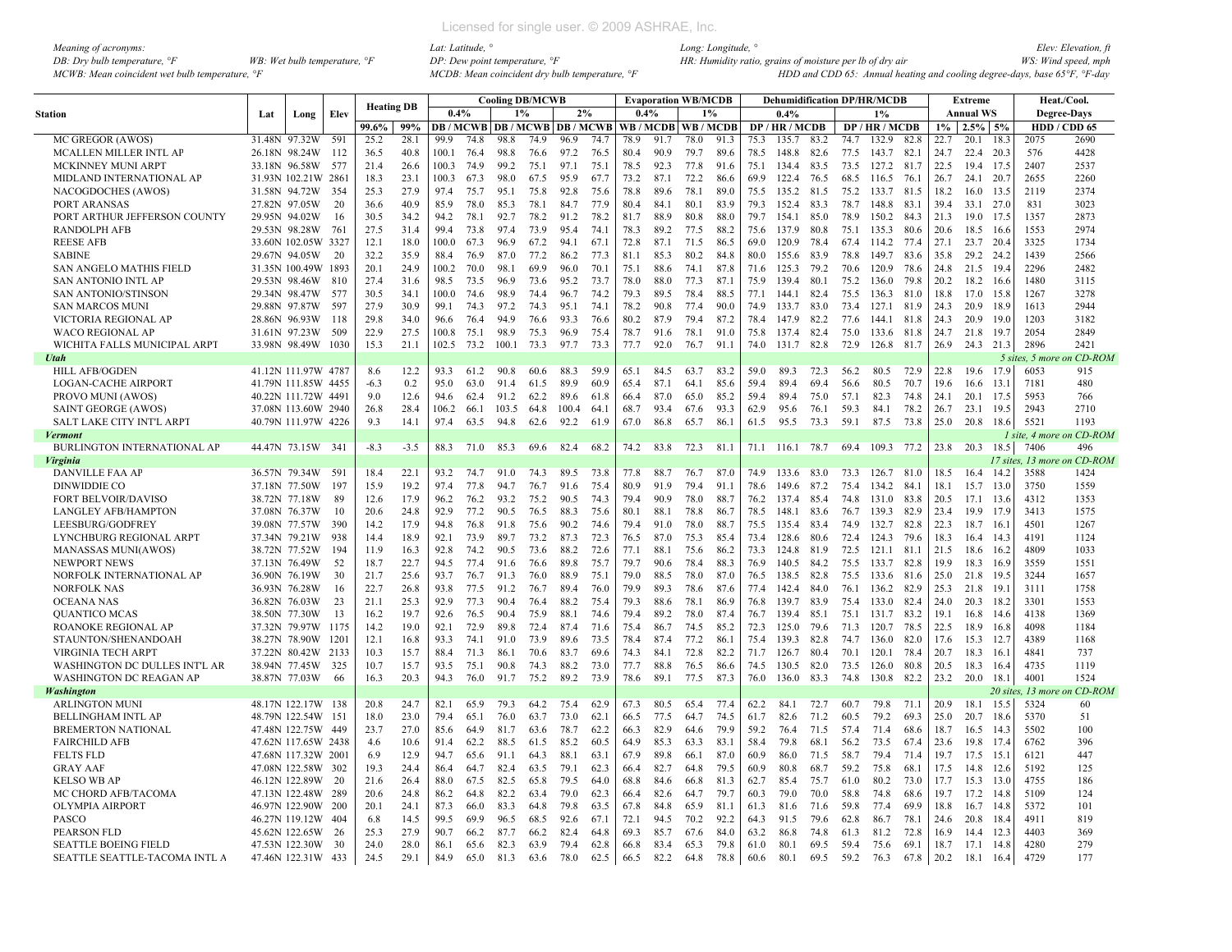| Meaning of acronyms:                           |                                         |
|------------------------------------------------|-----------------------------------------|
| DB: Dry bulb temperature, $\degree$ F          | WB: Wet bulb temperature, $\mathcal{F}$ |
| MCWB: Mean coincident wet bulb temperature, °F |                                         |

|                                            |               |                     |      | <b>Heating DB</b> |              |              |      |              | <b>Cooling DB/MCWB</b> |                                          |              |              | <b>Evaporation WB/MCDB</b> |              |       |      | <b>Dehumidification DP/HR/MCDB</b> |      |              |              |      |      | Extreme          |                  |                | Heat./Cool.                 |
|--------------------------------------------|---------------|---------------------|------|-------------------|--------------|--------------|------|--------------|------------------------|------------------------------------------|--------------|--------------|----------------------------|--------------|-------|------|------------------------------------|------|--------------|--------------|------|------|------------------|------------------|----------------|-----------------------------|
| <b>Station</b>                             | Lat           | Long                | Elev |                   |              | 0.4%         |      | 1%           |                        | 2%                                       |              | 0.4%         |                            |              | $1\%$ |      | 0.4%                               |      |              | 1%           |      |      | <b>Annual WS</b> |                  |                | <b>Degree-Days</b>          |
|                                            |               |                     |      | 99.6%             | 99%          |              |      |              |                        | <b>DB / MCWB   DB / MCWB   DB / MCWB</b> |              |              | WB/MCDB WB/MCDB            |              |       |      | DP/HR/MCDB                         |      |              | DP/HR/MCDB   |      | 1%   | $2.5\%$ 5%       |                  | HDD / CDD 65   |                             |
| MC GREGOR (AWOS)                           | 31.48N        | 97.32W              | 591  | 25.2              | 28.1         | 99.9         | 74.8 | 98.8         | 74.9                   | 96.9                                     | 74.7         | 78.9         | 91.7                       | 78.0         | 91.3  | 75.3 | 135.7                              | 83.2 | 74.7         | 132.9        | 82.8 | 22.7 | 20.1             | 18.3             | 2075           | 2690                        |
| MCALLEN MILLER INTL AP                     |               | 26.18N 98.24W       | 112  | 36.5              | 40.8         | 100.1        | 76.4 | 98.8         | 76.6                   | 97.2                                     | 76.5         | 80.4         | 90.9                       | 79.7         | 89.6  | 78.5 | 148.8                              | 82.6 | 77.5         | 143.7 82.1   |      | 24.7 | 22.4             | 20.3             | 576            | 4428                        |
| MCKINNEY MUNI ARPT                         |               | 33.18N 96.58W       | 577  | 21.4              | 26.6         | 100.3        | 74.9 | 99.2         | 75.1                   | 97.1                                     | 75.1         | 78.5         | 92.3                       | 77.8         | 91.6  | 75.1 | 134.4                              | 83.5 | 73.5         | 127.2        | 81.7 | 22.5 | 19.4 17.5        |                  | 2407           | 2537                        |
| MIDLAND INTERNATIONAL AP                   |               | 31.93N 102.21W 2861 |      | 18.3              | 23.1         | 100.3        | 67.3 | 98.0         | 67.5                   | 95.9                                     | 67.7         | 73.2         | 87.1                       | 72.2         | 86.6  | 69.9 | 122.4                              | 76.5 | 68.5         | 116.5        | 76.1 | 26.7 | 24.1             | 20.7             | 2655           | 2260                        |
| NACOGDOCHES (AWOS)                         |               | 31.58N 94.72W       | 354  | 25.3              | 27.9         | 97.4         | 75.7 | 95.1         | 75.8                   | 92.8                                     | 75.6         | 78.8         | 89.6                       | 78.1         | 89.0  | 75.5 | 135.2                              | 81.5 | 75.2         | 133.7        | 81.5 | 18.2 | 16.0 13.5        |                  | 2119           | 2374                        |
| PORT ARANSAS                               |               | 27.82N 97.05W       | 20   | 36.6              | 40.9         | 85.9         | 78.0 | 85.3         | 78.1                   | 84.7                                     | 77.9         | 80.4         | 84.1                       | 80.1         | 83.9  | 79.3 | 152.4                              | 83.3 | 78.7         | 148.8        | 83.1 | 39.4 | 33.1             | 27.0             | 831            | 3023                        |
| PORT ARTHUR JEFFERSON COUNTY               | 29.95N 94.02W |                     | 16   | 30.5              | 34.2         | 94.2         | 78.1 | 92.7         | 78.2                   | 91.2                                     | 78.2         | 81.7         | 88.9                       | 80.8         | 88.0  | 79.7 | 154.1                              | 85.0 | 78.9         | 150.2        | 84.3 | 21.3 | 19.0             | 17.5             | 1357           | 2873                        |
| <b>RANDOLPH AFB</b>                        |               | 29.53N 98.28W       | 761  | 27.5              | 31.4         | 99.4         | 73.8 | 97.4         | 73.9                   | 95.4                                     | 74.1         | 78.3         | 89.2                       | 77.5         | 88.2  | 75.6 | 137.9                              | 80.8 | 75.1         | 135.3        | 80.6 | 20.6 | 18.5             | 16.6             | 1553           | 2974                        |
| <b>REESE AFB</b>                           |               | 33.60N 102.05W 3327 |      | 12.1              | 18.0         | 100.0        | 67.3 | 96.9         | 67.2                   | 94.1                                     | 67.1         | 72.8         | 87.1                       | 71.5         | 86.5  | 69.0 | 120.9                              | 78.4 |              | 67.4 114.2   | 77.4 | 27.1 | 23.7             | 20.4             | 3325           | 1734                        |
| <b>SABINE</b>                              |               | 29.67N 94.05W       | 20   | 32.2              | 35.9         | 88.4         | 76.9 | 87.0         | 77.2                   | 86.2                                     | 77.3         | 81.1         | 85.3                       | 80.2         | 84.8  | 80.0 | 155.6                              | 83.9 | 78.8         | 149.7        | 83.6 | 35.8 | 29.2             | 24.2             | 1439           | 2566                        |
| SAN ANGELO MATHIS FIELD                    |               | 31.35N 100.49W      | 1893 | 20.1              | 24.9         | 100.2        | 70.0 | 98.1         | 69.9                   | 96.0                                     | 70.1         | 75.1         | 88.6                       | 74.1         | 87.8  | 71.6 | 125.3                              | 79.2 | 70.6         | 120.9        | 78.6 | 24.8 | 21.5 19.4        |                  | 2296           | 2482                        |
| <b>SAN ANTONIO INTL AP</b>                 |               | 29.53N 98.46W       | 810  | 27.4              | 31.6         | 98.5         | 73.5 | 96.9         | 73.6                   | 95.2                                     | 73.7         | 78.0         | 88.0                       | 77.3         | 87.1  | 75.9 | 139.4                              | 80.1 | 75.2         | 136.0        | 79.8 | 20.2 | 18.2             | 16.6             | 1480           | 3115                        |
| SAN ANTONIO/STINSON                        |               | 29.34N 98.47W       | 577  | 30.5              | 34.1         | 100.0        | 74.6 | 98.9         | 74.4                   | 96.7                                     | 74.2         | 79.3         | 89.5                       | 78.4         | 88.5  | 77.1 | 144.1                              | 82.4 | 75.5         | 136.3        | 81.0 | 18.8 | 17.0             | 15.8             | 1267           | 3278                        |
| <b>SAN MARCOS MUNI</b>                     |               | 29.88N 97.87W       | 597  | 27.9              | 30.9         | 99.1         | 74.3 | 97.2         | 74.3                   | 95.1                                     | 74.1         | 78.2         | 90.8                       | 77.4         | 90.0  | 74.9 | 133.7                              | 83.0 | 73.4         | 127.1        | 81.9 | 24.3 | 20.9             | 18.9             | 1613           | 2944                        |
| VICTORIA REGIONAL AP                       |               | 28.86N 96.93W       | 118  | 29.8              | 34.0         | 96.6         | 76.4 | 94.9         | 76.6                   | 93.3                                     | 76.6         | 80.2         | 87.9                       | 79.4         | 87.2  | 78.4 | 147.9                              | 82.2 | 77.6         | 144.1        | 81.8 | 24.3 | 20.9             | 19.0             | 1203           | 3182                        |
| <b>WACO REGIONAL AP</b>                    |               | 31.61N 97.23W       | 509  | 22.9              | 27.5         | 100.8        | 75.1 | 98.9         | 75.3                   | 96.9                                     | 75.4         | 78.7         | 91.6                       | 78.1         | 91.0  | 75.8 | 137.4                              | 82.4 | 75.0         | 133.6        | 81.8 | 24.7 | 21.8             | 19.7             | 2054           | 2849                        |
| WICHITA FALLS MUNICIPAL ARPT               |               | 33.98N 98.49W       | 1030 | 15.3              | 21.1         | 102.5        | 73.2 | 100.1        | 73.3                   | 97.7                                     | 73.3         | 77.7         | 92.0                       | 76.7         | 91.1  | 74.0 | 131.7 82.8                         |      | 72.9         | 126.8        | 81.7 | 26.9 | 24.3 21.3        |                  | 2896           | 2421                        |
| Utah                                       |               |                     |      |                   |              |              |      |              |                        |                                          |              |              |                            |              |       |      |                                    |      |              |              |      |      |                  |                  | 5 sites, 5 mor | on CD-ROM                   |
| <b>HILL AFB/OGDEN</b>                      |               | 41.12N 111.97W 4787 |      | 8.6               | 12.2         | 93.3         | 61.2 | 90.8         | 60.6                   | 88.3                                     | 59.9         | 65.1         | 84.5                       | 63.7         | 83.2  | 59.0 | 89.3                               | 72.3 | 56.2         | 80.5         | 72.9 | 22.8 | 19.6             | 17.9             | 6053           | 915                         |
| <b>LOGAN-CACHE AIRPORT</b>                 |               | 41.79N 111.85W 4455 |      | $-6.3$            | 0.2          | 95.0         | 63.0 | 91.4         | 61.5                   | 89.9                                     | 60.9         | 65.4         | 87.1                       | 64.1         | 85.6  | 59.4 | 89.4                               | 69.4 | 56.6         | 80.5         | 70.7 | 19.6 | 16.6             | 13.1             | 7181           | 480                         |
| PROVO MUNI (AWOS)                          |               | 40.22N 111.72W 4491 |      | 9.0               | 12.6         | 94.6         | 62.4 | 91.2         | 62.2                   | 89.6                                     | 61.8         | 66.4         | 87.0                       | 65.0         | 85.2  | 59.4 | 89.4                               | 75.0 | 57.1         | 82.3         | 74.8 | 24.1 | 20.1             | 17.5             | 5953           | 766                         |
| <b>SAINT GEORGE (AWOS)</b>                 |               | 37.08N 113.60W 2940 |      | 26.8              | 28.4         | 106.2        | 66.1 | 103.5        | 64.8                   | 100.4                                    | 64.1         | 68.7         | 93.4                       | 67.6         | 93.3  | 62.9 | 95.6                               | 76.1 | 59.3         | 84.1         | 78.2 | 26.7 | 23.1             | 19.5             | 2943           | 2710                        |
| <b>SALT LAKE CITY INT'L ARPT</b>           |               | 40.79N 111.97W 4226 |      | 9.3               | 14.1         | 97.4         | 63.5 | 94.8         | 62.6                   | 92.2                                     | 61.9         | 67.0         | 86.8                       | 65.7         | 86.1  | 61.5 | 95.5                               | 73.3 | 59.1         | 87.5         | 73.8 | 25.0 | 20.8             | 18.6             | 5521           | 1193                        |
| <b>Vermont</b>                             |               |                     |      |                   |              |              |      |              |                        |                                          |              |              |                            |              |       |      |                                    |      |              |              |      |      |                  |                  |                | I site, 4 more on CD-ROM    |
| <b>BURLINGTON INTERNATIONAL AP</b>         |               | 44.47N 73.15W 341   |      | $-8.3$            | $-3.5$       | 88.3         | 71.0 | 85.3         | 69.6                   | 82.4                                     | 68.2         | 74.2         | 83.8                       | 72.3         | 81.1  | 71.1 | 116.1                              | 78.7 | 69.4         | 109.3        | 77.2 | 23.8 | 20.3             | 18.5             | 7406           | 496                         |
| Virginia                                   |               |                     |      |                   |              |              |      |              |                        |                                          |              |              |                            |              |       |      |                                    |      |              |              |      |      |                  |                  |                | 17 sites, 13 more on CD-ROM |
| DANVILLE FAA AP                            |               | 36.57N 79.34W       | 591  | 18.4              | 22.1         | 93.2         | 74.7 | 91.0         | 74.3                   | 89.5                                     | 73.8         | 77.8         | 88.7                       | 76.7         | 87.0  | 74.9 | 133.6                              | 83.0 | 73.3         | 126.7        | 81.0 | 18.5 | 16.4             | -14.2            | 3588           | 1424                        |
| DINWIDDIE CO                               |               | 37.18N 77.50W       | 197  | 15.9              | 19.2         | 97.4         | 77.8 | 94.7         | 76.7                   | 91.6                                     | 75.4         | 80.9         | 91.9                       | 79.4         | 91.1  | 78.6 | 149.6                              | 87.2 | 75.4         | 134.2        | 84.1 | 18.1 | 15.7             | 13.0             | 3750           | 1559                        |
| <b>FORT BELVOIR/DAVISO</b>                 |               | 38.72N 77.18W       | 89   | 12.6              | 17.9         | 96.2         | 76.2 | 93.2         | 75.2                   | 90.5                                     | 74.3         | 79.4         | 90.9                       | 78.0         | 88.7  | 76.2 | 137.4                              | 85.4 | 74.8         | 131.0        | 83.8 | 20.5 | 17.1             | 13.6             | 4312           | 1353                        |
| <b>LANGLEY AFB/HAMPTON</b>                 |               | 37.08N 76.37W       | 10   | 20.6              | 24.8         | 92.9         | 77.2 | 90.5         | 76.5                   | 88.3                                     | 75.6         | 80.1         | 88.1                       | 78.8         | 86.7  | 78.5 | 148.1                              | 83.6 | 76.7         | 139.3        | 82.9 | 23.4 | 19.9             | 17.9             | 3413           | 1575                        |
| LEESBURG/GODFREY                           |               | 39.08N 77.57W       | 390  | 14.2              | 17.9         | 94.8         | 76.8 | 91.8         | 75.6                   | 90.2                                     | 74.6         | 79.4         | 91.0                       | 78.0         | 88.7  | 75.5 | 1354                               | 83.4 | 74.9         | 132.7        | 82.8 | 22.3 | 18.7             | -16.             | 4501           | 1267                        |
| LYNCHBURG REGIONAL ARPT                    |               | 37.34N 79.21W       | 938  | 14.4              | 18.9         | 92.1         | 73.9 | 89.7         | 73.2                   | 87.3                                     | 72.3         | 76.5         | 87.0                       | 75.3         | 85.4  | 73.4 | 128.6                              | 80.6 | 72.4         | 124.3        | 79.6 | 18.3 | 16.4             | -14.3            | 4191           | 1124                        |
| MANASSAS MUNI(AWOS)                        |               | 38.72N 77.52W       | 194  | 11.9              | 16.3         | 92.8         | 74.2 | 90.5         | 73.6                   | 88.2                                     | 72.6         | 77.1         | 88.1                       | 75.6         | 86.2  | 73.3 | 124.8                              | 81.9 | 72.5         | 121.1        | 81.1 | 21.5 | 18.6             | 16.2             | 4809           | 1033                        |
| <b>NEWPORT NEWS</b>                        | 37.13N 76.49W |                     | 52   | 18.7              | 22.7         | 94.5         | 77.4 | 91.6         | 76.6                   | 89.8                                     | 75.7         | 79.7         | 90.6                       | 78.4         | 88.3  | 76.9 | 140.5                              | 84.2 | 75.5         | 133.7        | 82.8 | 19.9 | 18.3             | 16.9             | 3559           | 1551                        |
| NORFOLK INTERNATIONAL AP                   |               | 36.90N 76.19W       | 30   | 21.7              | 25.6         | 93.7         | 76.7 | 91.3         | 76.0                   | 88.9                                     | 75.1         | 79.0         | 88.5                       | 78.0         | 87.0  | 76.5 | 138.5                              | 82.8 | 75.5         | 133.6        | 81.6 | 25.0 | 21.8             | 19.5             | 3244           | 1657                        |
| <b>NORFOLK NAS</b>                         |               | 36.93N 76.28W       | 16   | 22.7              | 26.8         | 93.8         | 77.5 | 91.2         | 76.7                   | 89.4                                     | 76.0         | 79.9         | 89.3                       | 78.6         | 87.6  | 77.4 | 142.4                              | 84.0 | 76.1         | 136.2        | 82.9 | 25.3 | 21.8             | 19.              | 3111           | 1758                        |
| <b>OCEANA NAS</b>                          |               | 36.82N 76.03W       | 23   | 21.1              | 25.3         | 92.9         | 77.3 | 90.4         | 76.4                   | 88.2                                     | 75.4         | 79.3         | 88.6                       | 78.1         | 86.9  | 76.8 | 139.7                              | 83.9 | 75.4         | 133.0        | 82.4 | 24.0 | 20.3             | 18.2             | 3301           | 1553                        |
| <b>OUANTICO MCAS</b>                       |               | 38.50N 77.30W       | 13   | 16.2              | 19.7         | 92.6         | 76.5 | 90.4         | 75.9                   | 88.1                                     | 74.6         | 79.4         | 89.2                       | 78.0         | 87.4  | 76.7 | 139.4                              | 85.1 | 75.1         | 131.7        | 83.2 | 19.1 | 16.8             | 14.6             | 4138           | 1369                        |
| ROANOKE REGIONAL AP                        |               | 37.32N 79.97W       | 1175 | 14.2              | 19.0         | 92.1         | 72.9 | 89.8         | 72.4                   | 87.4                                     | 71.6         | 75.4         |                            |              | 85.2  | 72.3 | 125.0                              | 79.6 |              | 120.7        | 78.5 | 22.5 | 18.9             |                  | 4098           | 1184                        |
| STAUNTON/SHENANDOAH                        |               | 38.27N 78.90W       | 1201 | 12.1              | 16.8         | 93.3         | 74.1 | 91.0         | 73.9                   | 89.6                                     | 73.5         | 78.4         | 86.7<br>87.4               | 74.5<br>77.2 | 86.1  | 75.4 | 139.3                              | 82.8 | 71.3<br>74.7 | 136.0        | 82.0 | 17.6 | 15.3             | 16.8<br>12.7     | 4389           | 1168                        |
| VIRGINIA TECH ARPT                         |               | 37.22N 80.42W       | 2133 | 10.3              | 15.7         | 88.4         | 71.3 | 86.1         | 70.6                   | 83.7                                     | 69.6         | 74.3         | 84.1                       | 72.8         | 82.2  | 71.7 | 126.7                              | 80.4 | 70.1         | 120.1        | 78.4 | 20.7 | 18.3             | 16.1             | 4841           | 737                         |
|                                            |               |                     | 325  | 10.7              | 15.7         | 93.5         | 75.1 |              | 74.3                   | 88.2                                     | 73.0         |              |                            |              |       | 74.5 | 130.5                              | 82.0 | 73.5         | 126.0        | 80.8 | 20.5 |                  |                  | 4735           | 1119                        |
| WASHINGTON DC DULLES INT'L AR              |               | 38.94N 77.45W       |      | 16.3              | 20.3         | 94.3         | 76.0 | 90.8<br>91.7 |                        | 89.2                                     |              | 77.7<br>78.6 | 88.8<br>89.1               | 76.5         | 86.6  |      | 136.0                              |      |              |              |      |      | 18.3<br>20.0     | 16.4             | 4001           | 1524                        |
| <b>WASHINGTON DC REAGAN AP</b>             | 38.87N 77.03W |                     | 66   |                   |              |              |      |              | 75.2                   |                                          | 73.9         |              |                            | 77.5         | 87.3  | 76.0 |                                    | 83.3 | 74.8         | 130.8        | 82.2 | 23.2 |                  | 18.1<br>20 sites | $13$ more      | on CD-ROM                   |
| <b>Washington</b><br><b>ARLINGTON MUNI</b> |               | 48.17N 122.17W 138  |      | 20.8              | 24.7         | 82.1         | 65.9 | 79.3         | 64.2                   | 75.4                                     | 62.9         | 67.3         | 80.5                       | 65.4         | 77.4  | 62.2 | 84.1                               | 72.7 | 60.7         | 79.8         | 71.1 | 20.9 | 18.1             | 15.5             | 5324           | 60                          |
| <b>BELLINGHAM INTL AP</b>                  |               | 48.79N 122.54W      | 151  | 18.0              | 23.0         | 79.4         | 65.1 | 76.0         | 63.7                   | 73.0                                     | 62.1         | 66.5         | 77.5                       | 64.7         | 74.5  | 61.7 | 82.6                               | 71.2 | 60.5         | 79.2         | 69.3 | 25.0 | 20.7             | 18.6             | 5370           | 51                          |
| <b>BREMERTON NATIONAL</b>                  |               | 47.48N 122.75W      | 449  | 23.7              | 27.0         | 85.6         | 64.9 | 81.7         | 63.6                   | 78.7                                     | 62.2         | 66.3         | 82.9                       | 64.6         | 79.9  | 59.2 | 76.4                               | 71.5 | 57.4         | 71.4         | 68.6 | 18.7 | 16.5             | 14.3             | 5502           | 100                         |
| <b>FAIRCHILD AFB</b>                       |               | 47.62N 117.65W 2438 |      | 4.6               | 10.6         | 91.4         | 62.2 | 88.5         | 61.5                   | 85.2                                     | 60.5         | 64.9         | 85.3                       | 63.3         | 83.1  | 58.4 | 79.8                               | 68.1 | 56.2         | 73.5         | 67.4 | 23.6 | 19.8             | 17.4             | 6762           | 396                         |
|                                            |               |                     |      |                   |              | 94.7         | 65.6 |              |                        |                                          | 63.1         | 67.9         | 89.8                       |              |       | 60.9 |                                    | 71.5 |              |              |      | 19.7 |                  |                  | 6121           |                             |
| <b>FELTS FLD</b>                           |               | 47.68N 117.32W 2001 |      | 6.9               | 12.9         |              |      | 91.1         | 64.3                   | 88.1                                     |              |              |                            | 66.1         | 87.0  |      | 86.0                               |      | 58.7         | 79.4         | 71.4 |      | 17.5             | 15.              |                | 447                         |
| <b>GRAY AAF</b>                            |               | 47.08N 122.58W      | 302  | 19.3              | 24.4<br>26.4 | 86.4<br>88.0 | 64.7 | 82.4<br>82.5 | 63.5                   | 79.1<br>79.5                             | 62.3<br>64.0 | 66.4<br>68.8 | 82.7                       | 64.8         | 79.5  | 60.9 | 80.8                               | 68.7 | 59.2         | 75.8<br>80.2 | 68.1 | 17.5 | 14.8             | 12.6<br>13.0     | 5192<br>4755   | 125                         |
| <b>KELSO WB AP</b>                         |               | 46.12N 122.89W      | -20  | 21.6              |              |              | 67.5 |              | 65.8                   |                                          |              |              | 84.6                       | 66.8         | 81.3  | 62.7 | 85.4                               | 75.7 | 61.0         |              | 73.0 | 17.7 | 15.3             |                  |                | 186                         |
| MC CHORD AFB/TACOMA                        |               | 47.13N 122.48W      | 289  | 20.6              | 24.8         | 86.2         | 64.8 | 82.2         | 63.4                   | 79.0                                     | 62.3         | 66.4         | 82.6                       | 64.7         | 79.7  | 60.3 | 79.0                               | 70.0 | 58.8         | 74.8         | 68.6 | 19.7 | 17.2             | 14.8             | 5109           | 124                         |
| <b>OLYMPIA AIRPORT</b>                     |               | 46.97N 122.90W 200  |      | 20.1              | 24.1         | 87.3         | 66.0 | 83.3         | 64.8                   | 79.8                                     | 63.5         | 67.8         | 84.8                       | 65.9         | 81.1  | 61.3 | 81.6                               | 71.6 | 59.8         | 77.4         | 69.9 | 18.8 | 16.7             | 14.8             | 5372           | 101                         |
| <b>PASCO</b>                               |               | 46.27N 119.12W      | 404  | 6.8               | 14.5         | 99.5         | 69.9 | 96.5         | 68.5                   | 92.6                                     | 67.1         | 72.1         | 94.5                       | 70.2         | 92.2  | 64.3 | 91.5                               | 79.6 | 62.8         | 86.7         | 78.1 | 24.6 | 20.8             | 18.4             | 4911           | 819                         |
| PEARSON FLD                                |               | 45.62N 122.65W      | -26  | 25.3              | 27.9         | 90.7         | 66.2 | 87.7         | 66.2                   | 82.4                                     | 64.8         | 69.3         | 85.7                       | 67.6         | 84.0  | 63.2 | 86.8                               | 74.8 | 61.3         | 81.2         | 72.8 | 16.9 | 14.4             | 12.3             | 4403           | 369                         |
| <b>SEATTLE BOEING FIELD</b>                |               | 47.53N 122.30W      | 30   | 24.0              | 28.0         | 86.1         | 65.6 | 82.3         | 63.9                   | 79.4                                     | 62.8         | 66.8         | 83.4                       | 65.3         | 79.8  | 61.0 | 80.1                               | 69.5 | 59.4         | 75.6         | 69.1 | 18.7 | 17.1             | 14.8             | 4280           | 279                         |
| SEATTLE SEATTLE-TACOMA INTL A              |               | 47.46N 122.31W 433  |      | 24.5              | 29.1         | 84.9         | 65.0 | 81.3         | 63.6                   | 78.0                                     | 62.5         | 66.5         | 82.2                       | 64.8         | 78.8  | 60.6 | 80.1                               | 69.5 | 59.2         | 76.3         | 67.8 | 20.2 | 18.1             | 16.4             | 4729           | 177                         |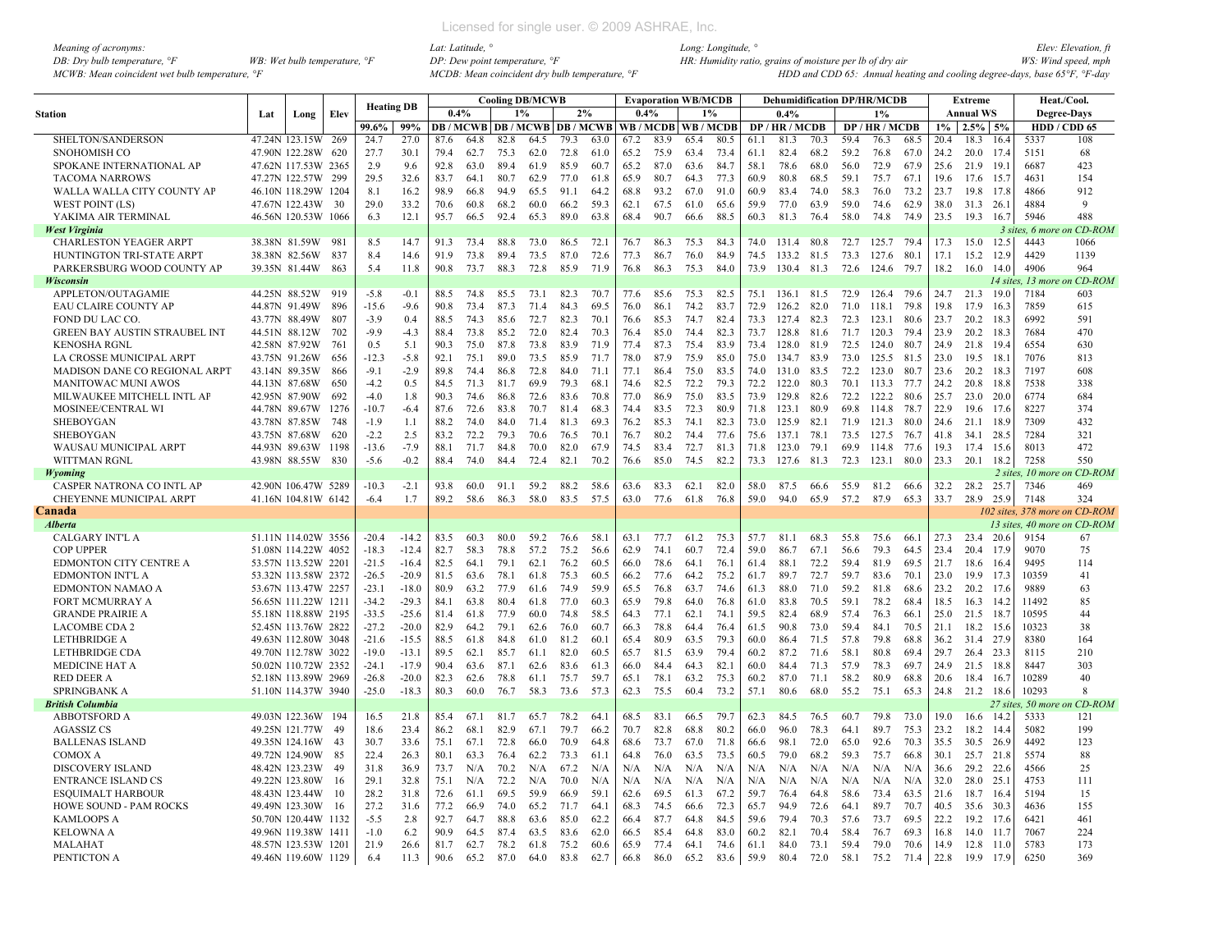| Meaning of acronyms:                           |                                       |
|------------------------------------------------|---------------------------------------|
| DB: Dry bulb temperature, $\mathcal{F}$        | WB: Wet bulb temperature, $\degree$ F |
| MCWB: Mean coincident wet bulb temperature, °F |                                       |

|                                      |               |                     |       | <b>Heating DB</b> |         |      |                                          |      | <b>Cooling DB/MCWB</b> |      |      |      | <b>Evaporation WB/MCDB</b> |      |      |      | <b>Dehumidification DP/HR/MCDB</b> |      |      |                |      |       | Extreme          |          |                   | <b>Heat./Cool.</b>            |
|--------------------------------------|---------------|---------------------|-------|-------------------|---------|------|------------------------------------------|------|------------------------|------|------|------|----------------------------|------|------|------|------------------------------------|------|------|----------------|------|-------|------------------|----------|-------------------|-------------------------------|
| <b>Station</b>                       | Lat           | Long                | Elev  |                   |         | 0.4% |                                          |      | 1%                     |      | 2%   |      | 0.4%                       |      | 1%   |      | 0.4%                               |      |      | 1%             |      |       | <b>Annual WS</b> |          |                   | <b>Degree-Days</b>            |
|                                      |               |                     |       | 99.6%             | 99%     |      | <b>DB / MCWB   DB / MCWB   DB / MCWB</b> |      |                        |      |      |      | WB/MCDB WB/MCDB            |      |      |      | DP/HR/MCDB                         |      |      | DP / HR / MCDB |      | $1\%$ | $2.5\%$ 5%       |          |                   | HDD / CDD 65                  |
| SHELTON/SANDERSON                    |               | 47.24N 123.15W      | 269   | 24.7              | 27.0    | 87.6 | 64.8                                     | 82.8 | 64.5                   | 79.3 | 63.0 | 67.2 | 83.9                       | 65.4 | 80.5 | 61.1 | 81.3                               | 70.3 | 59.4 | 76.3           | 68.5 | 20.4  | 18.3             | 16.4     | 5337              | 108                           |
| SNOHOMISH CO                         |               | 47.90N 122.28W      | 620   | 27.7              | 30.1    | 79.4 | 62.7                                     | 75.3 | 62.0                   | 72.8 | 61.0 | 65.2 | 75.9                       | 63.4 | 73.4 | 61.1 | 82.4                               | 68.2 | 59.2 | 76.8           | 67.0 | 24.2  | 20.0 17.4        |          | 5151              | 68                            |
| SPOKANE INTERNATIONAL AP             |               | 47.62N 117.53W 2365 |       | 2.9               | 9.6     | 92.8 | 63.0                                     | 89.4 | 61.9                   | 85.9 | 60.7 | 65.2 | 87.0                       | 63.6 | 84.7 | 58.1 | 78.6                               | 68.0 | 56.0 | 72.9           | 67.9 | 25.6  | 21.9             | -19.     | 6687              | 423                           |
| <b>TACOMA NARROWS</b>                |               | 47.27N 122.57W      | 299   | 29.5              | 32.6    | 83.7 | 64.1                                     | 80.7 | 62.9                   | 77.0 | 61.8 | 65.9 | 80.7                       | 64.3 | 77.3 | 60.9 | 80.8                               | 68.5 | 59.1 | 75.7           | 67.1 | 19.6  | 17.6             | -15.7    | 4631              | 154                           |
| WALLA WALLA CITY COUNTY AP           |               | 46.10N 118.29W 1204 |       | 8.1               | 16.2    | 98.9 | 66.8                                     | 94.9 | 65.5                   | 91.1 | 64 2 | 68.8 | 93.2                       | 67.0 | 91.0 | 60.9 | 83.4                               | 74.0 | 58.3 | 76.0           | 73.2 | 23.7  | 19.8 17.8        |          | 4866              | 912                           |
| WEST POINT (LS)                      |               | 47.67N 122.43W      | 30    | 29.0              | 33.2    | 70.6 | 60.8                                     | 68.2 | 60.0                   | 66.2 | 593  | 62.1 | 67.5                       | 61.0 | 65.6 | 59.9 | 77.0                               | 63.9 | 59.0 | 74.6           | 62.9 | 38.0  | 31.3             | 26.1     | 4884              | 9                             |
| YAKIMA AIR TERMINAL                  |               | 46.56N 120.53W 1066 |       | 6.3               | 12.1    | 95.7 | 66.5                                     | 92.4 | 65.3                   | 89.0 | 63.8 | 684  | 90.7                       | 66.6 | 88.5 | 60.3 | 81.3                               | 76.4 | 58.0 | 74.8           | 74.9 | 23.5  | 19.3             | 16.7     | 5946              | 488                           |
| <b>West Virginia</b>                 |               |                     |       |                   |         |      |                                          |      |                        |      |      |      |                            |      |      |      |                                    |      |      |                |      |       |                  |          | 3 sites, 6 more   | n CD-ROM                      |
| <b>CHARLESTON YEAGER ARPT</b>        |               | 38.38N 81.59W       | 981   | 8.5               | 14.7    | 91.3 | 73.4                                     | 88.8 | 73.0                   | 86.5 | 72.1 | 76.7 | 86.3                       | 75.3 | 843  | 74.0 | 131.4                              | 80.8 | 72.7 | 125.7          | 794  | 17.3  | 15.0             | 12.5     | 4443              | 1066                          |
| HUNTINGTON TRI-STATE ARPT            |               | 38.38N 82.56W       | 837   | 8.4               | 14.6    | 91.9 | 73.8                                     | 89.4 | 73.5                   | 87.0 | 72.6 | 77.3 | 86.7                       | 76.0 | 84.9 | 74.5 | 133.2                              | 81.5 | 73.3 | 127.6          | 80.1 | 17.1  | 15.2             | 12.9     | 4429              | 1139                          |
| PARKERSBURG WOOD COUNTY AP           | 39.35N 81.44W |                     | 863   | 5.4               | 11.8    | 90.8 | 73.7                                     | 88.3 | 72.8                   | 85.9 | 71.9 | 76.8 | 86.3                       | 75.3 | 84.0 | 73.9 | 130.4                              | 81.3 | 72.6 | 124.6          | 79.7 | 18.2  | 16.0             | 14.0     | 4906              | 964                           |
| Wisconsin                            |               |                     |       |                   |         |      |                                          |      |                        |      |      |      |                            |      |      |      |                                    |      |      |                |      |       |                  | 14 sites | 13 more           | on CD-ROM                     |
| APPLETON/OUTAGAMIE                   |               | 44.25N 88.52W       | 919   | $-5.8$            | $-0.1$  | 88.5 | 74.8                                     | 85.5 | 73.1                   | 82.3 | 70.7 | 77.6 | 85.6                       | 75.3 | 82.5 | 75.1 | 136.1                              | 81.5 | 72.9 | 126.4          | 79.6 | 24.7  | 21.3             | 19.0     | 7184              | 603                           |
| EAU CLAIRE COUNTY AP                 |               | 44.87N 91.49W       | 896   | $-15.6$           | $-9.6$  | 90.8 | 73.4                                     | 87.3 | 71.4                   | 84.3 | 69.5 | 76.0 | 86.1                       | 74.2 | 83.7 | 72.9 | 126.2                              | 82.0 | 71.0 | 118.1          | 79.8 | 19.8  | 17.9             | 16.3     | 7859              | 615                           |
| FOND DU LAC CO.                      |               | 43.77N 88.49W       | 807   | $-3.9$            | 0.4     | 88.5 | 74.3                                     | 85.6 | 72.7                   | 82.3 | 70.1 | 76.6 | 85.3                       | 74.7 | 82.4 | 73.3 | 127.4                              | 82.3 | 72.3 | 123.1          | 80.6 | 23.7  | 20.2             | 18.3     | 6992              | 591                           |
| <b>GREEN BAY AUSTIN STRAUBEL INT</b> | 44.51N 88.12W |                     | 702   | $-9.9$            | $-4.3$  | 88.4 | 73.8                                     | 85.2 | 72.0                   | 82.4 | 70.3 | 76.4 | 85.0                       | 74.4 | 82.3 | 73.7 | 128.8                              | 81.6 | 71.7 | 120.3          | 79.4 | 23.9  | 20.2             | 18.3     | 7684              | 470                           |
| <b>KENOSHA RGNL</b>                  |               | 42.58N 87.92W       | 761   | 0.5               | 5.1     | 90.3 | 75.0                                     | 87.8 | 73.8                   | 83.9 | 71.9 | 77.4 | 87.3                       | 75.4 | 83.9 | 73.4 | 128.0                              | 81.9 | 72.5 | 124.0          | 80.7 | 24.9  | 21.8             | 19.4     | 6554              | 630                           |
| LA CROSSE MUNICIPAL ARPT             |               | 43.75N 91.26W       | 656   | $-12.3$           | $-5.8$  | 92.1 | 75.1                                     | 89.0 | 73.5                   | 85.9 | 71.7 | 78.0 | 87.9                       | 75.9 | 85.0 | 75.0 | 134.7                              | 83.9 | 73.0 | 125.5 81.5     |      | 23.0  | 19.5             | 18.1     | 7076              | 813                           |
| MADISON DANE CO REGIONAL ARPT        | 43.14N 89.35W |                     | 866   | $-9.1$            | $-2.9$  | 89.8 | 74.4                                     | 86.8 | 72.8                   | 84.0 | 71.1 | 77.1 | 86.4                       | 75.0 | 83.5 | 74.0 | 131.0                              | 83.5 | 72.2 | 123.0          | 80.7 | 23.6  | 20.2             | 18.3     | 7197              | 608                           |
| <b>MANITOWAC MUNI AWOS</b>           | 44.13N 87.68W |                     | 650   | $-4.2$            | 0.5     | 84.5 | 71.3                                     | 81.7 | 69.9                   | 79.3 | 68.1 | 74.6 | 82.5                       | 72.2 | 79.3 | 72.2 | 122.0                              | 80.3 | 70.1 | 113.3          | 77.7 | 24.2  | 20.8             | 18.8     | 7538              | 338                           |
| MILWAUKEE MITCHELL INTL AP           |               | 42.95N 87.90W       | 692   | $-4.0$            | 1.8     | 90.3 | 74.6                                     | 86.8 | 72.6                   | 83.6 | 70.8 | 77.0 | 86.9                       | 75.0 | 83.5 | 73.9 | 129.8                              | 82.6 | 72.2 | 122.2          | 80.6 | 25.7  | 23.0             | 20.0     | 6774              | 684                           |
| MOSINEE/CENTRAL WI                   |               | 44.78N 89.67W       | 1276  | $-10.7$           | $-6.4$  | 87.6 | 72.6                                     | 83.8 | 70.7                   | 81.4 | 68.3 | 74.4 | 83.5                       | 72.3 | 80.9 | 71.8 | 123.1                              | 80.9 | 69.8 | 114.8          | 78.7 | 22.9  | 19.6             | 17.6     | 8227              | 374                           |
| <b>SHEBOYGAN</b>                     |               | 43.78N 87.85W       | 748   | $-1.9$            | 1.1     | 88.2 | 74.0                                     | 84.0 | 71.4                   | 81.3 | 69.3 | 76.2 | 85.3                       | 74.1 | 82.3 | 73.0 | 125.9                              | 82.1 | 71.9 | 121.3          | 80.0 | 24.6  | 21.1             | 18.9     | 7309              | 432                           |
| <b>SHEBOYGAN</b>                     | 43.75N 87.68W |                     | 620   | $-2.2$            | 2.5     | 83.2 | 72.2                                     | 79.3 | 70.6                   | 76.5 | 70.1 | 76.7 | 80.2                       | 74.4 | 77.6 | 75.6 | 137.1                              | 78.1 | 73.5 | 127.5          | 76.7 | 41.8  | 34.1             | 28.5     | 7284              | 321                           |
| WAUSAU MUNICIPAL ARPT                |               | 44.93N 89.63W       | 1198  | $-13.6$           | $-7.9$  | 88.1 | 71.7                                     | 84.8 | 70.0                   | 82.0 | 67.9 | 74.5 | 83.4                       | 72.7 | 81.3 | 71.8 | 123.0                              | 79.1 | 69.9 | 114.8          | 77.6 | 19.3  | 17.4             | 15.6     | 8013              | 472                           |
| <b>WITTMAN RGNL</b>                  |               | 43.98N 88.55W       | 830   | $-5.6$            | $-0.2$  | 88.4 | 74.0                                     | 84.4 | 72.4                   | 82.1 | 70.2 | 76.6 | 85.0                       | 74.5 | 82.2 | 73.3 | 127.6                              | 81.3 | 72.3 | 123.1          | 80.0 | 23.3  | 20.1             | 18.2     | 7258              | 550                           |
| Wyoming                              |               |                     |       |                   |         |      |                                          |      |                        |      |      |      |                            |      |      |      |                                    |      |      |                |      |       |                  |          |                   | 2 sites. 10 more on CD-ROM    |
| <b>CASPER NATRONA CO INTL AP</b>     |               | 42.90N 106.47W 5289 |       | $-10.3$           | $-2.1$  | 93.8 | 60.0                                     | 91.1 | 59.2                   | 88.2 | 58.6 | 63.6 | 83.3                       | 62.1 | 82.0 | 58.0 | 87.5                               | 66.6 | 55.9 | 81.2           | 66.6 | 32.2  | 28.2             | 25.7     | 7346              | 469                           |
| <b>CHEYENNE MUNICIPAL ARPT</b>       |               | 41.16N 104.81W 6142 |       | $-6.4$            | 1.7     | 89.2 | 58.6                                     | 86.3 | 58.0                   | 83.5 | 57.5 | 63.0 | 77.6                       | 61.8 | 76.8 | 59.0 | 94.0                               | 65.9 | 57.2 | 87.9           | 65.3 | 33.7  | 28.9             | 25.9     | 7148              | 324                           |
| Canada                               |               |                     |       |                   |         |      |                                          |      |                        |      |      |      |                            |      |      |      |                                    |      |      |                |      |       |                  |          |                   | 102 sites, 378 more on CD-ROM |
| <b>Alberta</b>                       |               |                     |       |                   |         |      |                                          |      |                        |      |      |      |                            |      |      |      |                                    |      |      |                |      |       |                  |          |                   | 13 sites, 40 more on CD-ROM   |
| <b>CALGARY INT'L A</b>               |               | 51.11N 114.02W 3556 |       | $-20.4$           | $-14.2$ | 83.5 | 60.3                                     | 80.0 | 59.2                   | 76.6 | 58.1 | 63.1 | 77.7                       | 61.2 | 75.3 | 57.7 | 81.1                               | 68.3 | 55.8 | 75.6           | 66.1 | 27.3  | 23.4             | 20.6     | 9154              | 67                            |
| <b>COP UPPER</b>                     |               | 51.08N 114.22W 4052 |       | $-18.3$           | $-12.4$ | 82.7 | 58.3                                     | 78.8 | 57.2                   | 75.2 | 56.6 | 62.9 | 74.1                       | 60.7 | 72.4 | 59.0 | 86.7                               | 67.1 | 56.6 | 79.3           | 64.5 | 23.4  | 20.4             | 17.9     | 9070              | 75                            |
| <b>EDMONTON CITY CENTRE A</b>        |               | 53.57N 113.52W 2201 |       | $-21.5$           | $-16.4$ | 82.5 | 64.1                                     | 79.1 | 62.1                   | 76.2 | 60.5 | 66.0 | 78.6                       | 64.1 | 76.1 | 61.4 | 88.1                               | 72.2 | 59.4 | 81.9           | 69.5 | 21.7  | 18.6             | 16.4     | 9495              | 114                           |
| <b>EDMONTON INT'L A</b>              |               | 53.32N 113.58W 2372 |       | $-26.5$           | $-20.9$ | 81.5 | 63.6                                     | 78.1 | 61.8                   | 75.3 | 60.5 | 66.2 | 77.6                       | 64.2 | 75.2 | 61.7 | 89.7                               | 72.7 | 59.7 | 83.6           | 70.1 | 23.0  | 19.9             | 17.3     | 10359             | 41                            |
| EDMONTON NAMAO A                     |               | 53.67N 113.47W 2257 |       | $-23.1$           | $-18.0$ | 80.9 | 63.2                                     | 77.9 | 61.6                   | 74.9 | 59.9 | 65.5 | 76.8                       | 63.7 | 74.6 | 61.3 | 88.0                               | 71.0 | 59.2 | 81.8           | 68.6 | 23.2  | 20.2             | 17.6     | 9889              | 63                            |
| <b>FORT MCMURRAY A</b>               |               | 56.65N 111.22W 1211 |       | $-34.2$           | $-29.3$ | 84.1 | 63.8                                     | 80.4 | 61.8                   | 77.0 | 60.3 | 65.9 | 79.8                       | 64.0 | 76.8 | 61.0 | 83.8                               | 70.5 | 59.1 | 78.2           | 68.4 | 18.5  | 16.3             | 14.2     | 11492             | 85                            |
| <b>GRANDE PRAIRIE A</b>              |               | 55.18N 118.88W 2195 |       | $-33.5$           | $-25.6$ | 81.4 | 61.8                                     | 77.9 | 60.0                   | 74.8 | 58.5 | 64.3 | 77.1                       | 62.1 | 74.1 | 59.5 | 82.4                               | 68.9 | 57.4 | 76.3           | 66.1 | 25.0  | 21.5             | 18.7     | 10595             | 44                            |
| <b>LACOMBE CDA 2</b>                 |               | 52.45N 113.76W 2822 |       | $-27.2$           | $-20.0$ | 82.9 | 64.2                                     | 79.1 | 62.6                   | 76.0 | 60.7 | 66.3 | 78.8                       | 64.4 | 76.4 | 61.5 | 90.8                               | 73.0 | 59.4 | 84.1           | 70.5 | 21.1  | 18.2             | 15.6     | 10323             | 38                            |
| <b>LETHBRIDGE A</b>                  |               | 49.63N 112.80W      | 3048  | $-21.6$           | $-15.5$ | 88.5 | 61.8                                     | 84.8 | 61.0                   | 81.2 | 60.1 | 65.4 | 80.9                       | 63.5 | 79.3 | 60.0 | 86.4                               | 71.5 | 57.8 | 79.8           | 68.8 | 36.2  | 31.4             | 27.9     | 8380              | 164                           |
| LETHBRIDGE CDA                       |               | 49.70N 112.78W 3022 |       | $-19.0$           | $-13.1$ | 89.5 | 62.1                                     | 85.7 | 61.1                   | 82.0 | 60.5 | 65.7 | 81.5                       | 63.9 | 79.4 | 60.2 | 87.2                               | 71.6 | 58.1 | 80.8           | 69.4 | 29.7  | 26.4             | 23.3     | 8115              | 210                           |
| <b>MEDICINE HAT A</b>                |               | 50.02N 110.72W 2352 |       | $-24.1$           | $-17.9$ | 90.4 | 63.6                                     | 87.1 | 62.6                   | 83.6 | 61.3 | 66.0 | 84.4                       | 64.3 | 82.1 | 60.0 | 84.4                               | 71.3 | 57.9 | 78.3           | 69.7 | 24.9  | 21.5             | 18.8     | 8447              | 303                           |
| RED DEER A                           |               | 52.18N 113.89W 2969 |       | $-26.8$           | $-20.0$ | 82.3 | 62.6                                     | 78.8 | 61.1                   | 75.7 | 59.7 | 65.1 | 78.1                       | 63.2 | 75.3 | 60.2 | 87.0                               | 71.1 | 58.2 | 80.9           | 68.8 | 20.6  | 18.4             | 16.7     | 10289             | 40                            |
| <b>SPRINGBANK A</b>                  |               | 51.10N 114.37W 3940 |       | $-25.0$           | $-18.3$ | 80.3 | 60.0                                     | 76.7 | 58.3                   | 73.6 | 57.3 | 62.3 | 75.5                       | 60.4 | 73.2 | 57.1 | 80.6                               | 68.0 | 55.2 | 75.1           | 65.3 | 24.8  | 21.2             | 18.6     | 10293             | 8                             |
| <b>British Columbia</b>              |               |                     |       |                   |         |      |                                          |      |                        |      |      |      |                            |      |      |      |                                    |      |      |                |      |       |                  |          | 27 sites, 50 more | n CD-ROM                      |
| <b>ABBOTSFORD A</b>                  |               | 49.03N 122.36W 194  |       | 16.5              | 21.8    | 85.4 | 67.1                                     | 81.7 | 65.7                   | 78.2 | 64.1 | 68.5 | 83.1                       | 66.5 | 79.7 | 62.3 | 84.5                               | 76.5 | 60.7 | 79.8           | 73.0 | 19.0  | 16.6             | 14.2     | 5333              | 121                           |
| <b>AGASSIZ CS</b>                    |               | 49.25N 121.77W      | 49    | 18.6              | 23.4    | 86.2 | 68.1                                     | 82.9 | 67.1                   | 79.7 | 66.2 | 70.7 | 82.8                       | 68.8 | 80.2 | 66.0 | 96.0                               | 78.3 | 64.1 | 89.7           | 75.3 | 23.2  | 18.2             | 14.4     | 5082              | 199                           |
| <b>BALLENAS ISLAND</b>               |               | 49.35N 124.16W      | 43    | 30.7              | 33.6    | 75.1 | 67.1                                     | 72.8 | 66.0                   | 70.9 | 64.8 | 68.6 | 73.7                       | 67.0 | 71.8 | 66.6 | 98.1                               | 72.0 | 65.0 | 92.6           | 70.3 | 35.5  | 30.5             | 26.9     | 4492              | 123                           |
| COMOX A                              |               | 49.72N 124.90W      | 85    | 22.4              | 26.3    | 80.1 | 63.3                                     | 76.4 | 62.2                   | 73.3 | 61.1 | 64.8 | 76.0                       | 63.5 | 73.5 | 60.5 | 79.0                               | 68.2 | 59.3 | 75.7           | 66.8 | 30.1  | 25.7             | 21.8     | 5574              | 88                            |
| DISCOVERY ISLAND                     |               | 48.42N 123.23W      | -49   | 31.8              | 36.9    | 73.7 | N/A                                      | 70.2 | N/A                    | 67.2 | N/A  | N/A  | N/A                        | N/A  | N/A  | N/A  | N/A                                | N/A  | N/A  | N/A            | N/A  | 36.6  | 29.2             | 22.6     | 4566              | 25                            |
| <b>ENTRANCE ISLAND CS</b>            |               | 49.22N 123.80W      | 16    | 29.1              | 32.8    | 75.1 | N/A                                      | 72.2 | N/A                    | 70.0 | N/A  | N/A  | N/A                        | N/A  | N/A  | N/A  | N/A                                | N/A  | N/A  | N/A            | N/A  | 32.0  | 28.0             | 25.1     | 4753              | 111                           |
| <b>ESOUIMALT HARBOUR</b>             |               | 48.43N 123.44W      | 10    | 28.2              | 31.8    | 72.6 | 61.1                                     | 69.5 | 59.9                   | 66.9 | 59.1 | 62.6 | 69.5                       | 61.3 | 67.2 | 59.7 | 76.4                               | 64.8 | 58.6 | 73.4           | 63.5 | 21.6  | 18.7             | 16.4     | 5194              | 15                            |
| HOWE SOUND - PAM ROCKS               |               | 49.49N 123.30W      | 16    | 27.2              | 31.6    | 77.2 | 66.9                                     | 74.0 | 65.2                   | 71.7 | 64.1 | 68.3 | 74.5                       | 66.6 | 72.3 | 65.7 | 94.9                               | 72.6 | 64.1 | 89.7           | 70.7 | 40.5  | 35.6             | 30.3     | 4636              | 155                           |
| <b>KAMLOOPS A</b>                    |               | 50.70N 120.44W      | 1132  | $-5.5$            | 2.8     | 92.7 | 64.7                                     | 88.8 | 63.6                   | 85.0 | 62.2 | 66.4 | 87.7                       | 64.8 | 84.5 | 59.6 | 79.4                               | 70.3 | 57.6 | 73.7           | 69.5 | 22.2  | 19.2             | -17.6    | 6421              | 461                           |
| <b>KELOWNA A</b>                     |               | 49.96N 119.38W      | -1411 | $-1.0$            | 6.2     | 90.9 | 64.5                                     | 87.4 | 63.5                   | 83.6 | 62.0 | 66.5 | 85.4                       | 64.8 | 83.0 | 60.2 | 82.1                               | 70.4 | 58.4 | 76.7           | 69.3 | 16.8  | 14.0             | -11.7    | 7067              | 224                           |
| MALAHAT                              |               | 48.57N 123.53W 1201 |       | 21.9              | 26.6    | 81.7 | 62.7                                     | 78.2 | 61.8                   | 75.2 | 60.6 | 65.9 | 77.4                       | 64.1 | 74.6 | 61.1 | 84.0                               | 73.1 | 59.4 | 79.0           | 70.6 | 14.9  | 12.8             | -11.0    | 5783              | 173                           |
| PENTICTON A                          |               | 49.46N 119.60W 1129 |       | 6.4               | 11.3    | 90.6 | 65.2                                     | 87.0 | 64.0                   | 83.8 | 62.7 | 66.8 | 86.0                       | 65.2 | 83.6 | 59.9 | 80.4                               | 72.0 | 58.1 | 75.2           | 71.4 | 22.8  | 19.9             | 17.9     | 6250              | 369                           |
|                                      |               |                     |       |                   |         |      |                                          |      |                        |      |      |      |                            |      |      |      |                                    |      |      |                |      |       |                  |          |                   |                               |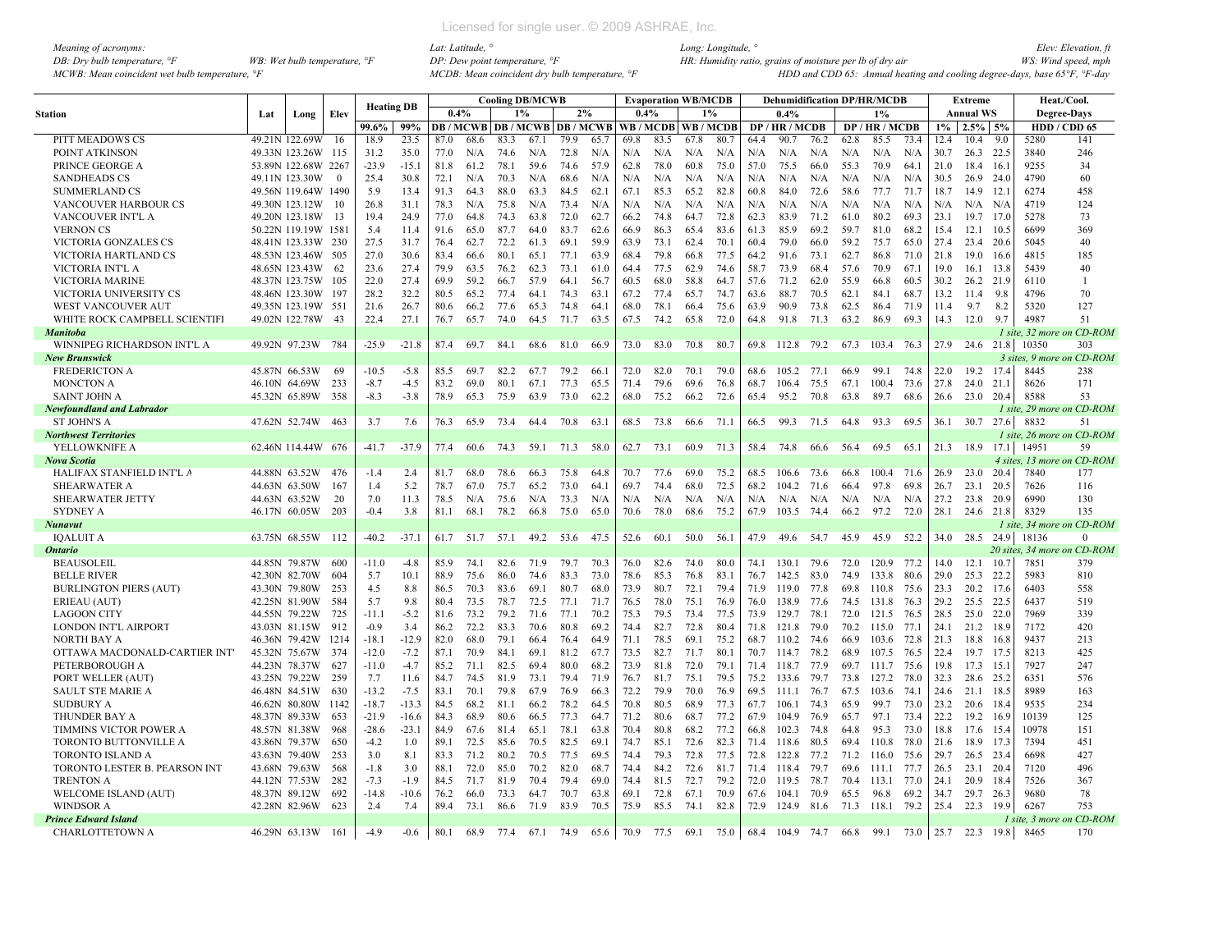| Meaning of acronyms:                                         |                                         |
|--------------------------------------------------------------|-----------------------------------------|
| DB: Dry bulb temperature, $\mathcal{F}$                      | WB: Wet bulb temperature, $\mathcal{F}$ |
| $MCWB$ : Mean coincident wet bulb temperature. $\mathcal{F}$ |                                         |

|                                  |               |                     |          | <b>Heating DB</b> |         |      |      |      | <b>Cooling DB/MCWB</b> |      |      |                                                   |      | <b>Evaporation WB/MCDB</b> |       |      | <b>Dehumidification DP/HR/MCDB</b> |      |      |                |      |       | <b>Extreme</b>   |      |                    | Heat./Cool.                 |
|----------------------------------|---------------|---------------------|----------|-------------------|---------|------|------|------|------------------------|------|------|---------------------------------------------------|------|----------------------------|-------|------|------------------------------------|------|------|----------------|------|-------|------------------|------|--------------------|-----------------------------|
| Station                          | Lat           | Long                | Elev     |                   |         | 0.4% |      |      | 1%                     | 2%   |      | 0.4%                                              |      |                            | $1\%$ |      | 0.4%                               |      |      | 1%             |      |       | <b>Annual WS</b> |      | <b>Degree-Days</b> |                             |
|                                  |               |                     |          | 99.6%             | 99%     |      |      |      |                        |      |      | DB / MCWB DB / MCWB DB / MCWB WB / MCDB WB / MCDB |      |                            |       |      | DP/HR/MCDB                         |      |      | DP / HR / MCDB |      | $1\%$ | 2.5%             | 5%   |                    | HDD / CDD 65                |
| PITT MEADOWS CS                  |               | 49.21N 122.69W      | -16      | 18.9              | 23.5    | 87.0 | 68.6 | 83.3 | 67.1                   | 79.9 | 65.7 | 69.8                                              | 83.5 | 67.8                       | 80.7  | 64.4 | 90.7                               | 76.2 | 62.8 | 85.5           | 73.4 | 12.4  | 10.4             | 9.0  | 5280               | 141                         |
| POINT ATKINSON                   |               | 49.33N 123.26W 115  |          | 31.2              | 35.0    | 77.0 | N/A  | 74.6 | N/A                    | 72.8 | N/A  | N/A                                               | N/A  | N/A                        | N/A   | N/A  | N/A                                | N/A  | N/A  | N/A            | N/A  | 30.7  | 26.3 22.5        |      | 3840               | 246                         |
| PRINCE GEORGE A                  |               | 53.89N 122.68W 2267 |          | $-23.9$           | $-15.1$ | 81.8 | 61.2 | 78.1 | 59.6                   | 74.6 | 57.9 | 62.8                                              | 78.0 | 60.8                       | 75.0  | 57.0 | 75.5                               | 66.0 | 55.3 | 70.9           | 64.1 | 21.0  | 18.4             | 16.1 | 9255               | 34                          |
| <b>SANDHEADS CS</b>              |               | 49.11N 123.30W      | $\Omega$ | 25.4              | 30.8    | 72.1 | N/A  | 70.3 | N/A                    | 68.6 | N/A  | N/A                                               | N/A  | N/A                        | N/A   | N/A  | N/A                                | N/A  | N/A  | N/A            | N/A  | 30.5  | 26.9 24.0        |      | 4790               | 60                          |
| <b>SUMMERLAND CS</b>             |               | 49.56N 119.64W 1490 |          | 5.9               | 13.4    | 91.3 | 64.3 | 88.0 | 63.3                   | 84.5 | 62.1 | 67.1                                              | 85.3 | 65.2                       | 82.8  | 60.8 | 84.0                               | 72.6 | 58.6 | 77.7           | 71.7 | 18.7  | 14.9 12.1        |      | 6274               | 458                         |
| VANCOUVER HARBOUR CS             |               | 49.30N 123.12W      | 10       | 26.8              | 31.1    | 78.3 | N/A  | 75.8 | N/A                    | 73.4 | N/A  | N/A                                               | N/A  | N/A                        | N/A   | N/A  | N/A                                | N/A  | N/A  | N/A            | N/A  | N/A   | $N/A$ $N/A$      |      | 4719               | 124                         |
| VANCOUVER INT'L A                |               | 49.20N 123.18W 13   |          | 19.4              | 24.9    | 77.0 | 64.8 | 74.3 | 63.8                   | 72.0 | 62.7 | 66.2                                              | 74.8 | 64.7                       | 72.8  | 62.3 | 83.9                               | 71.2 | 61.0 | 80.2           | 69.3 | 23.1  | 19.7 17.0        |      | 5278               | 73                          |
| <b>VERNON CS</b>                 |               | 50.22N 119.19W 1581 |          | 5.4               | 11.4    | 91.6 | 65.0 | 87.7 | 64.0                   | 83.7 | 62.6 | 66.9                                              | 86.3 | 65.4                       | 83.6  | 61.3 | 85.9                               | 69.2 | 59.7 | 81.0           | 68.2 | 15.4  | 12.1             | 10.5 | 6699               | 369                         |
| VICTORIA GONZALES CS             |               | 48.41N 123.33W 230  |          | 27.5              | 31.7    | 76.4 | 62.7 | 72.2 | 61.3                   | 69.1 | 59.9 | 63.9                                              | 73.1 | 62.4                       | 70.1  | 60.4 | 79.0                               | 66.0 | 59.2 | 75.7           | 65.0 | 27.4  | 23.4 20.6        |      | 5045               | 40                          |
| VICTORIA HARTLAND CS             |               | 48.53N 123.46W 505  |          | 27.0              | 30.6    | 83.4 | 66.6 | 80.1 | 65.1                   | 77.1 | 63.9 | 68.4                                              | 79.8 | 66.8                       | 77.5  | 64.2 | 91.6                               | 73.1 | 62.7 | 86.8           | 71.0 | 21.8  | 19.0 16.6        |      | 4815               | 185                         |
| VICTORIA INT'L A                 |               | 48.65N 123.43W 62   |          | 23.6              | 27.4    | 79.9 | 63.5 | 76.2 | 62.3                   | 73.1 | 61.0 | 64.4                                              | 77.5 | 62.9                       | 74.6  | 58.7 | 73.9                               | 68.4 | 57.6 | 70.9           | 67.1 | 19.0  | 16.1 13.8        |      | 5439               | 40                          |
| VICTORIA MARINE                  |               | 48.37N 123.75W 105  |          | 22.0              | 27.4    | 69.9 | 59.2 | 66.7 | 57.9                   | 64.1 | 56.7 | 60.5                                              | 68.0 | 58.8                       | 64.7  | 57.6 | 71.2                               | 62.0 | 55.9 | 66.8           | 60.5 | 30.2  | 26.2 21.9        |      | 6110               | -1                          |
| VICTORIA UNIVERSITY CS           |               | 48.46N 123.30W      | 197      | 28.2              | 32.2    | 80.5 | 65.2 | 77.4 | 64.1                   | 74.3 | 63.1 | 67.2                                              | 77.4 | 65.7                       | 74.7  | 63.6 | 88.7                               | 70.5 | 62.1 | 84.1           | 68.7 | 13.2  | 11.4             | 9.8  | 4796               | 70                          |
| WEST VANCOUVER AUT               |               | 49.35N 123.19W 551  |          | 21.6              | 26.7    | 80.6 | 66.2 | 77.6 | 65.3                   | 74.8 | 64.1 | 68.0                                              | 78.1 | 66.4                       | 75.6  | 63.9 | 90.9                               | 73.8 | 62.5 | 86.4           | 71.9 | 11.4  | 9.7              | 8.2  | 5320               | 127                         |
| WHITE ROCK CAMPBELL SCIENTIFI    |               | 49.02N 122.78W 43   |          | 22.4              | 27.1    | 76.7 | 65.7 | 74.0 | 64.5                   | 71.7 | 63.5 | 67.5                                              | 74.2 | 65.8                       | 72.0  | 64.8 | 91.8                               | 71.3 | 63.2 | 86.9           | 69.3 | 14.3  | 12.0             | 9.7  | 4987               | 51                          |
| <b>Manitoba</b>                  |               |                     |          |                   |         |      |      |      |                        |      |      |                                                   |      |                            |       |      |                                    |      |      |                |      |       |                  |      |                    | 1 site, 32 more on CD-ROM   |
| WINNIPEG RICHARDSON INT'L A      |               | 49.92N 97.23W       | -784     | $-25.9$           | $-21.8$ | 87.4 | 69.7 | 84.1 | 68.6                   | 81.0 | 66.9 | 73.0                                              | 83.0 | 70.8                       | 80.7  | 69.8 | 112.8                              | 79.2 | 67.3 | 103.4          | 76.3 | 27.9  | 24.6 21.8        |      | 10350              | 303                         |
| New Brunswick                    |               |                     |          |                   |         |      |      |      |                        |      |      |                                                   |      |                            |       |      |                                    |      |      |                |      |       |                  |      |                    | 3 sites, 9 more on CD-ROM   |
| <b>FREDERICTON A</b>             | 45.87N 66.53W |                     | -69      | $-10.5$           | $-5.8$  | 85.5 | 69.7 | 82.2 | 67.7                   | 79.2 | 66.1 | 72.0                                              | 82.0 | 70.1                       | 79.0  | 68.6 | 105.2 77.1                         |      | 66.9 | 99.1           | 74.8 | 22.0  | 19.2             | 17.4 | 8445               | 238                         |
| <b>MONCTON A</b>                 |               | 46.10N 64.69W       | 233      | $-8.7$            | $-4.5$  | 83.2 | 69.0 | 80.1 | 67.1                   | 77.3 | 65.5 | 71.4                                              | 79.6 | 69.6                       | 76.8  | 68.7 | 106.4                              | 75.5 | 67.1 | 100.4          | 73.6 | 27.8  | 24.0             | 21.1 | 8626               | 171                         |
| SAINT JOHN A                     |               | 45.32N 65.89W       | - 358    | $-8.3$            | $-3.8$  | 78.9 | 65.3 | 75.9 | 63.9                   | 73.0 | 62.2 | 68.0                                              | 75.2 | 66.2                       | 72.6  | 65.4 | 95.2                               | 70.8 | 63.8 | 89.7           | 68.6 | 26.6  | 23.0 20.4        |      | 8588               | 53                          |
| <b>Newfoundland and Labrador</b> |               |                     |          |                   |         |      |      |      |                        |      |      |                                                   |      |                            |       |      |                                    |      |      |                |      |       |                  |      |                    | 1 site, 29 more on CD-ROM   |
| <b>ST JOHN'S A</b>               |               | 47.62N 52.74W       | 463      | 3.7               | 7.6     | 76.3 | 65.9 | 73.4 | 64.4                   | 70.8 | 63.1 | 68.5                                              | 73.8 | 66.6                       | 71.1  | 66.5 | 99.3                               | 71.5 | 64.8 | 93.3           | 69.5 | 36.1  | 30.7 27.6        |      | 8832               | 51                          |
| <b>Northwest Territories</b>     |               |                     |          |                   |         |      |      |      |                        |      |      |                                                   |      |                            |       |      |                                    |      |      |                |      |       |                  |      |                    | 1 site, 26 more on CD-ROM   |
| YELLOWKNIFE A                    |               | 62.46N 114.44W 676  |          | $-41.7$           | $-37.9$ | 77.4 | 60.6 | 74.3 | 59.1                   | 71.3 | 58.0 | 62.7                                              | 73.1 | 60.9                       | 71.3  | 58.4 | 74.8                               | 66.6 | 56.4 | 69.5           | 65.1 |       | 21.3 18.9 17.1   |      | 14951              | 59                          |
| Nova Scotia                      |               |                     |          |                   |         |      |      |      |                        |      |      |                                                   |      |                            |       |      |                                    |      |      |                |      |       |                  |      |                    | 4 sites, 13 more on CD-ROM  |
| HALIFAX STANFIELD INT'L A        |               | 44.88N 63.52W       | 476      | $-1.4$            | 2.4     | 81.7 | 68.0 | 78.6 | 66.3                   | 75.8 | 64.8 | 70.7                                              | 77.6 | 69.0                       | 75.2  | 68.5 | 106.6                              | 73.6 | 66.8 | 100.4          | 71.6 | 26.9  | 23.0             | 20.4 | 7840               | 177                         |
| <b>SHEARWATER A</b>              |               | 44.63N 63.50W       | 167      | 1.4               | 5.2     | 78.7 | 67.0 | 75.7 | 65.2                   | 73.0 | 64.1 | 69.7                                              | 74.4 | 68.0                       | 72.5  | 68.2 | 104.2                              | 71.6 | 66.4 | 97.8           | 69.8 | 26.7  | 23.1             | 20.5 | 7626               | 116                         |
| <b>SHEARWATER JETTY</b>          |               | 44.63N 63.52W       | 20       | 7.0               | 11.3    | 78.5 | N/A  | 75.6 | N/A                    | 73.3 | N/A  | N/A                                               | N/A  | N/A                        | N/A   | N/A  | N/A                                | N/A  | N/A  | N/A            | N/A  | 27.2  | 23.8 20.9        |      | 6990               | 130                         |
| <b>SYDNEY A</b>                  |               | 46.17N 60.05W       | 203      | $-0.4$            | 3.8     | 81.1 | 68.1 | 78.2 | 66.8                   | 75.0 | 65.0 | 70.6                                              | 78.0 | 68.6                       | 75.2  | 67.9 | 103.5                              | 74.4 | 66.2 | 97.2           | 72.0 |       | 28.1 24.6 21.8   |      | 8329               | 135                         |
| Nunavut                          |               |                     |          |                   |         |      |      |      |                        |      |      |                                                   |      |                            |       |      |                                    |      |      |                |      |       |                  |      |                    | 1 site, 34 more on CD-ROM   |
| <b>IOALUIT A</b>                 |               | 63.75N 68.55W       | 112      | $-40.2$           | $-37.1$ | 61.7 | 51.7 | 57.1 | 49.2                   | 53.6 | 47.5 | 52.6                                              | 60.1 | 50.0                       | 56.1  | 47.9 | 49.6                               | 54.7 | 45.9 | 45.9           | 52.2 |       | 34.0 28.5 24.9   |      | 18136              | $\overline{0}$              |
| Ontario                          |               |                     |          |                   |         |      |      |      |                        |      |      |                                                   |      |                            |       |      |                                    |      |      |                |      |       |                  |      |                    | 20 sites. 34 more on CD-ROM |
| <b>BEAUSOLEIL</b>                |               | 44.85N 79.87W       | -600     | $-11.0$           | $-4.8$  | 85.9 | 74.1 | 82.6 | 71.9                   | 79.7 | 70.3 | 76.0                                              | 82.6 | 74.0                       | 80.0  | 74.1 | 130.1                              | 79.6 | 72.0 | 120.9          | 77.2 | 14.0  | 12.1             | 10.7 | 7851               | 379                         |
| <b>BELLE RIVER</b>               |               | 42.30N 82.70W       | 604      | 5.7               | 10.1    | 88.9 | 75.6 | 86.0 | 74.6                   | 83.3 | 73.0 | 78.6                                              | 85.3 | 76.8                       | 83.1  | 76.7 | 142.5                              | 83.0 | 74.9 | 133.8          | 80.6 | 29.0  | 25.3             | 22.2 | 5983               | 810                         |
| <b>BURLINGTON PIERS (AUT)</b>    |               | 43.30N 79.80W       | 253      | 4.5               | 8.8     | 86.5 | 70.3 | 83.6 | 69.1                   | 80.7 | 68.0 | 73.9                                              | 80.7 | 72.1                       | 79.4  | 71.9 | 119.0                              | 77.8 | 69.8 | 110.8          | 75.6 | 23.3  | 20.2 17.6        |      | 6403               | 558                         |
| ERIEAU (AUT)                     |               | 42.25N 81.90W       | 584      | 5.7               | 9.8     | 80.4 | 73.5 | 78.7 | 72.5                   | 77.1 | 71.7 | 76.5                                              | 78.0 | 75.1                       | 76.9  | 76.0 | 138.9                              | 77.6 | 74.5 | 131.8          | 76.3 | 29.2  | 25.5 22.5        |      | 6437               | 519                         |
| <b>LAGOON CITY</b>               |               | 44.55N 79.22W       | 725      | $-11.1$           | $-5.2$  | 81.6 | 73.2 | 79.2 | 71.6                   | 77.1 | 70.2 | 75.3                                              | 79.5 | 73.4                       | 77.5  | 73.9 | 129.7                              | 78.1 | 72.0 | 121.5          | 76.5 | 28.5  | 25.0 22.0        |      | 7969               | 339                         |
| LONDON INT'L AIRPORT             |               | 43.03N 81.15W       | 912      | $-0.9$            | 3.4     | 86.2 | 72.2 | 83.3 | 70.6                   | 80.8 | 69.2 | 74.4                                              | 82.7 | 72.8                       | 80.4  | 71.8 | 121.8 79.0                         |      | 70.2 | 115.0          | 77.1 | 24.1  | 21.2 18.9        |      | 7172               | 420                         |
| NORTH BAY A                      |               | 46.36N 79.42W       | 1214     | $-18.1$           | $-12.9$ | 82.0 | 68.0 | 79.1 | 66.4                   | 76.4 | 64.9 | 71.1                                              | 78.5 | 69.1                       | 75.2  | 68.7 | 110.2 74.6                         |      | 66.9 | 103.6          | 72.8 | 21.3  | 18.8 16.8        |      | 9437               | 213                         |
| OTTAWA MACDONALD-CARTIER INT     | 45.32N 75.67W |                     | 374      | $-12.0$           | $-7.2$  | 87.1 | 70.9 | 84.1 | 69.1                   | 81.2 | 67.7 | 73.5                                              | 82.7 | 71.7                       | 80.1  | 70.7 | 114.7                              | 78.2 | 68.9 | 107.5          | 76.5 | 22.4  | 19.7 17.5        |      | 8213               | 425                         |
| PETERBOROUGH A                   |               | 44.23N 78.37W       | 627      | $-11.0$           | $-4.7$  | 85.2 | 71.1 | 82.5 | 69.4                   | 80.0 | 68.2 | 73.9                                              | 81.8 | 72.0                       | 79.1  | 71.4 | 118.7                              | 77.9 | 69.7 | 111.7          | 75.6 | 19.8  | 17.3             | 15.1 | 7927               | 247                         |
| PORT WELLER (AUT)                |               | 43.25N 79.22W       | 259      | 7.7               | 11.6    | 84.7 | 74.5 | 81.9 | 73.1                   | 79.4 | 71.9 | 76.7                                              | 81.7 | 75.1                       | 79.5  | 75.2 | 133.6                              | 79.7 | 73.8 | 127.2          | 78.0 | 32.3  | 28.6 25.2        |      | 6351               | 576                         |
| <b>SAULT STE MARIE A</b>         |               | 46.48N 84.51W       | 630      | $-13.2$           | $-7.5$  | 83.1 | 70.1 | 79.8 | 67.9                   | 76.9 | 66.3 | 72.2                                              | 79.9 | 70.0                       | 76.9  | 69.5 | 111.1 76.7                         |      | 67.5 | 103.6          | 74.1 | 24.6  | 21.1 18.5        |      | 8989               | 163                         |
| <b>SUDBURY A</b>                 |               | 46.62N 80.80W       | 1142     | $-18.7$           | $-13.3$ | 84.5 | 68.2 | 81.1 | 66.2                   | 78.2 | 64.5 | 70.8                                              | 80.5 | 68.9                       | 77.3  | 67.7 | 106.1                              | 74.3 | 65.9 | 99.7           | 73.0 | 23.2  | 20.6 18.4        |      | 9535               | 234                         |
| THUNDER BAY A                    |               | 48.37N 89.33W       | 653      | $-21.9$           | $-16.6$ | 84.3 | 68.9 | 80.6 | 66.5                   | 77.3 | 64.7 | 71.2                                              | 80.6 | 68.7                       | 77.2  | 67.9 | 104.9                              | 76.9 | 65.7 | 97.1           | 73.4 | 22.2  | 19.2 16.9        |      | 10139              | 125                         |
| TIMMINS VICTOR POWER A           |               | 48.57N 81.38W       | -968     | $-28.6$           | $-23.1$ | 84.9 | 67.6 | 81.4 | 65.1                   | 78.1 | 63.8 | 70.4                                              | 80.8 | 68.2                       | 77.2  | 66.8 | 102.3 74.8                         |      | 64.8 | 95.3           | 73.0 | 18.8  | 17.6 15.4        |      | 10978              | 151                         |
| TORONTO BUTTONVILLE A            | 43.86N 79.37W |                     | 650      | $-4.2$            | 1.0     | 89.1 | 72.5 | 85.6 | 70.5                   | 82.5 | 69.1 | 74.7                                              | 85.1 | 72.6                       | 82.3  | 71.4 | 118.6                              | 80.5 | 69.4 | 110.8          | 78.0 | 21.6  | 18.9             | 17.3 | 7394               | 451                         |
| <b>TORONTO ISLAND A</b>          |               | 43.63N 79.40W       | 253      | 3.0               | 8.1     | 83.3 | 71.2 | 80.2 | 70.5                   | 77.5 | 69.5 | 74.4                                              | 79.3 | 72.8                       | 77.5  | 72.8 | 122.8                              | 77.2 | 71.2 | 116.0          | 75.6 | 29.7  | 26.5 23.4        |      | 6698               | 427                         |
| TORONTO LESTER B. PEARSON INT    |               | 43.68N 79.63W       | 568      | $-1.8$            | 3.0     | 88.1 | 72.0 | 85.0 | 70.2                   | 82.0 | 68.7 | 74.4                                              | 84.2 | 72.6                       | 81.7  |      | 71.4 118.4 79.7                    |      | 69.6 | 111.1          | 77.7 | 26.5  | 23.1 20.4        |      | 7120               | 496                         |
| <b>TRENTON A</b>                 |               | 44.12N 77.53W       | 282      | $-7.3$            | $-1.9$  | 84.5 | 71.7 | 81.9 | 70.4                   | 79.4 | 69.0 | 74.4                                              | 81.5 | 72.7                       | 79.2  | 72.0 | 119.5 78.7                         |      | 70.4 | 113.1          | 77.0 | 24.1  | 20.9 18.4        |      | 7526               | 367                         |
| WELCOME ISLAND (AUT)             | 48.37N 89.12W |                     | 692      | $-14.8$           | $-10.6$ | 76.2 | 66.0 | 73.3 | 64.7                   | 70.7 | 63.8 | 69.1                                              | 72.8 | 67.1                       | 70.9  | 67.6 | 104.1                              | 70.9 | 65.5 | 96.8           | 69.2 | 34.7  | 29.7 26.3        |      | 9680               | 78                          |
| <b>WINDSOR A</b>                 |               | 42.28N 82.96W       | 623      | 2.4               | 7.4     | 89.4 | 73.1 | 86.6 | 71.9                   | 83.9 | 70.5 | 75.9                                              | 85.5 | 74.1                       | 82.8  | 72.9 | 124.9 81.6                         |      |      | 71.3 118.1     | 79.2 |       | 25.4 22.3 19.9   |      | 6267               | 753                         |
| Prince Edward Island             |               |                     |          |                   |         |      |      |      |                        |      |      |                                                   |      |                            |       |      |                                    |      |      |                |      |       |                  |      |                    | 1 site, 3 more on CD-ROM    |
| <b>CHARLOTTETOWN A</b>           | 46.29N 63.13W |                     | 161      | $-4.9$            | $-0.6$  | 80.1 | 68.9 | 77.4 | 67.1                   | 74.9 | 65.6 | 70.9                                              | 77.5 | 69.1                       | 75.0  |      | 68.4 104.9 74.7                    |      | 66.8 | 99.1           | 73.0 |       | 25.7 22.3 19.8   |      | 8465               | 170                         |
|                                  |               |                     |          |                   |         |      |      |      |                        |      |      |                                                   |      |                            |       |      |                                    |      |      |                |      |       |                  |      |                    |                             |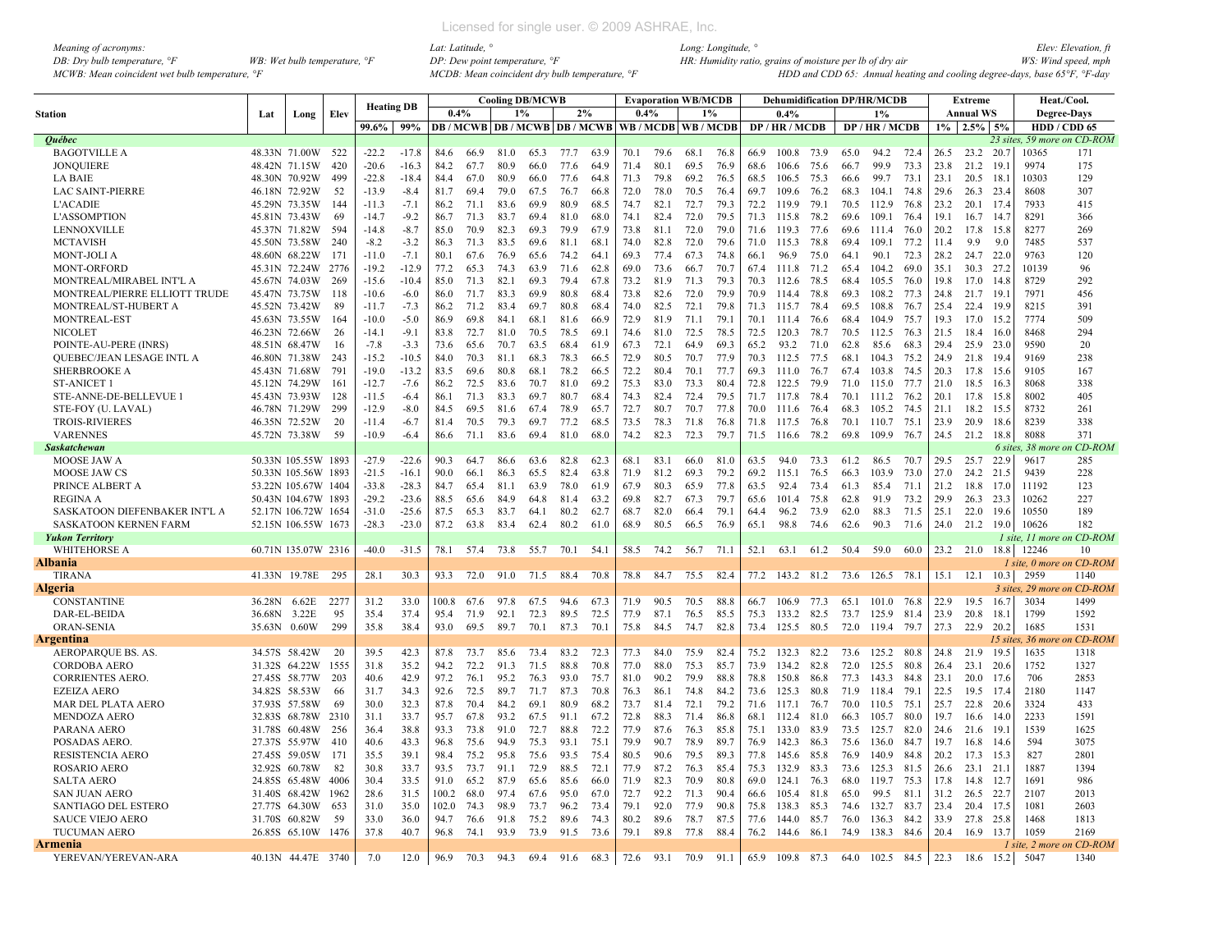| Meaning of acronyms:                           |                                         |
|------------------------------------------------|-----------------------------------------|
| DB: Dry bulb temperature, $\mathcal{F}$        | WB: Wet bulb temperature, $\mathcal{F}$ |
| MCWB: Mean coincident wet bulb temperature, °F |                                         |

|                               |               |                     |      | <b>Heating DB</b> |         |       |      |       | <b>Cooling DB/MCWB</b> |                                          |      |      |           | <b>Evaporation WB/MCDB</b> |       |      | <b>Dehumidification DP/HR/MCDB</b> |      |      |                |      |                | Extreme          |          |                    | Heat./Cool.                 |
|-------------------------------|---------------|---------------------|------|-------------------|---------|-------|------|-------|------------------------|------------------------------------------|------|------|-----------|----------------------------|-------|------|------------------------------------|------|------|----------------|------|----------------|------------------|----------|--------------------|-----------------------------|
| Station                       | Lat           | Long                | Elev |                   |         | 0.4%  |      | $1\%$ |                        | 2%                                       |      | 0.4% |           |                            | $1\%$ |      | 0.4%                               |      |      | 1%             |      |                | <b>Annual WS</b> |          |                    | <b>Degree-Days</b>          |
|                               |               |                     |      | 99.6%             | 99%     |       |      |       |                        | <b>DB</b> / MCWB   DB / MCWB   DB / MCWB |      |      |           | WB / MCDB   WB / MCDB      |       |      | DP / HR / MCDB                     |      |      | DP / HR / MCDB |      |                | $1\%$ 2.5% 5%    |          |                    | HDD / CDD 65                |
| <b>Ouébec</b>                 |               |                     |      |                   |         |       |      |       |                        |                                          |      |      |           |                            |       |      |                                    |      |      |                |      |                |                  |          |                    | 23 sites, 59 more on CD-ROM |
| <b>BAGOTVILLE A</b>           |               | 48.33N 71.00W 522   |      | $-22.2$           | $-17.8$ | 84.6  | 66.9 | 81.0  | 65.3                   | 77.7                                     | 63.9 | 70.1 | 79.6      | 68.1                       | 76.8  | 66.9 | 100.8 73.9                         |      | 65.0 | 94.2           | 72.4 |                | 26.5 23.2 20.7   |          | 10365              | 171                         |
| <b>JONQUIERE</b>              | 48.42N 71.15W |                     | 420  | $-20.6$           | $-16.3$ | 84.2  | 67.7 | 80.9  | 66.0                   | 77.6                                     | 64.9 | 71.4 | 80.1      | 69.5                       | 76.9  | 68.6 | 106.6                              | 75.6 | 66.7 | 99.9           | 73.3 | 23.8           | 21.2             | 19.1     | 9974               | 175                         |
| <b>LA BAIE</b>                |               | 48.30N 70.92W       | 499  | $-22.8$           | $-18.4$ | 84.4  | 67.0 | 80.9  | 66.0                   | 77.6                                     | 64.8 | 71.3 | 79.8      | 69.2                       | 76.5  | 68.5 | 106.5                              | 75.3 | 66.6 | 99.7           | 73.1 | 23.1           | 20.5             | 18.1     | 10303              | 129                         |
| <b>LAC SAINT-PIERRE</b>       |               | 46.18N 72.92W       | 52   | $-13.9$           | $-8.4$  | 81.7  | 69.4 | 79.0  | 67.5                   | 76.7                                     | 66.8 | 72.0 | 78.0      | 70.5                       | 76.4  | 69.7 | 109.6                              | 76.2 | 68.3 | 104.1          | 74.8 | 29.6           | 26.3 23.4        |          | 8608               | 307                         |
| <b>L'ACADIE</b>               |               | 45.29N 73.35W       | 144  | $-11.3$           | $-7.1$  | 86.2  | 71.1 | 83.6  | 69.9                   | 80.9                                     | 68.5 | 74.7 | 82.1      | 72.7                       | 79.3  | 72.2 | 119.9                              | 79.1 | 70.5 | 112.9          | 76.8 | 23.2           | 20.1 17.4        |          | 7933               | 415                         |
| <b>L'ASSOMPTION</b>           | 45.81N 73.43W |                     | 69   | $-14.7$           | $-9.2$  | 86.7  | 71.3 | 83.7  | 69.4                   | 81.0                                     | 68.0 | 74.1 | 82.4      | 72.0                       | 79.5  | 71.3 | 115.8                              | 78.2 | 69.6 | 109.1          | 76.4 | 19.1           | $16.7$ 14.7      |          | 8291               | 366                         |
| LENNOXVILLE                   |               | 45.37N 71.82W       | 594  | $-14.8$           | $-8.7$  | 85.0  | 70.9 | 82.3  | 69.3                   | 79.9                                     | 67.9 | 73.8 | 81.1      | 72.0                       | 79.0  | 71.6 | 119.3                              | 77.6 | 69.6 | 111.4          | 76.0 | 20.2           | 17.8             | 15.8     | 8277               | 269                         |
| <b>MCTAVISH</b>               |               | 45.50N 73.58W       | 240  | $-8.2$            | $-3.2$  | 86.3  | 71.3 | 83.5  | 69.6                   | 81.1                                     | 68.1 | 74.0 | 82.8      | 72.0                       | 79.6  | 71.0 | 115.3 78.8                         |      | 69.4 | 109.1          | 77.2 | 11.4           | 9.9              | 9.0      | 7485               | 537                         |
| <b>MONT-JOLI A</b>            |               | 48.60N 68.22W       | 171  | $-11.0$           | $-7.1$  | 80.1  | 67.6 | 76.9  | 65.6                   | 74.2                                     | 64.  | 69.3 | 77.4      | 67.3                       | 74.8  | 66.1 | 96.9                               | 75.0 | 64.1 | 90.1           | 72.3 | 28.2           | 24.7 22.0        |          | 9763               | 120                         |
| MONT-ORFORD                   |               | 45.31N 72.24W       | 2776 | $-19.2$           | $-12.9$ | 77.2  | 65.3 | 74.3  | 63.9                   | 71.6                                     | 62.8 | 69.0 | 73.6      | 66.7                       | 70.7  | 67.4 | 111.8                              | 71.2 | 65.4 | 104.2          | 69.0 | 35.1           | 30.3 27.2        |          | 10139              | 96                          |
| MONTREAL/MIRABEL INT'L A      |               | 45.67N 74.03W       | 269  | $-15.6$           | $-10.4$ | 85.0  | 71.3 | 82.1  | 69.3                   | 79.4                                     | 67.8 | 73.2 | 81.9      | 71.3                       | 79.3  | 70.3 | 112.6                              | 78.5 | 68.4 | 105.5          | 76.0 | 19.8           | 17.0             | 14.8     | 8729               | 292                         |
| MONTREAL/PIERRE ELLIOTT TRUDE |               | 45.47N 73.75W       | 118  | $-10.6$           | $-6.0$  | 86.0  | 71.7 | 83.3  | 69.9                   | 80.8                                     | 68.4 | 73.8 | 82.6      | 72.0                       | 79.9  | 70.9 | 114.4                              | 78.8 | 69.3 | 108.2          | 77.3 | 24.8           | $21.7$ 19.1      |          | 7971               | 456                         |
| MONTREAL/ST-HUBERT A          |               | 45.52N 73.42W       | 89   | $-11.7$           | $-7.3$  | 86.2  | 71.2 | 83.4  | 69.7                   | 80.8                                     | 68.4 | 74.0 | 82.5      | 72.1                       | 79.8  | 71.3 | 115.7                              | 78.4 | 69.5 | 108.8          | 76.7 | 25.4           | 22.4 19.9        |          | 8215               | 391                         |
| MONTREAL-EST                  |               | 45.63N 73.55W       | 164  | $-10.0$           | $-5.0$  | 86.9  | 69.8 | 84.1  | 68.1                   | 81.6                                     | 66.9 | 72.9 | 81.9      | 71.1                       | 79.1  | 70.1 | 111.4                              | 76.6 | 68.4 | 104.9          | 75.7 | 19.3           | 17.0 15.2        |          | 7774               | 509                         |
| <b>NICOLET</b>                | 46.23N 72.66W |                     | 26   | $-14.1$           | $-9.1$  | 83.8  | 72.7 | 81.0  | 70.5                   | 78.5                                     | 69.1 | 74.6 | 81.0      | 72.5                       | 78.5  | 72.5 | 120.3                              | 78.7 | 70.5 | 112.5          | 76.3 | 21.5           | 18.4             | 16.0     | 8468               | 294                         |
| POINTE-AU-PERE (INRS)         |               | 48.51N 68.47W       | 16   | $-7.8$            | $-3.3$  | 73.6  | 65.6 | 70.7  | 63.5                   | 68.4                                     | 61.9 | 67.3 | 72.1      | 64.9                       | 69.3  | 65.2 | 93.2                               | 71.0 | 62.8 | 85.6           | 68.3 | 29.4           | 25.9 23.0        |          | 9590               | 20                          |
|                               |               | 46.80N 71.38W       | 243  | $-15.2$           | $-10.5$ | 84.0  | 70.3 | 81.1  | 68.3                   | 78.3                                     | 66.5 | 72.9 | 80.5      | 70.7                       | 77.9  | 70.3 | 112.5 77.5                         |      | 68.1 | 104.3          | 75.2 | 24.9           | 21.8 19.4        |          | 9169               | 238                         |
| QUEBEC/JEAN LESAGE INTL A     |               |                     |      |                   |         |       |      |       |                        |                                          |      |      |           |                            |       |      |                                    |      |      |                |      |                |                  |          |                    |                             |
| <b>SHERBROOKE A</b>           |               | 45.43N 71.68W       | 791  | $-19.0$           | $-13.2$ | 83.5  | 69.6 | 80.8  | 68.1                   | 78.2                                     | 66.5 | 72.2 | 80.4      | 70.1                       | 77.7  | 69.3 | 111.0                              | 76.7 | 67.4 | 103.8          | 74.5 | 20.3           | 17.8 15.6        |          | 9105               | 167                         |
| <b>ST-ANICET 1</b>            |               | 45.12N 74.29W       | -161 | $-12.7$           | $-7.6$  | 86.2  | 72.5 | 83.6  | 70.7                   | 81.0                                     | 69.2 | 75.3 | 83.0      | 73.3                       | 80.4  | 72.8 | 122.5                              | 79.9 | 71.0 | 115.0          | 77.7 | 21.0           | 18.5 16.3        |          | 8068               | 338                         |
| STE-ANNE-DE-BELLEVUE 1        |               | 45.43N 73.93W       | 128  | $-11.5$           | $-6.4$  | 86.1  | 71.3 | 83.3  | 69.7                   | 80.7                                     | 68.4 | 74.3 | 82.4      | 72.4                       | 79.5  | 71.7 | 117.8 78.4                         |      | 70.1 | 111.2          | 76.2 | 20.1           | 17.8 15.8        |          | 8002               | 405                         |
| STE-FOY (U. LAVAL)            |               | 46.78N 71.29W       | 299  | $-12.9$           | $-8.0$  | 84.5  | 69.5 | 81.6  | 67.4                   | 78.9                                     | 65.7 | 72.7 | 80.7      | 70.7                       | 77.8  | 70.0 | 111.6                              | 76.4 | 68.3 | 105.2          | 74.5 | 21.1           | 18.2 15.5        |          | 8732               | 261                         |
| <b>TROIS-RIVIERES</b>         |               | 46.35N 72.52W       | 20   | $-11.4$           | $-6.7$  | 81.4  | 70.5 | 79.3  | 69.7                   | 77.2                                     | 68.5 | 73.5 | 78.3      | 71.8                       | 76.8  | 71.8 | 117.5                              | 76.8 | 70.1 | 110.7          | 75.1 | 23.9           | 20.9             | 18.6     | 8239               | 338                         |
| <b>VARENNES</b>               |               | 45.72N 73.38W       | 59   | $-10.9$           | $-6.4$  | 86.6  | 71.1 | 83.6  | 69.4                   | 81.0                                     | 68.0 | 74.2 | 82.3      | 72.3                       | 79.7  | 71.5 | 116.6                              | 78.2 | 69.8 | 109.9          | 76.7 | 24.5           | 21.2 18.8        |          | 8088               | 371                         |
| <b>Saskatchewan</b>           |               |                     |      |                   |         |       |      |       |                        |                                          |      |      |           |                            |       |      |                                    |      |      |                |      |                |                  | 6 sites. | 38 more            | <b>CD-ROM</b>               |
| MOOSE JAW A                   |               | 50.33N 105.55W 1893 |      | $-27.9$           | $-22.6$ | 90.3  | 64.7 | 86.6  | 63.6                   | 82.8                                     | 62.3 | 68.1 | 83.1      | 66.0                       | 81.0  | 63.5 | 94.0                               | 73.3 | 61.2 | 86.5           | 70.7 | 29.5           | 25.7 22.9        |          | 9617               | 285                         |
| MOOSE JAW CS                  |               | 50.33N 105.56W 1893 |      | $-21.5$           | $-16.1$ | 90.0  | 66.1 | 86.3  | 65.5                   | 82.4                                     | 63.8 | 71.9 | 81.2      | 69.3                       | 79.2  | 69.2 | 115.1                              | 76.5 | 66.3 | 103.9          | 73.0 | 27.0           | 24.2 21.5        |          | 9439               | 228                         |
| PRINCE ALBERT A               |               | 53.22N 105.67W 1404 |      | $-33.8$           | $-28.3$ | 84.7  | 65.4 | 81.1  | 63.9                   | 78.0                                     | 61.9 | 67.9 | 80.3      | 65.9                       | 77.8  | 63.5 | 92.4                               | 73.4 | 61.3 | 85.4           | 71.1 | 21.2           | 18.8             | 17.0     | 11192              | 123                         |
| <b>REGINA A</b>               |               | 50.43N 104.67W 1893 |      | $-29.2$           | $-23.6$ | 88.5  | 65.6 | 84.9  | 64.8                   | 81.4                                     | 63.2 | 69.8 | 82.7      | 67.3                       | 79.7  | 65.6 | 101.4 75.8                         |      | 62.8 | 91.9           | 73.2 | 29.9           | 26.3 23.3        |          | 10262              | 227                         |
| SASKATOON DIEFENBAKER INT'L A |               | 52.17N 106.72W 1654 |      | $-31.0$           | $-25.6$ | 87.5  | 65.3 | 83.7  | 64.1                   | 80.2                                     | 62.7 | 68.7 | 82.0      | 66.4                       | 79.1  | 64.4 | 96.2                               | 73.9 | 62.0 | 88.3           | 71.5 | 25.1           | 22.0             | 19.6     | 10550              | 189                         |
| <b>SASKATOON KERNEN FARM</b>  |               | 52.15N 106.55W 1673 |      | $-28.3$           | $-23.0$ | 87.2  | 63.8 | 83.4  | 62.4                   | 80.2                                     | 61.0 | 68.9 | 80.5      | 66.5                       | 76.9  | 65.1 | 98.8                               | 74.6 | 62.6 | 90.3           | 71.6 | 24.0 21.2 19.0 |                  |          | 10626              | 182                         |
| <b>Yukon Territory</b>        |               |                     |      |                   |         |       |      |       |                        |                                          |      |      |           |                            |       |      |                                    |      |      |                |      |                |                  |          | 1 site, 11 more on | $CD$ -ROM                   |
| <b>WHITEHORSE A</b>           |               | 60.71N 135.07W 2316 |      | $-40.0$           | $-31.5$ | 78.1  | 57.4 | 73.8  | 55.7                   | 70.1                                     | 54.1 | 58.5 | 74.2      | 56.7                       | 71.1  | 52.1 | 63.1                               | 61.2 | 50.4 | 59.0           | 60.0 | 23.2 21.0 18.8 |                  |          | 12246              | 10                          |
| Albania                       |               |                     |      |                   |         |       |      |       |                        |                                          |      |      |           |                            |       |      |                                    |      |      |                |      |                |                  |          |                    | 1 site, 0 more on CD-ROM    |
| <b>TIRANA</b>                 |               | 41.33N 19.78E       | 295  | 28.1              | 30.3    | 93.3  | 72.0 | 91.0  | 71.5                   | 88.4                                     | 70.8 | 78.8 | 84.7      | 75.5                       | 82.4  | 77.2 | 143.2                              | 81.2 | 73.6 | 126.5 78.1     |      | 15.1           | 12.1             | 10.3     | 2959               | 1140                        |
| Algeria                       |               |                     |      |                   |         |       |      |       |                        |                                          |      |      |           |                            |       |      |                                    |      |      |                |      |                |                  |          |                    | 3 sites. 29 more on CD-ROM  |
| <b>CONSTANTINE</b>            | 36.28N        | 6.62E               | 2277 | 31.2              | 33.0    | 100.8 | 67.6 | 97.8  | 67.5                   | 94.6                                     | 67.3 | 71.9 | 90.5      | 70.5                       | 88.8  | 66.7 | 106.9 77.3                         |      | 65.1 | 101.0 76.8     |      | 22.9           | 19.5             | 16.7     | 3034               | 1499                        |
| DAR-EL-BEIDA                  | 36.68N        | 3.22E               | 95   | 35.4              | 37.4    | 95.4  | 71.9 | 92.1  | 72.3                   | 89.5                                     | 72.5 | 77.9 | 87.1      | 76.5                       | 85.5  | 75.3 | 133.2                              | 82.5 | 73.7 | 125.9          | 81.4 | 23.9           | 20.8             | 18.1     | 1799               | 1592                        |
| <b>ORAN-SENIA</b>             | 35.63N        | 0.60W               | 299  | 35.8              | 38.4    | 93.0  | 69.5 | 89.7  | 70.1                   | 87.3                                     | 70.1 | 75.8 | 84.5      | 74.7                       | 82.8  | 73.4 | 125.5                              | 80.5 | 72.0 | 119.4 79.7     |      | 27.3           | 22.9             | 20.2     | 1685               | 1531                        |
| Argentina                     |               |                     |      |                   |         |       |      |       |                        |                                          |      |      |           |                            |       |      |                                    |      |      |                |      |                |                  |          | 15 sites, 36 more  | ı CD-ROM                    |
| AEROPARQUE BS. AS.            |               | 34.57S 58.42W       | -20  | 39.5              | 42.3    | 87.8  | 73.7 | 85.6  | 73.4                   | 83.2                                     | 72.3 | 77.3 | 84.0      | 75.9                       | 82.4  | 75.2 | 132.3                              | 82.2 | 73.6 | 125.2          | 80.8 | 24.8           | 21.9             | 19.5     | 1635               | 1318                        |
| <b>CORDOBA AERO</b>           |               | 31.32S 64.22W       | 1555 | 31.8              | 35.2    | 94 2  | 72.2 | 91.3  | 71.5                   | 88.8                                     | 70.8 | 77.0 | 88.0      | 75.3                       | 85.7  | 73.9 | 134.2                              | 82.8 | 72.0 | 125.5          | 80.8 | 26.4           | 23.1             | 20.6     | 1752               | 1327                        |
| <b>CORRIENTES AERO.</b>       |               | 27.45S 58.77W       | 203  | 40.6              | 42.9    | 97.2  | 76.1 | 95.2  | 76.3                   | 93.0                                     | 75.7 | 81.0 | 90.2      | 79.9                       | 88.8  | 78.8 | 150.8                              | 86.8 | 77.3 | 143.3          | 848  | 23.1           | 20.0 17.6        |          | 706                | 2853                        |
| <b>EZEIZA AERO</b>            | 34.82S 58.53W |                     | 66   | 31.7              | 34.3    | 92.6  | 72.5 | 89.7  | 71.7                   | 87.3                                     | 70.8 | 76.3 | 86.1      | 74.8                       | 84.2  | 73.6 | 1253                               | 80.8 | 71.9 | 118.4          | 79.1 | 22.5           | 19.5 17.4        |          | 2180               | 1147                        |
| MAR DEL PLATA AERO            | 37.93S 57.58W |                     | 69   | 30.0              | 32.3    | 87.8  | 70.4 | 84.2  | 69.1                   | 80.9                                     | 68.2 | 73.7 | 81.4      | 72.1                       | 79.2  | 71.6 | 117.1                              | 76.7 | 70.0 | 110.5          | 75.1 | 25.7           | $22.8$ 20.6      |          | 3324               | 433                         |
| <b>MENDOZA AERO</b>           |               | 32.83S 68.78W       | 2310 | 31.1              | 33.7    | 95.7  | 67.8 | 93.2  | 67.5                   | 91.1                                     | 67.2 | 72.8 | 88.3      | 71.4                       | 86.8  | 68.1 | 112.4                              | 81.0 | 66.3 | 105.7          | 80.0 | 19.7           | 16.6 14.0        |          | 2233               | 1591                        |
| PARANA AERO                   | 31.78S 60.48W |                     | 256  | 36.4              | 38.8    | 93.3  | 73.8 | 91.0  | 72.7                   | 88.8                                     | 72.2 | 77.9 | 87.6      | 76.3                       | 85.8  | 75.1 | 133.0                              | 83.9 | 73.5 | 125.7          | 82.0 | 24.6           | $21.6$ 19.1      |          | 1539               | 1625                        |
| POSADAS AERO                  |               | 27.37S 55.97W       | 410  | 40.6              | 43.3    | 96.8  | 75.6 | 94.9  | 75.3                   | 93.1                                     | 75.1 | 79.9 | 90.7      | 78.9                       | 89.7  | 76.9 | 142.3                              | 86.3 | 75.6 | 136.0          | 84.7 | 19.7           | 16.8             | 14.6     | 594                | 3075                        |
| <b>RESISTENCIA AERO</b>       |               | 27.45S 59.05W       | 171  | 35.5              | 39.1    | 98.4  | 75.2 | 95.8  | 75.6                   | 93.5                                     | 75.4 | 80.5 | 90.6      | 79.5                       | 89.3  | 77.8 | 145.6                              | 85.8 | 76.9 | 140.9          | 84.8 | 20.2           | 17.3 15.3        |          | 827                | 2801                        |
| <b>ROSARIO AERO</b>           |               | 32.92S 60.78W       | 82   | 30.8              | 33.7    | 93.5  | 73.7 | 91.1  | 72.9                   | 88.5                                     | 72.1 | 77.9 | 87.2      | 76.3                       | 85.4  | 75.3 | 132.9                              | 83.3 | 73.6 | 125.3          | 81.5 | 26.6           | 23.1 21.1        |          | 1887               | 1394                        |
| <b>SALTA AERO</b>             |               | 24.85S 65.48W       | 4006 | 30.4              | 33.5    | 91.0  | 65.2 | 87.9  | 65.6                   | 85.6                                     | 66.0 | 71.9 | 82.3      | 70.9                       | 80.8  | 69.0 | 124.1                              | 76.3 | 68.0 | 119.7          | 75.3 | 17.8           | 14.8 12.7        |          | 1691               | 986                         |
| <b>SAN JUAN AERO</b>          | 31.40S 68.42W |                     | 1962 | 28.6              | 31.5    | 100.2 | 68.0 | 97.4  | 67.6                   | 95.0                                     | 67.0 | 72.7 | 92.2      | 71.3                       | 90.4  | 66.6 | 105.4                              | 81.8 | 65.0 | 99.5           | 81.1 | 31.2           | 26.5             | - 22.7   | 2107               | 2013                        |
| <b>SANTIAGO DEL ESTERO</b>    |               | 27.77S 64.30W       | 653  | 31.0              | 35.0    | 102.0 | 74.3 | 98.9  | 73.7                   | 96.2                                     | 73.4 | 79.1 | 92.0      | 77.9                       | 90.8  | 75.8 | 138.3                              | 85.3 | 74.6 | 132.7          | 83.7 | 23.4           | 20.4 17.5        |          | 1081               | 2603                        |
| <b>SAUCE VIEJO AERO</b>       | 31.70S 60.82W |                     | 59   | 33.0              | 36.0    | 94.7  | 76.6 | 91.8  | 75.2                   | 89.6                                     | 74.3 | 80.2 | 89.6      | 78.7                       | 87.5  | 77.6 | 144.0                              | 85.7 | 76.0 | 136.3          | 84.2 | 33.9           | 27.8             | 25.8     | 1468               | 1813                        |
| <b>TUCUMAN AERO</b>           |               | 26.85S 65.10W       | 1476 | 37.8              | 40.7    | 96.8  | 74.1 | 93.9  | 73.9                   | 91.5                                     | 73.6 | 79.1 | 89.8      | 77.8                       | 88.4  | 76.2 | 144.6                              | 86.1 | 74.9 | 138.3          | 84.6 | 20.4           | 16.9             | 13.7     | 1059               | 2169                        |
| Armenia                       |               |                     |      |                   |         |       |      |       |                        |                                          |      |      |           |                            |       |      |                                    |      |      |                |      |                |                  |          |                    | 1 site, 2 more on CD-ROM    |
| YEREVAN/YEREVAN-ARA           |               | 40.13N 44.47E 3740  |      | 7.0               | 12.0    | 96.9  | 70.3 | 94.3  | 69.4                   | 91.6                                     | 68.3 |      | 72.6 93.1 | 70.9                       | 91.1  |      | 65.9 109.8 87.3 64.0 102.5 84.5    |      |      |                |      | 22.3           | 18.6 15.2        |          | 5047               | 1340                        |
|                               |               |                     |      |                   |         |       |      |       |                        |                                          |      |      |           |                            |       |      |                                    |      |      |                |      |                |                  |          |                    |                             |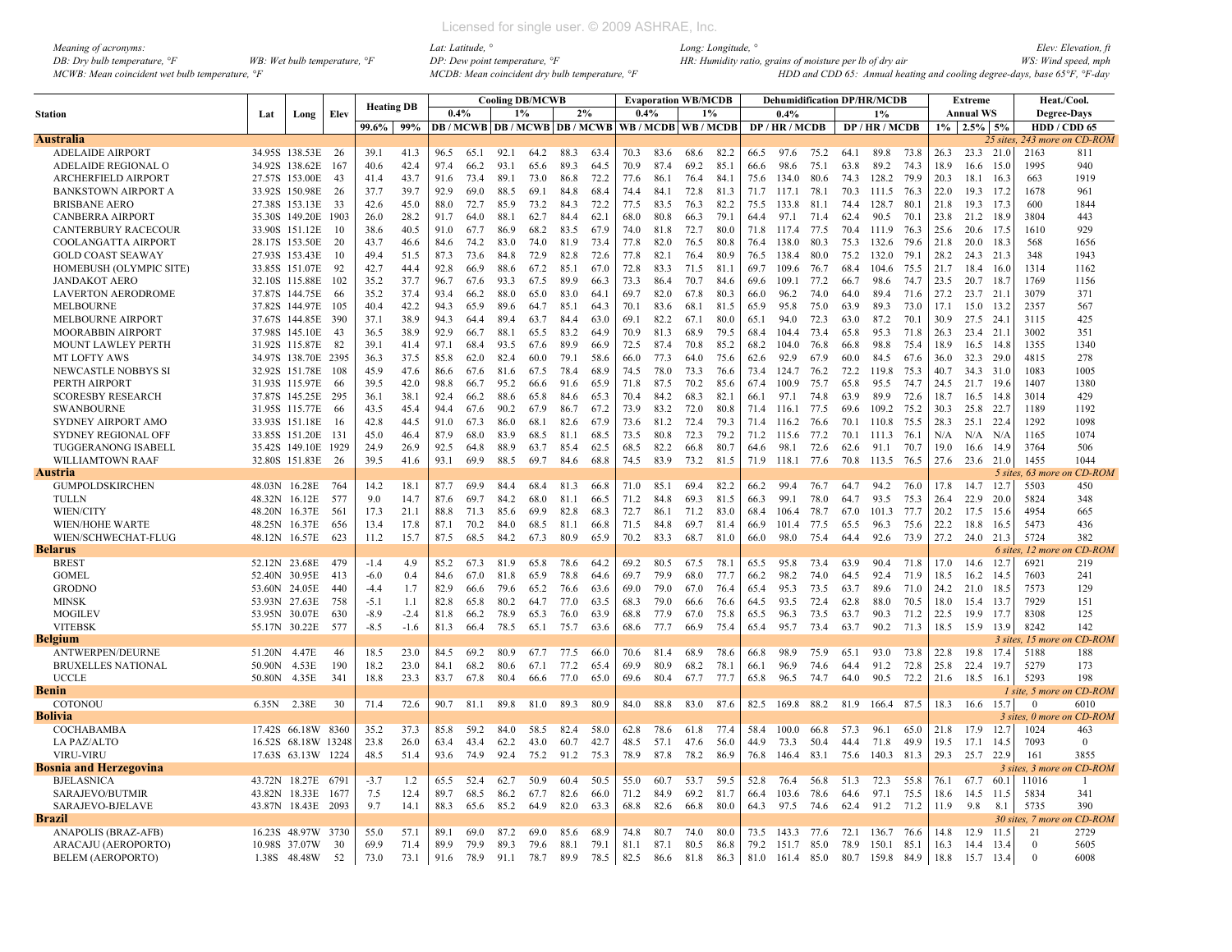| Meaning of acronyms:                           |                                         |
|------------------------------------------------|-----------------------------------------|
| DB: Dry bulb temperature, $\mathcal{F}$        | WB: Wet bulb temperature, $\mathcal{F}$ |
| MCWB: Mean coincident wet bulb temperature, °F |                                         |

|                                                  |               |                                  |        | <b>Heating DB</b> |        |      |      |       | <b>Cooling DB/MCWB</b> |              |      |                                         |      | <b>Evaporation WB/MCDB</b> |      |      | <b>Dehumidification DP/HR/MCDB</b> |      |      |                 |      |      | Extreme          |          | Heat./Cool.        |                              |
|--------------------------------------------------|---------------|----------------------------------|--------|-------------------|--------|------|------|-------|------------------------|--------------|------|-----------------------------------------|------|----------------------------|------|------|------------------------------------|------|------|-----------------|------|------|------------------|----------|--------------------|------------------------------|
| <b>Station</b>                                   | Lat           | Long                             | Elev   |                   |        | 0.4% |      | $1\%$ |                        | 2%           |      | 0.4%                                    |      | 1%                         |      |      | 0.4%                               |      |      | 1%              |      |      | <b>Annual WS</b> |          | <b>Degree-Days</b> |                              |
|                                                  |               |                                  |        | 99.6% 99%         |        |      |      |       |                        |              |      | DB/MCWB DB/MCWB DB/MCWB WB/MCDB WB/MCDB |      |                            |      |      | DP/HR/MCDB                         |      |      | DP/HR/MCDB      |      |      | $1\%$ 2.5% 5%    |          | HDD / CDD 65       |                              |
| <b>Australia</b>                                 |               |                                  |        |                   |        |      |      |       |                        |              |      |                                         |      |                            |      |      |                                    |      |      |                 |      |      |                  |          |                    | 25 sites, 243 more on CD-ROM |
| <b>ADELAIDE AIRPORT</b>                          |               | 34.95S 138.53E 26                |        | 39.1              | 41.3   | 96.5 | 65.1 | 92.1  | 64.2                   | 88.3         | 63.4 | 70.3                                    | 83.6 | 68.6                       | 82.2 | 66.5 | 97.6                               | 75.2 | 64.1 | 89.8            | 73.8 | 26.3 | 23.3 21.0        |          | 2163               | 811                          |
| ADELAIDE REGIONAL O                              |               | 34.92S 138.62E                   | 167    | 40.6              | 42.4   | 97.4 | 66.2 | 93.1  | 65.6                   | 89.3         | 64.5 | 70.9                                    | 87.4 | 69.2                       | 85.1 | 66.6 | 98.6                               | 75.1 | 63.8 | 89.2            | 74.3 | 18.9 | 16.6             | 15.0     | 1995               | 940                          |
| ARCHERFIELD AIRPORT                              |               | 27.57S 153.00E                   | 43     | 41.4              | 43.7   | 91.6 | 73.4 | 89.1  | 73.0                   | 86.8         | 72.2 | 77.6                                    | 86.1 | 76.4                       | 84.1 | 75.6 | 134.0                              | 80.6 | 74.3 | 128.2           | 79.9 | 20.3 | 18.1             | 16.3     | 663                | 1919                         |
| <b>BANKSTOWN AIRPORT A</b>                       |               | 33.92S 150.98E                   | 26     | 37.7              | 39.7   | 92.9 | 69.0 | 88.5  | 69.1                   | 84.8         | 68.4 | 74.4                                    | 84.1 | 72.8                       | 81.3 | 71.7 | 117.1                              | 78.1 | 70.3 | 111.5           | 76.3 | 22.0 | 19.3 17.2        |          | 1678               | 961                          |
| <b>BRISBANE AERO</b>                             |               | 27.38S 153.13E                   | 33     | 42.6              | 45.0   | 88.0 | 72.7 | 85.9  | 73.2                   | 84.3         | 72.2 | 77.5                                    | 83.5 | 76.3                       | 82.2 | 75.5 | 133.8                              | 81.1 | 74.4 | 128.7           | 80.1 | 21.8 | 19.3 17.3        |          | 600                | 1844                         |
| <b>CANBERRA AIRPORT</b>                          |               | 35.30S 149.20E 1903              |        | 26.0              | 28.2   | 91.7 | 64.0 | 88.1  | 62.7                   | 84.4         | 62.1 | 68.0                                    | 80.8 | 66.3                       | 79.1 | 64.4 | 97.1                               | 71.4 | 62.4 | 90.5            | 70.1 | 23.8 | 21.2 18.9        |          | 3804               | 443                          |
| <b>CANTERBURY RACECOUR</b>                       |               | 33.90S 151.12E                   | 10     | 38.6              | 40.5   | 91.0 | 67.7 | 86.9  | 68.2                   | 83.5         | 67.9 | 74.0                                    | 81.8 | 72.7                       | 80.0 | 71.8 | 117.4                              | 77.5 | 70.4 | 111.9           | 76.3 | 25.6 | 20.6 17.5        |          | 1610               | 929                          |
| COOLANGATTA AIRPORT                              |               | 28.17S 153.50E                   | 20     | 43.7              | 46.6   | 84.6 | 74.2 | 83.0  | 74.0                   | 81.9         | 73.4 | 77.8                                    | 82.0 | 76.5                       | 80.8 | 76.4 | 138.0                              | 80.3 | 75.3 | 132.6           | 79.6 | 21.8 | 20.0 18.3        |          | 568                | 1656                         |
| <b>GOLD COAST SEAWAY</b>                         |               | 27.93S 153.43E                   | 10     | 49.4              | 51.5   | 87.3 | 73.6 | 84.8  | 72.9                   | 82.8         | 72.6 | 77.8                                    | 82.1 | 76.4                       | 80.9 | 76.5 | 138.4                              | 80.0 | 75.2 | 132.0           | 79.1 | 28.2 | 24.3 21.3        |          | 348                | 1943                         |
| HOMEBUSH (OLYMPIC SITE)                          |               | 33.85S 151.07E                   | 92     | 42.7              | 44.4   | 92.8 | 66.9 | 88.6  | 67.2                   | 85.1         | 67.0 | 72.8                                    | 83.3 | 71.5                       | 81.1 | 69.7 | 109.6                              | 76.7 | 68.4 | 104.6           | 75.5 | 21.7 | 18.4 16.0        |          | 1314               | 1162                         |
| <b>JANDAKOT AERO</b>                             |               | 32.10S 115.88E                   | 102    | 35.2              | 37.7   | 96.7 | 67.6 | 93.3  | 67.5                   | 89.9         | 66.3 | 73.3                                    | 86.4 | 70.7                       | 84.6 | 69.6 | 109.1                              | 77.2 | 66.7 | 98.6            | 74.7 | 23.5 | 20.7 18.7        |          | 1769               | 1156                         |
| <b>LAVERTON AERODROME</b>                        |               | 37.87S 144.75E                   | -66    | 35.2              | 37.4   | 93.4 | 66.2 | 88.0  | 65.0                   | 83.0         | 64.1 | 69.7                                    | 82.0 | 67.8                       | 80.3 | 66.0 | 96.2                               | 74.0 | 64.0 | 89.4            | 71.6 | 27.2 | 23.7 21.1        |          | 3079               | 371                          |
| <b>MELBOURNE</b>                                 |               | 37.82S 144.97E                   | 105    | 40.4              | 42.2   | 94.3 | 65.9 | 89.6  | 64.7                   | 85.1         | 64.3 | 70.1                                    | 83.6 | 68.1                       | 81.5 | 65.9 | 95.8                               | 75.0 | 63.9 | 89.3            | 73.0 | 17.1 | 15.0             | 13.2     | 2357               | 567                          |
| <b>MELBOURNE AIRPORT</b>                         |               | 37.67S 144.85E                   | 390    | 37.1              | 38.9   | 94.3 | 64.4 | 894   | 63.7                   | 84.4         | 63.0 | 69.1                                    | 82.2 | 67.1                       | 80.0 | 65.1 | 94.0                               | 72.3 | 63.0 | 87.2            | 70.1 | 30.9 | 27.5 24.1        |          | 3115               | 425                          |
| <b>MOORABBIN AIRPORT</b>                         |               | 37.98S 145.10E                   | 43     | 36.5              | 38.9   | 92.9 | 66.7 | 88.1  | 65.5                   | 83.2         | 64.9 | 70.9                                    | 81.3 | 68.9                       | 79.5 | 68.4 | 104.4                              | 73.4 | 65.8 | 95.3            | 71.8 | 26.3 | 23.4 21.1        |          | 3002               | 351                          |
| MOUNT LAWLEY PERTH                               |               | 31.92S 115.87E                   | 82     | 39.1              | 41.4   | 97.1 | 68.4 | 93.5  | 67.6                   | 89.9         | 66.9 | 72.5                                    | 87.4 | 70.8                       | 85.2 | 68.2 | 1040                               | 76.8 | 66.8 | 98.8            | 75.4 | 18.9 | 16.5 14.8        |          | 1355               | 1340                         |
| <b>MT LOFTY AWS</b>                              |               | 34.97S 138.70E 2395              |        | 36.3              | 37.5   | 85.8 | 62.0 | 82.4  | 60.0                   | 79.1         | 58.6 | 66.0                                    | 77.3 | 64.0                       | 75.6 | 62.6 | 92.9                               | 67.9 | 60.0 | 84.5            | 67.6 | 36.0 | 32.3 29.0        |          | 4815               | 278                          |
| NEWCASTLE NOBBYS SI                              |               | 32.92S 151.78E                   | 108    | 45.9              | 47.6   | 86.6 | 67.6 | 81.6  | 67.5                   | 78.4         | 68.9 | 74.5                                    | 78.0 | 73.3                       | 76.6 | 73.4 | 124.7                              | 76.2 | 72.2 | 119.8           | 75.3 | 40.7 | 34.3 31.0        |          | 1083               | 1005                         |
| PERTH AIRPORT                                    |               | 31.93S 115.97E                   | -66    | 39.5              | 42.0   | 98.8 | 66.7 | 95.2  | 66.6                   | 91.6         | 65.9 | 71.8                                    | 87.5 | 70.2                       | 85.6 | 67.4 | 100.9                              | 75.7 | 65.8 | 95.5            | 74.7 | 24.5 | 21.7 19.6        |          | 1407               | 1380                         |
| <b>SCORESBY RESEARCH</b>                         |               | 37.87S 145.25E                   | 295    | 36.1              | 38.1   | 92.4 | 66.2 | 88.6  | 65.8                   | 84.6         | 65.3 | 70.4                                    | 84 2 | 68.3                       | 82.1 | 66.1 | 97.1                               | 74.8 | 63.9 | 89.9            | 72.6 | 18.7 | 16.5             | 14.8     | 3014               | 429                          |
| <b>SWANBOURNE</b>                                |               | 31.95S 115.77E                   | -66    | 43.5              | 45.4   | 94.4 | 67.6 | 90.2  | 67.9                   | 86.7         | 67.2 | 73.9                                    | 83.2 | 72.0                       | 80.8 | 71.4 | 116.1 77.5                         |      | 69.6 | 109.2           | 75.2 | 30.3 | 25.8             | 22.7     | 1189               | 1192                         |
|                                                  |               |                                  | 16     | 42.8              | 44.5   | 91.0 | 67.3 | 86.0  |                        |              | 67.9 | 73.6                                    | 81.2 | 72.4                       | 79.3 | 71.4 | 116.2                              | 76.6 | 70.1 | 110.8           | 75.5 | 28.3 |                  |          | 1292               | 1098                         |
| SYDNEY AIRPORT AMO<br><b>SYDNEY REGIONAL OFF</b> |               | 33.93S 151.18E<br>33.85S 151.20E | 131    | 45.0              | 46.4   | 87.9 | 68.0 | 83.9  | 68.1<br>68.5           | 82.6<br>81.1 | 68.5 | 73.5                                    | 80.8 | 72.3                       | 79.2 | 71.2 | 115.6                              | 77.2 | 70.1 | 111.3           | 76.1 | N/A  | 25.1 22.4<br>N/A | N/A      | 1165               | 1074                         |
|                                                  |               |                                  |        |                   |        |      |      |       |                        |              |      |                                         | 82.2 |                            |      |      |                                    |      |      |                 |      |      |                  |          | 3764               |                              |
| TUGGERANONG ISABELL                              |               | 35.42S 149.10E 1929              |        | 249               | 26.9   | 92.5 | 64.8 | 88.9  | 63.7                   | 85.4         | 62.5 | 68.5                                    |      | 66.8                       | 80.7 | 64.6 | 98.1                               | 72.6 | 62.6 | 91.1            | 70.7 | 19.0 | 16.6             | 14.9     |                    | 506                          |
| WILLIAMTOWN RAAF                                 |               | 32.80S 151.83E                   | 26     | 39.5              | 41.6   | 93.1 | 69.9 | 88.5  | 69.7                   | 84.6         | 68.8 | 74.5                                    | 83.9 | 73.2                       | 81.5 | 71.9 | 118.1 77.6                         |      | 70.8 | 113.5 76.5      |      | 27.6 | 23.6 21.0        |          | 1455               | 1044                         |
| Austria                                          |               |                                  |        |                   |        |      |      |       |                        |              |      |                                         |      |                            |      |      |                                    |      |      |                 |      |      |                  |          | 5 sites, 63 more   | on CD-ROM                    |
| <b>GUMPOLDSKIRCHEN</b>                           | 48.03N 16.28E |                                  | -764   | 14.2              | 18.1   | 87.7 | 69.9 | 844   | 68.4                   | 81.3         | 66.8 | 71.0                                    | 85.1 | 69.4                       | 82.2 | 66.2 | 994                                | 76.7 | 64.7 | 94.2            | 76.0 | 17.8 | 14.7             | 12.7     | 5503               | 450                          |
| <b>TULLN</b>                                     |               | 48.32N 16.12E                    | 577    | 9.0               | 14.7   | 87.6 | 69.7 | 84.2  | 68.0                   | 81.1         | 66.5 | 71.2                                    | 84.8 | 69.3                       | 81.5 | 66.3 | 99.1                               | 78.0 | 64.7 | 93.5            | 75.3 | 26.4 | 22.9             | 20.0     | 5824               | 348                          |
| WIEN/CITY                                        |               | 48.20N 16.37E                    | 561    | 17.3              | 21.1   | 88.8 | 71.3 | 85.6  | 69.9                   | 82.8         | 68.3 | 72.7                                    | 86.1 | 71.2                       | 83.0 | 68.4 | 106.4                              | 78.7 | 67.0 | 101.3           | 77.7 | 20.2 | 17.5             | 15.6     | 4954               | 665                          |
| <b>WIEN/HOHE WARTE</b>                           | 48.25N 16.37E |                                  | 656    | 13.4              | 17.8   | 87.1 | 70.2 | 84.0  | 68.5                   | 81.1         | 66.8 | 71.5                                    | 84.8 | 69.7                       | 81.4 | 66.9 | 101.4                              | 77.5 | 65.5 | 96.3            | 75.6 | 22.2 | 18.8             | 16.5     | 5473               | 436                          |
| WIEN/SCHWECHAT-FLUG                              | 48.12N 16.57E |                                  | 623    | 11.2              | 15.7   | 87.5 | 68.5 | 84.2  | 67.3                   | 80.9         | 65.9 | 70.2                                    | 83.3 | 68.7                       | 81.0 | 66.0 | 98.0                               | 75.4 | 644  | 92.6            | 73.9 | 27.2 | 24.0 21.3        |          | 5724               | 382                          |
| <b>Belarus</b>                                   |               |                                  |        |                   |        |      |      |       |                        |              |      |                                         |      |                            |      |      |                                    |      |      |                 |      |      |                  |          | 6 sites, 12 more   | $CD$ - $ROM$                 |
| <b>BREST</b>                                     |               | 52.12N 23.68E                    | 479    | $-1.4$            | 4.9    | 85.2 | 67.3 | 81.9  | 65.8                   | 78.6         | 64.2 | 69.2                                    | 80.5 | 67.5                       | 78.1 | 65.5 | 95.8                               | 73.4 | 63.9 | 90.4            | 71.8 | 17.0 | 14.6             | 12.7     | 6921               | 219                          |
| <b>GOMEL</b>                                     | 52.40N 30.95E |                                  | 413    | $-6.0$            | 0.4    | 84.6 | 67.0 | 81.8  | 65.9                   | 78.8         | 64.6 | 69.7                                    | 79.9 | 68.0                       | 77.7 | 66.2 | 98.2                               | 74.0 | 64.5 | 92.4            | 71.9 | 18.5 | 16.2             | 14.5     | 7603               | 241                          |
| <b>GRODNO</b>                                    | 53.60N 24.05E |                                  | 440    | $-4.4$            | 1.7    | 82.9 | 66.6 | 79.6  | 65.2                   | 76.6         | 63.6 | 69.0                                    | 79.0 | 67.0                       | 76.4 | 65.4 | 95.3                               | 73.5 | 63.7 | 89.6            | 71.0 | 24.2 | 21.0             | 18.5     | 7573               | 129                          |
| <b>MINSK</b>                                     | 53.93N 27.63E |                                  | 758    | $-5.1$            | 1.1    | 82.8 | 65.8 | 80.2  | 64.7                   | 77.0         | 63.5 | 68.3                                    | 79.0 | 66.6                       | 76.6 | 64.5 | 93.5                               | 72.4 | 62.8 | 88.0            | 70.5 | 18.0 | 15.4 13.7        |          | 7929               | 151                          |
| <b>MOGILEV</b>                                   |               | 53.95N 30.07E                    | 630    | $-8.9$            | $-2.4$ | 81.8 | 66.2 | 78.9  | 65.3                   | 76.0         | 63.9 | 68.8                                    | 77.9 | 67.0                       | 75.8 | 65.5 | 96.3                               | 73.5 | 63.7 | 90.3            | 71.2 | 22.5 | 19.9 17.7        |          | 8308               | 125                          |
| <b>VITEBSK</b>                                   | 55.17N 30.22E |                                  | 577    | $-8.5$            | $-1.6$ | 81.3 | 66.4 | 78.5  | 65.1                   | 75.7         | 63.6 | 68.6                                    | 77.7 | 66.9                       | 75.4 | 65.4 | 95.7                               | 73.4 | 63.7 | 90.2            | 71.3 | 18.5 | 15.9             | 13.9     | 8242               | 142                          |
| <b>Belgium</b>                                   |               |                                  |        |                   |        |      |      |       |                        |              |      |                                         |      |                            |      |      |                                    |      |      |                 |      |      |                  | 3 sites, | 15 more            | <b>CD-ROM</b>                |
| <b>ANTWERPEN/DEURNE</b>                          | 51.20N 4.47E  |                                  | 46     | 18.5              | 23.0   | 84.5 | 69.2 | 80.9  | 67.7                   | 77.5         | 66.0 | 70.6                                    | 81.4 | 68.9                       | 78.6 | 66.8 | 98.9                               | 75.9 | 65.1 | 93.0            | 73.8 | 22.8 | 19.8             | 17.4     | 5188               | 188                          |
| <b>BRUXELLES NATIONAL</b>                        | 50.90N 4.53E  |                                  | 190    | 18.2              | 23.0   | 84.1 | 68.2 | 80.6  | 67.1                   | 77.2         | 65.4 | 69.9                                    | 80.9 | 68.2                       | 78.1 | 66.1 | 96.9                               | 74.6 | 64.4 | 91.2            | 72.8 | 25.8 | 22.4             | 19.7     | 5279               | 173                          |
| <b>UCCLE</b>                                     | 50.80N        | 4.35E                            | 341    | 18.8              | 23.3   | 83.7 | 67.8 | 80.4  | 66.6                   | 77.0         | 65.0 | 69.6                                    | 80.4 | 67.7                       | 77.7 | 65.8 | 96.5                               | 74.7 | 64.0 | 90.5            | 72.2 | 21.6 | 18.5             | 16.1     | 5293               | 198                          |
| Benin                                            |               |                                  |        |                   |        |      |      |       |                        |              |      |                                         |      |                            |      |      |                                    |      |      |                 |      |      |                  |          |                    | I site, 5 more on CD-ROM     |
| <b>COTONOU</b>                                   | 6.35N         | 2.38E                            | 30     | 71.4              | 72.6   | 90.7 | 81.1 | 89.8  | 81.0                   | 89.3         | 80.9 | 84.0                                    | 88.8 | 83.0                       | 87.6 | 82.5 | 169.8                              | 88.2 | 81.9 | 166.4 87.5      |      | 18.3 | 16.6 15.7        |          | $\mathbf{0}$       | 6010                         |
| <b>Bolivia</b>                                   |               |                                  |        |                   |        |      |      |       |                        |              |      |                                         |      |                            |      |      |                                    |      |      |                 |      |      |                  |          |                    | 3 sites, 0 more on CD-ROM    |
| COCHABAMBA                                       |               | 17.42S 66.18W 8360               |        | 35.2              | 37.3   | 85.8 | 59.2 | 84.0  | 58.5                   | 82.4         | 58.0 | 62.8                                    | 78.6 | 61.8                       | 77.4 | 58.4 | 100.0                              | 66.8 | 57.3 | 96.1            | 65.0 | 21.8 | 17.9             | 12.7     | 1024               | 463                          |
| <b>LA PAZ/ALTO</b>                               |               | 16.52S 68.18W 13248              |        | 23.8              | 26.0   | 63.4 | 43.4 | 62.2  | 43.0                   | 60.7         | 42.7 | 48.5                                    | 57.1 | 47.6                       | 56.0 | 44.9 | 73.3                               | 50.4 | 44.4 | 71.8            | 49.9 | 19.5 | 17.1             | 14.5     | 7093               | $\mathbf{0}$                 |
| <b>VIRU-VIRU</b>                                 |               | 17.63S 63.13W 1224               |        | 48.5              | 51.4   | 93.6 | 74.9 | 92.4  | 75.2                   | 91.2         | 75.3 | 78.9                                    | 87.8 | 78.2                       | 86.9 | 76.8 | 146.4                              | 83.1 | 75.6 | 140.3           | 81.3 | 29.3 | 25.7 22.9        |          | 161                | 3855                         |
| Bosnia and Herzegovina                           |               |                                  |        |                   |        |      |      |       |                        |              |      |                                         |      |                            |      |      |                                    |      |      |                 |      |      |                  |          | 3 sites, 3 mor     | on CD-ROM                    |
| <b>BJELASNICA</b>                                |               | 43.72N 18.27E                    | 6791   | $-3.7$            | 1.2    | 65.5 | 52.4 | 62.7  | 50.9                   | 60.4         | 50.5 | 55.0                                    | 60.7 | 53.7                       | 59.5 | 52.8 | 76.4                               | 56.8 | 51.3 | 72.3            | 55.8 | 76.1 | 67.7             | 60.1     | 11016              | -1                           |
| SARAJEVO/BUTMIR                                  | 43.82N 18.33E |                                  | 1677   | 7.5               | 12.4   | 89.7 | 68.5 | 86.2  | 67.7                   | 82.6         | 66.0 | 71.2                                    | 84.9 | 69.2                       | 81.7 | 66.4 | 103.6                              | 78.6 | 64.6 | 97.1            | 75.5 | 18.6 | 14.5             | 11.5     | 5834               | 341                          |
| SARAJEVO-BJELAVE                                 |               | 43.87N 18.43E 2093               |        | 9.7               | 14.1   | 88.3 | 65.6 | 85.2  | 64.9                   | 82.0         | 63.3 | 68.8                                    | 82.6 | 66.8                       | 80.0 | 64.3 | 97.5                               | 74.6 | 62.4 | 91.2            | 71.2 | 11.9 | 9.8              | 8.1      | 5735               | 390                          |
| <b>Brazil</b>                                    |               |                                  |        |                   |        |      |      |       |                        |              |      |                                         |      |                            |      |      |                                    |      |      |                 |      |      |                  |          | 30 sites, 7 mort   | on CD-ROM                    |
| ANAPOLIS (BRAZ-AFB)                              |               | 16.23S 48.97W                    | - 3730 | 55.0              | 57.1   | 89.1 | 69.0 | 87.2  | 69.0                   | 85.6         | 68.9 | 74.8                                    | 80.7 | 74.0                       | 80.0 | 73.5 | 143.3 77.6                         |      | 72.1 | 136.7           | 76.6 | 14.8 | 12.9             | 11.5     | 21                 | 2729                         |
| ARACAJU (AEROPORTO)                              |               | 10.98S 37.07W                    | 30     | 69.9              | 71.4   | 89.9 | 79.9 | 89.3  | 79.6                   | 88.1         | 79.1 | 81.1                                    | 87.1 | 80.5                       | 86.8 | 79.2 | 151.7 85.0                         |      | 78.9 | 150.1           | 85.1 | 16.3 | 14.4             | 13.4     | $\Omega$           | 5605                         |
| <b>BELEM (AEROPORTO)</b>                         |               | 1.38S 48.48W                     | 52     | 73.0              | 73.1   | 91.6 | 78.9 | 91.1  | 78.7                   | 89.9         | 78.5 | 82.5                                    | 86.6 | 81.8                       | 86.3 | 81.0 | 161.4 85.0                         |      |      | 80.7 159.8 84.9 |      | 18.8 | 15.7             | 13.4     | $\theta$           | 6008                         |
|                                                  |               |                                  |        |                   |        |      |      |       |                        |              |      |                                         |      |                            |      |      |                                    |      |      |                 |      |      |                  |          |                    |                              |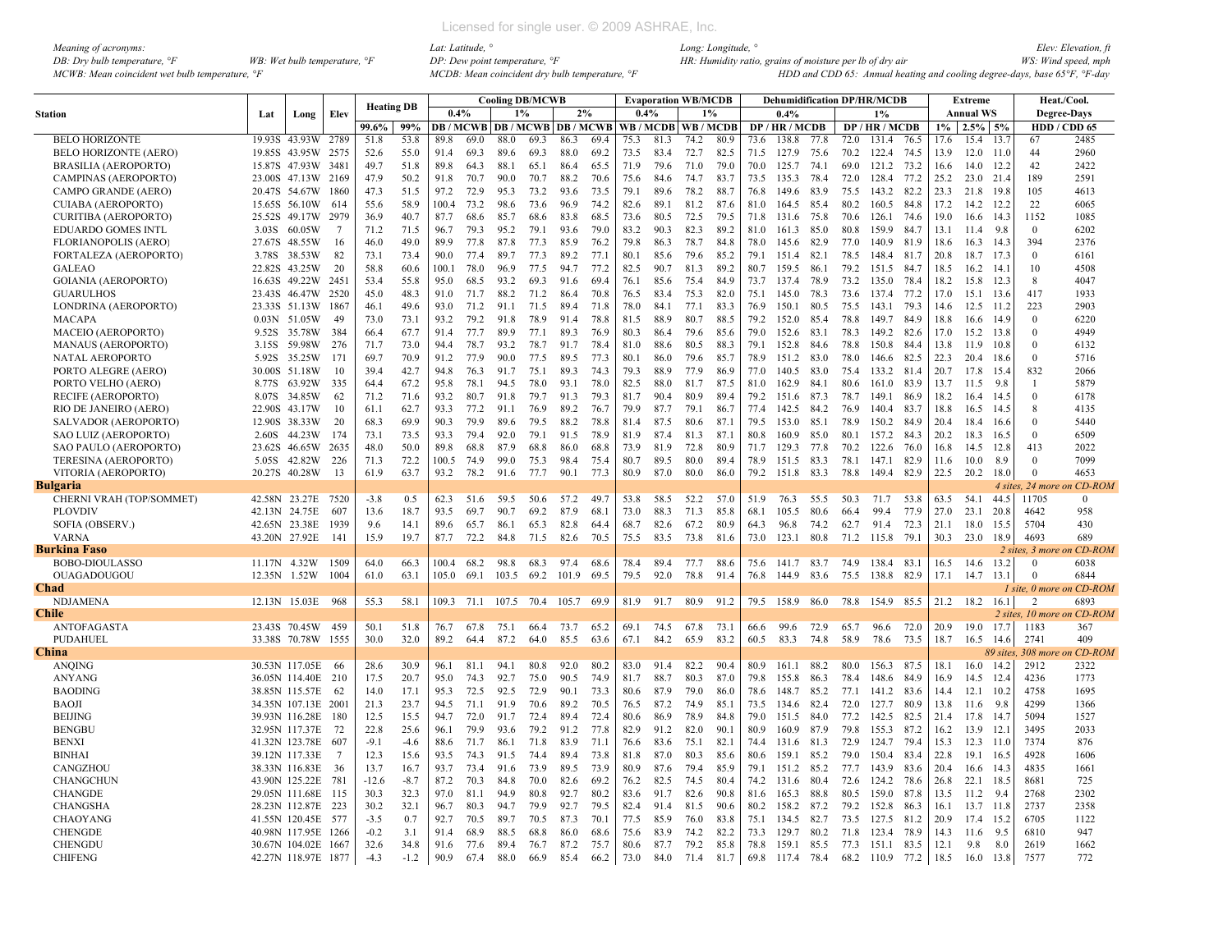| Meaning of acronyms:                                         |                                       |
|--------------------------------------------------------------|---------------------------------------|
| DB: Dry bulb temperature, $\mathcal{F}$                      | WB: Wet bulb temperature, $\degree$ F |
| $MCWB$ : Mean coincident wet bulb temperature. $\mathcal{F}$ |                                       |

|                              |        |                     |      | <b>Heating DB</b> |        |       |                       |       | <b>Cooling DB/MCWB</b> |       |      |      | <b>Evaporation WB/MCDB</b>              |      |      |      | <b>Dehumidification DP/HR/MCDB</b> |      |      |                 |      |                | Extreme          |           | Heat./Cool.        |                                  |
|------------------------------|--------|---------------------|------|-------------------|--------|-------|-----------------------|-------|------------------------|-------|------|------|-----------------------------------------|------|------|------|------------------------------------|------|------|-----------------|------|----------------|------------------|-----------|--------------------|----------------------------------|
| <b>Station</b>               | Lat    | Long                | Elev |                   |        | 0.4%  |                       | 1%    |                        | 2%    |      | 0.4% |                                         | 1%   |      |      | 0.4%                               |      |      | 1%              |      |                | <b>Annual WS</b> |           | <b>Degree-Days</b> |                                  |
|                              |        |                     |      | 99.6%             | 99%    |       |                       |       |                        |       |      |      | DB/MCWB DB/MCWB DB/MCWB WB/MCDB WB/MCDB |      |      |      | DP/HR/MCDB                         |      |      | DP / HR / MCDB  |      |                | $1\%$ 2.5% 5%    |           | HDD / CDD 65       |                                  |
| <b>BELO HORIZONTE</b>        |        | 19.93S 43.93W       | 2789 | 51.8              | 53.8   | 89.8  | 69.0                  | 88.0  | 69.3                   | 86.3  | 69.4 | 75.3 | 81.3                                    | 74.2 | 80.9 | 73.6 | 138.8                              | 77.8 | 72.0 | 131.4           | 76.5 | 17.6           | 15.4             | 13.7      | 67                 | 2485                             |
| <b>BELO HORIZONTE (AERO)</b> |        | 19.85S 43.95W       | 2575 | 52.6              | 55.0   | 91.4  | 69.3                  | 89.6  | 69.3                   | 88.0  | 69.2 | 73.5 | 83.4                                    | 72.7 | 82.5 | 71.5 | 127.9                              | 75.6 | 70.2 | 122.4           | 74.5 | 13.9           | $12.0$ 11.0      |           | 44                 | 2960                             |
| <b>BRASILIA (AEROPORTO)</b>  |        | 15.87S 47.93W       | 3481 | 49.7              | 51.8   | 89.8  | 64.3                  | 88.1  | 65.1                   | 86.4  | 65.5 | 71.9 | 79.6                                    | 71.0 | 79.0 | 70.0 | 125.7                              | 74.1 | 69.0 | 121.2           | 73.2 | 16.6           | 14.0             | 12.2      | 42                 | 2422                             |
| <b>CAMPINAS (AEROPORTO)</b>  |        | 23.00S 47.13W 2169  |      | 47.9              | 50.2   | 91.8  | 70.7                  | 90.0  | 70.7                   | 88.2  | 70.6 | 75.6 | 84.6                                    | 74.7 | 83.7 | 73.5 | 135.3                              | 78.4 | 72.0 | 128.4           | 77.2 | 25.2           | 23.0 21.4        |           | 189                | 2591                             |
| CAMPO GRANDE (AERO)          |        | 20.47S 54.67W       | 1860 | 47.3              | 51.5   | 97.2  | 72.9                  | 95.3  | 73.2                   | 93.6  | 73.5 | 79.1 | 89.6                                    | 78.2 | 88.7 | 76.8 | 149.6                              | 83.9 | 75.5 | 143.2 82.2      |      | 23.3           | 21.8             | 19.8      | 105                | 4613                             |
| <b>CUIABA (AEROPORTO)</b>    |        | 15.65S 56.10W       | 614  | 55.6              | 58.9   | 100.4 | 73.2                  | 98.6  | 73.6                   | 96.9  | 74.2 | 82.6 | 89.1                                    | 81.2 | 87.6 | 81.0 | 164.5                              | 85.4 | 80.2 | 160.5 84.8      |      | 17.2           | 14.2             | 12.2      | 22                 | 6065                             |
| <b>CURITIBA (AEROPORTO)</b>  |        | 25.52S 49.17W       | 2979 | 36.9              | 40.7   | 87.7  | 68.6                  | 85.7  | 68.6                   | 83.8  | 68.5 | 73.6 | 80.5                                    | 72.5 | 79.5 | 71.8 | 131.6                              | 75.8 | 70.6 | 126.1           | 74.6 | 19.0           | 16.6             | 14.3      | 1152               | 1085                             |
| <b>EDUARDO GOMES INTL</b>    | 3.03S  | 60.05W              | -7   | 71.2              | 71.5   | 96.7  | 79.3                  | 95.2  | 79.1                   | 93.6  | 79.0 | 83.2 | 90.3                                    | 82.3 | 89.2 | 81.0 | 161.3                              | 85.0 | 80.8 | 159.9           | 84.7 | 13.1           | 11.4             | 9.8       | $\bf{0}$           | 6202                             |
| <b>FLORIANOPOLIS (AERO)</b>  | 27.67S | 48.55W              | 16   | 46.0              | 49.0   | 89.9  | 77.8                  | 87.8  | 77.3                   | 85.9  | 76.2 | 79.8 | 86.3                                    | 78.7 | 84.8 | 78.0 | 145.6 82.9                         |      | 77.0 | 140.9           | 81.9 | 18.6           | 16.3             | 14.3      | 394                | 2376                             |
| FORTALEZA (AEROPORTO)        | 3.78S  | 38.53W              | 82   | 73.1              | 73.4   | 90.0  | 77.4                  | 89.7  | 77.3                   | 89.2  | 77.1 | 80.1 | 85.6                                    | 79.6 | 85.2 | 79.1 | 151.4                              | 82.1 | 78.5 | 148.4           | 81.7 | 20.8           | 18.7 17.3        |           | $\mathbf{0}$       | 6161                             |
| <b>GALEAO</b>                |        | 22.82S 43.25W       | 20   | 58.8              | 60.6   | 100.1 | 78.0                  | 96.9  | 77.5                   | 94.7  | 77.2 | 82.5 | 90.7                                    | 81.3 | 89.2 | 80.7 | 159.5                              | 86.1 | 79.2 | 151.5           | 84.7 | 18.5           | 16.2             | 14.1      | 10                 | 4508                             |
| <b>GOIANIA (AEROPORTO)</b>   |        | 16.63S 49.22W       | 2451 | 53.4              | 55.8   | 95.0  | 68.5                  | 93.2  | 69.3                   | 91.6  | 69.4 | 76.1 | 85.6                                    | 75.4 | 84.9 | 73.7 | 137.4                              | 78.9 | 73.2 | 135.0           | 78.4 | 18.2           | 15.8             | 12.3      | 8                  | 4047                             |
| <b>GUARULHOS</b>             |        | 23.43S 46.47W       | 2520 | 45.0              | 48.3   | 91.0  | 71.7                  | 88.2  | 71.2                   | 86.4  | 70.8 | 76.5 | 83.4                                    | 75.3 | 82.0 | 75.1 | 145.0                              | 78.3 | 73.6 | 137.4           | 77.2 | 17.0           | $15.1$ $13.6$    |           | 417                | 1933                             |
| LONDRINA (AEROPORTO)         |        | 23.33S 51.13W       | 1867 | 46.1              | 49.6   | 93.0  | 71.2                  | 91.1  | 71.5                   | 89.4  | 71.8 | 78.0 | 84.1                                    | 77.1 | 83.3 | 76.9 | 150.1                              | 80.5 | 75.5 | 143.1           | 79.3 | 14.6           | 12.5 11.2        |           | 223                | 2903                             |
| <b>MACAPA</b>                | 0.03N  | 51.05W              | 49   | 73.0              | 73.1   | 93.2  | 79.2                  | 91.8  | 78.9                   | 91.4  | 78.8 | 81.5 | 88.9                                    | 80.7 | 88.5 | 79.2 | 152.0                              | 85.4 | 78.8 | 149.7           | 84.9 | 18.8           | 16.6             | 14.9      | $\mathbf{0}$       | 6220                             |
| <b>MACEIO (AEROPORTO)</b>    | 9.52S  | 35.78W              | 384  | 66.4              | 67.7   | 91.4  | 77.7                  | 89.9  | 77.1                   | 89.3  | 76.9 | 80.3 | 86.4                                    | 79.6 | 85.6 | 79.0 | 152.6                              | 83.1 | 78.3 | 149.2 82.6      |      | 17.0           | 15.2             | 13.8      | $\Omega$           | 4949                             |
| <b>MANAUS (AEROPORTO)</b>    | 3.15S  | 59.98W              | 276  | 71.7              | 73.0   | 94.4  | 78.7                  | 93.2  | 78.7                   | 91.7  | 78.4 | 81.0 | 88.6                                    | 80.5 | 88.3 | 79.1 | 152.8                              | 84.6 | 78.8 | 150.8           | 84.4 | 13.8           | 11.9             | 10.8      | $\Omega$           | 6132                             |
| NATAL AEROPORTO              | 5.92S  | 35.25W              | 171  | 69.7              | 70.9   | 91.2  | 77.9                  | 90.0  | 77.5                   | 89.5  | 773  | 80.1 | 86.0                                    | 79.6 | 85.7 | 78.9 | 151.2 83.0                         |      | 78.0 | 146.6           | 82.5 | 22.3           | 20.4             | 18.6      | $\theta$           | 5716                             |
| PORTO ALEGRE (AERO)          |        | 30.00S 51.18W       | 10   | 39.4              | 42.7   | 94.8  | 76.3                  | 91.7  | 75.1                   | 89.3  | 74.3 | 79.3 | 88.9                                    | 77.9 | 86.9 | 77.0 | 140.5                              | 83.0 | 75.4 | 133.2 81.4      |      | 20.7           | 17.8             | 15.4      | 832                | 2066                             |
| PORTO VELHO (AERO)           | 8.77S  | 63.92W              | 335  | 64.4              | 67.2   | 95.8  | 78.1                  | 94.5  | 78.0                   | 93.1  | 78.0 | 82.5 | 88.0                                    | 81.7 | 87.5 | 81.0 | 162.9                              | 84.1 | 80.6 | 161.0           | 83.9 | 13.7           | 11.5             | 9.8       |                    | 5879                             |
| <b>RECIFE (AEROPORTO)</b>    | 8.07S  | 34.85W              | 62   | 71.2              | 71.6   | 93.2  | 80.7                  | 91.8  | 79.7                   | 91.3  | 79.3 | 81.7 | 90.4                                    | 80.9 | 89.4 | 79.2 | 151.6                              | 87.3 | 78.7 | 149.1           | 86.9 | 18.2           | 16.4             | - 14.5    | $\theta$           | 6178                             |
| RIO DE JANEIRO (AERO)        | 22.90S | 43.17W              | 10   | 61.1              | 62.7   | 93.3  | 77.2                  | 91.1  | 76.9                   | 89.2  | 76.7 | 79.9 | 87.7                                    | 79.1 | 86.7 | 77.4 | 142.5                              | 84.2 | 76.9 | 140.4           | 83.7 | 18.8           | 16.5             | 14.5      | $\mathbf{8}$       | 4135                             |
| SALVADOR (AEROPORTO)         | 12.90S | 38.33W              | 20   | 68.3              | 69.9   | 90.3  | 79.9                  | 89.6  | 79.5                   | 88.2  | 78.8 | 81.4 | 87.5                                    | 80.6 | 87.1 | 79.5 | 153.0                              | 85.1 | 78.9 | 150.2           | 84.9 | 20.4           | 18.4             | 16.6      | $\Omega$           | 5440                             |
| SAO LUIZ (AEROPORTO)         | 2.60S  | 44.23W              | 174  | 73.1              | 73.5   | 93.3  | 79.4                  | 92.0  | 79.1                   | 91.5  | 78.9 | 81.9 | 87.4                                    | 81.3 | 87.1 | 80.8 | 160.9                              | 85.0 | 80.1 | 157.2 84.3      |      | 20.2           | 18.3             | 16.5      | $\Omega$           | 6509                             |
| SAO PAULO (AEROPORTO)        | 23.62S | 46.65W              | 2635 | 48.0              | 50.0   | 89.8  | 68.8                  | 87.9  | 68.8                   | 86.0  | 68.8 | 73.9 | 81.9                                    | 72.8 | 80.9 | 71.7 | 129.3 77.8                         |      | 70.2 | 122.6           | 76.0 | 16.8           | 14.5             | 12.8      | 413                | 2022                             |
| TERESINA (AEROPORTO)         | 5.05S  | 42.82W              | 226  | 71.3              | 72.2   | 100.5 | 74.9                  | 99.0  | 75.3                   | 98.4  | 75.4 | 80.7 | 89.5                                    | 80.0 | 89.4 | 78.9 | 151.5                              | 83.3 | 78.1 | 147.1           | 82.9 | 11.6           | 10.0             | 8.9       | $\Omega$           | 7099                             |
| VITORIA (AEROPORTO)          |        | 20.27S 40.28W       | 13   | 61.9              | 63.7   | 93.2  | 78.2                  | 91.6  | 77.7                   | 90.1  | 77.3 | 80.9 | 87.0                                    | 80.0 | 86.0 | 79.2 | 151.8                              | 83.3 | 78.8 | 149.4 82.9      |      | 22.5           | 20.2             | 18.0      | $\theta$           | 4653                             |
| Bulgaria                     |        |                     |      |                   |        |       |                       |       |                        |       |      |      |                                         |      |      |      |                                    |      |      |                 |      |                |                  |           | 4 sites, 24 more   | on CD-ROM                        |
| CHERNI VRAH (TOP/SOMMET)     |        | 42.58N 23.27E       | 7520 | $-3.8$            | 0.5    | 62.3  | 51.6                  | 59.5  | 50.6                   | 57.2  | 49.7 | 53.8 | 58.5                                    | 52.2 | 57.0 | 51.9 | 76.3                               | 55.5 | 50.3 | 71.7            | 53.8 | 63.5           | 54.1             | 44.5      | 11705              | $\mathbf{0}$                     |
| <b>PLOVDIV</b>               |        | 42.13N 24.75E       | 607  | 13.6              | 18.7   | 93.5  | 69.7                  | 90.7  | 69.2                   | 87.9  | 68.1 | 73.0 | 88.3                                    | 71.3 | 85.8 | 68.1 | 105.5                              | 80.6 | 66.4 | 99.4            | 77.9 | 27.0           | 23.1             | 20.8      | 4642               | 958                              |
| SOFIA (OBSERV.)              |        | 42.65N 23.38E       | 1939 | 9.6               | 14.1   | 89.6  | 65.7                  | 86.1  | 65.3                   | 82.8  | 64.4 | 68.7 | 82.6                                    | 67.2 | 80.9 | 64.3 | 96.8                               | 74.2 | 62.7 | 91.4            | 72.3 | 21.1           | 18.0             | 15.5      | 5704               | 430                              |
| <b>VARNA</b>                 |        | 43.20N 27.92E       | 141  | 15.9              | 19.7   | 87.7  | 72.2                  | 84.8  | 71.5                   | 82.6  | 70.5 | 75.5 | 83.5                                    | 73.8 | 81.6 | 73.0 | 123.1                              | 80.8 | 71.2 | 115.8           | 79.1 | 30.3           | 23.0             | 18.9      | 4693               | 689                              |
| Burkina Faso                 |        |                     |      |                   |        |       |                       |       |                        |       |      |      |                                         |      |      |      |                                    |      |      |                 |      |                |                  |           |                    | 2 sites, 3 more on CD-ROM        |
| BOBO-DIOULASSO               |        | 11.17N 4.32W        | 1509 | 64.0              | 66.3   | 100.4 | 68.2                  | 98.8  | 68.3                   | 97.4  | 68.6 | 78.4 | 89.4                                    | 77.7 | 88.6 | 75.6 | 141.7 83.7                         |      | 74.9 | 138.4 83.1      |      | 16.5           | 14.6             | 13.2      | $\Omega$           | 6038                             |
| <b>OUAGADOUGOU</b>           |        | 12.35N 1.52W        | 1004 | 61.0              | 63.1   | 105.0 | 69.1                  | 103.5 | 69.2                   | 101.9 | 69.5 | 79.5 | 92.0                                    | 78.8 | 91.4 | 76.8 | 144.9                              | 83.6 | 75.5 | 138.8           | 82.9 | 17.1           | 14.7             | 13.1      | $\Omega$           | 6844                             |
| Chad<br><b>NDJAMENA</b>      |        | 12.13N 15.03E       | 968  | 55.3              | 58.1   | 109.3 | 71.1 107.5 70.4 105.7 |       |                        |       | 69.9 | 81.9 | 91.7                                    | 80.9 | 91.2 |      | 79.5 158.9                         | 86.0 | 78.8 | 154.9 85.5      |      | 21.2 18.2 16.1 |                  |           | 2                  | I site, 0 more on CD-ROM<br>6893 |
| Chile                        |        |                     |      |                   |        |       |                       |       |                        |       |      |      |                                         |      |      |      |                                    |      |      |                 |      |                |                  |           |                    | 2 sites, 10 more on CD-ROM       |
| ANTOFAGASTA                  |        | 23.43S 70.45W       | 459  | 50.1              | 51.8   | 76.7  | 67.8                  | 75.1  | 66.4                   | 73.7  | 65.2 | 69.1 | 74.5                                    | 67.8 | 73.1 | 66.6 | 99.6                               | 72.9 | 65.7 | 96.6            | 72.0 | 20.9           | 19.0             | 17.7      | 1183               | 367                              |
| <b>PUDAHUEL</b>              |        | 33.38S 70.78W       | 1555 | 30.0              | 32.0   | 89.2  | 64.4                  | 87.2  | 64.0                   | 85.5  | 63.6 | 67.1 | 84.2                                    | 65.9 | 83.2 | 60.5 | 83.3                               | 74.8 | 58.9 | 78.6            | 73.5 | 18.7           | 16.5             | 14.6      | 2741               | 409                              |
| China                        |        |                     |      |                   |        |       |                       |       |                        |       |      |      |                                         |      |      |      |                                    |      |      |                 |      |                |                  | 89 sites. | 308 more           | on CD-ROM                        |
| <b>ANOING</b>                |        | 30.53N 117.05E      | -66  | 28.6              | 30.9   | 96.1  | 81.1                  | 94.1  | 80.8                   | 92.0  | 80 2 | 83.0 | 91.4                                    | 82.2 | 90.4 | 80.9 | 161.1                              | 88.2 | 80.0 | 156.3 87.5      |      | 18.1           | 16.0 14.2        |           | 2912               | 2322                             |
| <b>ANYANG</b>                |        | 36.05N 114.40E      | 210  | 17.5              | 20.7   | 95.0  | 74.3                  | 92.7  | 75.0                   | 90.5  | 74.9 | 81.7 | 88.7                                    | 80.3 | 87.0 | 79.8 | 155.8                              | 86.3 | 78.4 | 148.6           | 84.9 | 16.9           | 14.5             | 12.4      | 4236               | 1773                             |
| <b>BAODING</b>               |        | 38.85N 115.57E      | 62   | 14.0              | 17.1   | 95.3  | 72.5                  | 92.5  | 72.9                   | 90.1  | 73.3 | 80.6 | 87.9                                    | 79.0 | 86.0 | 78.6 | 148.7                              | 85.2 | 77.1 | 141.2 83.6      |      | 14.4           | 12.1             | 10.2      | 4758               | 1695                             |
| <b>BAOJI</b>                 |        | 34.35N 107.13E 2001 |      | 21.3              | 23.7   | 94.5  | 71.1                  | 91.9  | 70.6                   | 89.2  | 70.5 | 76.5 | 87.2                                    | 74.9 | 85.1 | 73.5 | 134.6                              | 82.4 | 72.0 | 127.7           | 80.9 | 13.8           | 11.6             | 9.8       | 4299               | 1366                             |
| <b>BEIJING</b>               |        | 39.93N 116.28E      | 180  | 12.5              | 15.5   | 94.7  | 72.0                  | 91.7  | 72.4                   | 89.4  | 72.4 | 80.6 | 86.9                                    | 78.9 | 84.8 | 79.0 | 151.5                              | 84.0 | 77.2 | 142.5           | 82.5 | 21.4           | 17.8 14.7        |           | 5094               | 1527                             |
| <b>BENGBU</b>                |        | 32.95N 117.37E      | 72   | 22.8              | 25.6   | 96.1  | 79.9                  | 93.6  | 79.2                   | 91.2  | 77.8 | 82.9 | 91.2                                    | 82.0 | 90.1 | 80.9 | 160.9                              | 87.9 | 79.8 | 155.3           | 87.2 | 16.2           | 13.9             | 12.1      | 3495               | 2033                             |
| <b>BENXI</b>                 |        | 41.32N 123.78E      | 607  | $-9.1$            | $-46$  | 88.6  | 71.7                  | 86.1  | 71.8                   | 83.9  | 71.1 | 76.6 | 83.6                                    | 75.1 | 82.1 | 74.4 | 131.6                              | 81.3 | 72.9 | 124.7           | 79.4 | 15.3           | 12.3             | 11.0      | 7374               | 876                              |
| <b>BINHAI</b>                |        | 39.12N 117.33E      | -7   | 123               | 15.6   | 93.5  | 74.3                  | 91.5  | 74.4                   | 89.4  | 73.8 | 81.8 | 87.0                                    | 80.3 | 85.6 | 80.6 | 159.1                              | 852  | 79.0 | 150.4           | 83.4 | 22.8           | 19.1 16.5        |           | 4928               | 1606                             |
| CANGZHOU                     |        | 38.33N 116.83E      | -36  | 13.7              | 16.7   | 93.7  | 73.4                  | 91.6  | 73.9                   | 89.5  | 73.9 | 80.9 | 87.6                                    | 79.4 | 85.9 | 79.1 | 151.2 85.2                         |      | 77.7 | 143.9           | 83.6 | 20.4           | 16.6             | 14.3      | 4835               | 1661                             |
| <b>CHANGCHUN</b>             |        | 43.90N 125.22E      | 781  | $-12.6$           | $-8.7$ | 87.2  | 70.3                  | 84.8  | 70.0                   | 82.6  | 69.2 | 76.2 | 82.5                                    | 74.5 | 80.4 | 74.2 | 131.6                              | 80.4 | 72.6 | 124.2           | 78.6 | 26.8           | 22.1 18.5        |           | 8681               | 725                              |
| <b>CHANGDE</b>               |        | 29.05N 111.68E      | 115  | 30.3              | 32.3   | 97.0  | 81.1                  | 94.9  | 80.8                   | 92.7  | 80.2 | 83.6 | 91.7                                    | 82.6 | 90.8 | 81.6 | 165.3                              | 88.8 | 80.5 | 159.0           | 87.8 | 13.5           | 11.2             | 9.4       | 2768               | 2302                             |
| <b>CHANGSHA</b>              |        | 28.23N 112.87E 223  |      | 30.2              | 32.1   | 96.7  | 80.3                  | 94.7  | 79.9                   | 92.7  | 79.5 | 82.4 | 91.4                                    | 81.5 | 90.6 | 80.2 | 158.2 87.2                         |      | 79.2 | 152.8           | 86.3 | 16.1           | $13.7$ $11.8$    |           | 2737               | 2358                             |
| <b>CHAOYANG</b>              |        | 41.55N 120.45E 577  |      | $-3.5$            | 0.7    | 92.7  | 70.5                  | 89.7  | 70.5                   | 87.3  | 70.1 | 77.5 | 85.9                                    | 76.0 | 83.8 | 75.1 | 134.5                              | 82.7 | 73.5 | 127.5           | 81.2 | 20.9           | 17.4             | 15.2      | 6705               | 1122                             |
| <b>CHENGDE</b>               |        | 40.98N 117.95E 1266 |      | $-0.2$            | 3.1    | 91.4  | 68.9                  | 88.5  | 68.8                   | 86.0  | 68.6 | 75.6 | 83.9                                    | 74.2 | 82.2 | 73.3 | 129.7 80.2                         |      | 71.8 | 123.4           | 78.9 | 14.3           | 11.6             | 9.5       | 6810               | 947                              |
| <b>CHENGDU</b>               |        | 30.67N 104.02E      | 1667 | 32.6              | 34.8   | 91.6  | 77.6                  | 89.4  | 76.7                   | 87.2  | 75.7 | 80.6 | 87.7                                    | 79.2 | 85.8 | 78.8 | 159.1                              | 85.5 | 77.3 | 151.1           | 83.5 | 12.1           | 9.8              | 8.0       | 2619               | 1662                             |
| <b>CHIFENG</b>               |        | 42.27N 118.97E 1877 |      | $-4.3$            | $-1.2$ | 90.9  | 67.4                  | 88.0  | 66.9                   | 85.4  | 66.2 | 73.0 | 84.0                                    | 71.4 | 81.7 | 69.8 | 117.4 78.4                         |      |      | 68.2 110.9 77.2 |      | 18.5           | 16.0             | 13.8      | 7577               | 772                              |
|                              |        |                     |      |                   |        |       |                       |       |                        |       |      |      |                                         |      |      |      |                                    |      |      |                 |      |                |                  |           |                    |                                  |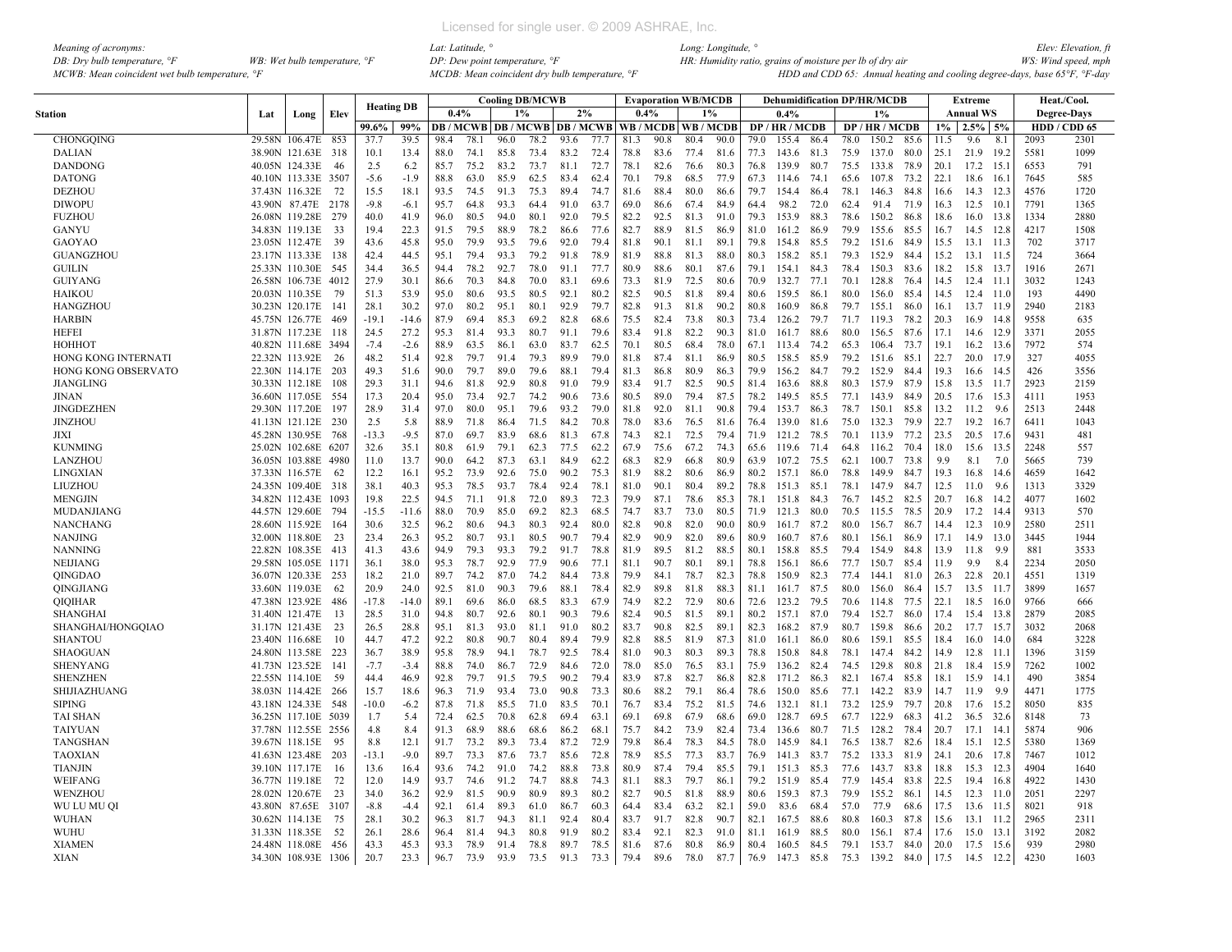| Meaning of acronyms:                           |                                         |  |
|------------------------------------------------|-----------------------------------------|--|
| DB: Dry bulb temperature, $\mathcal{F}$        | WB: Wet bulb temperature, $\mathcal{F}$ |  |
| MCWB: Mean coincident wet bulb temperature, °F |                                         |  |

|                                  |     |                                      |       |                   |              |              |              |              | <b>Cooling DB/MCWB</b> |                                   |              |              |              | <b>Evaporation WB/MCDB</b> |              |              |                |              |              | <b>Dehumidification DP/HR/MCDB</b> |              |              | <b>Extreme</b>    |              |             | Heat./Cool.        |
|----------------------------------|-----|--------------------------------------|-------|-------------------|--------------|--------------|--------------|--------------|------------------------|-----------------------------------|--------------|--------------|--------------|----------------------------|--------------|--------------|----------------|--------------|--------------|------------------------------------|--------------|--------------|-------------------|--------------|-------------|--------------------|
| <b>Station</b>                   | Lat | Long                                 | Elev  | <b>Heating DB</b> |              | $0.4\%$      |              |              | $1\%$                  | 2%                                |              | 0.4%         |              |                            | $1\%$        |              | 0.4%           |              |              | $1\%$                              |              |              | <b>Annual WS</b>  |              |             | <b>Degree-Days</b> |
|                                  |     |                                      |       | 99.6%             | 99%          |              |              |              |                        | DB / MCWB   DB / MCWB   DB / MCWB |              |              |              | WB / MCDB   WB / MCDE      |              |              | DP/HR/MCDB     |              |              | DP/HR/MCDB                         |              | $1\%$        | $2.5\%$ 5%        |              |             | HDD / CDD 65       |
| <b>CHONGOING</b>                 |     | 29.58N 106.47E 853                   |       | 37.7              | 39.5         | 98.4         | 78.1         | 96.0         | 78.2                   | 93.6                              | 77.7         | 81.3         | 90.8         | 80.4                       | 90.0         | 79.0         | 155.4          | 86.4         | 78.0         | 150.2                              | 85.6         | 11.5         | 9.6               | 8.1          | 2093        | 2301               |
| <b>DALIAN</b>                    |     | 38.90N 121.63E 318                   |       | 10.1              | 13.4         | 88.0         | 74.1         | 85.8         | 73.4                   | 83.2                              | 72.4         | 78.8         | 83.6         | 77.4                       | 81.6         | 77.3         | 143.6 81.3     |              | 75.9         | 137.0                              | 80.0         | 25.1         | 21.9              | 19.2         | 5581        | 1099               |
| DANDONG                          |     | 40.05N 124.33E                       | 46    | 2.5               | 6.2          | 85.7         | 75.2         | 83.2         | 73.7                   | 81.1                              | 72.7         | 78.1         | 82.6         | 76.6                       | 80.3         | 76.8         | 139.9          | 80.7         | 75.5         | 133.8                              | 78.9         | 20.1         | 17.2 15.1         |              | 6553        | 791                |
| <b>DATONG</b>                    |     | 40.10N 113.33E 3507                  |       | $-5.6$            | $-1.9$       | 88.8         | 63.0         | 85.9         | 62.5                   | 83.4                              | 62.4         | 70.1         | 79.8         | 68.5                       | 77.9         | 67.3         | 114.6          | 74.1         | 65.6         | 107.8                              | 73.2         | 22.1         | $18.6$ 16.        |              | 7645        | 585                |
| <b>DEZHOU</b>                    |     | 37.43N 116.32E                       | 72    | 15.5              | 18.1         | 93.5         | 74.5         | 91.3         | 75.3                   | 89.4                              | 74.7         | 81.6         | 88.4         | 80.0                       | 86.6         | 79.7         | 154.4          | 86.4         | 78.1         | 146.3                              | 84.8         | 16.6         | 14.3 12.3         |              | 4576        | 1720               |
| <b>DIWOPU</b>                    |     | 43.90N 87.47E 2178                   |       | $-9.8$            | $-6.1$       | 95.7         | 64.8         | 93.3         | 64.4                   | 91.0                              | 63.7         | 69.0         | 86.6         | 67.4                       | 84.9         | 64.4         | 98.2           | 72.0         | 62.4         | 91.4                               | 71.9         | 16.3         | $12.5$ 10.        |              | 7791        | 1365               |
| <b>FUZHOU</b>                    |     | 26.08N 119.28E 279                   |       | 40.0              | 41.9         | 96.0         | 80.5         | 94.0         | 80.1                   | 92.0                              | 79.5         | 82.2         | 92.5         | 81.3                       | 91.0         | 79.3         | 153.9          | 88.3         | 78.6         | 150.2                              | 86.8         | 18.6         | $16.0$ 13.8       |              | 1334        | 2880               |
| GANYU                            |     | 34.83N 119.13E                       | 33    | 19.4              | 22.3         | 91.5         | 79.5         | 88.9         | 78.2                   | 86.6                              | 77.6         | 82.7         | 88.9         | 81.5                       | 86.9         | 81.0         | 161.2          | 86.9         | 79.9         | 155.6                              | 85.5         | 16.7         | $14.5$ $12.8$     |              | 4217        | 1508               |
| <b>GAOYAO</b>                    |     | 23.05N 112.47E                       | -39   | 43.6              | 45.8         | 95.0         | 79.9         | 93.5         | 79.6                   | 92.0                              | 79.4         | 81.8         | 90.1         | 81.1                       | 89.1         | 79.8         | 154.8          | 85.5         | 79.2         | 151.6                              | 84.9         | 15.5         | 13.1              | 11.3         | 702         | 3717               |
| GUANGZHOU                        |     | 23.17N 113.33E 138                   |       | 42.4              | 44.5         | 95.1         | 79.4         | 93.3         | 79.2                   | 91.8                              | 78.9         | 81.9         | 88.8         | 81.3                       | 88.0         | 80.3         | 158.2          | 85.1         | 79.3         | 152.9                              | 84.4         | 15.2         | $13.1$ 11.5       |              | 724         | 3664               |
| <b>GUILIN</b>                    |     | 25.33N 110.30E                       | 545   | 34.4              | 36.5         | 94.4         | 78.2         | 92.7         | 78.0                   | 91.1                              | 77.7         | 80.9         | 88.6         | 80.1                       | 87.6         | 79.1         | 154.1          | 84.3         | 78.4         | 150.3                              | 83.6         | 18.2         | 15.8 13.7         |              | 1916        | 2671               |
| <b>GUIYANG</b>                   |     | 26.58N 106.73E 4012                  |       | 27.9              | 30.1         | 86.6         | 70.3         | 84.8         | 70.0                   | 83.1                              | 69.6         | 73.3         | 81.9         | 72.5                       | 80.6         | 70.9         | 132.7          | 77.1         | 70.1         | 128.8                              | 76.4         | 14.5         | $12.4$ 11.1       |              | 3032        | 1243               |
| <b>HAIKOU</b>                    |     | 20.03N 110.35E                       | 79    | 51.3              | 53.9         | 95.0         | 80.6         | 93.5         | 80.5                   | 92.1                              | 80.2         | 82.5         | 90.5         | 81.8                       | 89.4         | 80.6         | 159.5          | 86.1         | 80.0         | 156.0                              | 85.4         | 14.5         | 12.4              | 11.0         | 193         | 4490               |
| HANGZHOU                         |     | 30.23N 120.17E                       | - 141 | 28.1              | 30.2         | 97.0         | 80.2         | 95.1         | 80.1                   | 92.9                              | 79.7         | 82.8         | 91.3         | 81.8                       | 90.2         | 80.8         | 160.9          | 86.8         | 79.7         | 155.1                              | 86.0         | 16.1         | 13.7 11.9         |              | 2940        | 2183               |
| <b>HARBIN</b>                    |     | 45.75N 126.77E                       | 469   | $-19.1$           | $-14.6$      | 87.9         | 69.4         | 85.3         | 69.2                   | 82.8                              | 68.6         | 75.5         | 82.4         | 73.8                       | 80.3         | 73.4         | 126.2          | 79.7         | 71.7         | 119.3                              | 78.2         | 20.3         | 16.9 14.8         |              | 9558        | 635                |
| HEFEI                            |     | 31.87N 117.23E                       | -118  | 24.5              | 27.2         | 95.3         | 81.4         | 93.3         | 80.7                   | 91.1                              | 79.6         | 83.4         | 91.8         | 82.2                       | 90.3         | 81.0         | 161.7          | 88.6         | 80.0         | 156.5                              | 87.6         | 17.1         | 14.6 12.9         |              | 3371        | 2055               |
| НОННОТ                           |     | 40.82N 111.68E                       | 3494  | $-7.4$            | $-2.6$       | 88.9         | 63.5         | 86.1         | 63.0                   | 83.7                              | 62.5         | 70.1         | 80.5         | 68.4                       | 78.0         | 67.1         | 113.4          | 74.2         | 65.3         | 106.4                              | 73.7         | 19.1         | $16.2$ 13.6       |              | 7972        | 574                |
| HONG KONG INTERNATI              |     | 22.32N 113.92E 26                    |       | 48.2              | 51.4         | 92.8         | 79.7         | 91.4         | 79.3                   | 89.9                              | 79.0         | 81.8         | 87.4         | 81.1                       | 86.9         | 80.5         | 158.5          | 85.9         | 79.2         | 151.6                              | 85.1         | 22.7         | 20.0 17.9         |              | 327         | 4055               |
| HONG KONG OBSERVATO              |     | 22.30N 114.17E 203                   |       | 49.3              | 51.6         | 90.0         | 79.7         | 89.0         | 79.6                   | 88.1                              | 79.4         | 81.3         | 86.8         | 80.9                       | 86.3         | 79.9         | 156.2          | 84.7         | 79.2         | 152.9                              | 84.4         | 19.3         | 16.6 14.5         |              | 426         | 3556               |
| JIANGLING                        |     | 30.33N 112.18E                       | 108   | 29.3              | 31.1         | 94.6         | 81.8         | 92.9         | 80.8                   | 91.0                              | 79.9         | 83.4         | 91.7         | 82.5                       | 90.5         | 81.4         | 163.6          | 88.8         | 80.3         | 157.9                              | 87.9         | 15.8         | 13.5 11.7         |              | 2923        | 2159               |
| <b>JINAN</b>                     |     | 36.60N 117.05E                       | 554   | 17.3              | 20.4         | 95.0         | 73.4         | 92.7         | 74.2                   | 90.6                              | 73.6         | 80.5         | 89.0         | 79.4                       | 87.5         | 78.2         | 149.5          | 85.5         | 77.1         | 143.9                              | 84.9         | 20.5         | 17.6 15.3         |              | 4111        | 1953               |
| <b>JINGDEZHEN</b>                |     | 29.30N 117.20E                       | 197   | 28.9              | 31.4         | 97.0         | 80.0         | 95.1         | 79.6                   | 93.2                              | 79.0         | 81.8         | 92.0         | 81.1                       | 90.8         | 79.4         | 153.7          | 86.3         | 78.7         | 150.1                              | 85.8         | 13.2         | 11.2              | 9.6          | 2513        | 2448               |
| <b>JINZHOU</b>                   |     | 41.13N 121.12E 230                   |       | 2.5               | 5.8          | 88.9         | 71.8         | 86.4         | 71.5                   | 84.2                              | 70.8         | 78.0         | 83.6         | 76.5                       | 81.6         | 76.4         | 139.0          | 81.6         | 75.0         | 132.3                              | 79.9         | 22.7         | $19.2 \quad 16.7$ |              | 6411        | 1043               |
| JIXI                             |     | 45.28N 130.95E 768                   |       | $-13.3$           | $-9.5$       | 87.0         | 69.7         | 83.9         | 68.6                   | 81.3                              | 67.8         | 74.3         | 82.1         | 72.5                       | 79.4         | 71.9         | 121.2          | 78.5         | 70.1         | 113.9                              | 77.2         | 23.5         | 20.5 17.6         |              | 9431        | 481                |
| <b>KUNMING</b>                   |     | 25.02N 102.68E 6207                  |       | 32.6              | 35.1         | 80.8         | 61.9         | 79.1         | 62.3                   | 77.5                              | 62.2         | 67.9         | 75.6         | 67.2                       | 74.3         | 65.6         | 119.6          | 71.4         | 64.8         | 116.2                              | 70.4         | 18.0         | 15.6 13.5         |              | 2248        | 557                |
| LANZHOU                          |     | 36.05N 103.88E 4980                  |       | 11.0              | 13.7         | 90.0         | 64.2         | 87.3         | 63.1                   | 84.9                              | 62.2         | 68.3         | 82.9         | 66.8                       | 80.9         | 63.9         | 107.2          | 75.5         | 62.1         | 100.7                              | 73.8         | 9.9          | 8.1               | 7.0          | 5665        | 739                |
| <b>LINGXIAN</b>                  |     | 37.33N 116.57E                       | -62   | 12.2              | 16.1         | 95.2         | 73.9         | 92.6         | 75.0                   | 90.2                              | 75.3         | 81.9         | 88.2         | 80.6                       | 86.9         | 80.2         | 157.1          | 86.0         | 78.8         | 149.9                              | 84.7         | 19.3         | 16.8              | - 14.6       | 4659        | 1642               |
| LIUZHOU                          |     | 24.35N 109.40E 318                   |       | 38.1              | 40.3         | 95.3         | 78.5         | 93.7         | 78.4                   | 92.4                              | 78.1         | 81.0         | 90.1         | 80.4                       | 89.2         | 78.8         | 151.3          | 85.1         | 78.1         | 147.9                              | 84.7         | 12.5         | 11.0              | 9.6          | 1313        | 3329               |
| <b>MENGJIN</b>                   |     | 34.82N 112.43E 1093                  |       | 19.8              | 22.5         | 94.5         | 71.1         | 91.8         | 72.0                   | 89.3                              | 72.3         | 79.9         | 87.1         | 78.6                       | 85.3         | 78.1         | 151.8          | 84.3         | 76.7         | 145.2                              | 82.5         | 20.7         | 16.8              | 14.2         | 4077        | 1602               |
| MUDANJIANG                       |     | 44.57N 129.60E                       | 794   | $-15.5$           | $-11.6$      | 88.0         | 70.9         | 85.0         | 69.2                   | 82.3                              | 68.5         | 74.7         | 83.7         | 73.0                       | 80.5         | 71.9         | 121.3          | 80.0         | 70.5         | 115.5                              | 78.5         | 20.9         | 17.2              | 14.4         | 9313        | 570                |
| NANCHANG                         |     | 28.60N 115.92E                       | - 164 | 30.6              | 32.5         | 96.2         | 80.6         | 94.3         | 80.3                   | 92.4                              | 80.0         | 82.8<br>82.9 | 90.8<br>90.9 | 82.0<br>82.0               | 90.0         | 80.9         | 161.7          | 87.2         | 80.0         | 156.7                              | 86.7         | 14.4         | 12.3              | 10.9         | 2580        | 2511               |
| <b>NANJING</b><br><b>NANNING</b> |     | 32.00N 118.80E<br>22.82N 108.35E 413 | 23    | 23.4<br>41.3      | 26.3<br>43.6 | 95.2<br>94.9 | 80.7<br>79.3 | 93.1<br>93.3 | 80.5<br>79.2           | 90.7<br>91.7                      | 79.4<br>78.8 | 81.9         | 89.5         | 81.2                       | 89.6<br>88.5 | 80.9<br>80.1 | 160.7<br>158.8 | 87.6<br>85.5 | 80.1<br>79.4 | 156.1<br>154.9                     | 86.9<br>84.8 | 17.1         | 14.9<br>11.8      | 13.0         | 3445<br>881 | 1944<br>3533       |
| <b>NEIJIANG</b>                  |     | 29.58N 105.05E                       | 1171  | 36.1              | 38.0         | 95.3         | 78.7         | 92.9         | 77.9                   | 90.6                              | 77.          | 81.1         | 90.7         | 80.1                       | 89.1         | 78.8         | 156.1          | 86.6         | 77.7         | 150.7                              | 85.4         | 13.9<br>11.9 | 9.9               | - 9.9<br>8.4 | 2234        | 2050               |
| <b>OINGDAO</b>                   |     | 36.07N 120.33E 253                   |       | 18.2              | 21.0         | 89.7         | 74.2         | 87.0         | 74.2                   | 84.4                              | 73.8         | 79.9         | 84.1         | 78.7                       | 82.3         | 78.8         | 150.9          | 82.3         | 77.4         | 144.1                              | 81.0         | 26.3         | 22.8              | <b>20.</b>   | 4551        | 1319               |
| QINGJIANG                        |     | 33.60N 119.03E                       | 62    | 20.9              | 24.0         | 92.5         | 81.0         | 90.3         | 79.6                   | 88.1                              | 78.4         | 82.9         | 89.8         | 81.8                       | 88.3         | 81.1         | 161.7          | 87.5         | 80.0         | 156.0                              | 86.4         | 15.7         | $13.5$ 11.7       |              | 3899        | 1657               |
| QIQIHAR                          |     | 47.38N 123.92E                       | 486   | $-17.8$           | $-14.0$      | 89.1         | 69.6         | 86.0         | 68.5                   | 83.3                              | 67.9         | 74.9         | 82.2         | 72.9                       | 80.6         | 72.6         | 123.2          | 79.5         | 70.6         | 114.8                              | 77.5         | 22.1         | 18.5 16.0         |              | 9766        | 666                |
| SHANGHAI                         |     | 31.40N 121.47E                       | 13    | 28.5              | 31.0         | 94.8         | 80.7         | 92.6         | 80.1                   | 90.3                              | 79.6         | 82.4         | 90.5         | 81.5                       | 89.1         | 80.2         | 157.1          | 87.0         | 79.4         | 152.7                              | 86.0         | 17.4         | 15.4 13.8         |              | 2879        | 2085               |
| SHANGHAI/HONGQIAO                |     | 31.17N 121.43E                       | 23    | 26.5              | 28.8         | 95.1         | 81.3         | 93.0         | 81.1                   | 91.0                              | 80.2         | 83.7         | 90.8         | 82.5                       | 89.1         | 82.3         | 168.2          | 87.9         | 80.7         | 159.8                              | 86.6         | 20.2         | 17.7 15.7         |              | 3032        | 2068               |
| <b>SHANTOU</b>                   |     | 23.40N 116.68E                       | 10    | 44.7              | 47.2         | 92.2         | 80.8         | 90.7         | 80.4                   | 89.4                              | 79.9         | 82.8         | 88.5         | 81.9                       | 87.3         | 81.0         | 161.1          | 86.0         | 80.6         | 159.1                              | 85.5         | 18.4         | 16.0 14.0         |              | 684         | 3228               |
| <b>SHAOGUAN</b>                  |     | 24.80N 113.58E 223                   |       | 36.7              | 38.9         | 95.8         | 78.9         | 94.1         | 78.7                   | 92.5                              | 78.4         | 81.0         | 90.3         | 80.3                       | 89.3         | 78.8         | 150.8          | 84.8         | 78.1         | 147.4                              | 84.2         | 14.9         | $12.8$ 11.1       |              | 1396        | 3159               |
| <b>SHENYANG</b>                  |     | 41.73N 123.52E 141                   |       | $-7.7$            | $-3.4$       | 88.8         | 74.0         | 86.7         | 72.9                   | 84.6                              | 72.0         | 78.0         | 85.0         | 76.5                       | 83.1         | 75.9         | 136.2          | 82.4         | 74.5         | 129.8                              | 80.8         | 21.8         | 18.4 15.9         |              | 7262        | 1002               |
| <b>SHENZHEN</b>                  |     | 22.55N 114.10E                       | 59    | 44.4              | 46.9         | 92.8         | 79.7         | 91.5         | 79.5                   | 90.2                              | 79.4         | 83.9         | 87.8         | 82.7                       | 86.8         | 82.8         | 171.2          | 86.3         | 82.1         | 167.4                              | 85.8         | 18.1         | 15.9              | 14.1         | 490         | 3854               |
| SHIJIAZHUANG                     |     | 38.03N 114.42E 266                   |       | 15.7              | 18.6         | 96.3         | 71.9         | 93.4         | 73.0                   | 90.8                              | 73.3         | 80.6         | 88.2         | 79.1                       | 86.4         | 78.6         | 150.0          | 85.6         | 77.1         | 142.2                              | 83.9         | 14.7         | 11.9              | 9.9          | 4471        | 1775               |
| <b>SIPING</b>                    |     | 43.18N 124.33E                       | 548   | $-10.0$           | $-6.2$       | 87.8         | 71.8         | 85.5         | 71.0                   | 83.5                              | 70.1         | 76.7         | 83.4         | 75.2                       | 81.5         | 74.6         | 132.1          | 81.1         | 73.2         | 125.9                              | 79.7         | 20.8         | 17.6 15.2         |              | 8050        | 835                |
| TAI SHAN                         |     | 36.25N 117.10E 5039                  |       | 1.7               | 5.4          | 72.4         | 62.5         | 70.8         | 62.8                   | 69.4                              | 63.          | 69.1         | 69.8         | 67.9                       | 68.6         | 69.0         | 128.7          | 69.5         | 67.7         | 122.9                              | 68.3         | 41.2         | $36.5$ $32.6$     |              | 8148        | 73                 |
| <b>TAIYUAN</b>                   |     | 37.78N 112.55E                       | 2556  | 4.8               | 8.4          | 91.3         | 68.9         | 88.6         | 68.6                   | 86.2                              | 68.          | 75.7         | 84.2         | 73.9                       | 82.4         | 73.4         | 136.6          | 80.7         | 71.5         | 128.2                              | 78.4         | 20.7         | 17.1              | 14.1         | 5874        | 906                |
| <b>TANGSHAN</b>                  |     | 39.67N 118.15E                       | -95   | 8.8               | 12.1         | 91.7         | 73.2         | 89.3         | 73.4                   | 87.2                              | 72.9         | 79.8         | 86.4         | 78.3                       | 84.5         | 78.0         | 145.9          | 84.1         | 76.5         | 138.7                              | 82.6         | 18.4         | 15.1              | 12.5         | 5380        | 1369               |
| <b>TAOXIAN</b>                   |     | 41.63N 123.48E                       | 203   | $-13.1$           | $-9.0$       | 89.7         | 73.3         | 87.6         | 73.7                   | 85.6                              | 72.8         | 78.9         | 85.5         | 77.3                       | 83.7         | 76.9         | 141.3          | 83.7         | 75.2         | 133.3                              | 81.9         | 24.1         | 20.6 17.8         |              | 7467        | 1012               |
| <b>TIANJIN</b>                   |     | 39.10N 117.17E                       | -16   | 13.6              | 16.4         | 93.6         | 74.2         | 91.0         | 74.2                   | 88.8                              | 73.8         | 80.9         | 87.4         | 79.4                       | 85.5         | 79.1         | 151.3          | 85.3         | 77.6         | 143.7                              | 83.8         | 18.8         | 15.3 12.3         |              | 4904        | 1640               |
| WEIFANG                          |     | 36.77N 119.18E                       | 72    | 12.0              | 14.9         | 93.7         | 74.6         | 91.2         | 74.7                   | 88.8                              | 74.3         | 81.1         | 88.3         | 79.7                       | 86.1         | 79.2         | 151.9          | 85.4         | 77.9         | 145.4                              | 83.8         | 22.5         | 19.4 16.8         |              | 4922        | 1430               |
| WENZHOU                          |     | 28.02N 120.67E                       | 23    | 34.0              | 36.2         | 92.9         | 81.5         | 90.9         | 80.9                   | 89.3                              | 80.2         | 82.7         | 90.5         | 81.8                       | 88.9         | 80.6         | 159.3          | 87.3         | 79.9         | 155.2                              | 86.1         | 14.5         | $12.3$ 11.0       |              | 2051        | 2297               |
| WU LU MU QI                      |     | 43.80N 87.65E                        | 3107  | $-8.8$            | $-4.4$       | 92.1         | 61.4         | 89.3         | 61.0                   | 86.7                              | 60.3         | 64.4         | 83.4         | 63.2                       | 82.1         | 59.0         | 83.6           | 68.4         | 57.0         | 77.9                               | 68.6         | 17.5         | 13.6 11.5         |              | 8021        | 918                |
| <b>WUHAN</b>                     |     | 30.62N 114.13E                       | 75    | 28.1              | 30.2         | 96.3         | 81.7         | 94.3         | 81.1                   | 92.4                              | 80.4         | 83.7         | 91.7         | 82.8                       | 90.7         | 82.1         | 167.5          | 88.6         | 80.8         | 160.3                              | 87.8         | 15.6         | 13.1 11.2         |              | 2965        | 2311               |
| <b>WUHU</b>                      |     | 31.33N 118.35E                       | 52    | 26.1              | 28.6         | 96.4         | 81.4         | 943          | 80.8                   | 91.9                              | 80.2         | 83.4         | 92.1         | 82.3                       | 91.0         | 81.1         | 161.9          | 88.5         | 80.0         | 156.1                              | 87.4         | 17.6         | $15.0$ 13.1       |              | 3192        | 2082               |
| <b>XIAMEN</b>                    |     | 24.48N 118.08E                       | 456   | 43.3              | 45.3         | 93.3         | 78.9         | 91.4         | 78.8                   | 89.7                              | 78.5         | 81.6         | 87.6         | 80.8                       | 86.9         | 80.4         | 160.5          | 84.5         | 79.1         | 153.7                              | 84.0         | 20.0         | 17.5              | 15.6         | 939         | 2980               |
| XIAN                             |     | 34.30N 108.93E 1306                  |       | 20.7              | 23.3         | 96.7         | 73.9         | 93.9         | 73.5                   | 91.3                              | 73.3         | 79.4         | 89.6         | 78.0                       | 87.7         | 76.9         | 147.3 85.8     |              | 75.3 139.2   |                                    | 84.0         | 17.5         | 14.5              | 12.2         | 4230        | 1603               |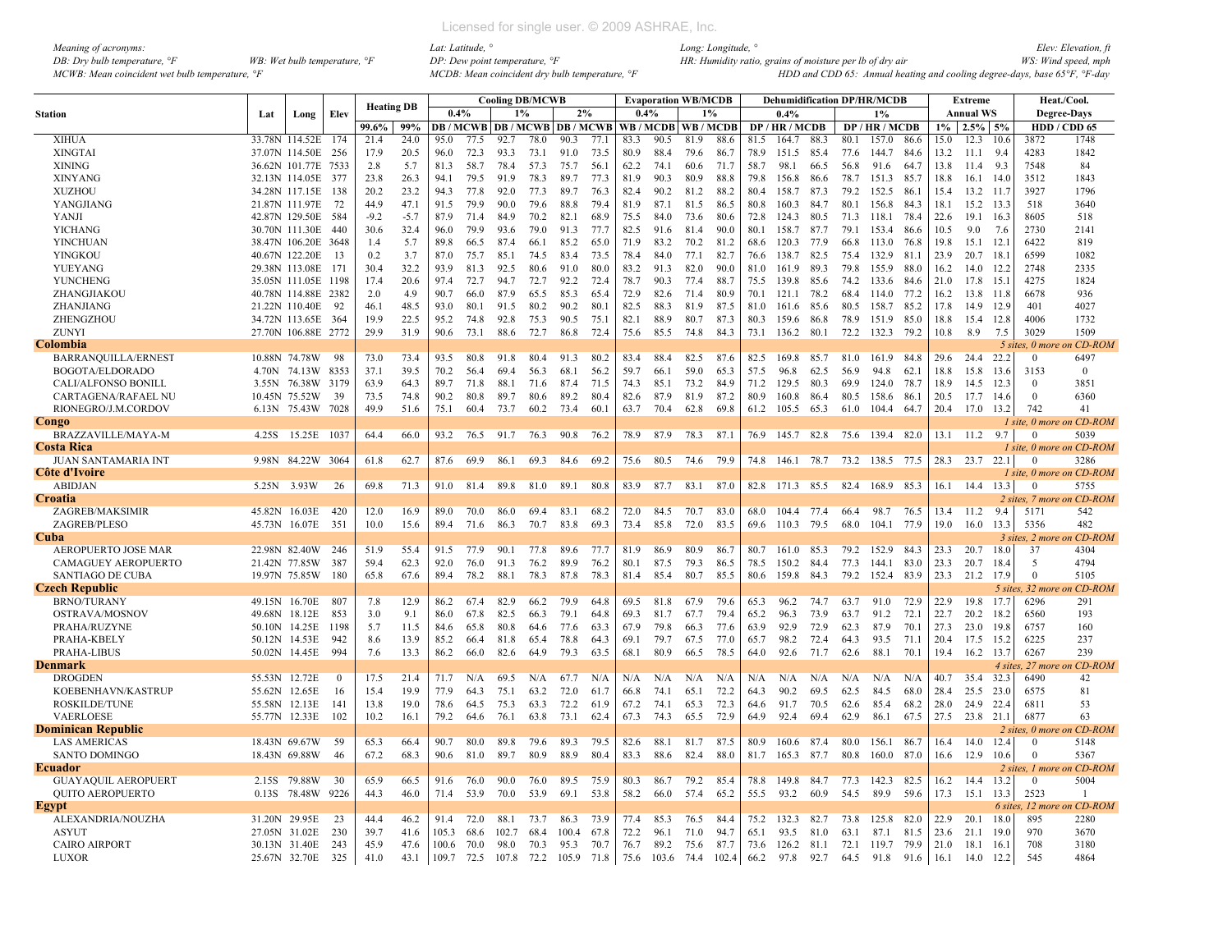| Meaning of acronyms:                           |                                         |
|------------------------------------------------|-----------------------------------------|
| DB: Dry bulb temperature, $\mathcal{F}$        | WB: Wet bulb temperature, $\mathcal{F}$ |
| MCWB: Mean coincident wet bulb temperature, °F |                                         |

|                            |               |                     |          |                   |        |       |      |       | <b>Cooling DB/MCWB</b> |       |      |      | <b>Evaporation WB/MCDB</b>                     |      |       |      | <b>Dehumidification DP/HR/MCDB</b> |      |      |                 |      |       | Extreme          |         |                    | Heat./Cool.               |
|----------------------------|---------------|---------------------|----------|-------------------|--------|-------|------|-------|------------------------|-------|------|------|------------------------------------------------|------|-------|------|------------------------------------|------|------|-----------------|------|-------|------------------|---------|--------------------|---------------------------|
| <b>Station</b>             | Lat           | Long                | Elev     | <b>Heating DB</b> |        | 0.4%  |      |       | 1%                     | 2%    |      | 0.4% |                                                |      | 1%    |      | 0.4%                               |      |      | 1%              |      |       | <b>Annual WS</b> |         |                    | <b>Degree-Days</b>        |
|                            |               |                     |          | 99.6%             | 99%    |       |      |       |                        |       |      |      | <b>DB/MCWB DB/MCWB DB/MCWB WB/MCDB WB/MCDB</b> |      |       |      | DP / HR / MCDB                     |      |      | DP / HR / MCDB  |      | $1\%$ | $2.5\%$ 5%       |         |                    | HDD / CDD 65              |
| <b>XIHUA</b>               | 33.78N        | 114.52E             | 174      | 21.4              | 24.0   | 95.0  | 77.5 | 92.7  | 78.0                   | 90.3  | 77.1 | 83.3 | 90.5                                           | 81.9 | 88.6  | 81.5 | 164.7                              | 88.3 | 80.1 | 157.0           | 86.6 | 15.0  | 12.3             | 10.6    | 3872               | 1748                      |
| <b>XINGTAI</b>             |               | 37.07N 114.50E      | 256      | 17.9              | 20.5   | 96.0  | 72.3 | 93.3  | 73.1                   | 91.0  | 73.5 | 80.9 | 88.4                                           | 79.6 | 86.7  | 78.9 | 151.5                              | 85.4 | 77.6 | 144.7           | 84.6 | 13.2  | 11.1             | 9.4     | 4283               | 1842                      |
| <b>XINING</b>              |               | 36.62N 101.77E      | 7533     | 2.8               | 5.7    | 81.3  | 58.7 | 78.4  | 57.3                   | 75.7  | 56.1 | 62.2 | 74.1                                           | 60.6 | 71.7  | 58.7 | 98.1                               | 66.5 | 56.8 | 91.6            | 64.7 | 13.8  | 11.4             | 9.3     | 7548               | 84                        |
| <b>XINYANG</b>             |               | 32.13N 114.05E      | 377      | 23.8              | 26.3   | 94.1  | 79.5 | 91.9  | 78.3                   | 89.7  | 77.3 | 81.9 | 90.3                                           | 80.9 | 88.8  | 79.8 | 156.8                              | 86.6 | 78.7 | 151.3           | 85.7 | 18.8  | 16.1             | 14.0    | 3512               | 1843                      |
| <b>XUZHOU</b>              |               | 34.28N 117.15E      | 138      | 20.2              | 23.2   | 94.3  | 77.8 | 92.0  | 77.3                   | 89.7  | 76.3 | 82.4 | 90.2                                           | 81.2 | 88.2  | 80.4 | 158.7                              | 87.3 | 79.2 | 152.5           | 86.1 | 15.4  | 13.2             | -11.1   | 3927               | 1796                      |
| YANGJIANG                  |               | 21.87N 111.97E      | 72       | 44.9              | 47.1   | 91.5  | 79.9 | 90.0  | 79.6                   | 88.8  | 79.4 | 81.9 | 87.1                                           | 81.5 | 86.5  | 80.8 | 160.3                              | 84.7 | 80.1 | 156.8           | 84.3 | 18.1  | 15.2             | -13.3   | 518                | 3640                      |
| <b>YANJI</b>               |               | 42.87N 129.50E      | 584      | $-9.2$            | $-5.7$ | 87.9  | 71.4 | 84.9  | 70.2                   | 82.1  | 68.9 | 75.5 | 84.0                                           | 73.6 | 80.6  | 72.8 | 124.3                              | 80.5 | 71.3 | 118.1           | 78.4 | 22.6  | 19.1             | 16.3    | 8605               | 518                       |
| YICHANG                    |               | 30.70N 111.30E      | 440      | 30.6              | 32.4   | 96.0  | 79.9 | 93.6  | 79.0                   | 91.3  | 77.7 | 82.5 | 91.6                                           | 81.4 | 90.0  | 80.1 | 158.7                              | 87.7 | 79.1 | 153.4           | 86.6 | 10.5  | 9.0              | 7.6     | 2730               | 2141                      |
| YINCHUAN                   |               | 38.47N 106.20E      | 3648     | 1.4               | 5.7    | 89.8  | 66.5 | 87.4  | 66.1                   | 85.2  | 65.0 | 71.9 | 83.2                                           | 70.2 | 81.2  | 68.6 | 120.3                              | 77.9 | 66.8 | 113.0           | 76.8 | 19.8  | 15.1             | 12.     | 6422               | 819                       |
| YINGKOU                    |               | 40.67N 122.20E      | 13       | 0.2               | 3.7    | 87.0  | 75.7 | 85.1  | 74.5                   | 83.4  | 73.5 | 78.4 | 84.0                                           | 77.1 | 82.7  | 76.6 | 138.7                              | 82.5 | 75.4 | 132.9           | 81.1 | 23.9  | 20.7             | 18.     | 6599               | 1082                      |
| YUEYANG                    |               | 29.38N 113.08E      | 171      | 30.4              | 32.2   | 93.9  | 81.3 | 92.5  | 80.6                   | 91.0  | 80.0 | 83.2 | 91.3                                           | 82.0 | 90.0  | 81.0 | 161.9                              | 89.3 | 79.8 | 155.9           | 88.0 | 16.2  | 14.0             | 12.2    | 2748               | 2335                      |
| YUNCHENG                   |               | 35.05N 111.05E      | -1198    | 17.4              | 20.6   | 97.4  | 72.7 | 94.7  | 72.7                   | 92.2  | 72.4 | 78.7 | 90.3                                           | 77.4 | 88.7  | 75.5 | 139.8                              | 85.6 | 74.2 | 133.6           | 84.6 | 21.0  | 17.8             | 15.1    | 4275               | 1824                      |
| ZHANGJIAKOU                |               | 40.78N 114.88E 2382 |          | 2.0               | 4.9    | 90.7  | 66.0 | 87.9  | 65.5                   | 85.3  | 65.4 | 72.9 | 82.6                                           | 71.4 | 80.9  | 70.1 | 121.1                              | 78.2 | 68.4 | 114.0           | 77.2 | 16.2  | 13.8             | -11.8   | 6678               | 936                       |
|                            |               |                     | 92       | 46.1              | 48.5   | 93.0  | 80.1 | 91.5  | 80.2                   | 90.2  | 80.1 | 82.5 | 88.3                                           |      | 87.5  |      |                                    | 85.6 | 80.5 |                 |      |       |                  | 12.9    | 401                | 4027                      |
| ZHANJIANG                  |               | 21.22N 110.40E      |          |                   |        |       |      |       |                        |       |      |      |                                                | 81.9 |       | 81.0 | 161.6                              |      |      | 158.7           | 85.2 | 17.8  | 14.9             |         |                    |                           |
| ZHENGZHOU                  |               | 34.72N 113.65E      | 364      | 19.9              | 22.5   | 95.2  | 74.8 | 92.8  | 75.3                   | 90.5  | 75.1 | 82.1 | 88.9                                           | 80.7 | 87.3  | 80.3 | 159.6                              | 86.8 | 78.9 | 151.9           | 85.0 | 18.8  | 15.4             | 12.8    | 4006               | 1732                      |
| ZUNYI                      |               | 27.70N 106.88E 2772 |          | 29.9              | 31.9   | 90.6  | 73.1 | 88.6  | 72.7                   | 86.8  | 72.4 | 75.6 | 85.5                                           | 74.8 | 84.3  | 73.1 | 136.2                              | 80.1 | 72.2 | 132.3           | 79.2 | 10.8  | 8.9              | 7.5     | 3029               | 1509                      |
| Colombia                   |               |                     |          |                   |        |       |      |       |                        |       |      |      |                                                |      |       |      |                                    |      |      |                 |      |       |                  | 5 site  | 0 <sub>mo</sub>    | n CD-ROM                  |
| <b>BARRANQUILLA/ERNEST</b> |               | 10.88N 74.78W       | 98       | 73.0              | 73.4   | 93.5  | 80.8 | 91.8  | 80.4                   | 91.3  | 80.2 | 83.4 | 88.4                                           | 82.5 | 87.6  | 82.5 | 169.8                              | 85.7 | 81.0 | 161.9           | 84.8 | 29.6  | 24.4             | 22.2    | $\mathbf{0}$       | 6497                      |
| BOGOTA/ELDORADO            | 4.70N         | 74.13W              | 8353     | 37.1              | 39.5   | 70.2  | 56.4 | 69.4  | 56.3                   | 68.1  | 56.2 | 59.7 | 66.1                                           | 59.0 | 65.3  | 57.5 | 96.8                               | 62.5 | 56.9 | 94.8            | 62.1 | 18.8  | 15.8             | 13.6    | 3153               | $\Omega$                  |
| <b>CALI/ALFONSO BONILL</b> | 3.55N         | 76.38W              | 3179     | 63.9              | 64.3   | 89.7  | 71.8 | 88.1  | 71.6                   | 87.4  | 71.5 | 74.3 | 85.1                                           | 73.2 | 84.9  | 71.2 | 129.5                              | 80.3 | 69.9 | 124.0           | 78.7 | 18.9  | 14.5             | 12.3    | $\Omega$           | 3851                      |
| CARTAGENA/RAFAEL NU        |               | 10.45N 75.52W       | 39       | 73.5              | 74.8   | 90.2  | 80.8 | 89.7  | 80.6                   | 89.2  | 80.4 | 82.6 | 87.9                                           | 81.9 | 87.2  | 80.9 | 160.8                              | 86.4 | 80.5 | 158.6           | 86.1 | 20.5  | 17.7             | 14.6    | $\theta$           | 6360                      |
| RIONEGRO/J.M.CORDOV        |               | 6.13N 75.43W        | 7028     | 49.9              | 51.6   | 75.1  | 60.4 | 73.7  | 60.2                   | 73.4  | 60.1 | 63.7 | 70.4                                           | 62.8 | 69.8  |      | 61.2 105.5                         | 65.3 | 61.0 | 104.4           | 64.7 | 204   | 17.0             | 13.2    | 742                | 41                        |
| Congo                      |               |                     |          |                   |        |       |      |       |                        |       |      |      |                                                |      |       |      |                                    |      |      |                 |      |       |                  |         |                    | 1 site, 0 more on CD-ROM  |
| BRAZZAVILLE/MAYA-M         | 4.25S         | 15.25E              | 1037     | 64.4              | 66.0   | 93.2  | 76.5 | 91.7  | 76.3                   | 90.8  | 76.2 | 78.9 | 87.9                                           | 78.3 | 87.1  | 76.9 | 145.7                              | 82.8 | 75.6 | 139.4 82.0      |      | 13.1  | 11.2             | 9.7     | $\Omega$           | 5039                      |
| <b>Costa Rica</b>          |               |                     |          |                   |        |       |      |       |                        |       |      |      |                                                |      |       |      |                                    |      |      |                 |      |       |                  |         |                    | 1 site, 0 more on CD-ROM  |
| <b>JUAN SANTAMARIA INT</b> |               | 9.98N 84.22W 3064   |          | 61.8              | 62.7   | 87.6  | 69.9 | 86.1  | 69.3                   | 84.6  | 69.2 | 75.6 | 80.5                                           | 74.6 | 79.9  | 74.8 | 146.1                              | 78.7 |      | 73.2 138.5 77.5 |      |       | 28.3 23.7        | 22.1    | $\Omega$           | 3286                      |
| Côte d'Ivoire              |               |                     |          |                   |        |       |      |       |                        |       |      |      |                                                |      |       |      |                                    |      |      |                 |      |       |                  |         |                    | 1 site, 0 more on CD-ROM  |
| <b>ABIDJAN</b>             | 5.25N         | 3.93W               | 26       | 69.8              | 71.3   | 91.0  | 81.4 | 89.8  | 81.0                   | 89.1  | 80.8 | 83.9 | 87.7                                           | 83.1 | 87.0  | 82.8 | 171.3                              | 85.5 | 82.4 | 168.9           | 85.3 | 16.1  | 14.4             | 13.3    | $\Omega$           | 5755                      |
| Croatia                    |               |                     |          |                   |        |       |      |       |                        |       |      |      |                                                |      |       |      |                                    |      |      |                 |      |       |                  |         |                    | 2 sites, 7 more on CD-ROM |
| ZAGREB/MAKSIMIR            |               | 45.82N 16.03E       | 420      | 12.0              | 16.9   | 89.0  | 70.0 | 86.0  | 69.4                   | 83.1  | 68.2 | 72.0 | 84.5                                           | 70.7 | 83.0  | 68.0 | 104.4 77.4                         |      | 66.4 | 98.7            | 76.5 | 13.4  | 11.2             | 94      | 5171               | 542                       |
| ZAGREB/PLESO               |               | 45.73N 16.07E       | 351      | 100               | 15.6   | 89.4  | 71.6 | 86.3  | 70.7                   | 83.8  | 69.3 | 73.4 | 85.8                                           | 72.0 | 83.5  | 69.6 | 110.3                              | 79.5 | 68.0 | 104.1 77.9      |      | 19.0  | 16.0             | 13.3    | 5356               | 482                       |
| Cuba                       |               |                     |          |                   |        |       |      |       |                        |       |      |      |                                                |      |       |      |                                    |      |      |                 |      |       |                  |         |                    | 3 sites. 2 more on CD-ROM |
|                            |               |                     | 246      |                   |        |       |      |       |                        |       | 77.7 |      |                                                |      |       | 80.7 |                                    |      |      |                 |      | 23.3  |                  |         |                    | 4304                      |
| <b>AEROPUERTO JOSE MAR</b> |               | 22.98N 82.40W       |          | 51.9              | 55.4   | 91.5  | 77.9 | 90.1  | 77.8                   | 89.6  |      | 81.9 | 86.9                                           | 80.9 | 86.7  |      | 161.0                              | 85.3 | 79.2 | 152.9           | 84.3 |       | 20.7             | 18.0    | 37                 |                           |
| <b>CAMAGUEY AEROPUERTO</b> |               | 21.42N 77.85W       | 387      | 59.4              | 62.3   | 92.0  | 76.0 | 91.3  | 76.2                   | 89.9  | 76.2 | 80.1 | 87.5                                           | 79.3 | 86.5  | 78.5 | 150.2                              | 84.4 | 77.3 | 144.1           | 83.0 | 23.3  | 20.7             | 18.4    | 5                  | 4794                      |
| <b>SANTIAGO DE CUBA</b>    |               | 19.97N 75.85W       | 180      | 65.8              | 67.6   | 89.4  | 78.2 | 88.1  | 78.3                   | 87.8  | 78.3 | 81.4 | 85.4                                           | 80.7 | 85.5  | 80.6 | 159.8                              | 84.3 | 79.2 | 152.4           | 83.9 | 23.3  | 21.2             | 17.9    | $\Omega$           | 5105                      |
| <b>Czech Republic</b>      |               |                     |          |                   |        |       |      |       |                        |       |      |      |                                                |      |       |      |                                    |      |      |                 |      |       |                  |         | 5 sites, 32 mor    | CD-ROM                    |
| <b>BRNO/TURANY</b>         |               | 49.15N 16.70E       | 807      | 7.8               | 12.9   | 86.2  | 67.4 | 82.9  | 66.2                   | 79.9  | 64.8 | 69.5 | 81.8                                           | 67.9 | 79.6  | 65.3 | 96.2                               | 74.7 | 63.7 | 91.0            | 72.9 | 22.9  | 19.8             | 17.7    | 6296               | 291                       |
| OSTRAVA/MOSNOV             | 49.68N        | 18.12E              | 853      | 3.0               | 9.1    | 86.0  | 67.8 | 82.5  | 66.3                   | 79.1  | 64.8 | 69.3 | 81.7                                           | 67.7 | 79.4  | 65.2 | 96.3                               | 73.9 | 63.7 | 91.2            | 72.1 | 22.7  | 20.2             | 18.2    | 6560               | 193                       |
| PRAHA/RUZYNE               |               | 50.10N 14.25E       | 1198     | 5.7               | 11.5   | 84.6  | 65.8 | 80.8  | 64.6                   | 77.6  | 63.3 | 67.9 | 79.8                                           | 66.3 | 77.6  | 63.9 | 92.9                               | 72.9 | 62.3 | 87.9            | 70.1 | 27.3  | 23.0             | 19.8    | 6757               | 160                       |
| PRAHA-KBELY                | 50.12N 14.53E |                     | 942      | 8.6               | 13.9   | 85.2  | 66.4 | 81.8  | 65.4                   | 78.8  | 64.3 | 69.1 | 79.7                                           | 67.5 | 77.0  | 65.7 | 98.2                               | 72.4 | 64.3 | 93.5            | 71.1 | 20.4  | 17.5             | 15.2    | 6225               | 237                       |
| <b>PRAHA-LIBUS</b>         |               | 50.02N 14.45E       | 994      | 7.6               | 13.3   | 86.2  | 66.0 | 82.6  | 64.9                   | 79.3  | 63.5 | 68.1 | 80.9                                           | 66.5 | 78.5  | 64.0 | 92.6                               | 71.7 | 62.6 | 88.1            | 70.1 | 19.4  | 16.2             | 13.7    | 6267               | 239                       |
| Denmark                    |               |                     |          |                   |        |       |      |       |                        |       |      |      |                                                |      |       |      |                                    |      |      |                 |      |       |                  | 4 sites | $27$ more          | on CD-ROM                 |
| <b>DROGDEN</b>             | 55.53N 12.72E |                     | $\Omega$ | 17.5              | 21.4   | 71.7  | N/A  | 69.5  | N/A                    | 67.7  | N/A  | N/A  | N/A                                            | N/A  | N/A   | N/A  | N/A                                | N/A  | N/A  | N/A             | N/A  | 40.7  | 35.4             | 32.3    | 6490               | 42                        |
| KOEBENHAVN/KASTRUP         | 55.62N        | 12.65E              | 16       | 15.4              | 19.9   | 77.9  | 643  | 75.1  | 63.2                   | 72.0  | 61.7 | 66.8 | 74.1                                           | 65.1 | 72.2  | 64.3 | 90.2                               | 69.5 | 62.5 | 84.5            | 68.0 | 28.4  | 25.5             | 23.0    | 6575               | 81                        |
| <b>ROSKILDE/TUNE</b>       |               | 55.58N 12.13E       | 141      | 13.8              | 19.0   | 78.6  | 64.5 | 75.3  | 63.3                   | 72.2  | 61.9 | 67.2 | 74.1                                           | 65.3 | 72.3  | 64.6 | 91.7                               | 70.5 | 62.6 | 85.4            | 68.2 | 28.0  | 24.9             | 22.4    | 6811               | 53                        |
| <b>VAERLOESE</b>           | 55.77N 12.33E |                     | 102      | 10.2              | 16.1   | 79.2  | 64.6 | 76.1  | 63.8                   | 73.1  | 62.4 | 67.3 | 74.3                                           | 65.5 | 72.9  | 64.9 | 92.4                               | 69.4 | 62.9 | 86.1            | 67.5 | 27.5  | 23.8             | 21.1    | 6877               | 63                        |
| <b>Dominican Republic</b>  |               |                     |          |                   |        |       |      |       |                        |       |      |      |                                                |      |       |      |                                    |      |      |                 |      |       |                  |         |                    | 2 sites, 0 more on CD-ROM |
| <b>LAS AMERICAS</b>        |               | 18.43N 69.67W       | 59       | 65.3              | 66.4   | 90.7  | 80.0 | 89.8  | 79.6                   | 89.3  | 79.5 | 82.6 | 88.1                                           | 81.7 | 87.5  | 80.9 | 160.6                              | 87.4 | 80.0 | 156.1           | 86.7 | 16.4  | 14.0             | 12.4    | $\mathbf{0}$       | 5148                      |
| <b>SANTO DOMINGO</b>       |               | 18.43N 69.88W       | 46       | 67.2              | 68.3   | 90.6  | 81.0 | 89.7  | 80.9                   | 88.9  | 80.4 | 83.3 | 88.6                                           | 82.4 | 88.0  | 81.7 | 165.3                              | 87.7 | 80.8 | 160.0           | 87.0 | 16.6  | 12.9             | 10.6    | $\Omega$           | 5367                      |
| Ecuador                    |               |                     |          |                   |        |       |      |       |                        |       |      |      |                                                |      |       |      |                                    |      |      |                 |      |       |                  |         |                    | 2 sites, 1 more on CD-ROM |
|                            |               |                     |          |                   |        |       |      |       |                        |       |      |      |                                                |      |       |      |                                    |      |      |                 |      |       |                  |         |                    |                           |
| <b>GUAYAQUIL AEROPUERT</b> | 2.15S         | 79.88W              | 30       | 65.9              | 66.5   | 91.6  | 76.0 | 90.0  | 76.0                   | 89.5  | 75.9 | 80.3 | 86.7                                           | 79.2 | 85.4  | 78.8 | 149.8                              | 84.7 | 77.3 | 142.3 82.5      |      | 16.2  | 14.4             | 13.2    | $\mathbf{0}$       | 5004                      |
| <b>QUITO AEROPUERTO</b>    | 0.13S         | 78.48W              | 9226     | 44.3              | 46.0   | 71.4  | 53.9 | 70.0  | 53.9                   | 69.1  | 53.8 | 58.2 | 66.0                                           | 57.4 | 65.2  | 55.5 | 93.2                               | 60.9 | 54.5 | 89.9            | 59.6 | 17.3  | 15.1             | 13.3    | 2523               | $\mathbf{1}$              |
| <b>Egypt</b>               |               |                     |          |                   |        |       |      |       |                        |       |      |      |                                                |      |       |      |                                    |      |      |                 |      |       |                  |         | 6 sites, $12$ more | on CD-ROM                 |
| ALEXANDRIA/NOUZHA          | 31.20N        | 29.95E              | 23       | 44.4              | 46.2   | 91.4  | 72.0 | 88.1  | 73.7                   | 86.3  | 73.9 | 77.4 | 85.3                                           | 76.5 | 84.4  | 75.2 | 132.3                              | 82.7 | 73.8 | 125.8           | 82.0 | 22.9  | 20.1             | 18.0    | 895                | 2280                      |
| <b>ASYUT</b>               | 27.05N 31.02E |                     | 230      | 39.7              | 41.6   | 105.3 | 68.6 | 102.7 | 68.4                   | 100.4 | 67.8 | 72.2 | 96.1                                           | 71.0 | 94.7  | 65.1 | 93.5                               | 81.0 | 63.1 | 87.1            | 81.5 | 23.6  | 21.1             | 19.0    | 970                | 3670                      |
| <b>CAIRO AIRPORT</b>       | 30.13N 31.40E |                     | 243      | 45.9              | 47.6   | 100.6 | 70.0 | 98.0  | 70.3                   | 95.3  | 70.7 | 76.7 | 89.2                                           | 75.6 | 87.7  | 73.6 | 126.2                              | 81.1 | 72.1 | 119.7           | 79.9 | 21.0  | 18.1             | 16.     | 708                | 3180                      |
| <b>LUXOR</b>               | 25.67N 32.70E |                     | 325      | 41.0              | 43.1   | 109.7 | 72.5 | 107.8 | 72.2                   | 105.9 | 71.8 | 75.6 | 103.6                                          | 74.4 | 102.4 | 66.2 | 97.8                               | 92.7 | 64.5 | 91.8            | 91.6 | 16.1  | 14.0             | 12.2    | 545                | 4864                      |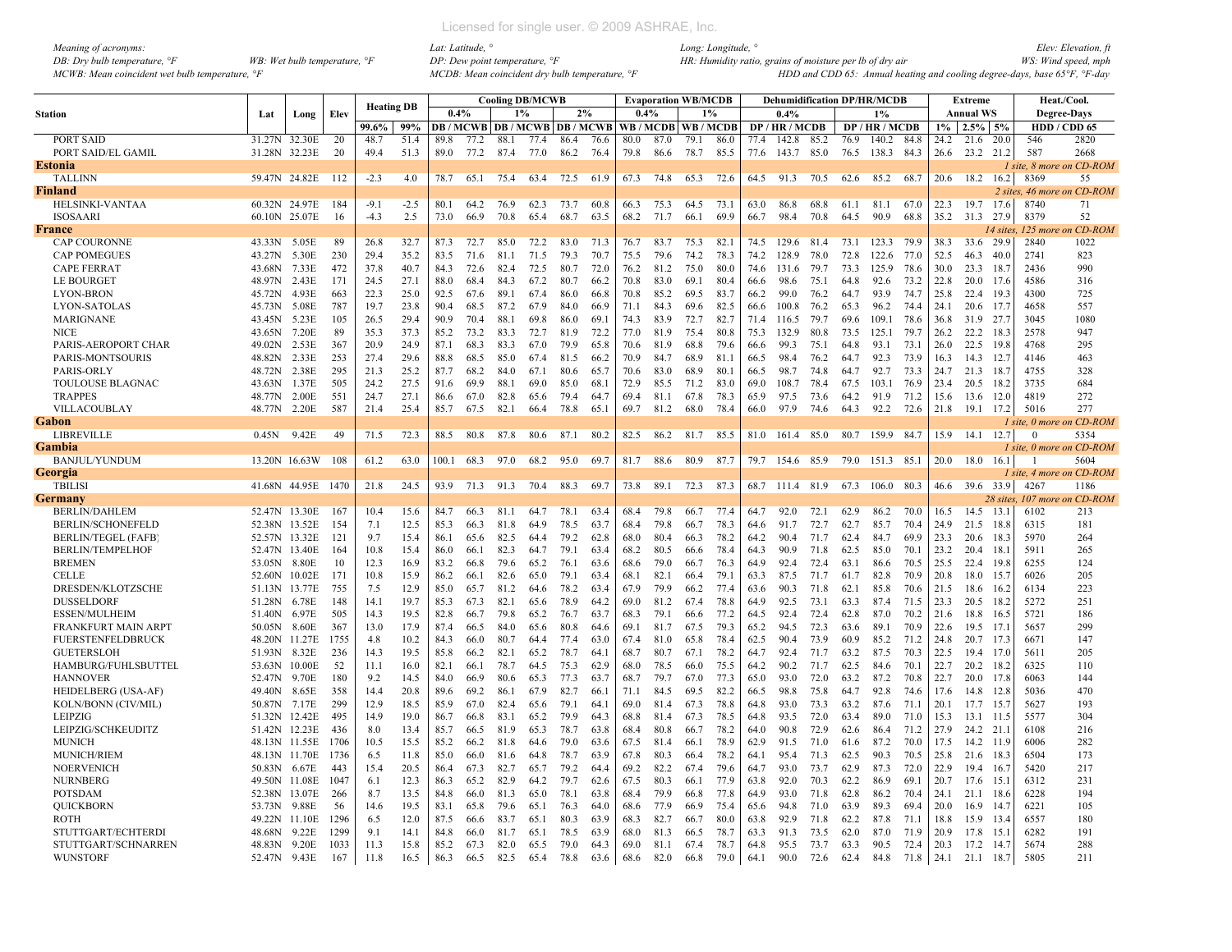| Meaning of acronyms:                           |                                         |
|------------------------------------------------|-----------------------------------------|
| DB: Dry bulb temperature, $\mathcal{F}$        | WB: Wet bulb temperature, $\mathcal{F}$ |
| MCWB: Mean coincident wet bulb temperature, °F |                                         |

|                            |        |               |      |                   |                 |       |      |      | <b>Cooling DB/MCWB</b> |                                   |       |      | <b>Evaporation WB/MCDB</b> |      |      |      | <b>Dehumidification DP/HR/MCDB</b> |      |      |                |              |              | <b>Extreme</b>   |           | Heat./Cool.              |                            |
|----------------------------|--------|---------------|------|-------------------|-----------------|-------|------|------|------------------------|-----------------------------------|-------|------|----------------------------|------|------|------|------------------------------------|------|------|----------------|--------------|--------------|------------------|-----------|--------------------------|----------------------------|
| <b>Station</b>             | Lat    | Long          | Elev | <b>Heating DB</b> |                 | 0.4%  |      | 1%   |                        | 2%                                |       | 0.4% |                            | 1%   |      |      | 0.4%                               |      |      | $1\%$          |              |              | <b>Annual WS</b> |           | <b>Degree-Days</b>       |                            |
|                            |        |               |      | 99.6%             | 99%             |       |      |      |                        | DB / MCWB   DB / MCWB   DB / MCWB |       |      | WB / MCDB WB / MCDB        |      |      |      | DP / HR / MCDB                     |      |      | DP / HR / MCDB |              | $1\%$        | $2.5\%$ 5%       |           | HDD / CDD 65             |                            |
| PORT SAID                  | 31.27N | 32.30E        | 20   | 48.7              | 51.4            | 89.8  | 77.2 | 88.1 | 77.4                   | 86.4                              | 76.6  | 80.0 | 87.0                       | 79.1 | 86.0 | 77.4 | 142.8                              | 85.2 | 76.9 | 140.2          | 84.8         | 24.2         | 21.6             | 20.0      | 546                      | 2820                       |
| PORT SAID/EL GAMIL         |        | 31.28N 32.23E | 20   | 49.4              | 51.3            | 89.0  | 77.2 | 87.4 | 77.0                   | 86.2                              | 76.4  | 79.8 | 86.6                       | 78.7 | 85.5 | 77.6 | 143.7 85.0                         |      | 76.5 | 138.3 84.3     |              | 26.6         | 23.2 21.2        |           | 587                      | 2668                       |
| Estonia                    |        |               |      |                   |                 |       |      |      |                        |                                   |       |      |                            |      |      |      |                                    |      |      |                |              |              |                  |           | 1 site, 8 more on CD-ROM |                            |
| <b>TALLINN</b>             |        | 59.47N 24.82E | 112  | $-2.3$            | 4.0             | 78.7  | 65.1 | 75.4 | 63.4                   | 72.5                              | 61.9  | 67.3 | 74.8                       | 65.3 | 72.6 | 64.5 | 91.3                               | 70.5 | 62.6 | 85.2           | 68.7         | 20.6         | 18.2             | 16.2      | 8369                     | 55                         |
| Finland                    |        |               |      |                   |                 |       |      |      |                        |                                   |       |      |                            |      |      |      |                                    |      |      |                |              |              |                  |           |                          | 2 sites, 46 more on CD-ROM |
| HELSINKI-VANTAA            |        | 60.32N 24.97E | 184  | $-9.1$            | $-2.5$          | 80.1  | 64.2 | 76.9 | 62.3                   | 73.7                              | 60.8  | 66.3 | 75.3                       | 64.5 | 73.1 | 63.0 | 86.8                               | 68.8 | 61.1 | 81.1           | 67.0         | 22.3         | 19.7             | 17.6      | 8740                     | 71                         |
| <b>ISOSAARI</b>            | 60.10N | 25.07E        | 16   | $-4.3$            | 2.5             | 73.0  | 66.9 | 70.8 | 65.4                   | 68.7                              | 63.5  | 68.2 | 71.7                       | 66.1 | 69.9 | 66.7 | 98.4                               | 70.8 | 64.5 | 90.9           | 68.8         | 35.2         | 31.3             | 27.9      | 8379                     | 52                         |
| France                     |        |               |      |                   |                 |       |      |      |                        |                                   |       |      |                            |      |      |      |                                    |      |      |                |              |              |                  | 14 sites, | 125 more                 | on CD-ROM                  |
| <b>CAP COURONNE</b>        | 43.33N | 5.05E         | 89   | 26.8              | 32.7            | 87.3  | 72.7 | 85.0 | 72.2                   | 83.0                              | 71.3  | 76.7 | 83.7                       | 75.3 | 82.1 | 74.5 | 129.6                              | 81.4 | 73.1 | 123.3 79.9     |              | 38.3         | 33.6 29.9        |           | 2840                     | 1022                       |
| <b>CAP POMEGUES</b>        | 43.27N | 5.30E         | 230  | 29.4              | 35.2            | 83.5  | 71.6 | 81.1 | 71.5                   | 79.3                              | 70.7  | 75.5 | 79.6                       | 74.2 | 78.3 | 74.2 | 128.9                              | 78.0 | 72.8 | 122.6          | 77.0         | 52.5         | 46.3             | 40.0      | 2741                     | 823                        |
| <b>CAPE FERRAT</b>         | 43.68N | 7.33E         | 472  | 37.8              | 40.7            | 84.3  | 72.6 | 82.4 | 72.5                   | 80.7                              | 72.0  | 76.2 | 81.2                       | 75.0 | 80.0 | 74.6 | 131.6                              | 79.7 | 73.3 | 125.9          | 78.6         | 30.0         | 23.3             | 18.7      | 2436                     | 990                        |
| <b>LE BOURGET</b>          | 48.97N | 2.43E         | 171  | 24.5              | 27.1            | 88.0  | 68.4 | 84.3 | 67.2                   | 80.7                              | 66.2  | 70.8 | 83.0                       | 69.1 | 80.4 | 66.6 | 98.6                               | 75.1 | 64.8 | 92.6           | 73.2         | 22.8         | 20.0             | 17.6      | 4586                     | 316                        |
| <b>LYON-BRON</b>           | 45.72N | 4.93E         | 663  | 22.3              | 25.0            | 92.5  | 67.6 | 89.1 | 67.4                   | 86.0                              | 66.8  | 70.8 | 85.2                       | 69.5 | 83.7 | 66.2 | 99.0                               | 76.2 | 64.7 | 93.9           | 74.7         | 25.8         | 22.4             | 19.3      | 4300                     | 725                        |
| <b>LYON-SATOLAS</b>        | 45.73N | 5.08E         | 787  | 19.7              | 23.8            | 90.4  | 68.5 | 87.2 | 67.9                   | 84.0                              | 66.9  | 71.1 | 84.3                       | 69.6 | 82.5 | 66.6 | 100.8                              | 76.2 | 65.3 | 96.2           | 74.4         | 24.1         | 20.6             | 17.7      | 4658                     | 557                        |
| <b>MARIGNANE</b>           | 43.45N | 5.23E         | 105  | 26.5              | 29.4            | 90.9  | 70.4 | 88.1 | 69.8                   | 86.0                              | 69.1  | 74.3 | 83.9                       | 72.7 | 82.7 | 71.4 | 116.5                              | 79.7 | 69.6 | 109.1          | 78.6         | 36.8         | 31.9             | 27.7      | 3045                     | 1080                       |
| <b>NICE</b>                | 43.65N | 7.20E         | 89   | 35.3              | 37.3            | 85.2  | 73.2 | 83.3 | 72.7                   | 81.9                              | 72.2  | 77.0 | 81.9                       | 75.4 | 80.8 | 75.3 | 132.9                              | 80.8 | 73.5 | 125.1          | 79.7         | 26.2         | 22.2             | 18.3      | 2578                     | 947                        |
| PARIS-AEROPORT CHAR        | 49.02N | 2.53E         | 367  | 20.9              | 24.9            | 87.1  | 68.3 | 83.3 | 67.0                   | 79.9                              | 65.8  | 70.6 | 81.9                       | 68.8 | 79.6 | 66.6 | 99.3                               | 75.1 | 64.8 | 93.1           | 73.1         | 26.0         | 22.5             | 19.8      | 4768                     | 295                        |
| PARIS-MONTSOURIS           | 48.82N | 2.33E         | 253  | 27.4              | 29.6            | 88.8  | 68.5 | 85.0 | 67.4                   | 81.5                              | 66.2  | 70.9 | 84.7                       | 68.9 | 81.1 | 66.5 | 98.4                               | 76.2 | 64.7 | 92.3           | 73.9         | 16.3         | 14.3             | 12.7      | 4146                     | 463                        |
| <b>PARIS-ORLY</b>          | 48.72N | 2.38E         | 295  | 21.3              | 25.2            | 87.7  | 68.2 | 84.0 | 67.1                   | 80.6                              | 65.7  | 70.6 | 83.0                       | 68.9 | 80.1 | 66.5 | 98.7                               | 74.8 | 64.7 | 92.7           | 73.3         | 24.7         | 21.3             | 18.7      | 4755                     | 328                        |
| TOULOUSE BLAGNAC           | 43.63N | 1.37E         | 505  | 24.2              | 27.5            | 91.6  | 69.9 | 88.1 | 69.0                   | 85.0                              | 68.1  | 72.9 | 85.5                       | 71.2 | 83.0 | 69.0 | 108.7                              | 78.4 | 67.5 | 103.1          | 76.9         | 23.4         | 20.5             | 18.2      | 3735                     | 684                        |
| <b>TRAPPES</b>             | 48.77N | 2.00E         | 551  | 24.7              | 27.1            | 86.6  | 67.0 | 82.8 | 65.6                   | 79.4                              | 64.7  | 69.4 | 81.1                       | 67.8 | 78.3 | 65.9 | 97.5                               | 73.6 | 64.2 | 91.9           | 71.2         | 15.6         | 13.6             | 12.0      | 4819                     | 272                        |
| VILLACOUBLAY               | 48.77N | 2.20E         | 587  | 21.4              | 25.4            | 85.7  | 67.5 | 82.1 | 66.4                   | 78.8                              | 65.1  | 69.7 | 81.2                       | 68.0 | 78.4 | 66.0 | 97.9                               | 74.6 | 64.3 | 92.2           | 72.6         | 21.8         | 19.1 17.2        |           | 5016                     | 277                        |
| Gabon                      |        |               |      |                   |                 |       |      |      |                        |                                   |       |      |                            |      |      |      |                                    |      |      |                |              |              |                  |           | 1 site, 0 more on CD-ROM |                            |
| LIBREVILLE                 | 0.45N  | 9.42E         | 49   | 71.5              | 72.3            | 88.5  | 80.8 | 87.8 | 80.6                   | 87.1                              | 80.2  | 82.5 | 86.2                       | 81.7 | 85.5 | 81.0 | 161.4                              | 85.0 | 80.7 | 159.9 84.7     |              | 15.9         | 14.1             | 12.7      | $\Omega$                 | 5354                       |
| Gambia                     |        |               |      |                   |                 |       |      |      |                        |                                   |       |      |                            |      |      |      |                                    |      |      |                |              |              |                  |           | 1 site, 0 more on CD-ROM |                            |
| <b>BANJUL/YUNDUM</b>       |        | 13.20N 16.63W | 108  | 61.2              | 63.0            | 100.1 | 68.3 | 97.0 | 68.2                   | 95.0                              | 69.7  | 81.7 | 88.6                       | 80.9 | 87.7 | 79.7 | 154.6 85.9                         |      | 79.0 | 151.3 85.1     |              | 20.0         | 18.0             | 16.1      |                          | 5604                       |
| Georgia                    |        |               |      |                   |                 |       |      |      |                        |                                   |       |      |                            |      |      |      |                                    |      |      |                |              |              |                  |           | 1 site, 4 more on CD-ROM |                            |
| <b>TBILIS</b>              | 41.68N | 44.95E        | 1470 | 21.8              | 24.5            | 93.9  | 71.3 | 91.3 | 70.4                   | 88.3                              | 69.7  | 73.8 | 89.1                       | 72.3 | 87.3 | 68.7 | 111.4                              | 81.9 | 67.3 | 106.0          | 80.3         | 46.6         | 39.6 33.9        |           | 4267                     | 1186                       |
| Germany                    |        |               |      |                   |                 |       |      |      |                        |                                   |       |      |                            |      |      |      |                                    |      |      |                |              |              |                  | 28 sites. |                          | 107 more on CD-ROM         |
| <b>BERLIN/DAHLEM</b>       |        | 52.47N 13.30E | 167  | 10.4              | 15.6            | 84.7  | 66.3 | 81.1 | 64.7                   | 78.1                              | 63.4  | 68.4 | 79.8                       | 66.7 | 77.4 | 64.7 | 92.0                               | 72.1 | 62.9 | 86.2           | 70.0         | 16.5         | 14.5             | 13.       | 6102                     | 213                        |
| <b>BERLIN/SCHONEFELD</b>   | 52.38N | 13.52E        | 154  | 7.1               | 12.5            | 85.3  | 66.3 | 81.8 | 64.9                   | 78.5                              | 63.7  | 68.4 | 79.8                       | 66.7 | 78.3 | 64.6 | 91.7                               | 72.7 | 62.7 | 85.7           | 70.4         | 24.9         | 21.5             | 18.8      | 6315                     | 181                        |
| <b>BERLIN/TEGEL (FAFB)</b> | 52.57N | 13.32E        | 121  | 9.7               | 15.4            | 86.1  | 65.6 | 82.5 | 64.4                   | 79.2                              | 62.8  | 68.0 | 80.4                       | 66.3 | 78.2 | 64.2 | 90.4                               | 71.7 | 62.4 | 84.7           | 69.9         | 23.3         | 20.6             | 18.3      | 5970                     | 264                        |
| <b>BERLIN/TEMPELHOF</b>    | 52.47N | 13.40E        | 164  | 10.8              | 15.4            | 86.0  | 66.1 | 82.3 | 64.7                   | 79.1                              | 63.4  | 68.2 | 80.5                       | 66.6 | 78.4 | 64.3 | 90.9                               | 71.8 | 62.5 | 85.0           | 70.1         | 23.2         | 20.4             | 18.1      | 5911                     | 265                        |
| <b>BREMEN</b>              | 53.05N | 8.80E         | 10   | 12.3              | 16.9            | 83.2  | 66.8 | 79.6 | 65.2                   | 76.1                              | 63.6  | 68.6 | 79.0                       | 66.7 | 76.3 | 64.9 | 92.4                               | 72.4 | 63.1 | 86.6           | 70.5         | 25.5         | 22.4             | 19.8      | 6255                     | 124                        |
| <b>CELLE</b>               | 52.60N | 10.02E        | 171  | 10.8              | 15.9            | 86.2  | 66.1 | 82.6 | 65.0                   | 79.1                              | 63.4  | 68.1 | 82.1                       | 66.4 | 79.1 | 63.3 | 87.5                               | 71.7 | 61.7 | 82.8           | 70.9         | 20.8         | 18.0             | 15.7      | 6026                     | 205                        |
| DRESDEN/KLOTZSCHE          | 51.13N | 13.77E        | 755  | 7.5               | 12.9            | 85.0  | 65.7 | 81.2 | 64.6                   | 78.2                              | 63.4  | 67.9 | 79.9                       | 66.2 | 77.4 | 63.6 | 90.3                               | 71.8 | 62.1 | 85.8           | 70.6         | 21.5         | 18.6             | 16.2      | 6134                     | 223                        |
| <b>DUSSELDORF</b>          | 51.28N | 6.78E         | 148  | 14.1              | 19.7            | 85.3  | 67.3 | 82.1 | 65.6                   | 78.9                              | 64.2  | 69.0 | 81.2                       | 67.4 | 78.8 | 64.9 | 92.5                               | 73.1 | 63.3 | 87.4           | 71.5         | 23.3         | 20.5             | 18.2      | 5272                     | 251                        |
| <b>ESSEN/MULHEIM</b>       | 51.40N | 6.97E         | 505  | 14.3              | 19.5            | 82.8  | 66.7 | 79.8 | 65.2                   | 76.7                              | 63.7  | 68.3 | 79.1                       | 66.6 | 77.2 | 64.5 | 92.4                               | 72.4 | 62.8 | 87.0           | 70.2         | 21.6         | 18.8             | 16.5      | 5721                     | 186                        |
| FRANKFURT MAIN ARPT        | 50.05N | 8.60E         | 367  | 13.0              | 17.9            | 87.4  | 66.5 | 84.0 | 65.6                   | 80.8                              | 64.6  | 69.1 | 81.7                       | 67.5 | 79.3 | 65.2 | 94.5                               | 72.3 | 63.6 | 89.1           | 70.9         | 22.6         | 19.5             | 17.1      | 5657                     | 299                        |
| <b>FUERSTENFELDBRUCK</b>   | 48.20N | 11.27E        | 1755 | 4.8               | 10 <sub>2</sub> | 84.3  | 66.0 | 80.7 | 644                    | 77.4                              | -63.0 | 67.4 | 81.0                       | 65.8 | 78.4 | 62.5 | 90.4                               | 73.9 | 60.9 | 85.2           | 71.2         | 24.8         | 20.7             | 17.3      | 6671                     | 147                        |
| <b>GUETERSLOH</b>          | 51.93N | 8.32E         | 236  | 14.3              | 19.5            | 85.8  | 66.2 | 82.1 | 65.2                   | 78.7                              | 64.1  | 68.7 | 80.7                       | 67.1 | 78.2 | 64.7 | 92.4                               | 71.7 | 63.2 | 87.5           | 70.3         | 22.5         | 19.4             | 17.0      | 5611                     | 205                        |
| HAMBURG/FUHLSBUTTEL        | 53.63N | 10.00E        | 52   | 11.1              | 16.0            | 82.1  | 66.1 | 78.7 | 64.5                   | 75.3                              | 62.9  | 68.0 | 78.5                       | 66.0 | 75.5 | 64.2 | 90.2                               | 71.7 | 62.5 | 84.6           | 70.1         | 22.7         | 20.2             | 18.2      | 6325                     | 110                        |
| <b>HANNOVER</b>            | 52.47N | 9.70E         | 180  | 92                | 14.5            | 840   | 66.9 | 80.6 | 65.3                   | 77.3                              | 63.7  | 68.7 | 79.7                       | 67.0 | 77.3 | 65.0 | 93.0                               | 72.0 | 63.2 | 87.2           | 70.8         | 22.7         | 20.0             | 17.8      | 6063                     | 144                        |
| HEIDELBERG (USA-AF)        | 49.40N | 8.65E         | 358  | 14.4              | 20.8            | 89.6  | 69.2 | 86.1 | 67.9                   | 82.7                              | 66.1  | 71.1 | 84.5                       | 69.5 | 82.2 | 66.5 | 98.8                               | 75.8 | 64.7 | 92.8           | 74.6         | 17.6         | 14.8             | 12.8      | 5036                     | 470                        |
| KOLN/BONN (CIV/MIL)        | 50.87N | 7.17E         | 299  | 12.9              | 18.5            | 85.9  | 67.0 | 82.4 | 65.6                   | 79.1                              | 64.1  | 69.0 | 81.4                       | 67.3 | 78.8 | 64.8 | 93.0                               | 73.3 | 63.2 | 87.6           | 71.1         | 20.1         | 17.7             | 15.7      | 5627                     | 193                        |
| <b>LEIPZIG</b>             | 51.32N | 12.42E        | 495  | 14.9              | 19.0            | 86.7  | 66.8 | 83.1 | 65.2                   | 79.9                              | 64.3  | 68.8 | 81.4                       | 67.3 | 78.5 | 64.8 | 93.5                               | 72.0 | 63.4 | 89.0           | 71.0         | 15.3         | 13.1             | 11.5      | 5577                     | 304                        |
| LEIPZIG/SCHKEUDITZ         | 51.42N | 12.23E        | 436  | 8.0               | 13.4            | 85.7  | 66.5 | 81.9 | 65.3                   | 78.7                              | 63.8  | 68.4 | 80.8                       | 66.7 | 78.2 | 64.0 | 90.8                               | 72.9 | 62.6 | 86.4           | 71.2         | 27.9         | 24.2 21.1        |           | 6108                     | 216                        |
|                            |        |               | 1706 | 10.5              |                 |       |      |      | 64.6                   | 79.0                              | 63.6  |      | 81.4                       |      |      |      | 91.5                               | 71.0 | 61.6 |                |              |              |                  | 11.9      | 6006                     |                            |
| <b>MUNICH</b>              |        | 48.13N 11.55E |      |                   | 15.5<br>11.8    | 85.2  | 66.2 | 81.8 |                        |                                   |       | 67.5 | 80.3                       | 66.1 | 78.9 | 62.9 |                                    |      |      | 87.2<br>90.3   | 70.0<br>70.5 | 17.5<br>25.8 | 14.2             |           | 6504                     | 282<br>173                 |
| <b>MUNICH/RIEM</b>         |        | 48.13N 11.70E | 1736 | 6.5<br>15.4       |                 | 85.0  | 66.0 | 81.6 | 64.8                   | 78.7                              | 63.9  | 67.8 |                            | 66.4 | 78.2 | 64.1 | 95.4                               | 71.3 | 62.5 | 87.3           |              | 22.9         | 21.6             | - 18.3    | 5420                     | 217                        |
| <b>NOERVENICH</b>          | 50.83N | 6.67E         | 443  |                   | 20.5            | 86.4  | 67.3 | 82.7 | 65.7                   | 79.2                              | 64.4  | 69.2 | 82.2                       | 67.4 | 79.6 | 64.7 | 93.0                               | 73.7 | 62.9 |                | 72.0         |              | 19.4             | 16.7      |                          |                            |
| <b>NURNBERG</b>            | 49.50N | 11.08E        | 1047 | 6.1               | 12.3            | 86.3  | 65.2 | 82.9 | 64.2                   | 79.7                              | 62.6  | 67.5 | 80.3                       | 66.1 | 77.9 | 63.8 | 92.0                               | 70.3 | 62.2 | 86.9           | 69.1         | 20.7         | 17.6             | 15.1      | 6312                     | 231                        |
| POTSDAM                    | 52.38N | 13.07E        | 266  | 8.7               | 13.5            | 84.8  | 66.0 | 81.3 | 65.0                   | 78.1                              | 63.8  | 68.4 | 79.9                       | 66.8 | 77.8 | 64.9 | 93.0                               | 71.8 | 62.8 | 86.2           | 70.4         | 24.1         | 21.1             | 18.6      | 6228                     | 194                        |
| <b>QUICKBORN</b>           | 53.73N | 9.88E         | 56   | 14.6              | 19.5            | 83.1  | 65.8 | 79.6 | 65.1                   | 76.3                              | 64.0  | 68.6 | 77.9                       | 66.9 | 75.4 | 65.6 | 94.8                               | 71.0 | 63.9 | 89.3           | 69.4         | 20.0         | 16.9             | 14.7      | 6221                     | 105                        |
| <b>ROTH</b>                | 49.22N | 11.10E        | 1296 | 6.5               | 12.0            | 87.5  | 66.6 | 83.7 | 65.1                   | 80.3                              | 63.9  | 68.3 | 82.7                       | 66.7 | 80.0 | 63.8 | 92.9                               | 71.8 | 62.2 | 87.8           | 71.1         | 18.8         | 15.9             | 13.4      | 6557                     | 180                        |
| STUTTGART/ECHTERDI         | 48.68N | 9.22E         | 1299 | 9.1               | 14.1            | 84.8  | 66.0 | 81.7 | 65.1                   | 78.5                              | 63.9  | 68.0 | 81.3                       | 66.5 | 78.7 | 63.3 | 91.3                               | 73.5 | 62.0 | 87.0           | 71.9         | 20.9         | 17.8             | 15.1      | 6282                     | 191                        |
| STUTTGART/SCHNARREN        | 48.83N | 9.20E         | 1033 | 11.3              | 15.8            | 85.2  | 67.3 | 82.0 | 65.5                   | 79.0                              | 64.3  | 69.0 | 81.1                       | 67.4 | 78.7 | 64.8 | 95.5                               | 73.7 | 63.3 | 90.5           | 72.4         | 20.3         | 17.2             | 14.7      | 5674                     | 288                        |
| <b>WUNSTORF</b>            | 52.47N | 9.43E         | 167  | 11.8              | 16.5            | 86.3  | 66.5 | 82.5 | 65.4                   | 78.8                              | 63.6  | 68.6 | 82.0                       | 66.8 | 79.0 | 64.1 | 90.0                               | 72.6 | 62.4 | 84.8           | 71.8         | 24.1         | 21.1             | 18.7      | 5805                     | 211                        |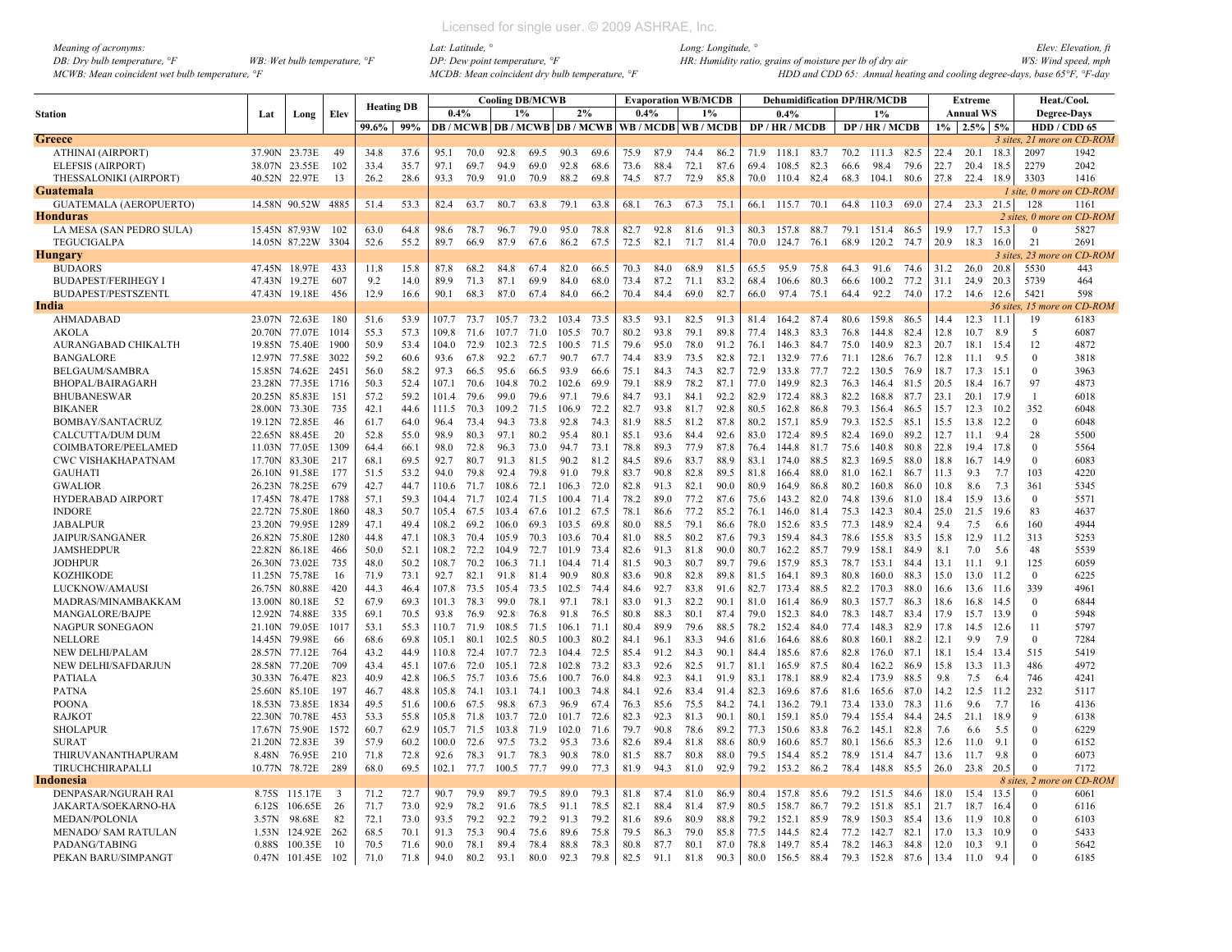| <i>Meaning of acronyms:</i>                                |                                         |  |
|------------------------------------------------------------|-----------------------------------------|--|
| DB: Dry bulb temperature, $\degree$ F                      | WB: Wet bulb temperature, $\mathcal{F}$ |  |
| MCWB: Mean coincident wet bulb temperature, <sup>o</sup> F |                                         |  |

|                               |               |                    |              | <b>Heating DB</b> |      |       |      |       | <b>Cooling DB/MCWB</b> |                                                   |      |      |      | <b>Evaporation WB/MCDB</b> |      |      | <b>Dehumidification DP/HR/MCDB</b> |      |      |                 |      |       | Extreme          |        | Heat./Cool.        |                            |
|-------------------------------|---------------|--------------------|--------------|-------------------|------|-------|------|-------|------------------------|---------------------------------------------------|------|------|------|----------------------------|------|------|------------------------------------|------|------|-----------------|------|-------|------------------|--------|--------------------|----------------------------|
| <b>Station</b>                | Lat           | Long               | Elev         |                   |      | 0.4%  |      |       | 1%                     | 2%                                                |      | 0.4% |      | 1%                         |      |      | 0.4%                               |      |      | 1%              |      |       | <b>Annual WS</b> |        | <b>Degree-Days</b> |                            |
|                               |               |                    |              | 99.6%             | 99%  |       |      |       |                        | DB / MCWB DB / MCWB DB / MCWB WB / MCDB WB / MCDB |      |      |      |                            |      |      | DP / HR / MCDB                     |      |      | DP / HR / MCDB  |      | $1\%$ | $2.5\%$ 5%       |        | HDD / CDD 65       |                            |
| Greece                        |               |                    |              |                   |      |       |      |       |                        |                                                   |      |      |      |                            |      |      |                                    |      |      |                 |      |       |                  |        |                    | 3 sites, 21 more on CD-ROM |
| ATHINAI (AIRPORT)             | 37.90N 23.73E |                    | -49          | 34.8              | 37.6 | 95.1  | 70.0 | 92.8  | 69.5                   | 90.3                                              | 69.6 | 75.9 | 87.9 | 74.4                       | 86.2 | 71.9 | 118.1 83.7                         |      |      | 70.2 111.3 82.5 |      | 22.4  | 20.1             | 18.3   | 2097               | 1942                       |
| <b>ELEFSIS (AIRPORT)</b>      | 38.07N 23.55E |                    | 102          | 33.4              | 35.7 | 97.1  | 69.7 | 94.9  | 69.0                   | 92.8                                              | 68.6 | 73.6 | 88.4 | 72.1                       | 87.6 | 69.4 | 108.5                              | 82.3 | 66.6 | 98.4            | 79.6 | 22.7  | 20.4             | 18.5   | 2279               | 2042                       |
| THESSALONIKI (AIRPORT)        | 40.52N 22.97E |                    | 13           | 26.2              | 28.6 | 93.3  | 70.9 | 91.0  | 70.9                   | 88.2                                              | 69.8 | 74.5 | 87.7 | 72.9                       | 85.8 | 70.0 | 110.4 82.4                         |      | 68.3 | 104.1           | 80.6 | 27.8  | 22.4 18.9        |        | 3303               | 1416                       |
| Guatemala                     |               |                    |              |                   |      |       |      |       |                        |                                                   |      |      |      |                            |      |      |                                    |      |      |                 |      |       |                  |        |                    | I site, 0 more on CD-ROM   |
| <b>GUATEMALA (AEROPUERTO)</b> |               | 14.58N 90.52W 4885 |              | 51.4              | 53.3 | 82.4  | 63.7 | 80.7  | 63.8                   | 79.1                                              | 63.8 | 68.1 | 76.3 | 67.3                       | 75.1 | 66.1 | 115.7 70.1                         |      | 64.8 | 110.3 69.0      |      | 27.4  | 23.3 21.5        |        | 128                | 1161                       |
| Honduras                      |               |                    |              |                   |      |       |      |       |                        |                                                   |      |      |      |                            |      |      |                                    |      |      |                 |      |       |                  |        |                    | 2 sites. 0 more on CD-ROM  |
| LA MESA (SAN PEDRO SULA)      |               | 15.45N 87.93W      | - 102        | 63.0              | 64.8 | 98.6  | 78.7 | 96.7  | 79.0                   | 95.0                                              | 78.8 | 82.7 | 92.8 | 81.6                       | 91.3 | 80.3 | 157.8 88.7                         |      | 79.1 | 151.4 86.5      |      | 19.9  | 17.7             | 15.3   | $\Omega$           | 5827                       |
| <b>TEGUCIGALPA</b>            |               | 14.05N 87.22W      | 3304         | 52.6              | 55.2 | 89.7  | 66.9 | 87.9  | 67.6                   | 86.2                                              | 67.5 | 72.5 | 82.1 | 71.7                       | 81.4 | 70.0 | 124.7                              | 76.1 | 68.9 | 120.2           | 74.7 | 20.9  | 18.3             | 16.0   | 21                 | 2691                       |
| Hungary                       |               |                    |              |                   |      |       |      |       |                        |                                                   |      |      |      |                            |      |      |                                    |      |      |                 |      |       |                  |        |                    | 3 sites, 23 more on CD-ROM |
| <b>BUDAORS</b>                | 47.45N 18.97E |                    | 433          | 11.8              | 15.8 | 87.8  | 68.2 | 84.8  | 67.4                   | 82.0                                              | 66.5 | 70.3 | 84.0 | 68.9                       | 81.5 | 65.5 | 95.9                               | 75.8 | 64.3 | 91.6            | 74.6 | 31.2  | 26.0             | 20.8   | 5530               | 443                        |
| <b>BUDAPEST/FERIHEGY I</b>    | 47.43N 19.27E |                    | 607          | 9.2               | 14.0 | 89.9  | 71.3 | 87.1  | 69.9                   | 84.0                                              | 68.0 | 73.4 | 87.2 | 71.1                       | 83.2 | 68.4 | 106.6                              | 80.3 | 66.6 | 100.2           | 77.2 | 31.1  | 24.9             | 20.3   | 5739               | 464                        |
| <b>BUDAPEST/PESTSZENTL</b>    | 47.43N 19.18E |                    | 456          | 12.9              | 16.6 | 90.1  | 68.3 | 87.0  | 67.4                   | 84.0                                              | 66.2 | 70.4 | 84.4 | 69.0                       | 82.7 | 66.0 | 97.4                               | 75.1 | 64.4 | 92.2            | 74.0 | 17.2  | 14.6             | 12.6   | 5421               | 598                        |
| India                         |               |                    |              |                   |      |       |      |       |                        |                                                   |      |      |      |                            |      |      |                                    |      |      |                 |      |       |                  |        | 36 sites, 15 more  | n CD-ROM                   |
| AHMADABAD                     | 23.07N        | 72.63E             | -180         | 51.6              | 53.9 | 107.7 | 73.7 | 105.7 | 73.2                   | 103.4                                             | 73.5 | 83.5 | 93.1 | 82.5                       | 91.3 | 81.4 | 164.2                              | 87.4 | 80.6 | 159.8           | 86.5 | 14.4  | 12.3             | -11.1  | 19                 | 6183                       |
| <b>AKOLA</b>                  | 20.70N        | 77.07E             | 1014         | 55.3              | 57.3 | 109.8 | 71.6 | 107.7 | 71.0                   | 105.5                                             | 70.7 | 80.2 | 93.8 | 79.1                       | 89.8 | 77.4 | 148.3                              | 83.3 | 76.8 | 144.8           | 82.4 | 12.8  | 10.7             | 8.9    | 5                  | 6087                       |
| AURANGABAD CHIKALTH           | 19.85N        | 75.40E             | 1900         | 50.9              | 53.4 | 104.0 | 72.9 | 102.3 | 72.5                   | 100.5                                             | 71.5 | 79.6 | 95.0 | 78.0                       | 91.2 | 76.1 | 146.3                              | 84.7 | 75.0 | 140.9           | 82.3 | 20.7  | 18.1             | 15.4   | 12                 | 4872                       |
| <b>BANGALORE</b>              | 12.97N        | 77.58E             | 3022         | 59.2              | 60.6 | 93.6  | 67.8 | 92.2  | 67.7                   | 90.7                                              | 67.7 | 74.4 | 83.9 | 73.5                       | 82.8 | 72.1 | 132.9                              | 77.6 | 71.1 | 128.6           | 76.7 | 12.8  | 11.1             | 9.5    | $\Omega$           | 3818                       |
| <b>BELGAUM/SAMBRA</b>         | 15.85N        | 74.62E             | 2451         | 56.0              | 58.2 | 97.3  | 66.5 | 95.6  | 66.5                   | 93.9                                              | 66.6 | 75.1 | 84.3 | 74.3                       | 82.7 | 72.9 | 133.8                              | 77.7 | 72.2 | 130.5           | 76.9 | 18.7  | 17.3             | -15.1  | $\Omega$           | 3963                       |
| BHOPAL/BAIRAGARH              | 23.28N 77.35E |                    | 1716         | 50.3              | 52.4 | 107.1 | 70.6 | 104.8 | 70.2                   | 102.6                                             | 69.9 | 79.1 | 88.9 | 78.2                       | 87.1 | 77.0 | 149.9                              | 82.3 | 76.3 | 146.4           | 81.5 | 20.5  | 18.4             | 16.7   | 97                 | 4873                       |
| <b>BHUBANESWAR</b>            | 20.25N 85.83E |                    | 151          | 57.2              | 59.2 | 101.4 | 79.6 | 99.0  | 79.6                   | 97.1                                              | 79.6 | 84.7 | 93.1 | 84.1                       | 92.2 | 82.9 | 172.4                              | 88.3 | 82.2 | 168.8           | 87.7 | 23.1  | 20.1             | 17.9   | $\overline{1}$     | 6018                       |
| <b>BIKANER</b>                | 28.00N 73.30E |                    | 735          | 42.1              | 44.6 | 111.5 | 70.3 | 109.2 | 71.5                   | 106.9                                             | 72.2 | 82.7 | 93.8 | 81.7                       | 92.8 | 80.5 | 162.8                              | 86.8 | 79.3 | 156.4           | 86.5 | 15.7  | 12.3             | 10.2   | 352                | 6048                       |
| <b>BOMBAY/SANTACRUZ</b>       | 19.12N 72.85E |                    |              | 61.7              | 64.0 | 96.4  | 73.4 | 94.3  | 73.8                   | 92.8                                              | 74.3 | 81.9 | 88.5 | 81.2                       | 87.8 | 80.2 | 157.1                              | 85.9 | 79.3 | 152.5           | 85.1 | 15.5  | 13.8             | 12.2   | $\mathbf{0}$       | 6048                       |
|                               |               |                    | 46<br>20     | 52.8              | 55.0 | 98.9  | 80.3 | 97.1  | 80.2                   | 95.4                                              | 80.1 | 85.1 | 93.6 | 84.4                       | 92.6 | 83.0 | 172.4                              | 89.5 | 82.4 | 169.0           | 89.2 | 12.7  | 11.1             | 9.4    | 28                 | 5500                       |
| <b>CALCUTTA/DUM DUM</b>       | 22.65N 88.45E |                    |              |                   |      |       |      |       |                        |                                                   |      |      |      |                            |      |      |                                    |      |      |                 |      | 22.8  |                  |        | $\Omega$           |                            |
| COIMBATORE/PEELAMED           | 11.03N 77.05E |                    | 1309         | 64.4              | 66.1 | 98.0  | 72.8 | 96.3  | 73.0                   | 94.7                                              | 73.1 | 78.8 | 89.3 | 77.9                       | 87.8 | 76.4 | 144.8                              | 81.7 | 75.6 | 140.8           | 80.8 |       | 19.4 17.8        |        | $\theta$           | 5564                       |
| <b>CWC VISHAKHAPATNAM</b>     | 17.70N 83.30E |                    | 217          | 68.1              | 69.5 | 92.7  | 80.7 | 91.3  | 81.5                   | 90.2                                              | 81.2 | 84.5 | 89.6 | 83.7                       | 88.9 | 83.1 | 174.0                              | 88.5 | 82.3 | 169.5           | 88.0 | 18.8  | 16.7             | 14.9   |                    | 6083                       |
| <b>GAUHATI</b>                | 26.10N 91.58E |                    | 177          | 51.5              | 53.2 | 94.0  | 79.8 | 92.4  | 79.8                   | 91.0                                              | 79.8 | 83.7 | 90.8 | 82.8                       | 89.5 | 81.8 | 166.4                              | 88.0 | 81.0 | 162.1           | 86.7 | 11.3  | 9.3              | 7.7    | 103                | 4220                       |
| <b>GWALIOR</b>                | 26.23N 78.25E |                    | 679          | 42.7              | 44.7 | 110.6 | 71.7 | 108.6 | 72.1                   | 106.3                                             | 72.0 | 82.8 | 91.3 | 82.1                       | 90.0 | 80.9 | 164.9                              | 86.8 | 80.2 | 160.8           | 86.0 | 10.8  | 8.6              | 7.3    | 361                | 5345                       |
| HYDERABAD AIRPORT             |               | 17.45N 78.47E      | 1788         | 57.1              | 59.3 | 104.4 | 71.7 | 102.4 | 71.5                   | 100.4                                             | 71.4 | 78.2 | 89.0 | 77.2                       | 87.6 | 75.6 | 143.2 82.0                         |      | 74.8 | 139.6           | 81.0 | 18.4  | 15.9             | 13.6   | $\theta$           | 5571                       |
| <b>INDORE</b>                 | 22.72N 75.80E |                    | 1860         | 48.3              | 50.7 | 105.4 | 67.5 | 103.4 | 67.6                   | 101.2                                             | 67.5 | 78.1 | 86.6 | 77.2                       | 85.2 | 76.1 | 146.0                              | 81.4 | 75.3 | 142.3           | 80.4 | 25.0  | 21.5             | 19.6   | 83                 | 4637                       |
| <b>JABALPUR</b>               | 23.20N 79.95E |                    | 1289         | 47.1              | 49.4 | 108.2 | 69.2 | 106.0 | 69.3                   | 103.5                                             | 69.8 | 80.0 | 88.5 | 79.1                       | 86.6 | 78.0 | 152.6                              | 83.5 | 77.3 | 148.9           | 82.4 | 9.4   | 7.5              | 6.6    | 160                | 4944                       |
| JAIPUR/SANGANER               | 26.82N 75.80E |                    | 1280         | 44.8              | 47.1 | 108.3 | 70.4 | 105.9 | 70.3                   | 103.6                                             | 70.4 | 81.0 | 88.5 | 80.2                       | 87.6 | 79.3 | 159.4                              | 84.3 | 78.6 | 155.8           | 83.5 | 15.8  | 12.9             | 11.2   | 313                | 5253                       |
| <b>JAMSHEDPUR</b>             | 22.82N 86.18E |                    | 466          | 50.0              | 52.1 | 108.2 | 72.2 | 104.9 | 72.7                   | 101.9                                             | 73.4 | 82.6 | 91.3 | 81.8                       | 90.0 | 80.7 | 162.2 85.7                         |      | 79.9 | 158.1           | 84.9 | 8.1   | 7.0              | 5.6    | 48                 | 5539                       |
| <b>JODHPUR</b>                | 26.30N 73.02E |                    | 735          | 48.0              | 50.2 | 108.7 | 70.2 | 106.3 | 71.1                   | 104.4                                             | 71.4 | 81.5 | 90.3 | 80.7                       | 89.7 | 79.6 | 157.9 85.3                         |      | 78.7 | 153.1           | 84.4 | 13.1  | 11.1             | 9.1    | 125                | 6059                       |
| <b>KOZHIKODE</b>              | 11.25N 75.78E |                    | 16           | 71.9              | 73.1 | 92.7  | 82.1 | 91.8  | 81.4                   | 90.9                                              | 80.8 | 83.6 | 90.8 | 82.8                       | 89.8 | 81.5 | 164.1                              | 89.3 | 80.8 | 160.0           | 88.3 | 15.0  | 13.0 11.2        |        | $\theta$           | 6225                       |
| LUCKNOW/AMAUSI                | 26.75N 80.88E |                    | 420          | 44.3              | 46.4 | 107.8 | 73.5 | 105.4 | 73.5                   | 102.5                                             | 74.4 | 84.6 | 92.7 | 83.8                       | 91.6 | 82.7 | 173.4                              | 88.5 | 82.2 | 170.3           | 88.0 | 16.6  | 13.6             | 11.6   | 339                | 4961                       |
| MADRAS/MINAMBAKKAM            | 13.00N 80.18E |                    | 52           | 67.9              | 69.3 | 101.3 | 78.3 | 99.0  | 78.1                   | 97.1                                              | 78.1 | 83.0 | 91.3 | 82.2                       | 90.1 | 81.0 | 161.4                              | 86.9 | 80.3 | 157.7           | 86.3 | 18.6  | 16.8             | - 14.5 | $\Omega$           | 6844                       |
| MANGALORE/BAJPE               | 12.92N 74.88E |                    | 335          | 69.1              | 70.5 | 93.8  | 76.9 | 92.8  | 76.8                   | 91.8                                              | 76.5 | 80.8 | 88.3 | 80.1                       | 87.4 | 79.0 | 152.3                              | 84.0 | 78.3 | 148.7           | 83.4 | 17.9  | 15.7 13.9        |        | $\Omega$           | 5948                       |
| <b>NAGPUR SONEGAON</b>        | 21.10N 79.05E |                    | 1017         | 53.1              | 55.3 | 110.7 | 71.9 | 108.5 | 71.5                   | 106.1                                             | 71.1 | 80.4 | 89.9 | 79.6                       | 88.5 | 78.2 | 152.4                              | 84.0 | 77.4 | 148.3           | 82.9 | 17.8  | 14.5             | 12.6   | 11                 | 5797                       |
| <b>NELLORE</b>                | 14.45N 79.98E |                    | 66           | 68.6              | 69.8 | 105.1 | 80.1 | 102.5 | 80.5                   | 100.3                                             | 80.2 | 84.1 | 96.1 | 83.3                       | 94.6 | 81.6 | 164.6                              | 88.6 | 80.8 | 160.1           | 88.2 | 12.1  | 9.9              | 7.9    | $\theta$           | 7284                       |
| NEW DELHI/PALAM               | 28.57N 77.12E |                    | 764          | 43.2              | 44.9 | 110.8 | 72.4 | 107.7 | 72.3                   | 104.4                                             | 72.5 | 85.4 | 91.2 | 84.3                       | 90.1 | 84.4 | 185.6                              | 87.6 | 82.8 | 176.0           | 87.1 | 18.1  | 15.4             | 13.4   | 515                | 5419                       |
| NEW DELHI/SAFDARJUN           | 28.58N 77.20E |                    | 709          | 43.4              | 45.1 | 107.6 | 72.0 | 105.1 | 72.8                   | 102.8                                             | 73.2 | 83.3 | 92.6 | 82.5                       | 91.7 | 81.1 | 165.9                              | 87.5 | 804  | 162.2           | 86.9 | 15.8  | 13.3             | - 11.3 | 486                | 4972                       |
| <b>PATIALA</b>                | 30.33N 76.47E |                    | 823          | 40.9              | 42.8 | 106.5 | 75.7 | 103.6 | 75.6                   | 100.7                                             | 76.0 | 84.8 | 923  | 84.1                       | 91.9 | 83.1 | 178.1                              | 88.9 | 824  | 173.9           | 88.5 | 9.8   | 7.5              | 6.4    | 746                | 4241                       |
| <b>PATNA</b>                  | 25.60N 85.10E |                    | 197          | 46.7              | 48.8 | 105.8 | 74.1 | 103.1 | 74.1                   | 100.3                                             | 74.8 | 84.1 | 92.6 | 83.4                       | 91.4 | 82.3 | 169.6                              | 87.6 | 81.6 | 165.6           | 87.0 | 14.2  | 12.5             | 11.2   | 232                | 5117                       |
| <b>POONA</b>                  |               | 18.53N 73.85E      | 1834         | 49.5              | 51.6 | 100.6 | 67.5 | 98.8  | 67.3                   | 96.9                                              | 67.4 | 76.3 | 85.6 | 75.5                       | 84.2 | 74.1 | 136.2                              | 79.1 | 73.4 | 133.0           | 78.3 | 11.6  | 9.6              | -7.7   | 16                 | 4136                       |
| <b>RAJKOT</b>                 | 22.30N 70.78E |                    | 453          | 53.3              | 55.8 | 105.8 | 71.8 | 103.7 | 72.0                   | 101.7                                             | 72.6 | 82.3 | 92.3 | 81.3                       | 90.1 | 80.1 | 159.1                              | 85.0 | 79.4 | 155.4           | 84.4 | 24.5  | 21.1 18.9        |        | -9                 | 6138                       |
| <b>SHOLAPUR</b>               | 17.67N 75.90E |                    | 1572         | 60.7              | 62.9 | 105.7 | 71.5 | 103.8 | 71.9                   | 102.0                                             | 71.6 | 79.7 | 90.8 | 78.6                       | 89.2 | 77.3 | 150.6 83.8                         |      | 76.2 | 145.1           | 82.8 | 7.6   | 6.6              | 5.5    | $\Omega$           | 6229                       |
| <b>SURAT</b>                  | 21.20N 72.83E |                    | 39           | 57.9              | 60.2 | 100.0 | 72.6 | 97.5  | 73.2                   | 95.3                                              | 73.6 | 82.6 | 89.4 | 81.8                       | 88.6 | 80.9 | 160.6                              | 85.7 | 80.1 | 156.6           | 85.3 | 12.6  | 11.0             | 9.1    | $\Omega$           | 6152                       |
| THIRUVANANTHAPURAM            |               | 8.48N 76.95E       | 210          | 71.8              | 72.8 | 92.6  | 78.3 | 91.7  | 78.3                   | 90.8                                              | 78.0 | 81.5 | 88.7 | 80.8                       | 88.0 | 79.5 | 154.4 85.2                         |      | 78.9 | 151.4           | 84.7 | 13.6  | 11.7             | 9.8    | $\Omega$           | 6073                       |
| TIRUCHCHIRAPALLI              |               | 10.77N 78.72E      | 289          | 68.0              | 69.5 | 102.1 | 77.7 | 100.5 | 77.7                   | 99.0                                              | 77.3 | 81.9 | 94.3 | 81.0                       | 92.9 | 79.2 | 153.2 86.2                         |      | 78.4 | 148.8 85.5      |      | 26.0  | 23.8             | 20.5   | $\Omega$           | 7172                       |
| Indonesia                     |               |                    |              |                   |      |       |      |       |                        |                                                   |      |      |      |                            |      |      |                                    |      |      |                 |      |       |                  |        | 8 sites, 2 more    | n CD-ROM                   |
| DENPASAR/NGURAH RAI           | 8.75S         | 115.17E            | $\mathbf{R}$ | 71.2              | 72.7 | 90.7  | 79.9 | 89.7  | 79.5                   | 89.0                                              | 79.3 | 81.8 | 87.4 | 81.0                       | 86.9 | 80.4 | 157.8                              | 85.6 | 79.2 | 151.5           | 84.6 | 18.0  | 15.4             | 13.5   | $\Omega$           | 6061                       |
| <b>JAKARTA/SOEKARNO-HA</b>    | 6.12S         | 106.65E            | - 26         | 71.7              | 73.0 | 92.9  | 78.2 | 91.6  | 78.5                   | 91.1                                              | 78.5 | 82.1 | 88.4 | 81.4                       | 87.9 | 80.5 | 158.7                              | 86.7 | 79.2 | 151.8           | 85.1 | 21.7  | 18.7             | 16.4   | $\Omega$           | 6116                       |
| MEDAN/POLONIA                 | 3.57N         | 98.68E             | 82           | 72.1              | 73.0 | 93.5  | 79.2 | 92.2  | 79.2                   | 91.3                                              | 79.2 | 81.6 | 89.6 | 80.9                       | 88.8 | 79.2 | 152.1                              | 85.9 | 78.9 | 150.3           | 85.4 | 13.6  | 11.9             | 10.8   | $\Omega$           | 6103                       |
| <b>MENADO/ SAM RATULAN</b>    | 1.53N         | 124.92E            | 262          | 68.5              | 70.1 | 91.3  | 75.3 | 90.4  | 75.6                   | 89.6                                              | 75.8 | 79.5 | 86.3 | 79.0                       | 85.8 | 77.5 | 144.5                              | 82.4 | 77.2 | 142.7           | 82.1 | 17.0  | 13.3             | 10.9   | $\Omega$           | 5433                       |
| PADANG/TABING                 | 0.88S         | 100.35E            | 10           | 70.5              | 71.6 | 90.0  | 78.1 | 89.4  | 78.4                   | 88.8                                              | 78.3 | 80.8 | 87.7 | 80.1                       | 87.0 | 78.8 | 149.7                              | 85.4 | 78.2 | 146.3           | 84.8 | 12.0  | 10.3             | 9.1    | $\Omega$           | 5642                       |
| PEKAN BARU/SIMPANGT           |               | 0.47N 101.45E      | 102          | 71.0              | 71.8 | 94.0  | 80.2 | 93.1  | 80.0                   | 92.3                                              | 79.8 | 82.5 | 91.1 | 81.8                       | 90.3 | 80.0 | 156.5 88.4                         |      | 79.3 | 152.8 87.6      |      | 13.4  | 11.0             | 9.4    | $\Omega$           | 6185                       |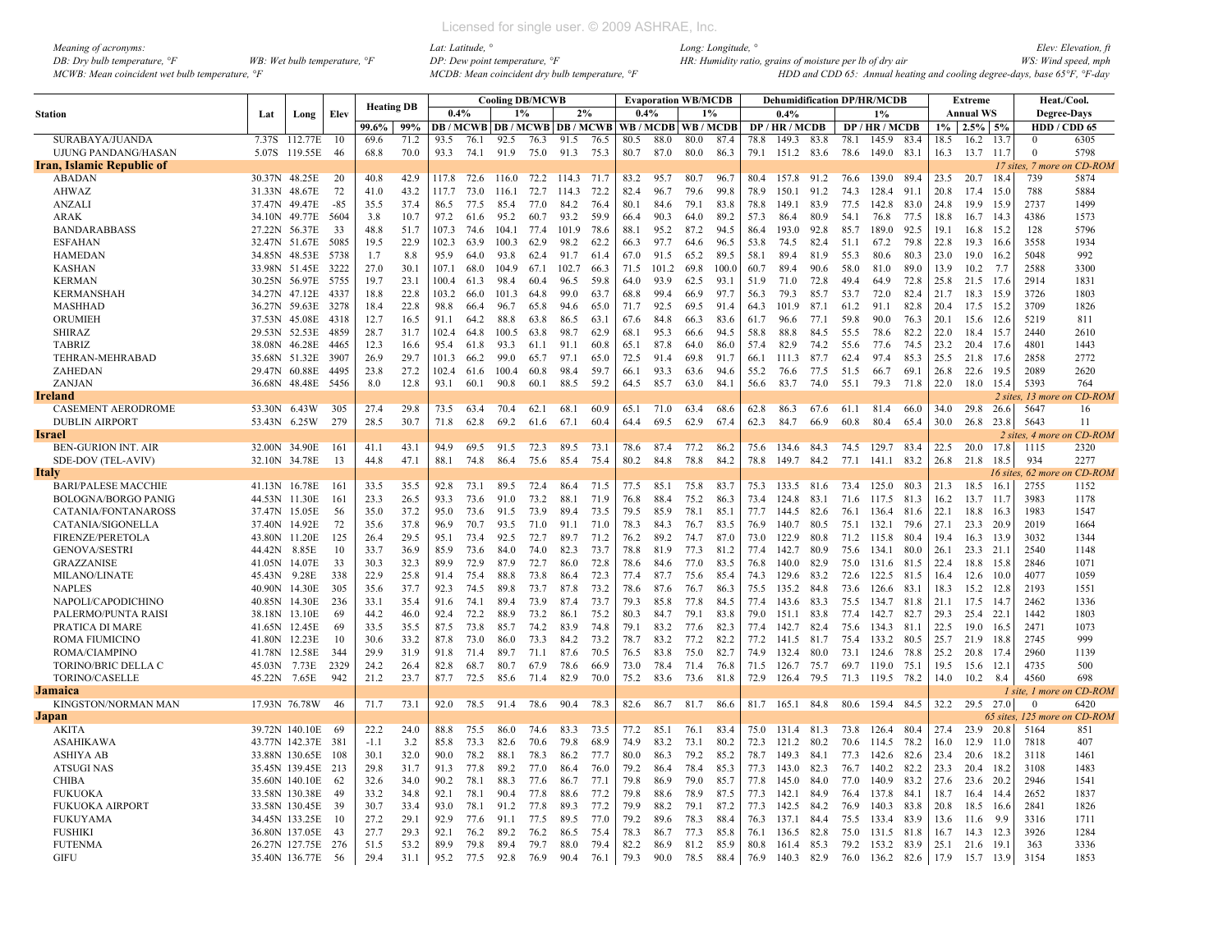| Meaning of acronyms:                           |                                         |
|------------------------------------------------|-----------------------------------------|
| DB: Dry bulb temperature, $\mathcal{F}$        | WB: Wet bulb temperature, $\mathcal{F}$ |
| MCWB: Mean coincident wet bulb temperature, °F |                                         |

|                            |               |                    |        |                   |      |       |      | <b>Cooling DB/MCWB</b> |      |                                          |      |      | <b>Evaporation WB/MCDB</b> |      |       |      |            |      |      | <b>Dehumidification DP/HR/MCDB</b> |      |       | <b>Extreme</b>   |           |                  | Heat./Cool.                  |
|----------------------------|---------------|--------------------|--------|-------------------|------|-------|------|------------------------|------|------------------------------------------|------|------|----------------------------|------|-------|------|------------|------|------|------------------------------------|------|-------|------------------|-----------|------------------|------------------------------|
| <b>Station</b>             | Lat           | Long               | Elev   | <b>Heating DB</b> |      | 0.4%  |      | $1\%$                  |      | 2%                                       |      | 0.4% |                            |      | $1\%$ |      | 0.4%       |      |      | 1%                                 |      |       | <b>Annual WS</b> |           |                  | <b>Degree-Days</b>           |
|                            |               |                    |        | 99.6%             | 99%  |       |      |                        |      | <b>DB</b> / MCWB   DB / MCWB   DB / MCWB |      |      | WB/MCDB WB/MCDB            |      |       |      | DP/HR/MCDB |      |      | DP/HR/MCDB                         |      | $1\%$ | $2.5\%$ 5%       |           |                  | HDD / CDD 65                 |
| SURABAYA/JUANDA            | 7.37S         | 112.77E            | 10     | 69.6              | 71.2 | 93.5  | 76.1 | 92.5                   | 76.3 | 91.5                                     | 76.5 | 80.5 | 88.0                       | 80.0 | 87.4  | 78.8 | 149.3      | 83.8 | 78.1 | 145.9                              | 83.4 | 18.5  | 16.2             | 13.7      | $\Omega$         | 6305                         |
| <b>UJUNG PANDANG/HASAN</b> | 5.07S         | 119.55E            | 46     | 68.8              | 70.0 | 93.3  | 74.1 | 91.9                   | 75.0 | 91.3                                     | 75.3 | 80.7 | 87.0                       | 80.0 | 86.3  | 79.1 | 151.2 83.6 |      | 78.6 | 149.0                              | 83.1 | 16.3  | 13.7             | 11.7      | $\theta$         | 5798                         |
| Iran, Islamic Republic of  |               |                    |        |                   |      |       |      |                        |      |                                          |      |      |                            |      |       |      |            |      |      |                                    |      |       |                  |           | 17 sites, 7 more | on CD-ROM                    |
| <b>ABADAN</b>              | 30.37N 48.25E |                    | 20     | 40.8              | 42.9 | 117.8 | 72.6 | 116.0                  |      | 72.2 114.3                               | 71.7 | 83.2 | 95.7                       | 80.7 | 96.7  | 80.4 | 157.8 91.2 |      | 76.6 | 139.0                              | 89.4 | 23.5  | 20.7             | 18.4      | 739              | 5874                         |
| AHWAZ                      | 31.33N        | 48.67E             | 72     | 41.0              | 43.2 | 117.7 | 73.0 | 116.1                  | 72.7 | 114.3                                    | 72.2 | 82.4 | 96.7                       | 79.6 | 99.8  | 78.9 | 150.1      | 91.2 | 74.3 | 128.4                              | 91.1 | 20.8  | 17.4             | 15.0      | 788              | 5884                         |
| <b>ANZALI</b>              | 37.47N        | 49.47E             | $-8.5$ | 35.5              | 37.4 | 86.5  | 77.5 | 85.4                   | 77.0 | 84.2                                     | 76.4 | 80.1 | 84.6                       | 79.1 | 83.8  | 78.8 | 149.1      | 83.9 | 77.5 | 142.8                              | 83.0 | 24.8  | 19.9             | 15.9      | 2737             | 1499                         |
| <b>ARAK</b>                | 34.10N        | 49.77E             | 5604   | 3.8               | 10.7 | 97.2  | 61.6 | 95.2                   | 60.7 | 93.2                                     | 59.9 | 66.4 | 90.3                       | 64.0 | 89.2  | 57.3 | 86.4       | 80.9 | 54.1 | 76.8                               | 77.5 | 18.8  | 16.7             | 14.3      | 4386             | 1573                         |
| <b>BANDARABBASS</b>        | 27.22N        | 56.37E             | 33     | 48.8              | 51.7 | 107.3 | 74.6 | 104.1                  | 77.4 | 101.9                                    | 78.6 | 88.1 | 95.2                       | 87.2 | 94.5  | 86.4 | 193.0      | 92.8 | 85.7 | 189.0                              | 92.5 | 19.1  | 16.8             | 15.2      | 128              | 5796                         |
| <b>ESFAHAN</b>             |               | 32.47N 51.67E      | 5085   | 19.5              | 22.9 | 102.3 | 63.9 | 100.3                  | 62.9 | 98.2                                     | 62.2 | 66.3 | 97.7                       | 64.6 | 96.5  | 53.8 | 74.5       | 82.4 | 51.1 | 67.2                               | 79.8 | 22.8  | 19.3             | 16.6      | 3558             | 1934                         |
| <b>HAMEDAN</b>             | 34.85N        | 48.53E             | 5738   | 1.7               | 8.8  | 95.9  | 64.0 | 93.8                   | 62.4 | 91.7                                     | 61.4 | 67.0 | 91.5                       | 65.2 | 89.5  | 58.1 | 89.4       | 81.9 | 55.3 | 80.6                               | 80.3 | 23.0  | 19.0             | 16.2      | 5048             | 992                          |
| <b>KASHAN</b>              |               | 33.98N 51.45E      | 3222   | 27.0              | 30.1 | 107.1 | 68.0 | 104.9                  | 67.1 | 102.7                                    | 66.3 | 71.5 | 101.2                      | 69.8 | 100.0 | 60.7 | 89.4       | 90.6 | 58.0 | 81.0                               | 89.0 | 13.9  | 10.2             | 7.7       | 2588             | 3300                         |
| <b>KERMAN</b>              |               | 30.25N 56.97E      | 5755   | 19.7              | 23.1 | 100.4 | 61.3 | 98.4                   | 60.4 | 96.5                                     | 598  | 64.0 | 93.9                       | 62.5 | 93.1  | 51.9 | 71.0       | 72.8 | 49.4 | 64.9                               | 72.8 | 25.8  | 21.5             | 17.6      | 2914             | 1831                         |
| <b>KERMANSHAH</b>          |               | 34.27N 47.12E      | 4337   | 18.8              | 22.8 | 103.2 | 66.0 | 101.3                  | 64.8 | 99.0                                     | 63.7 | 68.8 | 99.4                       | 66.9 | 97.7  | 56.3 | 79.3       | 85.7 | 53.7 | 72.0                               | 82.4 | 21.7  | 18.3             | 15.9      | 3726             | 1803                         |
| <b>MASHHAD</b>             |               | 36.27N 59.63E      | 3278   | 18.4              | 22.8 | 98.8  | 66.4 | 96.7                   | 65.8 | 94.6                                     | 65.0 | 71.7 | 92.5                       | 69.5 | 91.4  | 64.3 | 101.9      | 87.1 | 61.2 | 91.1                               | 82.8 | 20.4  | 17.5             | 15.2      | 3709             | 1826                         |
| ORUMIEH                    | 37.53N        | 45.08E             | 4318   | 12.7              | 16.5 | 91.1  | 64.2 | 88.8                   | 63.8 | 86.5                                     | 63.1 | 67.6 | 84.8                       | 66.3 | 83.6  | 61.7 | 96.6       | 77.1 | 59.8 | 90.0                               | 76.3 | 20.1  | 15.6             | 12.6      | 5219             | 811                          |
| <b>SHIRAZ</b>              |               | 29.53N 52.53E      | 4859   | 28.7              | 31.7 | 102.4 | 64.8 | 100.5                  | 63.8 | 98.7                                     | 62.9 | 68.1 | 95.3                       | 66.6 | 94.5  | 58.8 | 88.8       | 84.5 | 55.5 | 78.6                               | 82.2 | 22.0  | 18.4             | 15.7      | 2440             | 2610                         |
| <b>TABRIZ</b>              | 38.08N        | 46.28E             | 4465   | 12.3              | 16.6 | 95.4  | 61.8 | 93.3                   | 61.1 | 91.1                                     | 60.8 | 65.1 | 87.8                       | 64.0 | 86.0  | 57.4 | 82.9       | 74.2 | 55.6 | 77.6                               | 74.5 | 23.2  | 20.4 17.6        |           | 4801             | 1443                         |
|                            |               |                    |        | 26.9              | 29.7 |       |      | 99.0                   |      |                                          |      |      |                            |      |       |      |            |      |      | 97.4                               |      |       |                  |           | 2858             |                              |
| TEHRAN-MEHRABAD            |               | 35.68N 51.32E      | 3907   |                   |      | 101.3 | 66.2 |                        | 65.7 | 97.1                                     | 65.0 | 72.5 | 91.4                       | 69.8 | 91.7  | 66.1 | 111.3      | 87.7 | 62.4 |                                    | 85.3 | 25.5  | 21.8             | 17.6      |                  | 2772                         |
| ZAHEDAN                    |               | 29.47N 60.88E      | 4495   | 23.8              | 27.2 | 102.4 | 61.6 | 100.4                  | 60.8 | 98.4                                     | 59.7 | 66.1 | 93.3                       | 63.6 | 94.6  | 55.2 | 76.6       | 77.5 | 51.5 | 66.7                               | 69.1 | 26.8  | 22.6             | 19.5      | 2089             | 2620                         |
| ZANJAN                     | 36.68N        | 48.48E             | 5456   | 8.0               | 12.8 | 93.1  | 60.1 | 90.8                   | 60.1 | 88.5                                     | 59.2 | 64.5 | 85.7                       | 63.0 | 84.1  | 56.6 | 83.7       | 74.0 | 55.1 | 79.3                               | 71.8 | 22.0  | 18.0             | 15.4      | 5393             | 764                          |
| Ireland                    |               |                    |        |                   |      |       |      |                        |      |                                          |      |      |                            |      |       |      |            |      |      |                                    |      |       |                  |           |                  | 2 sites, 13 more on CD-ROM   |
| <b>CASEMENT AERODROME</b>  | 53.30N        | 6.43W              | 305    | 27.4              | 29.8 | 73.5  | 63.4 | 70.4                   | 62.1 | 68.1                                     | 60.9 | 65.1 | 71.0                       | 63.4 | 68.6  | 62.8 | 86.3       | 67.6 | 61.1 | 81.4                               | 66.0 | 34.0  | 29.8             | 26.6      | 5647             | 16                           |
| <b>DUBLIN AIRPORT</b>      | 53.43N        | 6.25W              | 279    | 28.5              | 30.7 | 71.8  | 62.8 | 69.2                   | 61.6 | 67.1                                     | 60.4 | 64.4 | 69.5                       | 62.9 | 67.4  | 62.3 | 84.7       | 66.9 | 60.8 | 80.4                               | 65.4 | 30.0  | 26.8             | 23.8      | 5643             | 11                           |
| Israel                     |               |                    |        |                   |      |       |      |                        |      |                                          |      |      |                            |      |       |      |            |      |      |                                    |      |       |                  |           |                  | 2 sites, 4 more on CD-ROM    |
| <b>BEN-GURION INT. AIR</b> |               | 32.00N 34.90E      | 161    | 41.1              | 43.1 | 94.9  | 69.5 | 91.5                   | 72.3 | 89.5                                     | 73.1 | 78.6 | 87.4                       | 77.2 | 86.2  | 75.6 | 134.6      | 84.3 | 74.5 | 129.7 83.4                         |      | 22.5  | 20.0             | 17.8      | 1115             | 2320                         |
| <b>SDE-DOV (TEL-AVIV)</b>  | 32.10N 34.78E |                    | 13     | 44.8              | 47.1 | 88.1  | 74.8 | 86.4                   | 75.6 | 85.4                                     | 75.4 | 80.2 | 84.8                       | 78.8 | 84.2  | 78.8 | 149.7      | 84.2 | 77.1 | 141.1                              | 83.2 | 26.8  | 21.8             | 18.5      | 934              | 2277                         |
| ltalv                      |               |                    |        |                   |      |       |      |                        |      |                                          |      |      |                            |      |       |      |            |      |      |                                    |      |       |                  | 16 sites. | $62$ more        | on CD-ROM                    |
| <b>BARI/PALESE MACCHIE</b> | 41.13N 16.78E |                    | 161    | 33.5              | 35.5 | 92.8  | 73.1 | 89.5                   | 72.4 | 86.4                                     | 71.5 | 77.5 | 85.1                       | 75.8 | 83.7  | 75.3 | 133.5      | 81.6 | 73.4 | 125.0                              | 80.3 | 21.3  | 18.5             | 16.1      | 2755             | 1152                         |
| <b>BOLOGNA/BORGO PANIG</b> | 44.53N 11.30E |                    | 161    | 23.3              | 26.5 | 93.3  | 73.6 | 91.0                   | 73.2 | 88.1                                     | 71.9 | 76.8 | 88.4                       | 75.2 | 86.3  | 73.4 | 124.8      | 83.1 | 71.6 | 117.5                              | 81.3 | 16.2  | 13.7             | 11.7      | 3983             | 1178                         |
| CATANIA/FONTANAROSS        | 37.47N        | 15.05E             | 56     | 35.0              | 37.2 | 95.0  | 73.6 | 91.5                   | 73.9 | 89.4                                     | 73.5 | 79.5 | 85.9                       | 78.1 | 85.1  | 77.7 | 144.5      | 82.6 | 76.1 | 136.4                              | 81.6 | 22.1  | 18.8             | 16.3      | 1983             | 1547                         |
| CATANIA/SIGONELLA          | 37.40N        | 14.92E             | 72     | 35.6              | 37.8 | 96.9  | 70.7 | 93.5                   | 71.0 | 91.1                                     | 71.0 | 78.3 | 84.3                       | 76.7 | 83.5  | 76.9 | 140.7      | 80.5 | 75.1 | 132.1                              | 79.6 | 27.1  | 23.3             | 20.9      | 2019             | 1664                         |
| <b>FIRENZE/PERETOLA</b>    | 43.80N        | 11.20E             | 125    | 26.4              | 29.5 | 95.1  | 73.4 | 92.5                   | 72.7 | 89.7                                     | 71.2 | 76.2 | 89.2                       | 74.7 | 87.0  | 73.0 | 122.9      | 80.8 | 71.2 | 115.8                              | 80.4 | 19.4  | 16.3             | - 13.9    | 3032             | 1344                         |
| <b>GENOVA/SESTRI</b>       | 44.42N        | 8.85E              | 10     | 33.7              | 36.9 | 85.9  | 73.6 | 84.0                   | 74.0 | 82.3                                     | 73.7 | 78.8 | 81.9                       | 77.3 | 81.2  | 77.4 | 142.7      | 80.9 | 75.6 | 134.1                              | 80.0 | 26.1  | $23.3$ 21.1      |           | 2540             | 1148                         |
| <b>GRAZZANISE</b>          | 41.05N        | 14.07E             | 33     | 30.3              | 32.3 | 89.9  | 72.9 | 87.9                   | 72.7 | 86.0                                     | 72.8 | 78.6 | 84.6                       | 77.0 | 83.5  | 76.8 | 140.0      | 82.9 | 75.0 | 131.6                              | 81.5 | 22.4  | 18.8             | - 15.8    | 2846             | 1071                         |
| <b>MILANO/LINATE</b>       | 45.43N        | 9.28E              | 338    | 22.9              | 25.8 | 91.4  | 75.4 | 88.8                   | 73.8 | 86.4                                     | 72.3 | 77.4 | 87.7                       | 75.6 | 85.4  | 74.3 | 129.6      | 83.2 | 72.6 | 122.5                              | 81.5 | 16.4  | 12.6             | 10.0      | 4077             | 1059                         |
| <b>NAPLES</b>              | 40.90N        | 14.30E             | 305    | 35.6              | 37.7 | 92.3  | 74.5 | 89.8                   | 73.7 | 87.8                                     | 73.2 | 78.6 | 87.6                       | 76.7 | 86.3  | 75.5 | 135.2      | 84.8 | 73.6 | 126.6                              | 83.1 | 18.3  | 15.2             | - 12.8    | 2193             | 1551                         |
| NAPOLI/CAPODICHINO         |               | 40.85N 14.30E      | 236    | 33.1              | 35.4 | 91.6  | 74.1 | 89.4                   | 73.9 | 87.4                                     | 73.7 | 79.3 | 85.8                       | 77.8 | 84.5  | 77.4 | 143.6      | 83.3 | 75.5 | 134.7                              | 81.8 | 21.1  | 17.5             | 14.7      | 2462             | 1336                         |
| PALERMO/PUNTA RAISI        | 38.18N        | 13.10E             | 69     | 44.2              | 46.0 | 92.4  | 72.2 | 88.9                   | 73.2 | 86.1                                     | 75.2 | 80.3 | 84.7                       | 79.1 | 83.8  | 79.0 | 151.1      | 83.8 | 77.4 | 142.7                              | 82.7 | 29.3  | 25.4             | 22.1      | 1442             | 1803                         |
| PRATICA DI MARE            | 41.65N        | 12.45E             | 69     | 33.5              | 35.5 | 87.5  | 73.8 | 85.7                   | 74.2 | 83.9                                     | 74.8 | 79.1 | 83.2                       | 77.6 | 82.3  | 77.4 | 142.7      | 82.4 | 75.6 | 134.3                              | 81.1 | 22.5  | 19.0             | 16.5      | 2471             | 1073                         |
| ROMA FIUMICINO             | 41.80N 12.23E |                    | 10     | 30.6              | 33.2 | 87.8  | 73.0 | 86.0                   | 73.3 | 84.2                                     | 73.2 | 78.7 | 83.2                       | 77.2 | 82.2  | 77.2 | 141.5      | 81.7 | 75.4 | 133.2                              | 80.5 | 25.7  | 21.9             | 18.8      | 2745             | 999                          |
| ROMA/CIAMPINO              | 41.78N 12.58E |                    | 344    | 29.9              | 31.9 | 91.8  | 71.4 | 89.7                   | 71.1 | 87.6                                     | 70.5 | 76.5 | 83.8                       | 75.0 | 82.7  | 74.9 | 132.4      | 80.0 | 73.1 | 124.6                              | 78.8 | 25.2  | 20.8             | 17.4      | 2960             | 1139                         |
| TORINO/BRIC DELLA C        | 45.03N        | 7.73E              | 2329   | 24.2              | 26.4 | 82.8  | 68.7 | 80.7                   | 67.9 | 78.6                                     | 66.9 | 73.0 | 78.4                       | 71.4 | 76.8  | 71.5 | 126.7      | 75.7 | 69.7 | 119.0                              | 75.1 | 19.5  | 15.6             | - 12.1    | 4735             | 500                          |
|                            | 45.22N        | 7.65E              | 942    | 21.2              | 23.7 | 87.7  | 72.5 |                        |      | 82.9                                     | 70.0 | 75.2 | 83.6                       | 73.6 |       | 72.9 |            | 79.5 | 71.3 |                                    |      |       |                  |           | 4560             | 698                          |
| <b>TORINO/CASELLE</b>      |               |                    |        |                   |      |       |      | 85.6                   | 71.4 |                                          |      |      |                            |      | 81.8  |      | 126.4      |      |      | 119.5                              | 78.2 | 14.0  | 10.2             | 8.4       |                  |                              |
| Jamaica                    |               |                    |        |                   |      |       |      |                        |      |                                          |      |      |                            |      |       |      |            |      |      |                                    |      |       |                  |           |                  | 1 site, 1 more on CD-ROM     |
| KINGSTON/NORMAN MAN        |               | 17.93N 76.78W      | 46     | 71.7              | 73.1 | 92.0  | 78.5 | 91.4                   | 78.6 | 90.4                                     | 78.3 | 82.6 | 86.7                       | 81.7 | 86.6  | 81.7 | 165.1      | 84.8 | 80.6 | 159.4 84.5                         |      | 32.2  | 29.5 27.0        |           | $\bf{0}$         | 6420                         |
| Japan                      |               |                    |        |                   |      |       |      |                        |      |                                          |      |      |                            |      |       |      |            |      |      |                                    |      |       |                  |           |                  | 65 sites, 125 more on CD-ROM |
| AKITA                      |               | 39.72N 140.10E     | -69    | 22.2              | 24.0 | 88.8  | 75.5 | 86.0                   | 74.6 | 83.3                                     | 73.5 | 77.2 | 85.1                       | 76.1 | 83.4  | 75.0 | 131.4      | 81.3 | 73.8 | 126.4                              | 80.4 | 27.4  | 23.9             | 20.8      | 5164             | 851                          |
| <b>ASAHIKAWA</b>           |               | 43.77N 142.37E     | - 381  | $-1.1$            | 3.2  | 85.8  | 73.3 | 82.6                   | 70.6 | 79.8                                     | 68.9 | 74.9 | 83.2                       | 73.1 | 80.2  | 72.3 | 121.2      | 80.2 | 70.6 | 114.5                              | 78.2 | 16.0  | 12.9             | 11.0      | 7818             | 407                          |
| ASHIYA AB                  |               | 33.88N 130.65E     | 108    | 30.1              | 32.0 | 90.0  | 78.2 | 88.1                   | 78.3 | 86.2                                     | 77.7 | 80.0 | 86.3                       | 79.2 | 85.2  | 78.7 | 149.3      | 84.1 | 77.3 | 142.6                              | 82.6 | 23.4  | 20.6             | 18.2      | 3118             | 1461                         |
| <b>ATSUGINAS</b>           |               | 35.45N 139.45E 213 |        | 29.8              | 31.7 | 91.3  | 77.8 | 89.2                   | 77.0 | 86.4                                     | 76.0 | 79.2 | 86.4                       | 78.4 | 85.3  | 77.3 | 143.0      | 82.3 | 76.7 | 140.2                              | 82.2 | 23.3  | 20.4             | - 18.2    | 3108             | 1483                         |
| <b>CHIBA</b>               |               | 35.60N 140.10E     | 62     | 32.6              | 34.0 | 90.2  | 78.1 | 88.3                   | 77.6 | 86.7                                     | 77.1 | 79.8 | 86.9                       | 79.0 | 85.7  | 77.8 | 145.0      | 84.0 | 77.0 | 140.9                              | 83.2 | 27.6  | 23.6             | - 20.2    | 2946             | 1541                         |
| <b>FUKUOKA</b>             |               | 33.58N 130.38E     | 49     | 33.2              | 34.8 | 92.1  | 78.1 | 90.4                   | 77.8 | 88.6                                     | 77.2 | 79.8 | 88.6                       | 78.9 | 87.5  | 77.3 | 142.1      | 84.9 | 76.4 | 137.8                              | 84.1 | 18.7  | 16.4             | -14.4     | 2652             | 1837                         |
| <b>FUKUOKA AIRPORT</b>     |               | 33.58N 130.45E     | 39     | 30.7              | 33.4 | 93.0  | 78.1 | 91.2                   | 77.8 | 89.3                                     | 77.2 | 79.9 | 88.2                       | 79.1 | 87.2  | 77.3 | 142.5      | 84.2 | 76.9 | 140.3                              | 83.8 | 20.8  | 18.5             | 16.6      | 2841             | 1826                         |
| <b>FUKUYAMA</b>            |               | 34.45N 133.25E     | 10     | 27.2              | 29.1 | 92.9  | 77.6 | 91.1                   | 77.5 | 89.5                                     | 77.0 | 79.2 | 89.6                       | 78.3 | 88.4  | 76.3 | 137.1      | 84.4 | 75.5 | 133.4                              | 83.9 | 13.6  | 11.6             | 9.9       | 3316             | 1711                         |
| <b>FUSHIKI</b>             |               | 36.80N 137.05E     | 43     | 27.7              | 29.3 | 92.1  | 76.2 | 89.2                   | 76.2 | 86.5                                     | 75.4 | 78.3 | 86.7                       | 77.3 | 85.8  | 76.1 | 136.5      | 82.8 | 75.0 | 131.5                              | 81.8 | 16.7  | 14.3             | 12.3      | 3926             | 1284                         |
| <b>FUTENMA</b>             |               | 26.27N 127.75E 276 |        | 51.5              | 53.2 | 89.9  | 79.8 | 89.4                   | 79.7 | 88.0                                     | 79.4 | 82.2 | 86.9                       | 81.2 | 85.9  | 80.8 | 161.4      | 85.3 | 79.2 | 153.2                              | 83.9 | 25.1  | 21.6             | 19.1      | 363              | 3336                         |
| <b>GIFU</b>                |               | 35.40N 136.77E     | -56    | 29.4              | 31.1 | 95.2  | 77.5 | 92.8                   | 76.9 | 90.4                                     | 76.1 | 79.3 | 90.0                       | 78.5 | 88.4  | 76.9 | 140.3 82.9 |      | 76.0 | 136.2                              | 82.6 | 17.9  | 15.7             | 13.9      | 3154             | 1853                         |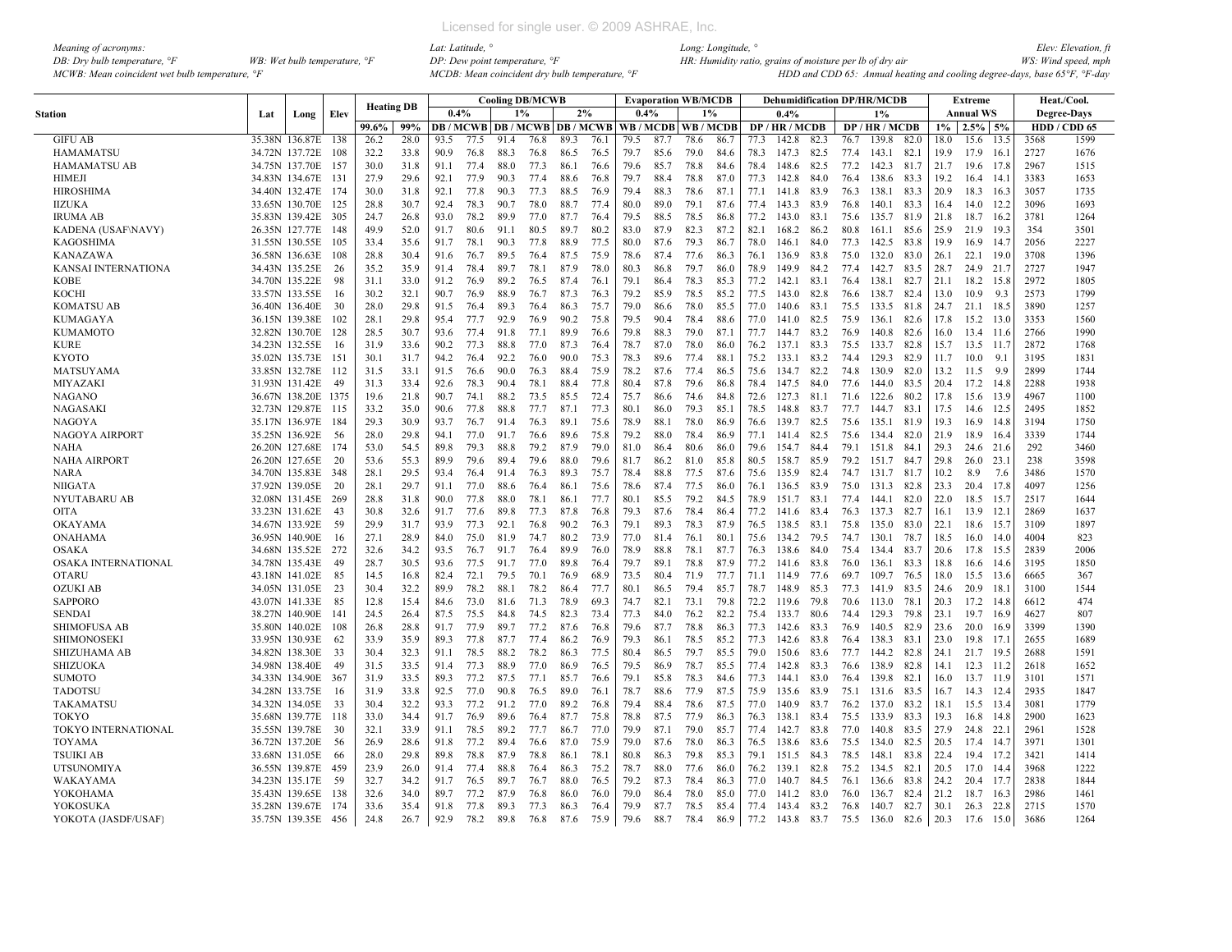| Meaning of acronyms:                           |                                         |
|------------------------------------------------|-----------------------------------------|
| DB: Dry bulb temperature, $\degree$ F          | WB: Wet bulb temperature, $\mathcal{F}$ |
| MCWB: Mean coincident wet bulb temperature, °F |                                         |

|                            |     |                                  |            | <b>Heating DB</b> |              |      |              |              | <b>Cooling DB/MCWB</b>                   |      |      |      | <b>Evaporation WB/MCDB</b> |              |              |      |                |      |      | <b>Dehumidification DP/HR/MCDB</b> |           |       | Extreme                |             |                    | Heat./Cool.  |
|----------------------------|-----|----------------------------------|------------|-------------------|--------------|------|--------------|--------------|------------------------------------------|------|------|------|----------------------------|--------------|--------------|------|----------------|------|------|------------------------------------|-----------|-------|------------------------|-------------|--------------------|--------------|
| <b>Station</b>             | Lat | Long                             | Elev       |                   |              | 0.4% |              | 1%           |                                          | 2%   |      | 0.4% |                            | $1\%$        |              |      | 0.4%           |      |      | $1\%$                              |           |       | Annual WS              |             | <b>Degree-Days</b> |              |
|                            |     |                                  |            | 99.6%             | 99%          |      |              |              | <b>DB / MCWB   DB / MCWB   DB / MCWB</b> |      |      |      | WB / MCDB   WB / MCDB      |              |              |      | DP / HR / MCDB |      |      | DP / HR / MCDB                     |           | $1\%$ | 2.5%                   | 5%          |                    | HDD / CDD 65 |
| <b>GIFU AB</b>             |     | 35.38N 136.87E                   | 138        | 26.2              | 28.0         | 93.5 | 77.5         | 91.4         | 76.8                                     | 89.3 | 76.1 | 79.5 | 87.7                       | 78.6         | 86.7         | 77.3 | 142.8          | 82.3 | 76.7 | 139.8                              | 82.0      | 18.0  | 15.6                   | 13.5        | 3568               | 1599         |
| <b>HAMAMATSU</b>           |     | 34.72N 137.72E                   | 108        | 32.2              | 33.8         | 90.9 | 76.8         | 88.3         | 76.8                                     | 86.5 | 76.5 | 79.7 | 85.6                       | 79.0         | 84.6         | 78.3 | 147.3          | 82.5 | 77.4 | 143.1                              | 82.1      | 19.9  | 17.9                   | 16.1        | 2727               | 1676         |
| <b>HAMAMATSU AB</b>        |     | 34.75N 137.70E                   | 157        | 30.0              | 31.8         | 91.1 | 77.4         | 88.0         | 77.3                                     | 86.1 | 76.6 | 79.6 | 85.7                       | 78.8         | 84.6         | 78.4 | 148.6          | 82.5 | 77.2 | 142.3                              | 81.7      | 21.7  | 19.6                   | 17.8        | 2967               | 1515         |
| <b>HIMEJI</b>              |     | 34.83N 134.67E 131               |            | 27.9              | 29.6         | 92.1 | 77.9         | 90.3         | 77.4                                     | 88.6 | 76.8 | 79.7 | 88.4                       | 78.8         | 87.0         | 77.3 | 142.8          | 84.0 | 76.4 | 138.6                              | 83.3      | 19.2  | 16.4                   | 14.         | 3383               | 1653         |
| <b>HIROSHIMA</b>           |     | 34.40N 132.47E                   | 174        | 30.0              | 31.8         | 92.1 | 77.8         | 90.3         | 77.3                                     | 88.5 | 76.9 | 794  | 88.3                       | 78.6         | 87.1         | 77.1 | 141.8          | 83.9 | 76.3 | 138.1                              | 83.3      | 20.9  | 18.3                   | 16.3        | 3057               | 1735         |
| <b>IIZUKA</b>              |     | 33.65N 130.70E                   | 125        | 28.8              | 30.7         | 92.4 | 78.3         | 90.7         | 78.0                                     | 88.7 | 77.4 | 80.0 | 89.0                       | 79.1         | 87.6         | 77.4 | 143.3          | 83.9 | 76.8 | 140.1                              | 83.3      | 16.4  | 14.0                   | 12.2        | 3096               | 1693         |
| <b>IRUMA AB</b>            |     | 35.83N 139.42E 305               |            | 24.7              | 26.8         | 93.0 | 78.2         | 89.9         | 77.0                                     | 87.7 | 76.4 | 79.5 | 88.5                       | 78.5         | 86.8         | 77.2 | 143.0          | 83.1 | 75.6 | 135.7                              | 81.9      | 21.8  | 18.7                   | 16.2        | 3781               | 1264         |
| <b>KADENA (USAF\NAVY)</b>  |     | 26.35N 127.77E                   | 148        | 49.9              | 52.0         | 91.7 | 80.6         | 91.1         | 80.5                                     | 89.7 | 80.2 | 83.0 | 87.9                       | 82.3         | 87.2         | 82.1 | 168.2          | 86.2 | 80.8 | 161.1                              | 85.6      | 25.9  | 21.9                   | 19.3        | 354                | 3501         |
| <b>KAGOSHIMA</b>           |     | 31.55N 130.55E                   | 105        | 33.4              | 35.6         | 91.7 | 78.1         | 90.3         | 77.8                                     | 88.9 | 77.5 | 80.0 | 87.6                       | 79.3         | 86.7         | 78.0 | 146.1          | 84.0 | 77.3 | 142.5                              | 83.8      | 19.9  | 16.9                   | 14.7        | 2056               | 2227         |
| <b>KANAZAWA</b>            |     | 36.58N 136.63E 108               |            | 28.8              | 30.4         | 91.6 | 76.7         | 89.5         | 76.4                                     | 87.5 | 75.9 | 78.6 | 87.4                       | 77.6         | 86.3         | 76.1 | 136.9          | 83.8 | 75.0 | 132.0                              | 83.0      | 26.1  | 22.1                   | 19.0        | 3708               | 1396         |
| <b>KANSAI INTERNATIONA</b> |     | 34.43N 135.25E                   | -26        | 35.2              | 35.9         | 91.4 | 78.4         | 89.7         | 78.1                                     | 87.9 | 78.0 | 80.3 | 86.8                       | 79.7         | 86.0         | 78.9 | 149.9          | 84.2 | 77.4 | 142.7                              | 83.5      | 28.7  | 24.9 21.7              |             | 2727               | 1947         |
| <b>KOBE</b>                |     | 34.70N 135.22E                   | 98         | 31.1              | 33.0         | 91.2 | 76.9         | 89.2         | 76.5                                     | 87.4 | 76.1 | 79.1 | 86.4                       | 78.3         | 85.3         | 77.2 | 142.1          | 83.1 | 76.4 | 138.1                              | 82.7      | 21.1  | 18.2 15.8              |             | 2972               | 1805         |
| KOCHI                      |     | 33.57N 133.55E                   | 16         | 30.2              | 32.1         | 90.7 | 76.9         | 88.9         | 76.7                                     | 87.3 | 76.3 | 79.2 | 85.9                       | 78.5         | 85.2         | 77.5 | 143.0          | 82.8 | 76.6 | 138.7                              | 82.4      | 13.0  | 10.9                   | -9.3        | 2573               | 1799         |
| <b>KOMATSU AB</b>          |     | 36.40N 136.40E                   | 30         | 28.0              | 29.8         | 91.5 | 76.4         | 89.3         | 76.4                                     | 86.3 | 75.7 | 79.0 | 86.6                       | 78.0         | 85.5         | 77.0 | 1406           | 83.1 | 75.5 | 133.5                              | 81.8      | 24.7  | 21.1 18.5              |             | 3890               | 1257         |
| <b>KUMAGAYA</b>            |     | 36.15N 139.38E                   | 102        | 28.1              | 29.8         | 95.4 | 77.7         | 92.9         | 76.9                                     | 90.2 | 75.8 | 79.5 | 90.4                       | 78.4         | 88.6         | 77.0 | 141.0          | 82.5 | 75.9 | 136.1                              | 82.6      | 17.8  | 15.2 13.0              |             | 3353               | 1560         |
| <b>KUMAMOTO</b>            |     | 32.82N 130.70E                   | 128        | 28.5              | 30.7         | 93.6 | 77.4         | 91.8         | 77.1                                     | 89.9 | 76.6 | 79.8 | 88.3                       | 79.0         | 87.1         | 77.7 | 144.7          | 83.2 | 76.9 | 140.8                              | 82.6      | 16.0  | 13.4 11.6              |             | 2766               | 1990         |
| <b>KURE</b>                |     | 34.23N 132.55E                   | 16         | 31.9              | 33.6         | 90.2 | 77.3         | 88.8         | 77.0                                     | 87.3 | 76.4 | 78.7 | 87.0                       | 78.0         | 86.0         | 76.2 | 137.1          | 83.3 | 75.5 | 133.7                              | 82.8      | 15.7  | 13.5 11.7              |             | 2872               | 1768         |
| <b>KYOTO</b>               |     | 35.02N 135.73E                   | 151        | 30.1              | 31.7         | 94.2 | 76.4         | 92.2         | 76.0                                     | 90.0 | 75.3 | 78.3 | 89.6                       | 77.4         | 88.1         | 75.2 | 133.1          | 83.2 | 74.4 | 129.3                              | 82.9      | 11.7  | 10.0                   | 9.1         | 3195               | 1831         |
| <b>MATSUYAMA</b>           |     | 33.85N 132.78E                   | 112        | 31.5              | 33.1         | 91.5 | 76.6         | 90.0         | 76.3                                     | 88.4 | 75.9 | 78.2 | 87.6                       | 77.4         | 86.5         | 75.6 | 134.7          | 82.2 | 74.8 | 130.9                              | 82.0      | 13.2  | 11.5                   | -9.9        | 2899               | 1744         |
| <b>MIYAZAKI</b>            |     | 31.93N 131.42E                   | 49         | 31.3              | 33.4         | 92.6 | 78.3         | 90.4         | 78.1                                     | 88.4 | 77.8 | 80.4 | 87.8                       | 79.6         | 86.8         | 78.4 | 147.5          | 84.0 | 77.6 | 144.0                              | 83.5      | 20.4  | $17.2$ $14.8$          |             | 2288               | 1938         |
| <b>NAGANO</b>              |     | 36.67N 138.20E 1375              |            | 19.6              | 21.8         | 90.7 | 74.1         | 88.2         | 73.5                                     | 85.5 | 72.4 | 75.7 | 86.6                       | 74.6         | 84.8         | 72.6 | 127.3          | 81.1 | 71.6 | 122.6                              | 80.2      | 17.8  | 15.6 13.9              |             | 4967               | 1100         |
| NAGASAKI                   |     | 32.73N 129.87E                   | 115        | 33.2              | 35.0         | 90.6 | 77.8         | 88.8         | 77.7                                     | 87.1 | 77.3 | 80.1 | 86.0                       | 79.3         | 85.1         | 78.5 | 148.8          | 83.7 | 77.7 | 144.7                              | 83.1      | 17.5  | 14.6                   | 12.5        | 2495               | 1852         |
| <b>NAGOYA</b>              |     | 35.17N 136.97E 184               |            | 29.3              | 30.9         | 93.7 | 76.7         | 91.4         | 76.3                                     | 89.1 | 75.6 | 78.9 | 88.1                       | 78.0         | 86.9         | 76.6 | 139.7          | 82.5 | 75.6 | 135.1                              | 81.9      | 19.3  | 16.9                   | 14.8        | 3194               | 1750         |
| NAGOYA AIRPORT             |     | 35.25N 136.92E                   | 56         | 28.0              | 29.8         | 94.1 | 77.0         | 91.7         | 76.6                                     | 89.6 | 75.8 | 79.2 | 88.0                       | 78.4         | 86.9         | 77.1 | 141.4          | 82.5 | 75.6 | 134.4                              | 82.0      | 21.9  | 18.9                   | 16.4        | 3339               | 1744         |
| NAHA                       |     | 26.20N 127.68E                   | 174        | 53.0              | 54.5         | 89.8 | 79.3         | 88.8         | 79.2                                     | 87.9 | 79.0 | 81.0 | 86.4                       | 80.6         | 86.0         | 79.6 | 154.7          | 84.4 | 79.1 | 151.8                              | 84.1      | 29.3  | 24.6 21.6              |             | 292                | 3460         |
| <b>NAHA AIRPORT</b>        |     | 26.20N 127.65E                   | 20         | 53.6              | 55.3         | 89.9 | 79.6         | 89.4         | 79.6                                     | 88.0 | 79.6 | 81.7 | 86.2                       | 81.0         | 85.8         | 80.5 | 158.7          | 85.9 | 79.2 | 151.7                              | 84.7      | 29.8  | 26.0                   | 23.         | 238                | 3598         |
| <b>NARA</b>                |     | 34.70N 135.83E 348               |            | 28.1              | 29.5         | 93.4 | 76.4         | 91.4         | 76.3                                     | 89.3 | 75.7 | 78.4 | 88.8                       | 77.5         | 87.6         | 75.6 | 135.9          | 82.4 | 74.7 | 131.7                              | 81.7      | 10.2  | 8.9                    | 7.6         | 3486               | 1570         |
| <b>NIIGATA</b>             |     | 37.92N 139.05E                   | 20         | 28.1              | 29.7         | 91.1 | 77.0         | 88.6         | 76.4                                     | 86.1 | 75.6 | 78.6 | 87.4                       | 77.5         | 86.0         | 76.1 | 136.5          | 83.9 | 75.0 | 131.3                              | 82.8      | 23.3  | 20.4 17.8              |             | 4097               | 1256         |
| <b>NYUTABARU AB</b>        |     | 32.08N 131.45E 269               |            | 28.8              | 31.8         | 90.0 | 77.8         | 88.0         | 78.1                                     | 86.1 | 77.7 | 80.1 | 85.5                       | 79.2         | 84.5         | 78.9 | 151.7          | 83.1 | 77.4 | 144.1                              | 82.0      | 22.0  | 18.5 15.7              |             | 2517               | 1644         |
| <b>OITA</b>                |     | 33.23N 131.62E                   | 43         | 30.8              | 32.6         | 91.7 | 77.6         | 89.8         | 77.3                                     | 87.8 | 76.8 | 79.3 | 87.6                       | 78.4         | 86.4         | 77.2 | 141.6          | 83.4 | 76.3 | 137.3                              | 82.7      | 16.1  | 13.9                   | 12.         | 2869               | 1637         |
| <b>OKAYAMA</b>             |     | 34.67N 133.92E                   | 59         | 29.9              | 31.7         | 93.9 | 77.3         | 92.1         | 76.8                                     | 90.2 | 76.3 | 79.1 | 89.3                       | 78.3         | 87.9         | 76.5 | 138.5          | 83.1 | 75.8 | 135.0                              | 83.0      | 22.1  | 18.6                   | 15.7        | 3109               | 1897         |
| <b>ONAHAMA</b>             |     | 36.95N 140.90E                   | 16         | 27.1              | 28.9         | 84.0 | 75.0         | 81.9         | 74.7                                     | 80.2 | 73.9 | 77.0 | 81.4                       | 76.1         | 80.1         | 75.6 | 134.2          | 79.5 | 74.7 | 130.1                              | 78.7      | 18.5  | 16.0                   | 14.0        | 4004               | 823          |
| <b>OSAKA</b>               |     | 34.68N 135.52E 272               |            | 32.6              | 34.2         | 93.5 | 76.7         | 91.7         | 76.4                                     | 89.9 | 76.0 | 78.9 | 88.8                       | 78.1         | 87.7         | 76.3 | 138.6          | 84.0 | 75.4 | 134.4                              | 83.7      | 20.6  | 17.8 15.5              |             | 2839               | 2006         |
| <b>OSAKA INTERNATIONAL</b> |     | 34.78N 135.43E                   | 49         | 28.7              | 30.5         | 93.6 | 77.5         | 91.7         | 77.0                                     | 89.8 | 76.4 | 79.7 | 89.1                       | 78.8         | 87.9         | 77.2 | 141.6          | 83.8 | 76.0 | 136.1                              | 83.3      | 18.8  | 16.6 14.6              |             | 3195               | 1850         |
| <b>OTARU</b>               |     | 43.18N 141.02E                   | 85         | 14.5              | 16.8         | 82.4 | 72.1         | 79.5         | 70.1                                     | 76.9 | 68.9 | 73.5 | 80.4                       | 71.9         | 77.7         | 71.1 | 114.9          | 77.6 | 69.7 | 109.7                              | 76.5      | 18.0  | 15.5                   | 13.6        | 6665               | 367          |
| <b>OZUKI AB</b>            |     | 34.05N 131.05E                   | 23         | 30.4              | 32.2         | 89.9 | 78.2         | 88.1         | 78.2                                     | 86.4 | 77.7 | 80.1 | 86.5                       | 79.4         | 85.7         | 78.7 | 148.9          | 85.3 | 77.3 | 141.9                              | 83.5      | 24.6  | 20.9                   | 18.         | 3100               | 1544         |
| <b>SAPPORO</b>             |     | 43.07N 141.33E                   | 85         | 12.8              | 15.4         | 84.6 | 73.0         |              | 71.3                                     | 78.9 | 693  | 74.7 | 82.1                       | 73.1         | 79.8         | 72.2 | 119.6          | 79.8 | 70.6 |                                    | 78.1      | 20.3  |                        |             | 6612               | 474          |
| <b>SENDAI</b>              |     |                                  |            | 24.5              | 26.4         | 87.5 |              | 81.6<br>84.8 |                                          | 82.3 | 73.4 | 77.3 | 84.0                       |              | 82.2         | 75.4 |                | 80.6 | 74.4 | 113.0<br>129.3                     | 79.8      | 23.1  | 17.2 14.8<br>19.7 16.9 |             | 4627               | 807          |
| <b>SHIMOFUSA AB</b>        |     | 38.27N 140.90E<br>35.80N 140.02E | 141<br>108 | 26.8              | 28.8         | 91.7 | 75.5<br>77.9 | 89.7         | 74.5<br>77.2                             | 87.6 | 76.8 | 79.6 | 87.7                       | 76.2<br>78.8 | 86.3         | 77.3 | 133.7<br>142.6 | 83.3 | 76.9 | 140.5                              | 82.9      | 23.6  | 20.0                   |             | 3399               | 1390         |
|                            |     |                                  | 62         | 33.9              |              |      |              |              | 77.4                                     |      |      | 79.3 |                            | 78.5         |              |      |                |      |      |                                    |           |       |                        | 16.9<br>17. |                    |              |
| <b>SHIMONOSEKI</b>         |     | 33.95N 130.93E                   |            |                   | 35.9         | 89.3 | 77.8         | 87.7         |                                          | 86.2 | 76.9 | 80.4 | 86.1                       |              | 85.2         | 77.3 | 142.6          | 83.8 | 76.4 | 138.3                              | 83.1      | 23.0  | 19.8                   |             | 2655               | 1689         |
| <b>SHIZUHAMA AB</b>        |     | 34.82N 138.30E                   | 33<br>49   | 30.4              | 32.3<br>33.5 | 91.1 | 78.5         | 88.2         | 78.2                                     | 86.3 | 77.5 |      | 86.5                       | 79.7         | 85.5<br>85.5 | 79.0 | 150.6          | 83.6 | 77.7 | 144.2                              | 82.8      | 24.1  | 21.7                   | 19.5        | 2688               | 1591         |
| <b>SHIZUOKA</b>            |     | 34.98N 138.40E                   |            | 31.5              |              | 91.4 | 77.3         | 88.9         | 77.0                                     | 86.9 | 76.5 | 79.5 | 86.9                       | 78.7         |              | 77.4 | 142.8          | 83.3 | 76.6 | 138.9                              | 82.8      | 14.1  | 12.3                   | - 11.2      | 2618               | 1652         |
| <b>SUMOTO</b>              |     | 34.33N 134.90E                   | - 367      | 31.9              | 33.5         | 89.3 | 77.2         | 87.5         | 77.1                                     | 85.7 | 76.6 | 79.1 | 85.8                       | 78.3         | 84.6         | 77.3 | 144.1          | 83.0 | 76.4 | 139.8                              | 82.1      | 16.0  | 13.7 11.9              |             | 3101               | 1571         |
| <b>TADOTSU</b>             |     | 34.28N 133.75E                   | -16        | 31.9              | 33.8         | 92.5 | 77.0         | 90.8         | 76.5                                     | 89.0 | 76.1 | 78.7 | 88.6                       | 77.9         | 87.5         | 75.9 | 135.6          | 83.9 | 75.1 | 131.6                              | 83.5      | 16.7  | 14.3 12.4              |             | 2935               | 1847         |
| <b>TAKAMATSU</b>           |     | 34.32N 134.05E                   | 33         | 30.4              | 32.2         | 93.3 | 77.2         | 91.2         | 77.0                                     | 89.2 | 76.8 | 79.4 | 88.4                       | 78.6         | 87.5         | 77.0 | 140.9          | 83.7 | 76.2 | 137.0                              | 83.2      | 18.1  | 15.5                   | 13.4        | 3081               | 1779         |
| <b>TOKYO</b>               |     | 35.68N 139.77E 118               |            | 33.0              | 34.4         | 91.7 | 76.9         | 89.6         | 76.4                                     | 87.7 | 75.8 | 78.8 | 87.5                       | 77.9         | 86.3         | 76.3 | 138.1          | 83.4 | 75.5 | 133.9                              | 83.3      | 19.3  | 16.8                   | - 14.8      | 2900               | 1623         |
| TOKYO INTERNATIONAL        |     | 35.55N 139.78E                   | 30         | 32.1              | 33.9         | 91.1 | 78.5         | 89.2         | 77.7                                     | 86.7 | 77.0 | 79.9 | 87.1                       | 79.0         | 85.7         | 77.4 | 142.7          | 83.8 | 77.0 | 140.8                              | 83.5      | 27.9  | 24.8 22.               |             | 2961               | 1528         |
| <b>TOYAMA</b>              |     | 36.72N 137.20E                   | 56         | 26.9              | 28.6         | 91.8 | 77.2         | 89.4         | 76.6                                     | 87.0 | 75.9 | 79.0 | 87.6                       | 78.0         | 86.3         | 76.5 | 138.6          | 83.6 | 75.5 | 134.0                              | 82.5      | 20.5  | 17.4 14.7              |             | 3971               | 1301         |
| <b>TSUIKI AB</b>           |     | 33.68N 131.05E                   | 66         | 28.0              | 29.8         | 89.8 | 78.8         | 87.9         | 78.8                                     | 86.1 | 78.1 | 80.8 | 86.3                       | 79.8         | 85.3         | 79.1 | 151.5          | 84.3 | 78.5 | 148.1                              | 83.8      | 22.4  | 19.4 17.2              |             | 3421               | 1414         |
| <b>UTSUNOMIYA</b>          |     | 36.55N 139.87E                   | 459        | 23.9              | 26.0         | 91.4 | 77.4         | 88.8         | 76.4                                     | 86.3 | 75.2 | 78.7 | 88.0                       | 77.6         | 86.0         | 76.2 | 139.1          | 82.8 | 75.2 | 134.5                              | -82.1     | 20.5  | 17.0                   | 14.4        | 3968               | 1222         |
| WAKAYAMA                   |     | 34.23N 135.17E                   | -59        | 32.7              | 34.2         | 91.7 | 76.5         | 89.7         | 76.7                                     | 88.0 | 76.5 | 79.2 | 87.3                       | 78.4         | 86.3         | 77.0 | 140.7          | 84.5 | 76.1 | 136.6                              | 83.8      | 24.2  | 20.4 17.7              |             | 2838               | 1844         |
| YOKOHAMA                   |     | 35.43N 139.65E                   | 138        | 32.6              | 34.0         | 89.7 | 77.2         | 87.9         | 76.8                                     | 86.0 | 76.0 | 79.0 | 86.4                       | 78.0         | 85.0         | 77.0 | 141.2          | 83.0 | 76.0 | 136.7                              | 82.4      | 21.2  | 18.7                   | 16.3        | 2986               | 1461         |
| YOKOSUKA                   |     | 35.28N 139.67E 174               |            | 33.6              | 35.4         | 91.8 | 77.8         | 89.3         | 77.3                                     | 86.3 | 76.4 | 79.9 | 87.7                       | 78.5         | 85.4         | 77.4 | 143.4          | 83.2 | 76.8 | 140.7                              | 82.7      | 30.1  | 26.3                   | - 22.8      | 2715               | 1570         |
| YOKOTA (JASDF/USAF)        |     | 35.75N 139.35E 456               |            | 24.8              | 26.7         | 92.9 | 78.2         | 89.8         | 76.8                                     | 87.6 | 75.9 | 79.6 | 88.7                       | 78.4         | 86.9         |      | 77.2 143.8     | 83.7 |      | 75.5 136.0                         | 82.6 20.3 |       | 17.6 15.0              |             | 3686               | 1264         |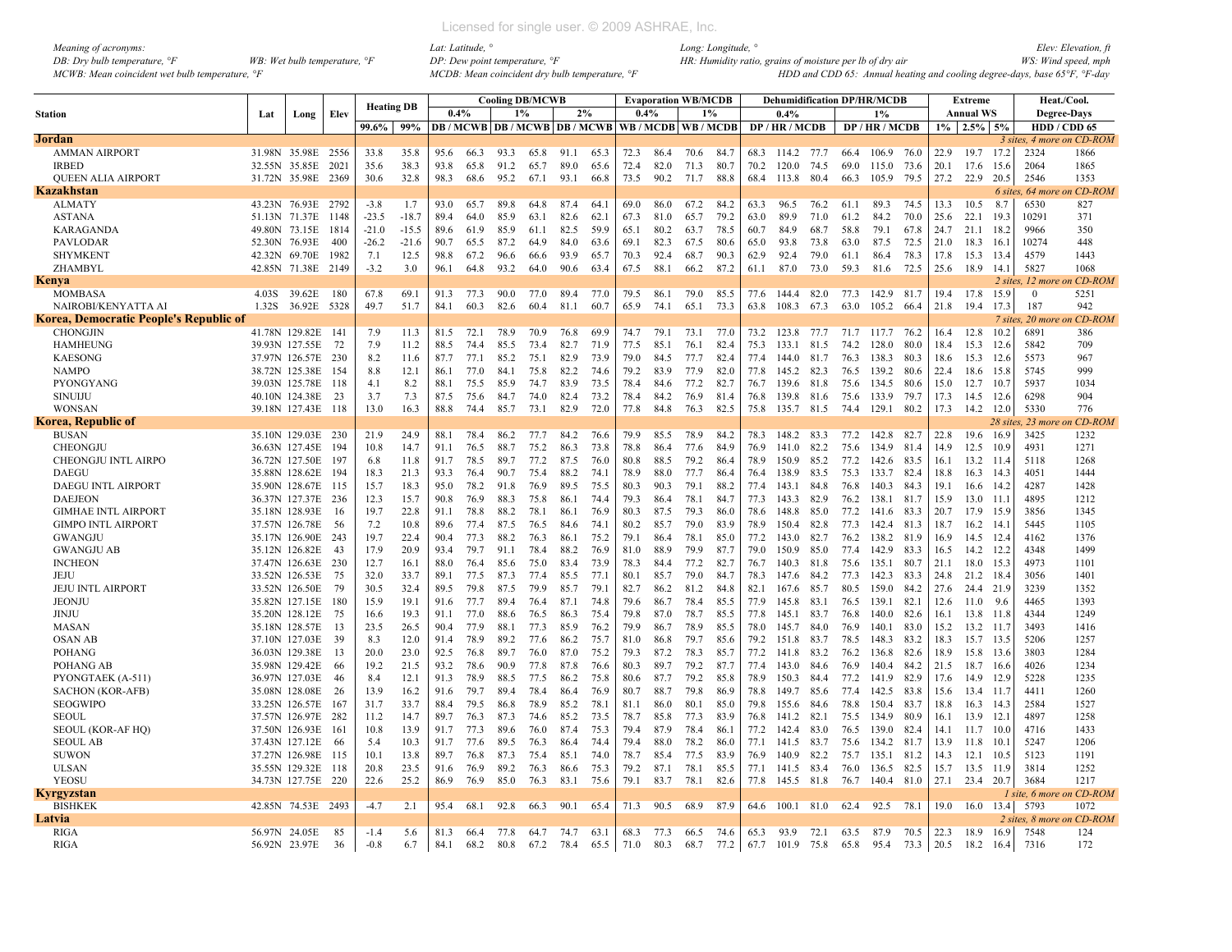| Meaning of acronyms:                                      |                                         |
|-----------------------------------------------------------|-----------------------------------------|
| DB: Dry bulb temperature, $\mathcal{F}$                   | WB: Wet bulb temperature, $\mathcal{F}$ |
| MCWB: Mean coincident wet bulb temperature, $\mathcal{F}$ |                                         |

|                                        |       |                    |      |         | <b>Heating DB</b> |      |      |      | <b>Cooling DB/MCWB</b> |      |                               |                |      | <b>Evaporation WB/MCDB</b> |       |      | <b>Dehumidification DP/HR/MCDB</b> |      |      |                |        |       | Extreme           |           | Heat./Cool.               |                   |
|----------------------------------------|-------|--------------------|------|---------|-------------------|------|------|------|------------------------|------|-------------------------------|----------------|------|----------------------------|-------|------|------------------------------------|------|------|----------------|--------|-------|-------------------|-----------|---------------------------|-------------------|
| Station                                | Lat   | Long               | Elev |         |                   | 0.4% |      |      | 1%                     |      | 2%                            |                | 0.4% | 1%                         |       |      | 0.4%                               |      |      | 1%             |        |       | <b>Annual WS</b>  |           | <b>Degree-Days</b>        |                   |
|                                        |       |                    |      | 99.6%   | 99%               |      |      |      |                        |      | DB / MCWB DB / MCWB DB / MCWB |                |      | WB / MCDB WB / MCDB        |       |      | DP / HR / MCDB                     |      |      | DP / HR / MCDB |        | $1\%$ | $2.5\%$ 5%        |           | HDD / CDD 65              |                   |
| <b>Jordan</b>                          |       |                    |      |         |                   |      |      |      |                        |      |                               |                |      |                            |       |      |                                    |      |      |                |        |       |                   |           | 3 sites, 4 more on CD-ROM |                   |
| <b>AMMAN AIRPORT</b>                   |       | 31.98N 35.98E 2556 |      | 33.8    | 35.8              | 95.6 | 66.3 | 93.3 | 65.8                   | 91.1 | 65.3                          | 72.3           | 86.4 | 70.6                       | -84.1 | 68.3 | 114.2 77.7                         |      | 66.4 | 106.9          | - 76.0 | 22.9  | 19.7              | 17.2      | 2324                      | 1866              |
| <b>IRBED</b>                           |       | 32.55N 35.85E      | 2021 | 35.6    | 38.3              | 93.8 | 65.8 | 91.2 | 65.7                   | 89.0 | 65.6                          | 72.4           | 82.0 | 71.3                       | 80.7  | 70.2 | 120.0                              | 74.5 | 69.0 | 115.0          | 73.6   | 20.1  | 17.6              | 15.6      | 2064                      | 1865              |
| <b>QUEEN ALIA AIRPORT</b>              |       | 31.72N 35.98E      | 2369 | 30.6    | 32.8              | 98.3 | 68.6 | 95.2 | 67.1                   | 93.1 | 66.8                          | 73.5           | 90.2 | 71.7                       | 88.8  | 68.4 | 113.8                              | 80.4 | 66.3 | 105.9          | 79.5   | 27.2  | 22.9              | 20.5      | 2546                      | 1353              |
| Kazakhstan                             |       |                    |      |         |                   |      |      |      |                        |      |                               |                |      |                            |       |      |                                    |      |      |                |        |       |                   | 6 sites.  | 64 mor                    | CD-ROM            |
| <b>ALMATY</b>                          |       | 43.23N 76.93E      | 2792 | $-3.8$  | 1.7               | 93.0 | 65.7 | 89.8 | 64.8                   | 87.4 | 64.1                          | 69.0           | 86.0 | 67.2                       | 84.2  | 63.3 | 96.5                               | 76.2 | 61.1 | 89.3           | 74.5   | 13.3  | 10.5              | 8.7       | 6530                      | 827               |
| <b>ASTANA</b>                          |       | 51.13N 71.37E      | 1148 | $-23.5$ | $-18.7$           | 89.4 | 64.0 | 85.9 | 63.1                   | 82.6 | 62.1                          | 67.3           | 81.0 | 65.7                       | 79.2  | 63.0 | 89.9                               | 71.0 | 61.2 | 84.2           | 70.0   | 25.6  | 22.1              | 19.3      | 10291                     | 371               |
| <b>KARAGANDA</b>                       |       | 49.80N 73.15E      | 1814 | $-21.0$ | $-15.5$           | 89.6 | 61.9 | 85.9 | 61.1                   | 82.5 | 59.9                          | 65.1           | 80.2 | 63.7                       | 78.5  | 60.7 | 84.9                               | 68.7 | 58.8 | 79.1           | 67.8   | 24.7  | 21.1              | 18.2      | 9966                      | 350               |
| <b>PAVLODAR</b>                        |       | 52.30N 76.93E      | 400  | $-26.2$ | $-21.6$           | 90.7 | 65.5 | 87.2 | 64.9                   | 84.0 | 63.6                          | 69.1           | 82.3 | 67.5                       | 80.6  | 65.0 | 93.8                               | 73.8 | 63.0 | 87.5           | 72.5   | 21.0  | 18.3              | 16.1      | 10274                     | 448               |
| <b>SHYMKENT</b>                        |       | 42.32N 69.70E      | 1982 | 7.1     | 12.5              | 98.8 | 67.2 | 96.6 | 66.6                   | 93.9 | 65.7                          | 70.3           | 92.4 | 68.7                       | 90.3  | 62.9 | 92.4                               | 79.0 | 61.1 | 86.4           | 78.3   | 17.8  | 15.3              | 13.4      | 4579                      | 1443              |
| ZHAMBYL                                |       | 42.85N 71.38E      | 2149 | $-3.2$  | 3.0               | 96.1 | 64.8 | 93.2 | 64.0                   | 90.6 | 63.4                          | 67.5           | 88.1 | 66.2                       | 87.2  | 61.1 | 87.0                               | 73.0 | 59.3 | 81.6           | 72.5   | 25.6  | 18.9              | 14.1      | 5827                      | 1068              |
| Kenya                                  |       |                    |      |         |                   |      |      |      |                        |      |                               |                |      |                            |       |      |                                    |      |      |                |        |       |                   | 2 sites.  |                           | 12 more on CD-ROM |
| <b>MOMBASA</b>                         | 4.03S | 39.62E             | 180  | 67.8    | 69.1              | 91.3 | 77.3 | 90.0 | 77.0                   | 89.4 | 77.0                          | 79.5           | 86.1 | 79.0                       | 85.5  | 77.6 | 144.4                              | 82.0 | 77.3 | 142.9 81.7     |        | 19.4  | 17.8              | 15.9      | $\mathbf{0}$              | 5251              |
| NAIROBI/KENYATTA AI                    | 1.32S | 36.92E             | 5328 | 49.7    | 51.7              | 84.1 | 60.3 | 82.6 | 60.4                   | 81.1 | 60.7                          | 65.9           | 74.1 | 65.1                       | 73.3  | 63.8 | 108.3                              | 67.3 | 63.0 | 105.2          | 66.4   | 21.8  | 19.4              | 17.3      | 187                       | 942               |
| Korea, Democratic People's Republic of |       |                    |      |         |                   |      |      |      |                        |      |                               |                |      |                            |       |      |                                    |      |      |                |        |       |                   | 7 sites.  |                           | 20 more on CD-ROM |
| <b>CHONGJIN</b>                        |       | 41.78N 129.82E     | -141 | 7.9     | 11.3              | 81.5 | 72.1 | 78.9 | 70.9                   | 76.8 | 69.9                          | 74.7           | 79.1 | 73.1                       | 77.0  | 73.2 | 123.8                              | 77.7 | 71.7 | 117.7 76.2     |        | 16.4  | 12.8              | 10.2      | 6891                      | 386               |
| <b>HAMHEUNG</b>                        |       | 39.93N 127.55E     | 72   | 7.9     | 11.2              | 88.5 | 74.4 | 85.5 | 73.4                   | 82.7 | 71.9                          | 77.5           | 85.1 | 76.1                       | 82.4  | 75.3 | 133.1                              | 81.5 | 74.2 | 128.0          | 80.0   | 18.4  | 15.3              | 12.6      | 5842                      | 709               |
| <b>KAESONG</b>                         |       | 37.97N 126.57E     | 230  | 8.2     | 11.6              | 87.7 | 77.1 | 85.2 | 75.1                   | 82.9 | 73.9                          | 79.0           | 84.5 | 77.7                       | 82.4  | 77.4 | 144.0                              | 81.7 | 76.3 | 138.3          | 80.3   | 18.6  | 15.3              | 12.6      | 5573                      | 967               |
| <b>NAMPO</b>                           |       | 38.72N 125.38E     | 154  | 8.8     | 12.1              | 86.1 | 77.0 | 84.1 | 75.8                   | 82.2 | 74.6                          | 79.2           | 83.9 | 77.9                       | 82.0  | 77.8 | 145.2                              | 82.3 | 76.5 | 139.2          | 80.6   | 22.4  | 18.6              | 15.8      | 5745                      | 999               |
| PYONGYANG                              |       | 39.03N 125.78E     | -118 | 4.1     | 8.2               | 88.1 | 75.5 | 85.9 | 74.7                   | 83.9 | 73.5                          | 78.4           | 84.6 | 77.2                       | 82.7  | 76.7 | 139.6                              | 81.8 | 75.6 | 134.5          | 80.6   | 15.0  | 12.7              | 10.7      | 5937                      | 1034              |
| <b>SINUIJU</b>                         |       | 40.10N 124.38E     | 23   | 3.7     | 7.3               | 87.5 | 75.6 | 84.7 | 74.0                   | 82.4 | 73.2                          | 78.4           | 84.2 | 76.9                       | 81.4  | 76.8 | 139.8                              | 81.6 | 75.6 | 133.9          | 79.7   | 17.3  | 14.5              | 12.6      | 6298                      | 904               |
| <b>WONSAN</b>                          |       | 39.18N 127.43E     | 118  | 13.0    | 16.3              | 88.8 | 74.4 | 85.7 | 73.1                   | 82.9 | 72.0                          | 77.8           | 84.8 | 76.3                       | 82.5  | 75.8 | 135.7                              | 81.5 | 74.4 | 129.1          | 80.2   | 17.3  | 14.2 12.0         |           | 5330                      | 776               |
| Korea, Republic of                     |       |                    |      |         |                   |      |      |      |                        |      |                               |                |      |                            |       |      |                                    |      |      |                |        |       |                   | 28 sites. | $23$ mor                  | $CD$ - $ROM$      |
| <b>BUSAN</b>                           |       | 35.10N 129.03E     | 230  | 21.9    | 24.9              | 88.1 | 78.4 | 86.2 | 77.7                   | 84.2 | 76.6                          | 79.9           | 85.5 | 78.9                       | 84.2  | 78.3 | 148.2 83.3                         |      | 77.2 | 142.8          | - 82.7 | 22.8  | 19.6              | 16.9      | 3425                      | 1232              |
| <b>CHEONGJU</b>                        |       | 36.63N 127.45E     | 194  | 10.8    | 14.7              | 91.1 | 76.5 | 88.7 | 75.2                   | 86.3 | 73.8                          | 78.8           | 86.4 | 77.6                       | 84.9  | 76.9 | 141.0                              | 82.2 | 75.6 | 134.9          | 81.4   | 14.9  | 12.5              | 10.9      | 4931                      | 1271              |
| CHEONGJU INTL AIRPO                    |       | 36.72N 127.50E     | 197  | 6.8     | 11.8              | 91.7 | 78.5 | 89.7 | 77.2                   | 87.5 | 76.0                          | 80.8           | 88.5 | 79.2                       | 86.4  | 78.9 | 150.9                              | 85.2 | 77.2 | 142.6          | 83.5   | 16.1  | 13.2              | 11.4      | 5118                      | 1268              |
| <b>DAEGU</b>                           |       | 35.88N 128.62E     | 194  | 18.3    | 21.3              | 93.3 | 76.4 | 90.7 | 75.4                   | 88.2 | 74.1                          | 78.9           | 88.0 | 77.7                       | 86.4  | 76.4 | 138.9                              | 83.5 | 75.3 | 133.7          | 82.4   | 18.8  | 16.3 14.3         |           | 4051                      | 1444              |
| <b>DAEGU INTL AIRPORT</b>              |       | 35.90N 128.67E     | 115  | 15.7    | 18.3              | 95.0 | 78.2 | 91.8 | 76.9                   | 89.5 | 75.5                          | 80.3           | 90.3 | 79.1                       | 88.2  | 77.4 | 143.1                              | 84.8 | 76.8 | 140.3          | 84.3   | 19.1  | 16.6 14.2         |           | 4287                      | 1428              |
| <b>DAEJEON</b>                         |       | 36.37N 127.37E     | 236  | 12.3    | 15.7              | 90.8 | 76.9 | 88.3 | 75.8                   | 86.1 | 74.4                          | 79.3           | 86.4 | 78.1                       | 84.7  | 77.3 | 143.3                              | 82.9 | 76.2 | 138.1          | 81.7   | 15.9  | $13.0$ 11.1       |           | 4895                      | 1212              |
| <b>GIMHAE INTL AIRPORT</b>             |       | 35.18N 128.93E     | 16   | 19.7    | 22.8              | 91.1 | 78.8 | 88.2 | 78.1                   | 86.1 | 76.9                          | 80.3           | 87.5 | 79.3                       | 86.0  | 78.6 | 148.8                              | 85.0 | 77.2 | 141.6          | 83.3   | 20.7  | 17.9 15.9         |           | 3856                      | 1345              |
| <b>GIMPO INTL AIRPORT</b>              |       | 37.57N 126.78E     | -56  | 7.2     | 10.8              | 89.6 | 77.4 | 87.5 | 76.5                   | 84.6 | 74.1                          | 80.2           | 85.7 | 79.0                       | 83.9  | 78.9 | 1504                               | 82.8 | 77.3 | 142.4          | 81.3   | 18.7  | $16.2$ 14.1       |           | 5445                      | 1105              |
| <b>GWANGJU</b>                         |       | 35.17N 126.90E     | 243  | 19.7    | 22.4              | 90.4 | 77.3 | 88.2 | 76.3                   | 86.1 | 75.2                          | 79.1           | 86.4 | 78.1                       | 85.0  | 77.2 | 143.0                              | 82.7 | 76.2 | 138.2          | 81.9   | 16.9  | 14.5 12.4         |           | 4162                      | 1376              |
| <b>GWANGJU AB</b>                      |       | 35.12N 126.82E     | 43   | 17.9    | 20.9              | 93.4 | 79.7 | 91.1 | 78.4                   | 88.2 | 76.9                          | 81.0           | 88.9 | 79.9                       | 87.7  | 79.0 | 150.9                              | 85.0 | 77.4 | 142.9          | 83.3   | 16.5  | 14.2 12.2         |           | 4348                      | 1499              |
| <b>INCHEON</b>                         |       | 37.47N 126.63E     | 230  | 12.7    | 16.1              | 88.0 | 76.4 | 85.6 | 75.0                   | 83.4 | 73.9                          | 78.3           | 84.4 | 77.2                       | 82.7  | 76.7 | 140.3                              | 81.8 | 75.6 | 135.1          | 80.7   | 21.1  | 18.0              | 15.3      | 4973                      | 1101              |
| JEJU                                   |       | 33.52N 126.53E     | -75  | 32.0    | 33.7              | 89.1 | 77.5 | 87.3 | 77.4                   | 85.5 | 77.1                          | 80.1           | 85.7 | 79.0                       | 84.7  | 78.3 | 147.6                              | 84.2 | 77.3 | 142.3          | 83.3   | 24.8  | 21.2 18.4         |           | 3056                      | 1401              |
| <b>JEJU INTL AIRPORT</b>               |       | 33.52N 126.50E     | 79   | 30.5    | 32.4              | 89.5 | 79.8 | 87.5 | 79.9                   | 85.7 | 79.1                          | 82.7           | 86.2 | 81.2                       | 84.8  | 82.1 | 167.6                              | 85.7 | 80.5 | 159.0          | 84.2   | 27.6  | 24.4 21.9         |           | 3239                      | 1352              |
| <b>JEONJU</b>                          |       | 35.82N 127.15E     | 180  | 15.9    | 19.1              | 91.6 | 77.7 | 89.4 | 76.4                   | 87.1 | 74.8                          | 79.6           | 86.7 | 78.4                       | 85.5  | 77.9 | 145.8                              | 83.1 | 76.5 | 139.1          | 82.1   | 12.6  | 11.0              | 9.6       | 4465                      | 1393              |
| JINJU                                  |       | 35.20N 128.12E     | 75   | 16.6    | 19.3              | 91.1 | 77.0 | 88.6 | 76.5                   | 86.3 | 75.4                          | 79.8           | 87.0 | 78.7                       | 85.5  | 77.8 | 145.1                              | 83.7 | 76.8 | 140.0          | 82.6   | 16.1  | 13.8 11.8         |           | 4344                      | 1249              |
| MASAN                                  |       | 35.18N 128.57E     | 13   | 23.5    | 26.5              | 90.4 | 77.9 | 88.1 | 77.3                   | 85.9 | 76.2                          | 79.9           | 86.7 | 78.9                       | 85.5  | 78.0 | 145.7                              | 84.0 | 76.9 | 140.1          | 83.0   | 15.2  | 13.2 11.7         |           | 3493                      | 1416              |
| <b>OSAN AB</b>                         |       | 37.10N 127.03E     | 39   | 8.3     | 12.0              | 91.4 | 78.9 | 89.2 | 77.6                   | 86.2 | 75.7                          | 81.0           | 86.8 | 79.7                       | 85.6  | 79.2 | 151.8                              | 83.7 | 78.5 | 148.3          | 83.2   | 18.3  | 15.7 13.5         |           | 5206                      | 1257              |
| POHANG                                 |       | 36.03N 129.38E     | 13   | 20.0    | 23.0              | 92.5 | 76.8 | 89.7 | 76.0                   | 87.0 | 75.2                          | 79.3           | 87.2 | 78.3                       | 85.7  | 77.2 | 141.8                              | 83.2 | 76.2 | 136.8          | 82.6   | 18.9  | 15.8 13.6         |           | 3803                      | 1284              |
| POHANG AB                              |       | 35.98N 129.42E     | 66   | 19.2    | 21.5              | 93.2 | 78.6 | 90.9 | 77.8                   | 87.8 | 76.6                          | 80.3           | 89.7 | 79.2                       | 87.7  | 77.4 | 143.0                              | 84.6 | 76.9 | 140.4          | 84.2   | 21.5  | 18.7              | - 16.6    | 4026                      | 1234              |
| PYONGTAEK (A-511)                      |       | 36.97N 127.03E     | 46   | 8.4     | 12.1              | 91.3 | 78.9 | 88.5 | 77.5                   | 86.2 | 75.8                          | 80.6           | 87.7 | 79.2                       | 85.8  | 78.9 | 150.3                              | 84.4 | 77.2 | 141.9          | 82.9   | 17.6  | 14.9              | 12.9      | 5228                      | 1235              |
| <b>SACHON (KOR-AFB)</b>                |       | 35.08N 128.08E     | 26   | 13.9    | 16.2              | 91.6 | 79.7 | 89.4 | 78.4                   | 86.4 | 76.9                          | 80.7           | 88.7 | 79.8                       | 86.9  | 78.8 | 149.7                              | 85.6 | 77.4 | 142.5          | 83.8   | 15.6  | 13.4              | - 11.7    | 4411                      | 1260              |
| <b>SEOGWIPO</b>                        |       | 33.25N 126.57E     | 167  | 31.7    | 33.7              | 88.4 | 79.5 | 86.8 | 78.9                   | 85.2 | 78.1                          | 81.1           | 86.0 | 80.1                       | 85.0  | 79.8 | 155.6                              | 84.6 | 78.8 | 150.4          | 83.7   | 18.8  | 16.3              | 14.3      | 2584                      | 1527              |
| <b>SEOUL</b>                           |       | 37.57N 126.97E     | 282  | 11.2    | 14.7              | 89.7 | 76.3 | 87.3 | 74.6                   | 85.2 | 73.5                          | 78.7           | 85.8 | 77.3                       | 83.9  | 76.8 | 141.2                              | 82.1 | 75.5 | 134.9          | 80.9   | 16.1  | 13.9              | - 12.1    | 4897                      | 1258              |
| <b>SEOUL (KOR-AF HO)</b>               |       | 37.50N 126.93E     | 161  | 10.8    | 13.9              | 91.7 | 77.3 | 89.6 | 76.0                   | 87.4 | 75.3                          | 79.4           | 87.9 | 78.4                       | 86.1  | 77.2 | 142.4                              | 83.0 | 76.5 | 139.0          | 82.4   | 14.1  | $11.7 \quad 10.0$ |           | 4716                      | 1433              |
|                                        |       |                    |      | 5.4     | 10.3              | 91.7 | 77.6 | 89.5 |                        | 86.4 | 74.4                          | 79.4           | 88.0 |                            | 86.0  | 77.1 | 141.5                              | 83.7 | 75.6 | 134.2          | 81.7   | 13.9  |                   | 10.       | 5247                      | 1206              |
| <b>SEOUL AB</b>                        |       | 37.43N 127.12E     | 66   |         |                   |      |      |      | 76.3                   |      |                               |                |      | 78.2                       |       |      | 140.9                              | 82.2 |      |                | 81.2   | 14.3  | 11.8              |           | 5123                      |                   |
| <b>SUWON</b>                           |       | 37.27N 126.98E     | 115  | 10.1    | 13.8              | 89.7 | 76.8 | 87.3 | 75.4                   | 85.1 | 74.0                          | 78.7           | 85.4 | 77.5                       | 83.9  | 76.9 |                                    |      | 75.7 | 135.1          |        |       | 12.1              | 10.5      |                           | 1191              |
| <b>ULSAN</b>                           |       | 35.55N 129.32E     | -118 | 20.8    | 23.5              | 91.6 | 76.9 | 89.2 | 76.3                   | 86.6 | 75.3                          | 79.2           | 87.1 | 78.1                       | 85.5  | 77.1 | 141.5                              | 83.4 | 76.0 | 136.5          | 82.5   | 15.7  | 13.5              | 11.9      | 3814                      | 1252              |
| YEOSU                                  |       | 34.73N 127.75E     | 220  | 22.6    | 25.2              | 86.9 | 76.9 | 85.0 | 76.3                   | 83.1 | 75.6                          | 79.1           | 83.7 | 78.1                       | 82.6  | 77.8 | 145.5 81.8                         |      | 76.7 | 140.4 81.0     |        | 27.1  | 23.4 20.7         |           | 3684                      | 1217              |
| <b>Kyrgyzstan</b>                      |       |                    |      |         |                   |      |      |      |                        |      |                               |                |      |                            |       |      |                                    |      |      |                |        |       |                   |           | 1 site, 6 more on CD-ROM  |                   |
| <b>BISHKEK</b>                         |       | 42.85N 74.53E      | 2493 | $-4.7$  | 2.1               | 95.4 | 68.1 | 92.8 | 66.3                   | 90.1 | 65.4                          | 71.3           | 90.5 | 68.9                       | 87.9  | 64.6 | 100.1                              | 81.0 | 62.4 | 92.5           | 78.1   | 19.0  | 16.0              | 13.4      | 5793                      | 1072              |
| Latvia                                 |       |                    |      |         |                   |      |      |      |                        |      |                               |                |      |                            |       |      |                                    |      |      |                |        |       |                   |           | 2 sites, 8 more on CD-ROM |                   |
| <b>RIGA</b>                            |       | 56.97N 24.05E      | 85   | $-1.4$  | 5.6               | 81.3 | 66.4 | 77.8 | 64.7                   | 74.7 | 63.1                          | 68.3           | 77.3 | 66.5                       | 74.6  | 65.3 | 93.9                               | 72.1 | 63.5 | 87.9           | 70.5   | 22.3  | 18.9              | 16.9      | 7548                      | 124               |
| <b>RIGA</b>                            |       | 56.92N 23.97E      | 36   | $-0.8$  | 6.7               | 84.1 | 68.2 | 80.8 | 67.2                   | 78.4 |                               | 65.5 71.0 80.3 |      | 68.7                       | 77.2  |      | 67.7 101.9 75.8                    |      | 65.8 | 95.4           | 73.3   | 20.5  | 18.2              | 16.4      | 7316                      | 172               |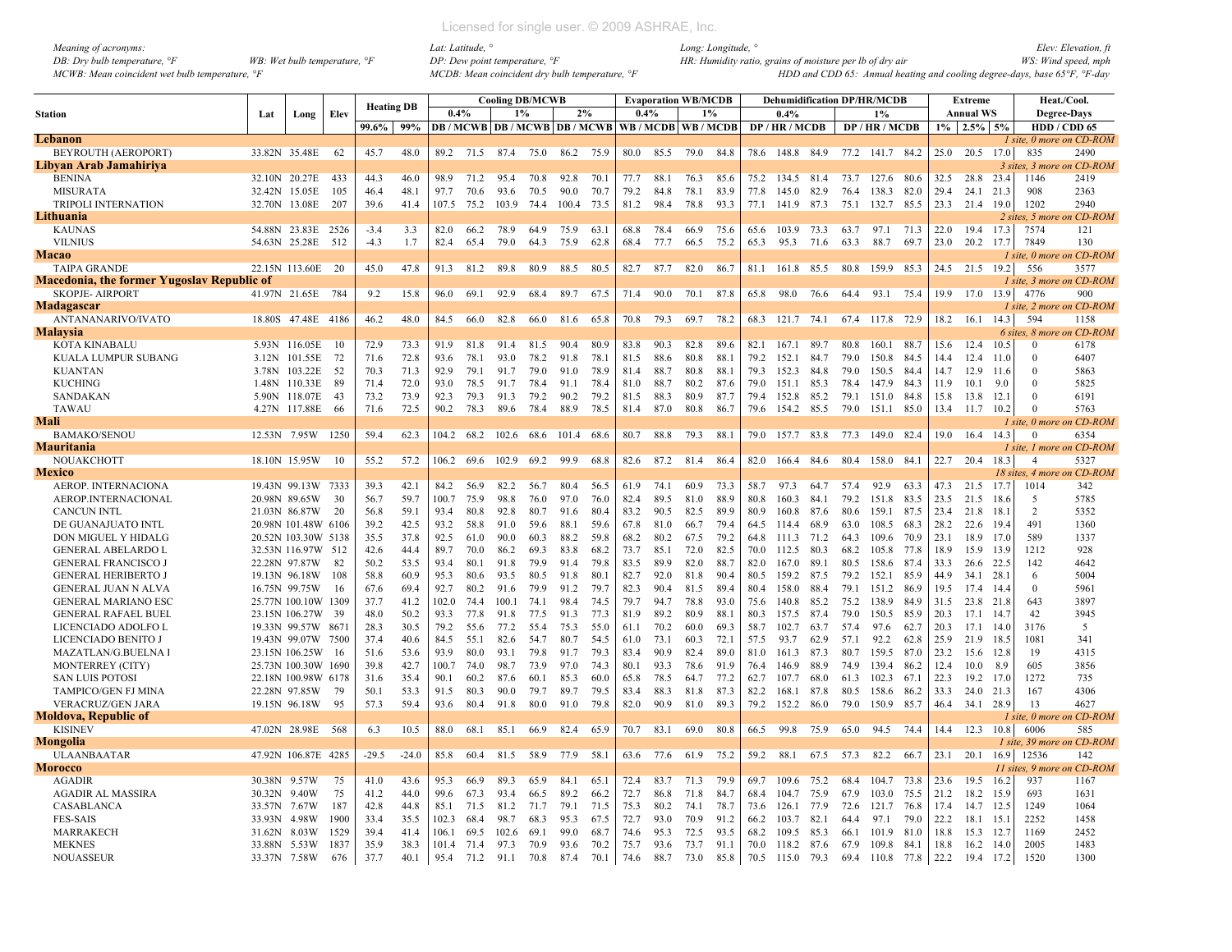| Meaning of acronyms:                           |                                         | Lat: Latitude,                                               | Long: Longitude, °                                                                           | Elev: Elevation, fi |
|------------------------------------------------|-----------------------------------------|--------------------------------------------------------------|----------------------------------------------------------------------------------------------|---------------------|
| DB: Dry bulb temperature, $\mathcal{F}$        | WB: Wet bulb temperature, $\mathcal{F}$ | $DP: Dew$ point temperature, $\mathcal{P}F$                  | HR: Humidity ratio, grains of moisture per lb of dry air                                     | WS: Wind speed, mph |
| MCWB: Mean coincident wet bulb temperature, °F |                                         | $MCDB$ : Mean coincident dry bulb temperature, $\mathcal{F}$ | HDD and CDD 65: Annual heating and cooling degree-days, base 65 $\degree$ F, $\degree$ F-day |                     |

*Meaning of acronyms: Lat: Latitude, ° Long: Longitude, ° Elev: Elevation, ft MCWB: Mean coincident wet bulb temperature, °F MCDB: Mean coincident dry bulb temperature, °F HDD and CDD 65: Annual heating and cooling degree-days, base 65°F, °F-day*

|                                                   |              |                     |       |                   |         |       |      |       | <b>Cooling DB/MCWB</b> |                                                   |      |      |      | <b>Evaporation WB/MCDB</b> |      |      |            |      |      | <b>Dehumidification DP/HR/MCDB</b> |      |      | <b>Extreme</b>   |        |                            | Heat./Cool.                     |
|---------------------------------------------------|--------------|---------------------|-------|-------------------|---------|-------|------|-------|------------------------|---------------------------------------------------|------|------|------|----------------------------|------|------|------------|------|------|------------------------------------|------|------|------------------|--------|----------------------------|---------------------------------|
| <b>Station</b>                                    | Lat          | Long                | Elev  | <b>Heating DB</b> |         | 0.4%  |      | 1%    |                        | 2%                                                |      | 0.4% |      | 1%                         |      |      | 0.4%       |      |      | 1%                                 |      |      | <b>Annual WS</b> |        |                            | <b>Degree-Days</b>              |
|                                                   |              |                     |       | 99.6%             | 99%     |       |      |       |                        | DB / MCWB DB / MCWB DB / MCWB WB / MCDB WB / MCDB |      |      |      |                            |      |      | DP/HR/MCDB |      |      | DP/HR/MCDB                         |      |      | $1\%$ 2.5% 5%    |        | HDD / CDD 65               |                                 |
| Lebanon                                           |              |                     |       |                   |         |       |      |       |                        |                                                   |      |      |      |                            |      |      |            |      |      |                                    |      |      |                  |        |                            | 1 site, 0 more on CD-ROM        |
| BEYROUTH (AEROPORT)                               |              | 33.82N 35.48E       | 62    | 45.7              | 48.0    | 89.2  | 71.5 | 87.4  | 75.0                   | 86.2                                              | 75.9 | 80.0 | 85.5 | 79.0                       | 84.8 | 78.6 | 148.8      | 84.9 | 77.2 | 141.7 84.2                         |      | 25.0 | 20.5             | 17.0   | 835                        | 2490                            |
| Libyan Arab Jamahiriya                            |              |                     |       |                   |         |       |      |       |                        |                                                   |      |      |      |                            |      |      |            |      |      |                                    |      |      |                  |        |                            | 3 sites. 3 more on CD-ROM       |
| <b>BENINA</b>                                     |              | 32.10N 20.27E       | 433   | 44.3              | 46.0    | 98.9  | 71.2 | 95.4  | 70.8                   | 92.8                                              | 70.1 | 77.7 | 88.1 | 76.3                       | 85.6 | 75.2 | 134.5 81.4 |      | 73.7 | 127.6 80.6                         |      | 32.5 | 28.8             | 23.4   | 1146                       | 2419                            |
| <b>MISURATA</b>                                   |              | 32.42N 15.05E       | 105   | 46.4              | 48.1    | 97.7  | 70.6 | 93.6  | 70.5                   | 90.0                                              | 70.7 | 79.2 | 84.8 | 78.1                       | 83.9 | 77.8 | 145.0      | 82.9 | 76.4 | 138.3                              | 82.0 | 29.4 | 24.1             | 21.3   | 908                        | 2363                            |
| <b>TRIPOLI INTERNATION</b>                        | 32.70N       | 13.08E              | 207   | 39.6              | 41.4    | 107.5 | 75.2 | 103.9 | 74.4                   | 100.4                                             | 73.5 | 81.2 | 98.4 | 78.8                       | 93.3 | 77.1 | 141.9      | 87.3 | 75.1 | 132.7                              | 85.5 | 23.3 | 21.4             | 19.0   | 1202                       | 2940                            |
| Lithuania                                         |              |                     |       |                   |         |       |      |       |                        |                                                   |      |      |      |                            |      |      |            |      |      |                                    |      |      |                  |        | 2 sites. 5 more or         | n CD-ROM                        |
| <b>KAUNAS</b>                                     |              | 54.88N 23.83E       | -2526 | $-3.4$            | 3.3     | 82.0  | 66.2 | 78.9  | 64.9                   | 75.9                                              | 63.1 | 68.8 | 78.4 | 66.9                       | 75.6 | 65.6 | 103.9      | 73.3 | 63.7 | 97.1                               | 71.3 | 22.0 | 19.4             | 17.3   | 7574                       | 121                             |
| <b>VILNIUS</b>                                    |              | 54.63N 25.28E       | 512   | $-4.3$            | 1.7     | 82.4  | 65.4 | 79.0  | 64.3                   | 75.9                                              | 62.8 | 68.4 | 77.7 | 66.5                       | 75.2 | 65.3 | 95.3       | 71.6 | 63.3 | 88.7                               | 69.7 | 23.0 | 20.2             | 17.7   | 7849                       | 130                             |
| Macao                                             |              |                     |       |                   |         |       |      |       |                        |                                                   |      |      |      |                            |      |      |            |      |      |                                    |      |      |                  |        |                            | I site, 0 more on CD-ROM        |
| <b>TAIPA GRANDE</b>                               |              | 22.15N 113.60E      | - 20  | 45.0              | 47.8    | 91.3  | 81.2 | 89.8  | 80.9                   | 88.5                                              | 80.5 | 82.7 | 87.7 | 82.0                       | 86.7 | 81.1 | 161.8      | 85.5 | 80.8 | 159.9                              | 85.3 |      | 24.5 21.5 19.2   |        | 556                        | 3577                            |
| <b>Macedonia, the former Yugoslav Republic of</b> |              |                     |       |                   |         |       |      |       |                        |                                                   |      |      |      |                            |      |      |            |      |      |                                    |      |      |                  |        |                            | 1 site, 3 more on CD-ROM        |
| <b>SKOPJE- AIRPORT</b>                            |              | 41.97N 21.65E       | 784   | 9.2               | 15.8    | 96.0  | 69.1 | 92.9  | 68.4                   | 89.7                                              | 67.5 | 71.4 | 90.0 | 70.1                       | 87.8 | 65.8 | 98.0       | 76.6 | 64.4 | 93.1                               | 75.4 | 19.9 | 17.0 13.9        |        | 4776                       | 900                             |
| Madagascar                                        |              |                     |       |                   |         |       |      |       |                        |                                                   |      |      |      |                            |      |      |            |      |      |                                    |      |      |                  |        |                            | 1 site, 2 more on CD-ROM        |
| ANTANANARIVO/IVATO                                | 18.80S       | 47.48E              | 4186  | 46.2              | 48.0    | 84.5  | 66.0 | 82.8  | 66.0                   | 81.6                                              | 65.8 | 70.8 | 79.3 | 69.7                       | 78.2 | 68.3 | 121.7      | 74.1 | 67.4 | 117.8                              | 72.9 | 18.2 | 16.1             | 14.3   | 594                        | 1158                            |
| <b>Malaysia</b>                                   |              |                     |       |                   |         |       |      |       |                        |                                                   |      |      |      |                            |      |      |            |      |      |                                    |      |      |                  |        |                            | 6 sites, 8 more on CD-ROM       |
| KOTA KINABALU                                     |              | 5.93N 116.05E       | 10    | 72.9              | 73.3    | 91.9  | 81.8 | 91.4  | 81.5                   | 90.4                                              | 80.9 | 83.8 | 90.3 | 82.8                       | 89.6 | 82.1 | 167.1      | 89.7 | 80.8 | 160.1 88.7                         |      | 15.6 | 12.4             | 10.5   | $\mathbf{0}$               | 6178                            |
| KUALA LUMPUR SUBANG                               | 3.12N        | 101.55E             | 72    | 71.6              | 72.8    | 93.6  | 78.1 | 93.0  | 78.2                   | 91.8                                              | 78.1 | 81.5 | 88.6 | 80.8                       | 88.1 | 79.2 | 152.1      | 84.7 | 79.0 | 150.8                              | 84.5 | 14.4 | 12.4             | 11.0   | $\mathbf{0}$               | 6407                            |
| <b>KUANTAN</b>                                    | 3.78N        | 103.22E             | 52    | 70.3              | 71.3    | 92.9  | 79.1 | 91.7  | 79.0                   | 91.0                                              | 78.9 | 81.4 | 88.7 | 80.8                       | 88.1 | 79.3 | 152.3      | 84.8 | 79.0 | 150.5                              | 84.4 | 14.7 | 12.9             | 11.6   | $\Omega$                   | 5863                            |
| <b>KUCHING</b>                                    |              | 1.48N 110.33E       | 89    | 71.4              | 72.0    | 93.0  | 78.5 | 91.7  | 78.4                   | 91.1                                              | 78.4 | 81.0 | 88.7 | 80.2                       | 87.6 | 79.0 | 151.1      | 85.3 | 78.4 | 147.9                              | 84.3 | 11.9 | 10.1             | 9.0    | $\Omega$                   | 5825                            |
|                                                   |              |                     | 43    |                   |         | 923   | 79.3 |       |                        |                                                   | 79.2 |      |      | 80.9                       |      |      |            |      |      |                                    |      |      |                  |        | $\theta$                   |                                 |
| <b>SANDAKAN</b>                                   |              | 5.90N 118.07E       |       | 73.2              | 73.9    |       |      | 91.3  | 79.2                   | 90.2                                              |      | 81.5 | 88.3 |                            | 87.7 | 79.4 | 152.8      | 85.2 | 79.1 | 151.0                              | 84.8 | 15.8 | 13.8             | 12.1   |                            | 6191                            |
| <b>TAWAU</b>                                      |              | 4.27N 117.88E       | 66    | 71.6              | 72.5    | 90.2  | 78.3 | 89.6  | 78.4                   | 88.9                                              | 78.5 | 81.4 | 87.0 | 80.8                       | 86.7 | 79.6 | 154.2      | 85.5 | 79.0 | 151.1                              | 85.0 | 13.4 | 11.7             | 10.2   | $\mathbf{0}$               | 5763                            |
| Mali                                              |              |                     |       |                   |         |       |      |       |                        |                                                   |      |      |      |                            |      |      |            |      |      |                                    |      |      |                  |        |                            | <i>l</i> site. 0 more on CD-ROM |
| <b>BAMAKO/SENOU</b>                               |              | 12.53N 7.95W        | 1250  | 59.4              | 62.3    | 104.2 | 68.2 | 102.6 | 68.6                   | 101.4                                             | 68.6 | 80.7 | 88.8 | 79.3                       | 88.1 | 79.0 | 157.7      | 83.8 | 77.3 | 149.0 82.4                         |      | 19.0 | 16.4 14.3        |        | $\Omega$                   | 6354                            |
| Mauritania                                        |              |                     |       |                   |         |       |      |       |                        |                                                   |      |      |      |                            |      |      |            |      |      |                                    |      |      |                  |        |                            | 1 site. 1 more on CD-ROM        |
| NOUAKCHOTT                                        |              | 18.10N 15.95W       | 10    | 55.2              | 57.2    | 106.2 | 69.6 | 102.9 | 69.2                   | 99.9                                              | 68.8 | 82.6 | 87.2 | 81.4                       | 86.4 | 82.0 | 166.4      | 84.6 | 80.4 | 158.0 84.1                         |      | 22.7 | 20.4             | 18.3   | $\overline{4}$             | 5327                            |
| Mexico                                            |              |                     |       |                   |         |       |      |       |                        |                                                   |      |      |      |                            |      |      |            |      |      |                                    |      |      |                  |        | 18 sites, 4 more on CD-ROM |                                 |
| AEROP. INTERNACIONA                               |              | 19.43N 99.13W       | -7333 | 39.3              | 42.1    | 84.2  | 56.9 | 82.2  | 56.7                   | 80.4                                              | 56.5 | 61.9 | 74.1 | 60.9                       | 73.3 | 58.7 | 97.3       | 64.7 | 57.4 | 92.9                               | 63.3 | 47.3 | 21.5             | 17.7   | 1014                       | 342                             |
| AEROP.INTERNACIONAL                               |              | 20.98N 89.65W       | 30    | 56.7              | 59.7    | 100.7 | 75.9 | 98.8  | 76.0                   | 97.0                                              | 76.0 | 82.4 | 89.5 | 81.0                       | 88.9 | 80.8 | 160.3      | 84.1 | 79.2 | 151.8                              | 83.5 | 23.5 | 21.5             | 18.6   | 5                          | 5785                            |
| <b>CANCUN INTL</b>                                |              | 21.03N 86.87W       | 20    | 56.8              | 59.1    | 93.4  | 80.8 | 92.8  | 80.7                   | 91.6                                              | 80.4 | 83.2 | 90.5 | 82.5                       | 89.9 | 80.9 | 160.8 87.6 |      | 80.6 | 159.1                              | 87.5 | 23.4 | 21.8             | - 18.1 | $\overline{2}$             | 5352                            |
| DE GUANAJUATO INTL                                |              | 20.98N 101.48W      | 6106  | 39.2              | 42.5    | 93.2  | 58.8 | 91.0  | 59.6                   | 88.1                                              | 59.6 | 67.8 | 81.0 | 66.7                       | 79.4 | 64.5 | 114.4      | 68.9 | 63.0 | 108.5                              | 68.3 | 28.2 | 22.6             | 19.4   | 491                        | 1360                            |
| DON MIGUEL Y HIDALG                               |              | 20.52N 103.30W 5138 |       | 35.5              | 37.8    | 92.5  | 61.0 | 90.0  | 60.3                   | 88.2                                              | 59.8 | 68.2 | 80.2 | 67.5                       | 79.2 | 64.8 | 111.3      | 71.2 | 64.3 | 109.6                              | 70.9 | 23.1 | 18.9             | 17.0   | 589                        | 1337                            |
| <b>GENERAL ABELARDO L</b>                         |              | 32.53N 116.97W      | 512   | 42.6              | 44.4    | 89.7  | 70.0 | 86.2  | 69.3                   | 83.8                                              | 68.2 | 73.7 | 85.1 | 72.0                       | 82.5 | 70.0 | 112.5      | 80.3 | 68.2 | 105.8                              | 77.8 | 18.9 | 15.9             | 13.9   | 1212                       | 928                             |
| <b>GENERAL FRANCISCO J</b>                        |              | 22.28N 97.87W       | 82    | 50.2              | 53.5    | 93.4  | 80.1 | 91.8  | 79.9                   | 91.4                                              | 79.8 | 83.5 | 89.9 | 82.0                       | 88.7 | 82.0 | 167.0      | 89.1 | 80.5 | 158.6                              | 87.4 | 33.3 | 26.6 22.5        |        | 142                        | 4642                            |
| <b>GENERAL HERIBERTO J</b>                        |              | 19.13N 96.18W       | 108   | 58.8              | 60.9    | 95.3  | 80.6 | 93.5  | 80.5                   | 91.8                                              | 80.1 | 82.7 | 92.0 | 81.8                       | 90.4 | 80.5 | 159.2      | 87.5 | 79.2 | 152.1                              | 85.9 | 44.9 | 34.1             | 28.1   | 6                          | 5004                            |
| GENERAL JUAN N ALVA                               |              | 16.75N 99.75W       | 16    | 67.6              | 69.4    | 92.7  | 80.2 | 91.6  | 79.9                   | 91.2                                              | 79.7 | 82.3 | 90.4 | 81.5                       | 89.4 | 80.4 | 158.0      | 88.4 | 79.1 | 151.2                              | 86.9 | 19.5 | 17.4             | 14.4   | $\theta$                   | 5961                            |
| <b>GENERAL MARIANO ESC</b>                        |              | 25.77N 100.10W 1309 |       | 37.7              | 41.2    | 102.0 | 74.4 | 100.1 | 74.1                   | 98.4                                              | 74.5 | 79.7 | 94.7 | 78.8                       | 93.0 | 75.6 | 140.8      | 85.2 | 75.2 | 138.9                              | 84.9 | 31.5 | 23.8 21.8        |        | 643                        | 3897                            |
| <b>GENERAL RAFAEL BUEL</b>                        |              | 23.15N 106.27W      | 39    | 48.0              | 50.2    | 93.3  | 77.8 | 91.8  | 77.5                   | 91.3                                              | 77.3 | 81.9 | 89.2 | 80.9                       | 88.1 | 80.3 | 157.5      | 87.4 | 79.0 | 150.5                              | 85.9 | 20.3 | 17.1             | 14.7   | 42                         | 3945                            |
| LICENCIADO ADOLFO L                               |              | 19.33N 99.57W       | 8671  | 28.3              | 30.5    | 79.2  | 55.6 | 77.2  | 55.4                   | 75.3                                              | 55.0 | 61.1 | 70.2 | 60.0                       | 69.3 | 58.7 | 102.7      | 63.7 | 57.4 | 97.6                               | 62.7 | 20.3 | 17.1             | 14.0   | 3176                       | 5                               |
| LICENCIADO BENITO J                               |              | 19.43N 99.07W       | 7500  | 37.4              | 40.6    | 84.5  | 55.1 | 82.6  | 54.7                   | 80.7                                              | 54.5 | 61.0 | 73.1 | 60.3                       | 72.1 | 57.5 | 93.7       | 62.9 | 57.1 | 92.2                               | 62.8 | 25.9 | 21.9             | 18.5   | 1081                       | 341                             |
| MAZATLAN/G.BUELNA I                               |              | 23.15N 106.25W      | -16   | 51.6              | 53.6    | 93.9  | 80.0 | 93.1  | 79.8                   | 91.7                                              | 79.3 | 83.4 | 90.9 | 82.4                       | 89.0 | 81.0 | 161.3      | 87.3 | 80.7 | 159.5                              | 87.0 | 23.2 | 15.6 12.8        |        | 19                         | 4315                            |
| <b>MONTERREY (CITY)</b>                           |              | 25.73N 100.30W 1690 |       | 39.8              | 42.7    | 100.7 | 74.0 | 98.7  | 73.9                   | 97.0                                              | 74.3 | 80.1 | 93.3 | 78.6                       | 91.9 | 76.4 | 146.9      | 88.9 | 74.9 | 139.4                              | 86.2 | 12.4 | 10.0             | 8.9    | 605                        | 3856                            |
| <b>SAN LUIS POTOSI</b>                            |              | 22.18N 100.98W 6178 |       | 31.6              | 35.4    | 90.1  | 60.2 | 87.6  | 60.1                   | 85.3                                              | 60.0 | 65.8 | 78.5 | 64.7                       | 77.2 | 62.7 | 107.7      | 68.0 | 61.3 | 102.3                              | 67.1 | 22.3 | 19.2             | 17.0   | 1272                       | 735                             |
| <b>TAMPICO/GEN FJ MINA</b>                        |              | 22.28N 97.85W       | 79    | 50.1              | 53.3    | 91.5  | 80.3 | 90.0  | 79.7                   | 89.7                                              | 79.5 | 83.4 | 88.3 | 81.8                       | 87.3 | 82.2 | 168.1      | 87.8 | 80.5 | 158.6                              | 86.2 | 33.3 | 24.0             | 21.3   | 167                        | 4306                            |
| <b>VERACRUZ/GEN JARA</b>                          |              | 19.15N 96.18W       | 95    | 57.3              | 59.4    | 93.6  | 80.4 | 91.8  | 80.0                   | 91.0                                              | 79.8 | 82.0 | 90.9 | 81.0                       | 89.3 | 79.2 | 152.2      | 86.0 | 79.0 | 150.9                              | 85.7 | 46.4 | 34.1             | 28.9   | 13                         | 4627                            |
| Moldova, Republic of                              |              |                     |       |                   |         |       |      |       |                        |                                                   |      |      |      |                            |      |      |            |      |      |                                    |      |      |                  |        |                            | 1 site, 0 more on CD-ROM        |
| <b>KISINEV</b>                                    |              | 47.02N 28.98E       | 568   | 6.3               | 10.5    | 88.0  | 68.1 | 85.1  | 66.9                   | 82.4                                              | 65.9 | 70.7 | 83.1 | 69.0                       | 80.8 | 66.5 | 99.8       | 75.9 | 65.0 | 94.5                               | 74.4 | 14.4 | 12.3             | 10.8   | 6006                       | 585                             |
| Mongolia                                          |              |                     |       |                   |         |       |      |       |                        |                                                   |      |      |      |                            |      |      |            |      |      |                                    |      |      |                  |        |                            | 1 site, 39 more on CD-ROM       |
| <b>ULAANBAATAR</b>                                |              | 47.92N 106.87E 4285 |       | $-29.5$           | $-24.0$ | 85.8  | 60.4 | 81.5  | 58.9                   | 77.9                                              | 58.1 | 63.6 | 77.6 | 61.9                       | 75.2 | 59.2 | 88.1       | 67.5 | 57.3 | 82.2                               | 66.7 | 23.1 | 20.1             | 16.9   | 12536                      | 142                             |
| <b>Morocco</b>                                    |              |                     |       |                   |         |       |      |       |                        |                                                   |      |      |      |                            |      |      |            |      |      |                                    |      |      |                  |        |                            | 11 sites, 9 more on CD-ROM      |
| <b>AGADIR</b>                                     | 30.38N       | 9.57W               | 75    | 41.0              | 43.6    | 95.3  | 66.9 | 89.3  | 65.9                   | 84.1                                              | 65.1 | 72.4 | 83.7 | 71.3                       | 79.9 | 69.7 | 109.6      | 75.2 | 68.4 | 104.7 73.8                         |      | 23.6 | 19.5             | 16.2   | 937                        | 1167                            |
| <b>AGADIR AL MASSIRA</b>                          | 30.32N       | 9.40W               | 75    | 41.2              | 44.0    | 99.6  | 67.3 | 93.4  | 66.5                   | 89.2                                              | 66.2 | 72.7 | 86.8 | 71.8                       | 84.7 | 68.4 | 104.7      | 75.9 | 67.9 | 103.0                              | 75.5 | 21.2 | 18.2             | 15.9   | 693                        | 1631                            |
| CASABLANCA                                        | 33.57N       | 7.67W               | 187   | 42.8              | 44.8    | 85.1  | 71.5 | 81.2  | 71.7                   | 79.1                                              | 71.5 | 75.3 | 80.2 | 74.1                       | 78.7 | 73.6 | 126.1      | 77.9 | 72.6 | 121.7                              | 76.8 | 17.4 | 14.7 12.5        |        | 1249                       | 1064                            |
| <b>FES-SAIS</b>                                   | 33.93N       | 4.98W               | 1900  | 33.4              | 35.5    | 102.3 | 68.4 | 98.7  | 68.3                   | 95.3                                              | 67.5 | 72.7 | 93.0 | 70.9                       | 91.2 | 66.2 | 103.7 82.1 |      | 64.4 | 97.1                               | 79.0 | 22.2 | 18.1 15.1        |        | 2252                       | 1458                            |
| <b>MARRAKECH</b>                                  | 31.62N       | 8.03W               | 1529  | 39.4              | 41.4    | 106.1 | 69.5 | 102.6 | 69.1                   | 99.0                                              | 68.7 | 74.6 | 95.3 | 72.5                       | 93.5 | 68.2 | 109.5 85.3 |      | 66.1 | 101.9                              | 81.0 | 18.8 | 15.3             | 12.7   | 1169                       | 2452                            |
| <b>MEKNES</b>                                     | 33.88N       | 5.53W               | 1837  | 35.9              | 38.3    | 101.4 | 71.4 | 97.3  | 70.9                   | 93.6                                              | 70.2 | 75.7 | 93.6 | 73.7                       | 91.1 | 70.0 | 118.2      | 87.6 | 67.9 | 109.8                              | 84.1 | 18.8 | 16.2             | 14.0   | 2005                       | 1483                            |
| <b>NOUASSEUR</b>                                  | 33.37N 7.58W |                     | 676   | 37.7              | 40.1    | 95.4  | 71.2 | 91.1  | 70.8                   | 87.4                                              | 70.1 | 74.6 | 88.7 | 73.0                       | 85.8 | 70.5 | 115.0 79.3 |      |      | 69.4 110.8 77.8                    |      | 22.2 | 19.4 17.2        |        | 1520                       | 1300                            |
|                                                   |              |                     |       |                   |         |       |      |       |                        |                                                   |      |      |      |                            |      |      |            |      |      |                                    |      |      |                  |        |                            |                                 |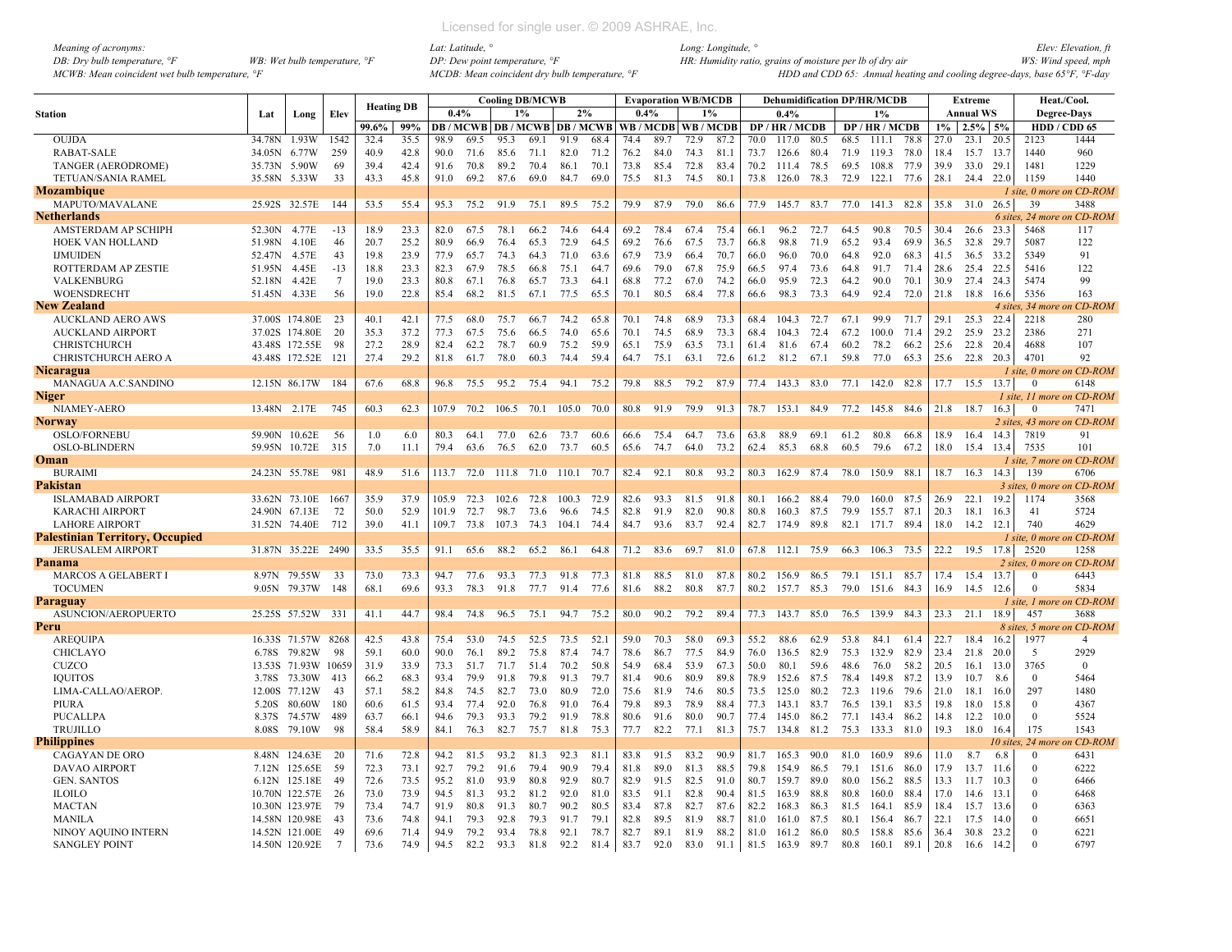| <i>Meaning of acronyms:</i>                    |                                         |  |
|------------------------------------------------|-----------------------------------------|--|
| DB: Dry bulb temperature, $\mathcal{F}$        | WB: Wet bulb temperature, $\mathcal{F}$ |  |
| MCWB: Mean coincident wet bulb temperature, °F |                                         |  |

|                                             |              |                           |                 | <b>Heating DB</b> |              |              |              |              | <b>Cooling DB/MCWB</b> |                               |              |              |              | <b>Evaporation WB/MCDB</b> |              |              | <b>Dehumidification DP/HR/MCDB</b> |      |              |                |              |              | <b>Extreme</b> |              |                      | Heat./Cool.                |
|---------------------------------------------|--------------|---------------------------|-----------------|-------------------|--------------|--------------|--------------|--------------|------------------------|-------------------------------|--------------|--------------|--------------|----------------------------|--------------|--------------|------------------------------------|------|--------------|----------------|--------------|--------------|----------------|--------------|----------------------|----------------------------|
| <b>Station</b>                              | Lat          | Long                      | Elev            |                   |              | 0.4%         |              | 1%           |                        | 2%                            |              | 0.4%         |              |                            | 1%           |              | 0.4%                               |      |              | 1%             |              |              | Annual WS      |              |                      | <b>Degree-Days</b>         |
|                                             |              |                           |                 | 99.6%             | 99%          |              |              |              |                        | DB / MCWB DB / MCWB DB / MCWB |              |              |              | WB/MCDB WB/MCDB            |              |              | DP / HR / MCDB                     |      |              | DP / HR / MCDB |              | $1\%$        | $2.5\%$ 5%     |              |                      | HDD / CDD 65               |
| <b>OUJDA</b>                                | 34.78N       | 1.93W                     | 1542            | 32.4              | 35.5         | 98.9         | 69.5         | 953          | 69.1                   | 91.9                          | 68.4         | 744          | 89.7         | 72.9                       | 87.2         | 70.0         | 1170                               | 80.5 | 68.5         | 111.1          | 78.8         | 27.0         | 23.1           | 20.5         | 2123                 | 1444                       |
| <b>RABAT-SALE</b>                           | 34.05N       | 6.77W                     | 259             | 40.9              | 42.8         | 90.0         | 71.6         | 85.6         | 71.1                   | 82.0                          | 71.2         | 76.2         | 84.0         | 74.3                       | 81.1         | 73.7         | 126.6                              | 80.4 | 71.9         | 119.3          | 78.0         | 18.4         | 15.7           | 13.7         | 1440                 | 960                        |
| <b>TANGER (AERODROME)</b>                   | 35.73N       | 5.90W                     | 69              | 39.4              | 42.4         | 91.6         | 70.8         | 89.2         | 70.4                   | 86.1                          | 70.1         | 73.8         | 85.4         | 72.8                       | 83.4         | 70.2         | 111.4                              | 78.5 | 69.5         | 108.8          | 77.9         | 39.9         | 33.0           | 29.1         | 1481                 | 1229                       |
| TETUAN/SANIA RAMEL                          | 35.58N 5.33W |                           | 33              | 43.3              | 45.8         | 91.0         | 69.2         | 87.6         | 69.0                   | 84.7                          | 69.0         | 75.5         | 81.3         | 74.5                       | 80.1         | 73.8         | 126.0 78.3                         |      | 72.9         | 122.1 77.6     |              | 28.1         | 24.4 22.0      |              | 1159                 | 1440                       |
| Mozambique                                  |              |                           |                 |                   |              |              |              |              |                        |                               |              |              |              |                            |              |              |                                    |      |              |                |              |              |                |              |                      | 1 site, 0 more on CD-ROM   |
| MAPUTO/MAVALANE                             |              | 25.92S 32.57E             | 144             | 53.5              | 55.4         | 95.3         | 75.2         | 91.9         | 75.1                   | 89.5                          | 75.2         | 79.9         | 87.9         | 79.0                       | 86.6         | 77.9         | 145.7                              | 83.7 | 77.0         | 141.3 82.8     |              | 35.8         | 31.0 26.5      |              | 39                   | 3488                       |
| Netherlands                                 |              |                           |                 |                   |              |              |              |              |                        |                               |              |              |              |                            |              |              |                                    |      |              |                |              |              |                |              | 6 sites, 24 more     | n CD-ROM                   |
| AMSTERDAM AP SCHIPH                         | 52.30N       | 4.77E                     | $-13$           | 18.9              | 23.3         | 82.0         | 67.5         | 78.1         | 66.2                   | 74.6                          | 64.4         | 69.2         | 78.4         | 67.4                       | 75.4         | 66.1         | 96.2                               | 72.7 | 64.5         | 90.8           | 70.5         | 30.4         | 26.6           | 23.3         | 5468                 | 117                        |
| HOEK VAN HOLLAND                            | 51.98N       | 4.10E                     | 46              | 20.7              | 25.2         | 80.9         | 66.9         | 76.4         | 65.3                   | 72.9                          | 64.5         | 69.2         | 76.6         | 67.5                       | 73.7         | 66.8         | 98.8                               | 71.9 | 65.2         | 93.4           | 69.9         | 36.5         | 32.8           | 29.7         | 5087                 | 122                        |
| <b>IJMUIDEN</b>                             | 52.47N       | 4.57E                     | 43              | 19.8              | 23.9         | 77.9         | 65.7         | 74.3         | 64.3                   | 71.0                          | 63.6         | 67.9         | 73.9         | 66.4                       | 70.7         | 66.0         | 96.0                               | 70.0 | 64.8         | 92.0           | 68.3         | 41.5         | 36.5           | 33.2         | 5349                 | 91                         |
| ROTTERDAM AP ZESTIE                         | 51.95N       | 4.45E                     | $-13$           | 18.8              | 23.3         | 82.3         | 67.9         | 78.5         | 66.8                   | 75.1                          | 64.7         | 69.6         | 79.0         | 67.8                       | 75.9         | 66.5         | 974                                | 73.6 | 64.8         | 91.7           | 71.4         | 28.6         | 25.4           | 22.5         | 5416                 | 122                        |
| <b>VALKENBURG</b>                           | 52.18N       | 4.42E                     | $\overline{7}$  | 19.0              | 23.3         | 80.8         | 67.1         | 76.8         | 65.7                   | 73.3                          | 64.1         | 68.8         | 77.2         | 67.0                       | 74.2         | 66.0         | 95.9                               | 72.3 | 64.2         | 90.0           | 70.1         | 30.9         | 27.4           | 24.3         | 5474                 | 99                         |
| WOENSDRECHT                                 | 51.45N       | 4.33E                     | 56              | 19.0              | 22.8         | 85.4         | 68.2         | 81.5         | 67.1                   | 77.5                          | 65.5         | 70.1         | 80.5         | 68.4                       | 77.8         | 66.6         | 98.3                               | 73.3 | 64.9         | 92.4           | 72.0         | 21.8         | 18.8           | 16.6         | 5356                 | 163                        |
| <b>New Zealand</b>                          |              |                           |                 |                   |              |              |              |              |                        |                               |              |              |              |                            |              |              |                                    |      |              |                |              |              |                |              | 4 sites, 34 more     | <i>ເ CD-ROM</i>            |
| <b>AUCKLAND AERO AWS</b>                    |              | 37.00S 174.80E            | 23<br>20        | 40.1              | 42.1<br>37.2 | 77.5         | 68.0         | 75.7         | 66.7                   | 74.2                          | 65.8         | 70.1         | 74.8         | 68.9                       | 73.3         | 68.4         | 1043                               | 72.7 | 67.1         | 99.9           | 71.7         | 29.1         | 25.3<br>25.9   | 22.4         | 2218                 | 280<br>271                 |
| <b>AUCKLAND AIRPORT</b>                     |              | 37.02S 174.80E            |                 | 35.3              |              | 77.3         | 67.5         | 75.6         | 66.5                   | 74.0                          | 65.6         | 70.1         | 74.5         | 68.9                       | 73.3         | 68.4         | 104.3                              | 72.4 | 67.2         | 100.0          | 71.4         | 29.2         |                | 23.2         | 2386                 |                            |
| CHRISTCHURCH                                |              | 43.48S 172.55E            | 98              | 27.2              | 28.9         | 82.4         | 62.2         | 78.7         | 60.9                   | 75.2                          | 59.9         | 65.1         | 75.9         | 63.5                       | 73.1         | 61.4         | 81.6                               | 67.4 | 60.2         | 78.2           | 66.2         | 25.6         | 22.8           | 20.4         | 4688                 | 107<br>92                  |
| CHRISTCHURCH AERO A                         |              | 43.48S 172.52E            | 121             | 27.4              | 29.2         | 81.8         | 61.7         | 78.0         | 60.3                   | 74.4                          | 59.4         | 64.7         | 75.1         | 63.1                       | 72.6         | 61.2         | 81.2                               | 67.1 | 59.8         | 77.0           | 65.3         | 25.6         | 22.8 20.3      |              | 4701                 | 1 site, 0 more on CD-ROM   |
| Nicaragua                                   |              | 12.15N 86.17W             | 184             |                   |              |              |              | 95.2         |                        | 94.1                          | 75.2         | 79.8         | 88.5         | 79.2                       | 87.9         |              | 77.4 143.3 83.0                    |      | 77.1         | 142.0 82.8     |              | 17.7         | 15.5           | 13.7         | $\theta$             | 6148                       |
| MANAGUA A.C.SANDINO                         |              |                           |                 | 67.6              | 68.8         | 96.8         | 75.5         |              | 75.4                   |                               |              |              |              |                            |              |              |                                    |      |              |                |              |              |                |              |                      | 1 site, 11 more on CD-ROM  |
| Niger<br>NIAMEY-AERO                        | 13.48N 2.17E |                           | 745             | 60.3              | 62.3         | 107.9        | 70.2         | 106.5        | 70.1                   | 105.0                         | 70.0         | 80.8         | 91.9         | 79.9                       | 91.3         | 78.7         | 153.1                              | 84.9 | 77.2         | 145.8 84.6     |              | 21.8         | 18.7           | 16.3         | $\Omega$             | 7471                       |
| Norway                                      |              |                           |                 |                   |              |              |              |              |                        |                               |              |              |              |                            |              |              |                                    |      |              |                |              |              |                |              |                      | 2 sites, 43 more on CD-ROM |
| <b>OSLO/FORNEBU</b>                         | 59.90N       | 10.62E                    | -56             | 1.0               | 6.0          | 80.3         | 64.1         | 77.0         | 62.6                   | 73.7                          | 60.6         | 66.6         | 75.4         | 64.7                       | 73.6         | 63.8         | 88.9                               | 69.1 | 61.2         | 80.8           | 66.8         | 18.9         | 16.4           | 14.3         | 7819                 | 91                         |
| <b>OSLO-BLINDERN</b>                        | 59.95N       | 10.72E                    | 315             | 7.0               | 11.1         | 79.4         | 63.6         | 76.5         | 62.0                   | 73.7                          | 60.5         | 65.6         | 74.7         | 64.0                       | 73.2         | 62.4         | 85.3                               | 68.8 | 60.5         | 79.6           | 67.2         | 18.0         | 15.4           | 13.4         | 7535                 | 101                        |
| Oman                                        |              |                           |                 |                   |              |              |              |              |                        |                               |              |              |              |                            |              |              |                                    |      |              |                |              |              |                |              |                      | 1 site. 7 more on CD-ROM   |
| <b>BURAIMI</b>                              |              | 24.23N 55.78E             | -981            | 48.9              | 51.6         | 113.7        | 72.0         |              |                        | 111.8 71.0 110.1              | 70.7         | 82.4         | 92.1         | 80.8                       | 93.2         | 80.3         | 162.9 87.4                         |      | 78.0         | 150.9 88.1     |              | 18.7         | 16.3 14.3      |              | 139                  | 6706                       |
| Pakistan                                    |              |                           |                 |                   |              |              |              |              |                        |                               |              |              |              |                            |              |              |                                    |      |              |                |              |              |                |              |                      | 3 sites, 0 more on CD-ROM  |
| <b>ISLAMABAD AIRPORT</b>                    |              | 33.62N 73.10E             | 1667            | 35.9              | 37.9         | 105.9        | 723          | 102.6        | 72.8                   | 100.3                         | 72.9         | 82.6         | 93.3         | 81.5                       | 91.8         | 80.1         | 166.2                              | 88.4 | 79.0         | 1600           | 87.5         | 26.9         | 221            | 19.2         | 1174                 | 3568                       |
| <b>KARACHI AIRPORT</b>                      |              | 24.90N 67.13E             | 72              | 50.0              | 52.9         | 101.9        | 72.7         | 98.7         | 73.6                   | 96.6                          | 74.5         | 82.8         | 91.9         | 82.0                       | 90.8         | 80.8         | 160.3 87.5                         |      | 79.9         | 155.7 87.1     |              | 20.3         | 18.1           | 16.3         | 41                   | 5724                       |
| <b>LAHORE AIRPORT</b>                       |              | 31.52N 74.40E             | 712             | 39.0              | 41.1         | 109.7        | 73.8         | 107.3        | 74.3                   | 104.1                         | 74.4         | 84.7         | 93.6         | 83.7                       | 92.4         | 82.7         | 174.9 89.8                         |      | 82.1         | 171.7 89.4     |              | 18.0         | 14.2           | 12.1         | 740                  | 4629                       |
| Palestinian Territory, Occupied             |              |                           |                 |                   |              |              |              |              |                        |                               |              |              |              |                            |              |              |                                    |      |              |                |              |              |                |              |                      | 1 site, 0 more on CD-ROM   |
| <b>JERUSALEM AIRPORT</b>                    |              | 31.87N 35.22E 2490        |                 | 33.5              | 35.5         | 91.1         | 65.6         | 88.2         | 65.2                   | 86.1                          | 64.8         | 71.2         | 83.6         | 69.7                       | 81.0         | 67.8         | 112.1                              | 75.9 | 66.3         | 106.3 73.5     |              | 22.2         | 19.5           | 17.8         | 2520                 | 1258                       |
| Panama                                      |              |                           |                 |                   |              |              |              |              |                        |                               |              |              |              |                            |              |              |                                    |      |              |                |              |              |                |              |                      | 2 sites, 0 more on CD-ROM  |
| <b>MARCOS A GELABERT I</b>                  |              | 8.97N 79.55W              | -33             | 73.0              | 73.3         | 94.7         | 77.6         | 93.3         | 77.3                   | 91.8                          | 77.3         | 81.8         | 88.5         | 81.0                       | 87.8         | 80.2         | 156.9 86.5                         |      | 79.1         | 151.1 85.7     |              | 17.4         | 15.4           | 13.7         | $\Omega$             | 6443                       |
| <b>TOCUMEN</b>                              |              | 9.05N 79.37W              | 148             | 68.1              | 69.6         | 93.3         | 78.3         | 91.8         | 77.7                   | 91.4                          | 77.6         | 81.6         | 88.2         | 80.8                       | 87.7         | 80.2         | 157.7                              | 85.3 | 79.0         | 151.6          | 84.3         | 16.9         | 14.5           | 12.6         | $\Omega$             | 5834                       |
| Paraguay                                    |              |                           |                 |                   |              |              |              |              |                        |                               |              |              |              |                            |              |              |                                    |      |              |                |              |              |                |              |                      | 1 site. 1 more on CD-ROM   |
| ASUNCION/AEROPUERTO                         |              | 25.25S 57.52W             | 331             | 41.1              | 44.7         | 98.4         | 74.8         | 96.5         | 75.1                   | 94.7                          | 75.2         | 80.0         | 90.2         | 79.2                       | 89.4         |              | 77.3 143.7 85.0                    |      | 76.5         | 139.9 84.3     |              |              | 23.3 21.1 18.9 |              | 457                  | 3688                       |
| Peru                                        |              |                           |                 |                   |              |              |              |              |                        |                               |              |              |              |                            |              |              |                                    |      |              |                |              |              |                |              |                      | 8 sites, 5 more on CD-ROM  |
| AREQUIPA                                    | 16.33S       | 71.57W                    | 8268            | 42.5              | 43.8         | 75.4         | 53.0         | 74.5         | 52.5                   | 73.5                          | 52.1         | 59.0         | 70.3         | 58.0                       | 693          | 55.2         | 88.6                               | 62.9 | 53.8         | 84.1           | 61.4         | 22.7         | 18.4           | 16.2         | 1977                 | $\overline{4}$             |
| <b>CHICLAYO</b>                             | 6.78S        | 79.82W                    | 98              | 59.1              | 60.0         | 90.0         | 76.1         | 89.2         | 75.8                   | 87.4                          | 74.7         | 78.6         | 86.7         | 77.5                       | 84.9         | 76.0         | 136.5                              | 82.9 | 75.3         | 132.9          | 82.9         | 23.4         | 21.8           | 20.0         | 5                    | 2929                       |
| <b>CUZCO</b>                                | 13.53S       | 71.93W 10659              |                 | 31.9              | 33.9         | 73.3         | 51.7         | 71.7         | 51.4                   | 70.2                          | 50.8         | 54.9         | 68.4         | 53.9                       | 67.3         | 50.0         | 80.1                               | 59.6 | 48.6         | 76.0           | 58.2         | 20.5         | 16.1           | 13.0         | 3765                 | $\mathbf{0}$               |
| <b>IQUITOS</b>                              | 3.78S        | 73.30W                    | 413             | 66.2              | 68.3         | 93.4         | 79.9         | 91.8         | 79.8                   | 91.3                          | 79.7         | 81.4         | 90.6         | 80.9                       | 89.8         | 78.9         | 152.6                              | 87.5 | 78.4         | 149.8          | 87.2         | 13.9         | 10.7           | 8.6          | $\Omega$             | 5464                       |
| LIMA-CALLAO/AEROP                           | 12.00S       | 77.12W                    | 43              | 57.1              | 58.2         | 84.8         | 74.5         | 82.7         | 73.0                   | 80.9                          | 72.0         | 75.6         | 81.9         | 74.6                       | 80.5         | 73.5         | 125.0                              | 80.2 | 72.3         | 119.6          | 79.6         | 21.0         | 18.1           | 16.0         | 297                  | 1480                       |
| PIURA                                       | 5.20S        | 80.60W                    | 180             | 60.6              | 61.5         | 93.4         | 77.4         | 92.0         | 76.8                   | 91.0                          | 76.4         | 79.8         | 89.3         | 78.9                       | 88.4         | 77.3         | 143.1                              | 83.7 | 76.5         | 139.1          | 83.5         | 19.8         | 18.0           | 15.8         | $\Omega$             | 4367                       |
| PUCALLPA                                    | 8.37S        | 74.57W                    | 489             | 63.7              | 66.1         | 94.6         | 79.3         | 93.3         | 79.2                   | 91.9                          | 78.8         | 80.6         | 91.6         | 80.0                       | 90.7         | 77.4         | 145.0                              | 86.2 | 77.1         | 143.4          | 86.2         | 14.8         | 12.2           | 10.0         | $\theta$             | 5524                       |
| <b>TRUJILLO</b>                             | 8.08S        | 79.10W                    | 98              | 58.4              | 58.9         | 84.1         | 76.3         | 82.7         | 75.7                   | 81.8                          | 75.3         | 77.7         | 82.2         | 77.1                       | 81.3         | 75.7         | 134.8 81.2                         |      | 75.3         | 133.3 81.0     |              | 19.3         | 18.0           | 16.4         | 175                  | 1543                       |
| <b>Philippines</b>                          |              |                           |                 |                   |              |              |              |              |                        |                               |              |              |              |                            |              |              |                                    |      |              |                |              |              |                | 10 sites.    | 24 more              | n CD-ROM                   |
| CAGAYAN DE ORO                              | 8.48N        | 124.63E                   | - 20            | 71.6              | 72.8         | 94.2         | 81.5         | 93.2         | 81.3                   | 92.3                          | 81.1         | 83.8         | 91.5         | 83.2                       | 90.9         | 81.7         | 165.3 90.0                         |      | 81.0         | 160.9 89.6     |              | 11.0         | 8.7            | 6.8          | $\Omega$             | 6431                       |
| DAVAO AIRPORT                               | 7.12N        | 125.65E                   | 59              | 72.3              | 73.1         | 92.7         | 79.2         | 91.6         | 79.4                   | 90.9                          | 79.4         | 81.8         | 89.0         | 81.3                       | 88.5         | 79.8         | 154.9 86.5                         |      | 79.1         | 151.6          | 86.0         | 17.9         | 13.7           | 11.6         | $\Omega$<br>$\Omega$ | 6222                       |
| <b>GEN. SANTOS</b>                          | 6.12N        | 125.18E                   | 49              | 72.6              | 73.5<br>73.9 | 95.2         | 81.0         | 93.9         | 80.8                   | 92.9<br>92.0                  | 80.7         | 82.9         | 91.5         | 82.5<br>82.8               | 91.0         | 80.7         | 159.7                              | 89.0 | 80.0         | 156.2          | 88.5         | 13.3         | 11.7           | 10.3         |                      | 6466                       |
| <b>ILOILO</b>                               |              | 10.70N 122.57E            | 26              | 73.0              |              | 94.5         | 81.3         | 93.2         | 81.2                   |                               | 81.0         | 83.5         | 91.1         |                            | 90.4         | 81.5         | 163.9                              | 88.8 | 80.8         | 160.0          | 88.4         | 17.0         | 14.6           | 13.1         | $\Omega$             | 6468                       |
| MACTAN                                      |              | 10.30N 123.97E            | 79              | 73.4              | 74.7<br>74.8 | 91.9         | 80.8         | 91.3         | 80.7                   | 90.2                          | 80.5<br>79.1 | 83.4         | 87.8         | 82.7                       | 87.6         | 82.2         | 168.3                              | 86.3 | 81.5         | 164.1          | 85.9         | 18.4         | 15.7           | 13.6         | $\Omega$             | 6363                       |
| <b>MANILA</b>                               | 14.58N       | 120.98E<br>14.52N 121.00E | 43<br>49        | 73.6<br>69.6      | 71.4         | 94.1<br>94.9 | 79.3<br>79.2 | 92.8<br>93.4 | 79.3<br>78.8           | 91.7<br>92.1                  | 78.7         | 82.8<br>82.7 | 89.5<br>89.1 | 81.9<br>81.9               | 88.7<br>88.2 | 81.0<br>81.0 | 161.0<br>161.2 86.0                | 87.5 | 80.1<br>80.5 | 156.4<br>158.8 | 86.7<br>85.6 | 22.1<br>36.4 | 17.5<br>30.8   | 14.0<br>23.2 | $\Omega$             | 6651<br>6221               |
| NINOY AQUINO INTERN<br><b>SANGLEY POINT</b> |              | 14.50N 120.92E            | $7\phantom{.0}$ | 73.6              | 74.9         | 94.5         | 82.2         | 93.3         | 81.8                   | 92.2                          | 81.4         | 83.7         | 92.0         | 83.0                       | 91.1         | 81.5         | 163.9 89.7                         |      | 80.8         | 160.1          | 89.1         | 20.8         | 16.6           | 14.2         | $\Omega$             | 6797                       |
|                                             |              |                           |                 |                   |              |              |              |              |                        |                               |              |              |              |                            |              |              |                                    |      |              |                |              |              |                |              |                      |                            |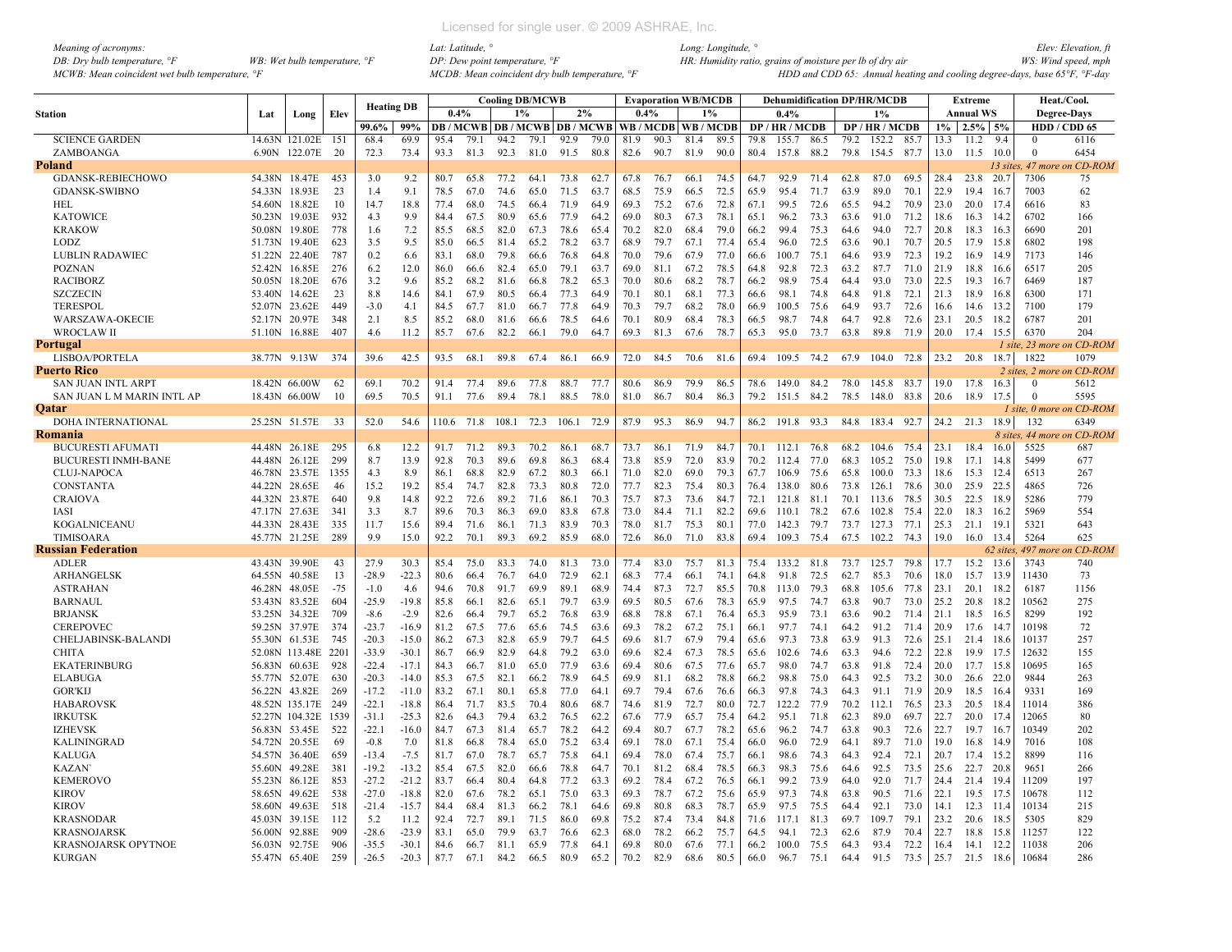| Meaning of acronyms:                           |                                         |
|------------------------------------------------|-----------------------------------------|
| DB: Dry bulb temperature, $\degree$ F          | WB: Wet bulb temperature, $\mathcal{F}$ |
| MCWB: Mean coincident wet bulb temperature, °F |                                         |

|                                       |               |                                |            |                   |                    |              |              |              | <b>Cooling DB/MCWB</b> |                                |              |              | <b>Evaporation WB/MCDB</b> |              |                       |      |                |              |              | <b>Dehumidification DP/HR/MCDB</b> |              |              | Extreme      |              | Heat./Cool.               |                   |
|---------------------------------------|---------------|--------------------------------|------------|-------------------|--------------------|--------------|--------------|--------------|------------------------|--------------------------------|--------------|--------------|----------------------------|--------------|-----------------------|------|----------------|--------------|--------------|------------------------------------|--------------|--------------|--------------|--------------|---------------------------|-------------------|
| <b>Station</b>                        | Lat           | Long                           | Elev       | <b>Heating DB</b> |                    | 0.4%         |              | 1%           |                        | 2%                             |              | 0.4%         |                            | $1\%$        |                       |      | $0.4\%$        |              |              | $1\%$                              |              |              | Annual WS    |              | <b>Degree-Days</b>        |                   |
|                                       |               |                                |            | 99.6%             | 99%                |              |              |              |                        | <b>DB/MCWB DB/MCWB DB/MCWB</b> |              |              |                            |              | WB / MCDB   WB / MCDB |      | DP / HR / MCDB |              |              | DP / HR / MCDB                     |              | $1\%$        | 2.5%         | 5%           | HDD / CDD 65              |                   |
| <b>SCIENCE GARDEN</b>                 |               | 14.63N 121.02E 151             |            | 68.4              | 69.9               | 95.4         | 79.1         | 94.2         | 79.1                   | 92.9                           | 79.0         | 81.9         | 90.3                       | 81.4         | 89.5                  | 79.8 | 155.7          | 86.5         | 79.2         | 152.2                              | 85.7         | 13.3         | 11.2         | 9.4          | $\Omega$                  | 6116              |
| ZAMBOANGA                             | 6.90N         | 122.07E                        | -20        | 72.3              | 73.4               | 93.3         | 81.3         | 92.3         | 81.0                   | 91.5                           | 80.8         | 82.6         | 90.7                       | 81.9         | 90.0                  | 80.4 | 157.8          | 88.2         | 79.8         | 154.5                              | 87.7         | 13.0         | 11.5         | 10.0         | $\mathbf{0}$              | 6454              |
| Poland                                |               |                                |            |                   |                    |              |              |              |                        |                                |              |              |                            |              |                       |      |                |              |              |                                    |              |              |              | 13 sites.    |                           | 47 more on CD-ROM |
| GDANSK-REBIECHOWO                     | 54.38N        | 18.47E                         | 453        | 3.0               | 9.2                | 80.7         | 65.8         | 77.2         | 64.1                   | 73.8                           | 62.7         | 67.8         | 76.7                       | 66.1         | 74.5                  | 64.7 | 92.9           | 71.4         | 62.8         | 87.0                               | 69.5         | 28.4         | 23.8         | 20.7         | 7306                      | 75                |
| <b>GDANSK-SWIBNO</b>                  | 54.33N        | 18.93E                         | 23         | 1.4               | 9.1                | 78.5         | 67.0         | 74.6         | 65.0                   | 71.5                           | 63.7         | 68.5         | 75.9                       | 66.5         | 72.5                  | 65.9 | 95.4           | 71.7         | 63.9         | 89.0                               | 70.1         | 22.9         | 19.4         | -16.7        | 7003                      | 62                |
| HEL                                   | 54.60N        | 18.82E                         | 10         | 14.7              | 18.8               | 77.4         | 68.0         | 74.5         | 66.4                   | 71.9                           | 64.9         | 69.3         | 75.2                       | 67.6         | 72.8                  | 67.1 | 99.5           | 72.6         | 65.5         | 94.2                               | 70.9         | 23.0         | 20.0         | 17.4         | 6616                      | 83                |
| <b>KATOWICE</b>                       | 50.23N 19.03E |                                | 932        | 4.3               | 9.9                | 84.4         | 67.5         | 80.9         | 65.6                   | 77.9                           | 64.2         | 69.0         | 80.3                       | 67.3         | 78.1                  | 65.1 | 96.2           | 73.3         | 63.6         | 91.0                               | 71.2         | 18.6         | 16.3         | 14.2         | 6702                      | 166               |
| <b>KRAKOW</b>                         |               | 50.08N 19.80E                  | 778        | 1.6               | 7.2                | 85.5         | 68.5         | 82.0         | 67.3                   | 78.6                           | 65.4         | 70.2         | 82.0                       | 68.4         | 79.0                  | 66.2 | 99.4           | 75.3         | 64.6         | 94.0                               | 72.7         | 20.8         | 18.3         | 16.3         | 6690                      | 201               |
| <b>LODZ</b>                           | 51.73N        | 19.40E                         | 623        | 3.5               | 9.5                | 85.0         | 66.5         | 81.4         | 65.2                   | 78.2                           | 63.7         | 68.9         | 79.7                       | 67.1         | 77.4                  | 65.4 | 96.0           | 72.5         | 63.6         | 90.1                               | 70.7         | 20.5         | 17.9         | 15.8         | 6802                      | 198               |
| <b>LUBLIN RADAWIEC</b>                | 51.22N 22.40E |                                | 787        | 0.2               | 6.6                | 83.1         | 68.0         | 79.8         | 66.6                   | 76.8                           | 64.8         | 70.0         | 79.6                       | 67.9         | 77.0                  | 66.6 | 100.7          | 75.1         | 64.6         | 93.9                               | 72.3         | 19.2         | 16.9         | 14.9         | 7173                      | 146               |
| <b>POZNAN</b>                         | 52.42N 16.85E |                                | 276        | 6.2               | 12.0               | 86.0         | 66.6         | 82.4         | 65.0                   | 79.1                           | 63.7         | 69.0         | 81.1                       | 67.2         | 78.5                  | 64.8 | 92.8           | 72.3         | 63.2         | 87.7                               | 71.0         | 21.9         | 18.8         | 16.6         | 6517                      | 205               |
| <b>RACIBORZ</b>                       |               | 50.05N 18.20E                  | 676        | 3.2               | 9.6                | 85.2         | 68.2         | 81.6         | 66.8                   | 78.2                           | 65.3         | 70.0         | 80.6                       | 68.2         | 78.7                  | 66.2 | 98.9           | 75.4         | 64.4         | 93.0                               | 73.0         | 22.5         | 19.3         | 16.7         | 6469                      | 187               |
| <b>SZCZECIN</b>                       | 53.40N        | 14.62E                         | 23         | 8.8               | 14.6               | 84.1         | 67.9         | 80.5         | 66.4                   | 77.3                           | 64.9         | 70.1         | 80.1                       | 68.1         | 77.3                  | 66.6 | 98.1           | 74.8         | 64.8         | 91.8                               | 72.1         | 21.3         | 18.9         | 16.8         | 6300                      | 171               |
| <b>TERESPOL</b>                       | 52.07N 23.62E |                                | 449        | $-3.0$            | 4.1                | 84.5         | 67.7         | 81.0         | 66.7                   | 77.8                           | 64.9         | 70.3         | 79.7                       | 68.2         | 78.0                  | 66.9 | 100.5          | 75.6         | 64.9         | 93.7                               | 72.6         | 16.6         | 14.6         | 13.2         | 7100                      | 179               |
| WARSZAWA-OKECIE                       | 52.17N 20.97E |                                | 348        | 2.1               | 8.5                | 85.2         | 68.0         | 81.6         | 66.6                   | 78.5                           | 64.6         | 70.1         | 80.9                       | 68.4         | 78.3                  | 66.5 | 98.7           | 74.8         | 64.7         | 92.8                               | 72.6         | 23.1         | 20.5         | 18.2         | 6787                      | 201               |
| <b>WROCLAWII</b>                      |               | 51.10N 16.88E                  | 407        | 4.6               | 11.2               | 85.7         | 67.6         | 82.2         | 66.1                   | 79.0                           | 64.7         | 69.3         | 81.3                       | 67.6         | 78.7                  | 65.3 | 95.0           | 73.7         | 63.8         | 89.8                               | 71.9         | 20.0         | 17.4 15.5    |              | 6370                      | 204               |
| Portugal                              |               |                                |            |                   |                    |              |              |              |                        |                                |              |              |                            |              |                       |      |                |              |              |                                    |              |              |              |              | 1 site, 23 more on CD-ROM |                   |
| LISBOA/PORTELA                        | 38.77N 9.13W  |                                | 374        | 39.6              | 42.5               | 93.5         | 68.1         | 89.8         | 67.4                   | 86.1                           | 66.9         | 72.0         | 84.5                       | 70.6         | 81.6                  | 69.4 | 109.5          | 74.2         | 67.9         | 104.0                              | 72.8         | 23.2         | 20.8         | 18.7         | 1822                      | 1079              |
| Puerto Rico                           |               |                                |            |                   |                    |              |              |              |                        |                                |              |              |                            |              |                       |      |                |              |              |                                    |              |              |              |              | 2 sites. 2 more on CD-ROM |                   |
| <b>SAN JUAN INTL ARPT</b>             |               | 18.42N 66.00W                  | 62         | 69.1              | 70.2               | 91.4         | 774          | 89.6         | 77.8                   | 88.7                           | 77.7         | 80.6         | 86.9                       | 79.9         | 86.5                  | 78.6 | 149.0          | 84.2         | 78.0         | 145.8                              | 83.7         | 19.0         | 17.8         | 16.3         | $\theta$                  | 5612              |
| SAN JUAN L M MARIN INTL AP            |               | 18.43N 66.00W                  | 10         | 69.5              | 70.5               | 91.1         | 77.6         | 89.4         | 78.1                   | 88.5                           | 78.0         | 81.0         | 86.7                       | 80.4         | 86.3                  | 79.2 | 151.5 84.2     |              | 78.5         | 148.0                              | 83.8         | 20.6         | 18.9         | 17.5         | $\theta$                  | 5595              |
| Oatar                                 |               |                                |            |                   |                    |              |              |              |                        |                                |              |              |                            |              |                       |      |                |              |              |                                    |              |              |              |              | 1 site, 0 more on CD-ROM  |                   |
| <b>DOHA INTERNATIONAL</b>             |               | 25.25N 51.57E                  | -33        | 52.0              | 54.6               | 110.6        | 71.8         | 108.1        | 72.3                   | 106.1                          | 72.9         | 87.9         | 95.3                       | 86.9         | 94.7                  | 86.2 | 191.8          | 93.3         | 84.8         | 183.4                              | 92.7         | 24.2         | 21.3         | 18.9         | 132                       | 6349              |
| Romania                               |               |                                |            |                   |                    |              |              |              |                        |                                |              |              |                            |              |                       |      |                |              |              |                                    |              |              |              | 8 sites.     |                           | 44 more on CD-ROM |
| <b>BUCURESTI AFUMATI</b>              |               | 44.48N 26.18E                  | 295        | 6.8               | 12.2               | 91.7         | 71.2         | 89.3         | 70.2                   | 86.1                           | 68.7         | 73.7         | 86.1                       | 71.9         | 84.7                  | 70.1 | 112.1          | 76.8         | 68.2         | 104.6                              | 75.4         | 23.1         | 18.4         | 16.0         | 5525                      | 687               |
| <b>BUCURESTI INMH-BANE</b>            |               | 44.48N 26.12E                  | 299        | 8.7               | 13.9               | 92.8         | 70.3         | 89.6         | 69.8                   | 86.3                           | 68.4         | 73.8         | 85.9                       | 72.0         | 83.9                  | 70.2 | 112.4          | 77.0         | 68.3         | 105.2                              | 75.0         | 19.8         | 17.1         | 14.8         | 5499                      | 677               |
| <b>CLUJ-NAPOCA</b>                    |               | 46.78N 23.57E                  | 1355       | 4.3               | 8.9                | 86.1         | 68.8         | 82.9         | 67.2                   | 80.3                           | 66.1         | 71.0         | 82.0                       | 69.0         | 79.3                  | 67.7 | 106.9          | 75.6         | 65.8         | 100.0                              | 73.3         | 18.6         | 15.3         | 12.4         | 6513                      | 267               |
| <b>CONSTANTA</b>                      | 44.22N 28.65E |                                | 46         | 15.2              | 19.2               | 85.4         | 74.7         | 82.8         | 73.3                   | 80.8                           | 72.0         | 77.7         | 82.3                       | 75.4         | 80.3                  | 76.4 | 138.0          | 80.6         | 73.8         | 126.1                              | 78.6         | 30.0         | 25.9         | 22.5         | 4865                      | 726               |
| <b>CRAIOVA</b>                        |               | 44.32N 23.87E                  | 640        | 9.8               | 14.8               | 92.2         | 72.6         | 89.2         | 71.6                   | 86.1                           | 70.3         | 75.7         | 87.3                       | 73.6         | 84.7                  | 72.1 | 121.8          | 81.1         | 70.1         | 113.6                              | 78.5         | 30.5         | 22.5         | 18.9         | 5286                      | 779               |
| <b>IASI</b>                           | 47.17N 27.63E |                                | 341        | 3.3               | 8.7                | 89.6         | 70.3         | 86.3         | 69.0                   | 83.8                           | 67.8         | 73.0         | 84.4                       | 71.1         | 82.2                  | 69.6 | 110.1          | 78.2         | 67.6         | 102.8                              | 75.4         | 22.0         | 18.3         | 16.2         | 5969                      | 554               |
| KOGALNICEANU                          | 44.33N 28.43E |                                | 335        | 11.7              | 15.6               | 89.4         | 71.6         | 86.1         | 71.3                   | 83.9                           | 70.3         | 78.0         | 81.7                       | 75.3         | 80.1                  | 77.0 | 142.3          | 79.7         | 73.7         | 127.3                              | 77.1         | 25.3         | 21.1         | 19.1         | 5321                      | 643               |
| TIMISOARA                             | 45.77N 21.25E |                                | 289        | 9.9               | 15.0               | 92.2         | 70.1         | 89.3         | 69.2                   | 85.9                           | 68.0         | 72.6         | 86.0                       | 71.0         | 83.8                  | 69.4 | 109.3          | 75.4         | 67.5         | 102.2                              | 74.3         | 19.0         | 16.0         | 13.4         | 5264                      | 625               |
| Russian Federation                    |               |                                |            |                   |                    |              |              |              |                        |                                |              |              |                            |              |                       |      |                |              |              |                                    |              |              |              | 62 sites.    | 497 moi                   | n CD-ROM          |
| <b>ADLER</b>                          | 43.43N 39.90E |                                | 43         | 27.9              | 30.3               | 85.4         | 75.0         | 83.3         | 74.0                   | 81.3                           | 73.0         | 77.4         | 83.0                       | 75.7         | 81.3                  | 75.4 | 133.2          | 81.8         | 73.7         | 125.7                              | 79.8         | 17.7         | 15.2         | 13.6         | 3743                      | 740               |
| <b>ARHANGELSK</b>                     | 64.55N        | 40.58E                         | 13         | $-28.9$           | $-22.3$            | 80.6         | 66.4         | 76.7         | 64.0                   | 72.9                           | 62.1         | 68.3         | 77.4                       | 66.1         | 74.1                  | 64.8 | 91.8           | 72.5         | 62.7         | 85.3                               | 70.6         | 18.0         | 15.7         | 13.9         | 11430                     | 73                |
| <b>ASTRAHAN</b>                       | 46.28N        | 48.05E                         | $-75$      | $-1.0$            | 4.6                | 94.6         | 70.8         | 91.7         | 69.9                   | 89.1                           | 68.9         | 74.4         | 87.3                       | 72.7         | 85.5                  | 70.8 | 113.0          | 79.3         | 68.8         | 105.6                              | 77.8         | 23.1         | 20.1         | 18.2         | 6187                      | 1156              |
| <b>BARNAUL</b>                        | 53.43N 83.52E |                                | 604        | $-25.9$           | $-19.8$            | 85.8         | 66.1         | 82.6         | 65.1                   | 79.7                           | 63.9         | 69.5         | 80.5                       | 67.6         | 78.3                  | 65.9 | 97.5           | 74.7         | 63.8         | 90.7                               | 73.0         | 25.2         | 20.8         | 18.2         | 10562                     | 275               |
| <b>BRJANSK</b>                        |               | 53.25N 34.32E                  | 709        | $-8.6$            | $-2.9$             | 82.6         | 66.4         | 79.7         | 65.2                   | 76.8                           | 63.9         | 68.8         | 78.8                       | 67.1         | 76.4                  | 65.3 | 95.9           | 73.1         | 63.6         | 90.2                               | 71.4         | 21.1         | 18.5         | 16.5         | 8299                      | 192               |
| <b>CEREPOVEC</b>                      |               |                                |            | $-23.7$           |                    |              |              |              |                        |                                |              |              |                            |              |                       |      |                |              |              |                                    |              | 20.9         |              |              | 10198                     | 72                |
|                                       |               | 59.25N 37.97E                  | 374<br>745 | $-20.3$           | $-16.9$            | 81.2         | 67.5         | 77.6<br>82.8 | 65.6                   | 74.5<br>79.7                   | 63.6         | 69.3         | 78.2<br>81.7               | 67.2<br>67.9 | 75.1<br>79.4          | 66.1 | 97.7           | 74.1<br>73.8 | 64.2         | 91.2                               | 71.4         |              | 17.6         | -14.7        | 10137                     | 257               |
| CHELJABINSK-BALANDI<br><b>CHITA</b>   | 55.30N 61.53E | 52.08N 113.48E 2201            |            | $-33.9$           | $-15.0$<br>$-30.1$ | 86.2         | 67.3         | 82.9         | 65.9                   | 79.2                           | 64.5         | 69.6         | 82.4                       | 67.3         | 78.5                  | 65.6 | 97.3<br>102.6  |              | 63.9         | 91.3                               | 72.6<br>72.2 | 25.1<br>22.8 | 21.4<br>19.9 | 18.6         | 12632                     | 155               |
|                                       |               |                                | 928        | $-22.4$           | $-17.1$            | 86.7<br>84.3 | 66.9         | 81.0         | 64.8                   | 77.9                           | 63.0         | 69.6<br>69.4 | 80.6                       | 67.5         | 77.6                  | 65.6 | 98.0           | 74.6<br>74.7 | 63.3<br>63.8 | 94.6<br>91.8                       | 72.4         | 20.0         | 17.7         | -17.5        | 10695                     | 165               |
| <b>EKATERINBURG</b><br><b>ELABUGA</b> |               | 56.83N 60.63E<br>55.77N 52.07E | 630        | $-20.3$           | $-14.0$            | 85.3         | 66.7<br>67.5 | 82.1         | 65.0<br>66.2           | 78.9                           | 63.6<br>64.5 | 69.9         | 81.1                       | 68.2         | 78.8                  | 65.7 | 98.8           | 75.0         | 64.3         | 92.5                               | 73.2         | 30.0         | 26.6         | 15.8<br>22.0 | 9844                      | 263               |
|                                       |               |                                | 269        |                   |                    |              | 67.1         |              |                        | 77.0                           |              |              | 79.4                       |              |                       | 66.2 |                | 74.3         | 64.3         | 91.1                               |              |              |              |              | 9331                      |                   |
| <b>GOR'KIJ</b>                        | 56.22N 43.82E |                                |            | $-17.2$           | $-11.0$            | 83.2         | 71.7         | 80.1         | 65.8                   | 80.6                           | 64.1<br>68.7 | 69.7<br>74.6 | 81.9                       | 67.6         | 76.6                  | 66.3 | 97.8<br>122.2  | 77.9         | 70.2         | 112.1                              | 71.9<br>76.5 | 20.9         | 18.5         | 16.4         | 11014                     | 169               |
| <b>HABAROVSK</b>                      |               | 48.52N 135.17E                 | 249        | $-22.1$           | $-18.8$            | 86.4         |              | 83.5<br>79.4 | 70.4                   |                                |              |              |                            | 72.7         | 80.0                  | 72.7 |                |              | 62.3         |                                    |              | 23.3         | 20.5         | -18.4        |                           | 386               |
| <b>IRKUTSK</b>                        |               | 52.27N 104.32E 1539            |            | $-31.1$           | $-25.3$            | 82.6         | 64.3         |              | 63.2                   | 76.5                           | 62.2         | 67.6         | 77.9                       | 65.7         | 75.4                  | 64.2 | 95.1           | 71.8         |              | 89.0                               | 69.7         | 22.7         | 20.0         | 17.          | 12065                     | 80                |
| <b>IZHEVSK</b>                        |               | 56.83N 53.45E                  | 522        | $-22.1$           | $-16.0$            | 84.7         | 67.3         | 81.4         | 65.7                   | 78.2                           | 64.2         | 69.4         | 80.7                       | 67.7         | 78.2                  | 65.6 | 96.2           | 74.7         | 63.8         | 90.3                               | 72.6         | 22.7         | 19.7         | 16.7         | 10349                     | 202               |
| <b>KALININGRAD</b>                    | 54.72N 20.55E |                                | 69         | $-0.8$            | 7.0                | 81.8         | 66.8         | 78.4         | 65.0                   | 75.2                           | 63.4         | 69.1         | 78.0                       | 67.1         | 75.4                  | 66.0 | 96.0           | 72.9         | 64.1         | 89.7                               | 71.0         | 19.0         | 16.8         | 14.9         | 7016                      | 108               |
| <b>KALUGA</b>                         |               | 54.57N 36.40E                  | 659        | $-13.4$           | $-7.5$             | 81.7         | 67.0         | 78.7         | 65.7                   | 75.8                           | 64.1         | 69.4         | 78.0                       | 67.4         | 75.7                  | 66.1 | 98.6           | 74.3         | 64.3         | 92.4                               | 72.1         | 20.7         | 17.4         | 15.2         | 8899                      | 116               |
| <b>KAZAN</b>                          |               | 55.60N 49.28E                  | 381        | $-19.2$           | $-13.2$            | 85.4         | 67.5         | 82.0         | 66.6                   | 78.8                           | 64.7         | 70.1         | 81.2                       | 68.4         | 78.5                  | 66.3 | 98.3           | 75.6         | 64.6         | 92.5                               | 73.5         | 25.6         | 22.7         | 20.8         | 9651                      | 266               |
| <b>KEMEROVO</b>                       |               | 55.23N 86.12E                  | 853        | $-27.2$           | $-21.2$            | 83.7         | 66.4         | 80.4         | 64.8                   | 77.2                           | 63.3         | 69.2         | 78.4                       | 67.2         | 76.5                  | 66.1 | 99.2           | 73.9         | 64.0         | 92.0                               | 71.7         | 24.4         | 21.4         | 19.4         | 11209                     | 197               |
| <b>KIROV</b>                          | 58.65N        | 49.62E                         | 538        | $-27.0$           | $-18.8$            | 82.0         | 67.6         | 78.2         | 65.1                   | 75.0                           | 63.3         | 69.3         | 78.7                       | 67.2         | 75.6                  | 65.9 | 97.3           | 74.8         | 63.8         | 90.5                               | 71.6         | 22.1         | 19.5         | 17.5         | 10678                     | 112               |
| <b>KIROV</b>                          |               | 58.60N 49.63E                  | 518        | $-21.4$           | $-15.7$            | 84.4         | 68.4         | 81.3         | 66.2                   | 78.1                           | 64.6         | 69.8         | 80.8                       | 68.3         | 78.7                  | 65.9 | 97.5           | 75.5         | 64.4         | 92.1                               | 73.0         | 14.1         | 12.3         | - 11.4       | 10134                     | 215               |
| <b>KRASNODAR</b>                      |               | 45.03N 39.15E                  | 112        | 5.2               | 11.2               | 92.4         | 72.7         | 89.1         | 71.5                   | 86.0                           | 69.8         | 75.2         | 87.4                       | 73.4         | 84.8                  | 71.6 | 117.1          | 81.3         | 69.7         | 109.7                              | 79.1         | 23.2         | 20.6         | 18.5         | 5305                      | 829               |
| <b>KRASNOJARSK</b>                    | 56.00N        | 92.88E                         | 909        | $-28.6$           | $-23.9$            | 83.1         | 65.0         | 79.9         | 63.7                   | 76.6                           | 62.3         | 68.0         | 78.2                       | 66.2         | 75.7                  | 64.5 | 94.1           | 72.3         | 62.6         | 87.9                               | 70.4         | 22.7         | 18.8         | 15.8         | 11257                     | 122               |
| <b>KRASNOJARSK OPYTNOE</b>            |               | 56.03N 92.75E                  | 906        | $-35.5$           | $-30.1$            | 84.6         | 66.7         | 81.1         | 65.9                   | 77.8                           | 64.1         | 69.8         | 80.0                       | 67.6         | 77.1                  | 66.2 | 100.0          | 75.5         | 64.3         | 93.4                               | 72.2         | 16.4         | 14.1         | 12.2         | 11038                     | 206               |
| <b>KURGAN</b>                         |               | 55.47N 65.40E                  | 259        | $-26.5$           | $-20.3$            | 87.7         | 67.1         | 84.2         | 66.5                   | 80.9                           | 65.2         | 70.2         | 82.9                       | 68.6         | 80.5                  | 66.0 | 96.7           | 75.1         | 64.4         | 91.5                               | 73.5 25.7    |              | 21.5         | 18.6         | 10684                     | 286               |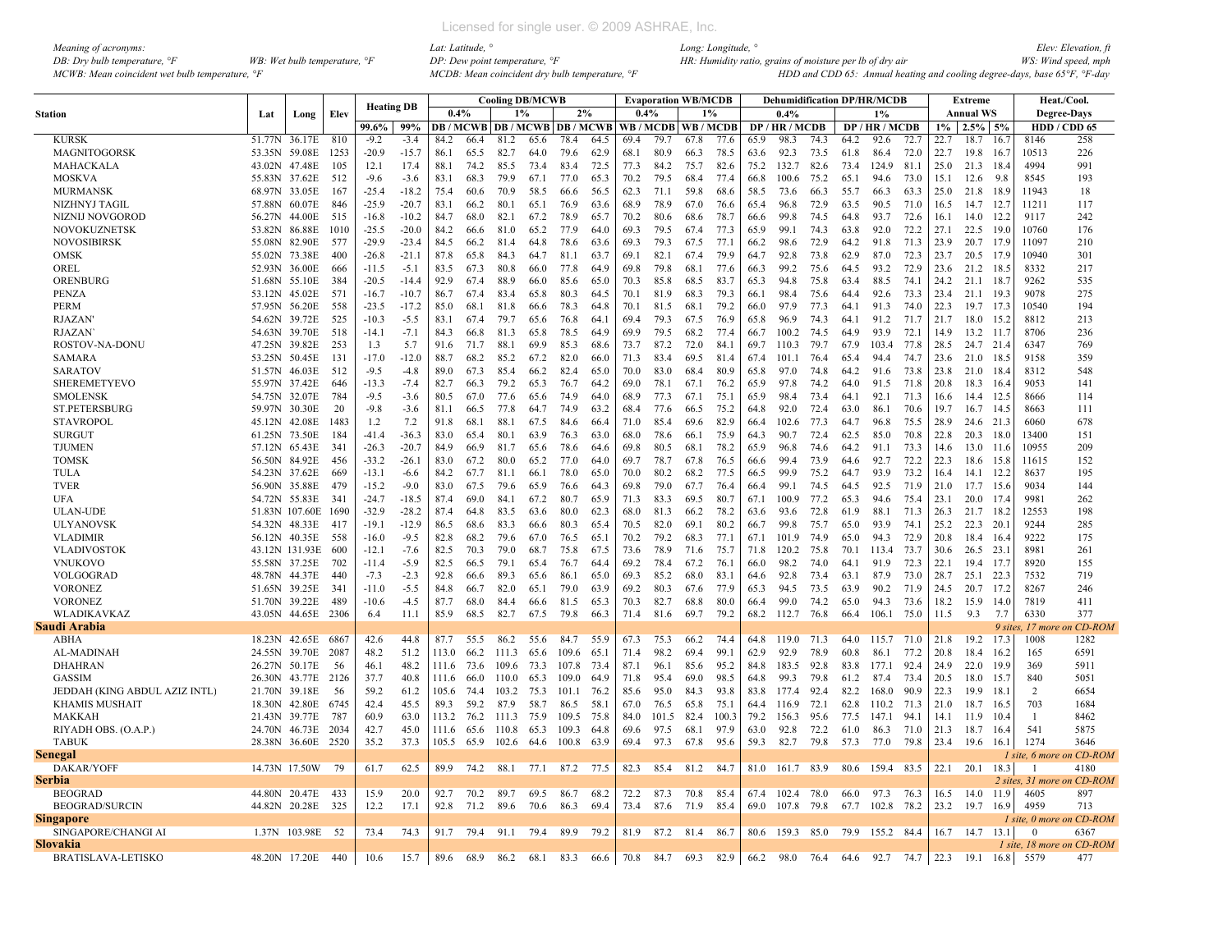| Meaning of acronyms:                           |                                       |
|------------------------------------------------|---------------------------------------|
| DB: Dry bulb temperature, $\degree$ F          | WB: Wet bulb temperature, $\degree$ F |
| MCWB: Mean coincident wet bulb temperature, °F |                                       |

|                               |               |                |      | <b>Heating DB</b> |         |       |      |       | <b>Cooling DB/MCWB</b> |                               |       |      |       | <b>Evaporation WB/MCDB</b> |       |      | <b>Dehumidification DP/HR/MCDB</b> |      |      |                |      |           | <b>Extreme</b>   |       |                 | Heat./Cool.                |
|-------------------------------|---------------|----------------|------|-------------------|---------|-------|------|-------|------------------------|-------------------------------|-------|------|-------|----------------------------|-------|------|------------------------------------|------|------|----------------|------|-----------|------------------|-------|-----------------|----------------------------|
| Station                       | Lat           | Long           | Elev |                   |         | 0.4%  |      | 1%    |                        | 2%                            |       | 0.4% |       |                            | $1\%$ |      | 0.4%                               |      |      | 1%             |      |           | <b>Annual WS</b> |       |                 | Degree-Days                |
|                               |               |                |      | 99.6%             | 99%     |       |      |       |                        | DB / MCWB DB / MCWB DB / MCWB |       |      |       | WB / MCDB   WB / MCDB      |       |      | DP / HR / MCDB                     |      |      | DP / HR / MCDB |      | $1\%$     | $2.5\%$ 5%       |       |                 | HDD / CDD 65               |
| <b>KURSK</b>                  | 51.77N        | 36.17E         | 810  | $-9.2$            | $-3.4$  | 84.2  | 66.4 | 81.2  | 65.6                   | 78.4                          | 64.5  | 69.4 | 79.7  | 67.8                       | 77.6  | 65.9 | 98.3                               | 74.3 | 64.2 | 92.6           | 72.7 | 22.7      | 18.7             | 16.   | 8146            | 258                        |
| MAGNITOGORSK                  | 53.35N        | 59.08E         | 1253 | $-20.9$           | $-15.7$ | 86.1  | 65.5 | 82.7  | 64.0                   | 79.6                          | 62.9  | 68.1 | 80.9  | 66.3                       | 78.5  | 63.6 | 92.3                               | 73.5 | 61.8 | 86.4           | 72.0 | 22.7      | 19.8             | -16.7 | 10513           | 226                        |
| MAHACKALA                     | 43.02N 47.48E |                | 105  | 12.1              | 17.4    | 88.1  | 74.2 | 85.5  | 73.4                   | 83.4                          | 72.5  | 77.3 | 84.2  | 75.7                       | 82.6  | 75.2 | 132.7                              | 82.6 | 73.4 | 124.9          | 81.1 | 25.0      | 21.3             | -18.4 | 4994            | 991                        |
| <b>MOSKVA</b>                 | 55.83N 37.62E |                | 512  | $-9.6$            | $-3.6$  | 83.1  | 68.3 | 79.9  | 67.1                   | 77.0                          | 65.3  | 70.2 | 79.5  | 68.4                       | 77.4  | 66.8 | 100.6                              | 75.2 | 65.1 | 94.6           | 73.0 | 15.1      | 12.6             | 9.8   | 8545            | 193                        |
| <b>MURMANSK</b>               | 68.97N 33.05E |                | 167  | $-25.4$           | $-18.2$ | 75.4  | 60.6 | 70.9  | 58.5                   | 66.6                          | 56.5  | 62.3 | 71.1  | 59.8                       | 68.6  | 58.5 | 73.6                               | 66.3 | 55.7 | 66.3           | 63.3 | 25.0      | 21.8             | 18.9  | 11943           | 18                         |
| NIZHNYJ TAGIL                 | 57.88N 60.07E |                | 846  | $-25.9$           | $-20.7$ | 83.1  | 66.2 | 80.1  | 65.1                   | 76.9                          | 63.6  | 68.9 | 78.9  | 67.0                       | 76.6  | 65.4 | 96.8                               | 72.9 | 63.5 | 90.5           | 71.0 | 16.5      | 14.7             | 12.7  | 11211           | 117                        |
| NIZNIJ NOVGOROD               | 56.27N        | 44.00E         | 515  | $-16.8$           | $-10.2$ | 84.7  | 68.0 | 82.1  | 67.2                   | 78.9                          | 65.7  | 70.2 | 80.6  | 68.6                       | 78.7  | 66.6 | 99.8                               | 74.5 | 64.8 | 93.7           | 72.6 | 16.1      | 14.0             | 12.2  | 9117            | 242                        |
| NOVOKUZNETSK                  | 53.82N 86.88E |                | 1010 | $-25.5$           | $-20.0$ | 84.2  | 66.6 | 81.0  | 65.2                   | 77.9                          | 64.0  | 69.3 | 79.5  | 67.4                       | 77.3  | 65.9 | 99.1                               | 74.3 | 63.8 | 92.0           | 72.2 | 27.1      | 22.5             | 19.0  | 10760           | 176                        |
| <b>NOVOSIBIRSK</b>            | 55.08N        | 82.90E         | 577  | $-29.9$           | $-23.4$ | 84.5  | 66.2 | 81.4  | 64.8                   | 78.6                          | 63.6  | 69.3 | 79.3  | 67.5                       | 77.1  | 66.2 | 98.6                               | 72.9 | 64.2 | 91.8           | 71.3 | 23.9      | 20.7             | 17.9  | 11097           | 210                        |
| OMSK                          | 55.02N        | 73.38E         | 400  | $-26.8$           | $-21.1$ | 87.8  | 65.8 | 84.3  | 64.7                   | 81.1                          | 63.7  | 69.1 | 82.1  | 67.4                       | 79.9  | 64.7 | 92.8                               | 73.8 | 62.9 | 87.0           | 72.3 | 23.7      | 20.5 17.9        |       | 10940           | 301                        |
| OREL                          | 52.93N 36.00E |                | 666  | $-11.5$           | $-5.1$  | 83.5  | 67.3 | 80.8  | 66.0                   | 77.8                          | 64.9  | 69.8 | 79.8  | 68.1                       | 77.6  | 66.3 | 99.2                               | 75.6 | 64.5 | 93.2           | 72.9 | 23.6      | 21.2             | 18.5  | 8332            | 217                        |
| ORENBURG                      | 51.68N 55.10E |                | 384  | $-20.5$           | $-14.4$ | 92.9  | 67.4 | 88.9  | 66.0                   | 85.6                          | 65.0  | 70.3 | 85.8  | 68.5                       | 83.7  | 65.3 | 94.8                               | 75.8 | 63.4 | 88.5           | 74.1 | 24.2      | 21.1             | 18.7  | 9262            | 535                        |
| <b>PENZA</b>                  | 53.12N 45.02E |                | 571  | $-16.7$           | $-10.7$ | 86.7  | 67.4 | 83.4  | 65.8                   | 80.3                          | 64.5  | 70.1 | 81.9  | 68.3                       | 79.3  | 66.1 | 98.4                               | 75.6 | 64.4 | 92.6           | 73.3 | 23.4      | 21.1             | 19.3  | 9078            | 275                        |
| <b>PERM</b>                   | 57.95N 56.20E |                | 558  | $-23.5$           | $-17.2$ | 85.0  | 68.1 | 81.8  | 66.6                   | 78.3                          | 64.8  | 70.1 | 81.5  | 68.1                       | 79.2  | 66.0 | 97.9                               | 77.3 | 64.1 | 91.3           | 74.0 | 22.3      | 19.7 17.3        |       | 10540           | 194                        |
| <b>RJAZAN</b>                 | 54.62N 39.72E |                | 525  | $-10.3$           | $-5.5$  | 83.1  | 67.4 | 79.7  | 65.6                   | 76.8                          | 64.1  | 69.4 | 79.3  | 67.5                       | 76.9  | 65.8 | 96.9                               | 74.3 | 64.1 | 91.2           | 71.7 | 21.7      | 18.0             | 15.2  | 8812            | 213                        |
| <b>RJAZAN</b>                 | 54.63N 39.70E |                | 518  | $-14.1$           | $-7.1$  | 84.3  | 66.8 | 81.3  | 65.8                   | 78.5                          | 649   | 69.9 | 79.5  | 68.2                       | 77.4  | 66.7 | 1002                               | 74.5 | 64.9 | 93.9           | 72.1 | 14.9      | 13.2             | 11.7  | 8706            | 236                        |
| ROSTOV-NA-DONU                | 47.25N 39.82E |                | 253  | 1.3               | 5.7     | 91.6  | 71.7 | 88.1  | 69.9                   | 85.3                          | 68.6  | 73.7 | 87.2  | 72.0                       | 84.1  | 69.7 | 110.3                              | 79.7 | 67.9 | 103.4          | 77.8 | 28.5      | 24.7 21.4        |       | 6347            | 769                        |
| <b>SAMARA</b>                 | 53.25N 50.45E |                | 131  | $-17.0$           | $-12.0$ | 88.7  | 68.2 | 85.2  | 67.2                   | 82.0                          | -66.0 | 71.3 | 83.4  | 69.5                       | 81.4  | 67.4 | 101.1                              | 76.4 | 65.4 | 94.4           | 74.7 | 23.6      | 21.0 18.5        |       | 9158            | 359                        |
| <b>SARATOV</b>                | 51.57N 46.03E |                | 512  | $-9.5$            | $-4.8$  | 89.0  | 67.3 | 85.4  | 66.2                   | 82.4                          | 65.0  | 70.0 | 83.0  | 68.4                       | 80.9  | 65.8 | 97.0                               | 74.8 | 64.2 | 91.6           | 73.8 | 23.8      | 21.0             | 18.4  | 8312            | 548                        |
| <b>SHEREMETYEVO</b>           | 55.97N 37.42E |                | 646  | $-13.3$           | $-7.4$  | 82.7  | 66.3 | 79.2  | 65.3                   | 76.7                          | 64.2  | 69.0 | 78.1  | 67.1                       | 76.2  | 65.9 | 97.8                               | 74.2 | 64.0 | 91.5           | 71.8 | 20.8      | 18.3             | 16.4  | 9053            | 141                        |
| <b>SMOLENSK</b>               | 54.75N 32.07E |                | 784  | $-9.5$            | $-3.6$  | 80.5  | 67.0 | 77.6  | 65.6                   | 74.9                          | 64.0  | 68.9 | 77.3  | 67.1                       | 75.1  | 65.9 | 98.4                               | 73.4 | 64.1 | 92.1           | 71.3 | 16.6      | 14.4             | 12.5  | 8666            | 114                        |
| ST.PETERSBURG                 | 59.97N 30.30E |                | 20   | $-9.8$            | $-3.6$  | 81.1  | 66.5 | 77.8  | 64.7                   | 74.9                          | 63.2  | 68.4 | 77.6  | 66.5                       | 75.2  | 64.8 | 92.0                               | 72.4 | 63.0 | 86.1           | 70.6 | 19.7      | 16.7 14.5        |       | 8663            | 111                        |
| <b>STAVROPOL</b>              | 45.12N        | 42.08E         | 1483 | 1.2               | 7.2     | 91.8  | 68.1 | 88.1  | 67.5                   | 84.6                          | 66.4  | 71.0 | 85.4  | 69.6                       | 82.9  | 66.4 | 102.6                              | 77.3 | 64.7 | 96.8           | 75.5 | 28.9      | 24.6 21.3        |       | 6060            | 678                        |
| <b>SURGUT</b>                 | 61.25N 73.50E |                | 184  | $-41.4$           | $-36.3$ | 83.0  | 65.4 | 80.1  | 63.9                   | 76.3                          | 63.0  | 68.0 | 78.6  | 66.1                       | 75.9  | 64.3 | 90.7                               | 72.4 | 62.5 | 85.0           | 70.8 | 22.8      | 20.3             | 18.0  | 13400           | 151                        |
| <b>TJUMEN</b>                 | 57.12N        | 65.43E         | 341  | $-26.3$           | $-20.7$ | 84.9  | 66.9 | 81.7  | 65.6                   | 78.6                          | 64.6  | 69.8 | 80.5  | 68.1                       | 78.2  | 65.9 | 96.8                               | 74.6 | 64.2 | 91.1           | 73.3 | 14.6      | 13.0             | 11.6  | 10955           | 209                        |
| <b>TOMSK</b>                  | 56.50N 84.92E |                | 456  | $-33.2$           | $-26.1$ | 83.0  | 67.2 | 80.0  | 65.2                   | 77.0                          | 64.0  | 69.7 | 78.7  | 67.8                       | 76.5  | 66.6 | 99.4                               | 73.9 | 64.6 | 92.7           | 72.2 | 22.3      | 18.6             | 15.8  | 11615           | 152                        |
|                               |               |                |      |                   |         |       |      |       |                        |                               |       |      |       |                            |       |      |                                    | 75.2 |      |                |      |           |                  |       |                 |                            |
| TULA                          | 54.23N 37.62E |                | 669  | $-13.1$           | $-6.6$  | 84.2  | 67.7 | 81.1  | 66.1                   | 78.0                          | 65.0  | 70.0 | 80.2  | 68.2                       | 77.5  | 66.5 | 99.9                               |      | 64.7 | 93.9           | 73.2 | 16.4      | 14.1             | 12.2  | 8637            | 195                        |
| <b>TVER</b>                   | 56.90N 35.88E |                | 479  | $-15.2$           | $-9.0$  | 83.0  | 67.5 | 79.6  | 65.9                   | 76.6                          | 643   | 69.8 | 79.0  | 67.7                       | 76.4  | 66.4 | 99.1                               | 74.5 | 64.5 | 92.5           | 71.9 | 21.0      | 17.7             | 15.6  | 9034            | 144                        |
| <b>UFA</b>                    | 54.72N 55.83E |                | 341  | $-24.7$           | $-18.5$ | 87.4  | 69.0 | 84.1  | 67.2                   | 80.7                          | 65.9  | 71.3 | 83.3  | 69.5                       | 80.7  | 67.1 | 100.9                              | 77.2 | 65.3 | 94.6           | 75.4 | 23.1      | 20.0             | 17.4  | 9981            | 262                        |
| <b>ULAN-UDE</b>               |               | 51.83N 107.60E | 1690 | $-32.9$           | $-28.2$ | 87.4  | 64.8 | 83.5  | 63.6                   | 80.0                          | 62.3  | 68.0 | 81.3  | 66.2                       | 78.2  | 63.6 | 93.6                               | 72.8 | 61.9 | 88.1           | 71.3 | 26.3      | 21.7             | 18.2  | 12553           | 198                        |
| <b>ULYANOVSK</b>              | 54.32N        | 48.33E         | 417  | $-19.1$           | $-12.9$ | 86.5  | 68.6 | 83.3  | 66.6                   | 80.3                          | 65.4  | 70.5 | 82.0  | 69.1                       | 80.2  | 66.7 | 99.8                               | 75.7 | 65.0 | 93.9           | 74.1 | 25.2      | $22.3$ 20.       |       | 9244            | 285                        |
| <b>VLADIMIR</b>               | 56.12N        | 40.35E         | 558  | $-16.0$           | $-9.5$  | 82.8  | 68.2 | 79.6  | 67.0                   | 76.5                          | 65.1  | 70.2 | 79.2  | 68.3                       | 77.1  | 67.1 | 101.9                              | 74.9 | 65.0 | 94.3           | 72.9 | 20.8      | 18.4             | 16.4  | 9222            | 175                        |
| <b>VLADIVOSTOK</b>            |               | 43.12N 131.93E | 600  | $-12.1$           | $-7.6$  | 82.5  | 70.3 | 79.0  | 68.7                   | 75.8                          | 67.5  | 73.6 | 78.9  | 71.6                       | 75.7  | 71.8 | 120.2                              | 75.8 | 70.1 | 113.4          | 73.7 | 30.6      | $26.5$ 23.1      |       | 8981            | 261                        |
| <b>VNUKOVO</b>                | 55.58N 37.25E |                | 702  | $-11.4$           | $-5.9$  | 82.5  | 66.5 | 79.1  | 65.4                   | 76.7                          | 64.4  | 69.2 | 78.4  | 67.2                       | 76.1  | 66.0 | 98.2                               | 74.0 | 64.1 | 91.9           | 72.3 | 22.1      | 19.4             | 17.7  | 8920            | 155                        |
| VOLGOGRAD                     | 48.78N        | 44.37E         | 440  | $-7.3$            | $-2.3$  | 92.8  | 66.6 | 89.3  | 65.6                   | 86.1                          | 65.0  | 69.3 | 85.2  | 68.0                       | 83.1  | 64.6 | 92.8                               | 73.4 | 63.1 | 87.9           | 73.0 | 28.7      | 25.1             | 22.3  | 7532            | 719                        |
| <b>VORONEZ</b>                | 51.65N 39.25E |                | -341 | $-11.0$           | $-5.5$  | 84.8  | 66.7 | 82.0  | 65.1                   | 79.0                          | 63.9  | 69.2 | 80.3  | 67.6                       | 77.9  | 65.3 | 94.5                               | 73.5 | 63.9 | 90.2           | 71.9 | 24.5      | 20.7             | 17.2  | 8267            | 246                        |
| <b>VORONEZ</b>                | 51.70N 39.22E |                | 489  | $-10.6$           | $-4.5$  | 87.7  | 68.0 | 84.4  | 66.6                   | 81.5                          | 65.3  | 70.3 | 82.7  | 68.8                       | 80.0  | 66.4 | 99.0                               | 74.2 | 65.0 | 94.3           | 73.6 | 18.2      | 15.9             | 14.0  | 7819            | 411                        |
| WLADIKAVKAZ                   |               | 43.05N 44.65E  | 2306 | 6.4               | 11.1    | 85.9  | 68.5 | 82.7  | 67.5                   | 79.8                          | 66.3  | 71.4 | 81.6  | 69.7                       | 79.2  | 68.2 | 112.7                              | 76.8 | 66.4 | 106.1          | 75.0 | 11.5      | 9.3              | 7.7   | 6330            | 377                        |
| Saudi Arabia                  |               |                |      |                   |         |       |      |       |                        |                               |       |      |       |                            |       |      |                                    |      |      |                |      |           |                  |       | 9 sites, 17 mor | on CD-ROM                  |
| ABHA                          | 18.23N        | 42.65E         | 6867 | 42.6              | 44.8    | 87.7  | 55.5 | 86.2  | 55.6                   | 84.7                          | 55.9  | 67.3 | 75.3  | 66.2                       | 74.4  | 64.8 | 119.0                              | 71.3 | 64.0 | 115.7          | 71.0 | 21.8      | 19.2             | 17.3  | 1008            | 1282                       |
| AL-MADINAH                    | 24.55N 39.70E |                | 2087 | 48.2              | 51.2    | 113.0 | 66.2 | 111.3 | 65.6                   | 109.6                         | 65.1  | 71.4 | 98.2  | 69.4                       | 99.1  | 62.9 | 92.9                               | 78.9 | 60.8 | 86.1           | 77.2 | 20.8      | 18.4             | 16.2  | 165             | 6591                       |
| <b>DHAHRAN</b>                | 26.27N 50.17E |                | 56   | 46.1              | 48.2    | 111.6 | 73.6 | 109.6 | 73.3                   | 107.8                         | 73.4  | 87.1 | 96.1  | 85.6                       | 95.2  | 84.8 | 183.5                              | 92.8 | 83.8 | 177.1          | 92.4 | 24.9      | 22.0             | 19.9  | 369             | 5911                       |
| <b>GASSIM</b>                 |               | 26.30N 43.77E  | 2126 | 37.7              | 40.8    | 111.6 | 66.0 | 110.0 | 65.3                   | 109.0                         | 64.9  | 71.8 | 95.4  | 69.0                       | 98.5  | 64.8 | 99.3                               | 79.8 | 61.2 | 87.4           | 73.4 | 20.5      | 18.0             | 15.7  | 840             | 5051                       |
| JEDDAH (KING ABDUL AZIZ INTL) | 21.70N 39.18E |                | 56   | 59.2              | 61.2    | 105.6 | 74.4 | 103.2 | 75.3                   | 101.1                         | 76.2  | 85.6 | 95.0  | 84.3                       | 93.8  | 83.8 | 177.4                              | 92.4 | 82.2 | 168.0          | 90.9 | 22.3      | 19.9             | 18.1  | 2               | 6654                       |
| <b>KHAMIS MUSHAIT</b>         | 18.30N        | 42.80E         | 6745 | 42.4              | 45.5    | 89.3  | 59.2 | 87.9  | 58.7                   | 86.5                          | 58.1  | 67.0 | 76.5  | 65.8                       | 75.1  | 64.4 | 116.9                              | 72.1 | 62.8 | 110.2          | 71.3 | 21.0      | 18.7             | -16.5 | 703             | 1684                       |
| <b>MAKKAH</b>                 | 21.43N 39.77E |                | 787  | 60.9              | 63.0    | 113.2 | 76.2 | 111.3 | 75.9                   | 109.5                         | 75.8  | 84.0 | 101.5 | 82.4                       | 100.3 | 79.2 | 156.3                              | 95.6 | 77.5 | 147.1          | 94.1 | 14.1      | 11.9             | 10.4  | $\overline{1}$  | 8462                       |
| RIYADH OBS. (O.A.P.)          | 24.70N 46.73E |                | 2034 | 42.7              | 45.0    | 111.6 | 65.6 | 110.8 | 65.3                   | 109.3                         | 64.8  | 69.6 | 97.5  | 68.1                       | 97.9  | 63.0 | 92.8                               | 72.2 | 61.0 | 86.3           | 71.0 | 21.3      | 18.7             | 16.4  | 541             | 5875                       |
| <b>TABUK</b>                  | 28.38N 36.60E |                | 2520 | 35.2              | 37.3    | 105.5 | 65.9 | 102.6 | 64.6                   | 100.8                         | 63.9  | 69.4 | 97.3  | 67.8                       | 95.6  | 59.3 | 82.7                               | 79.8 | 57.3 | 77.0           | 79.8 | 23.4      | 19.6             | 16.1  | 1274            | 3646                       |
| <b>Senegal</b>                |               |                |      |                   |         |       |      |       |                        |                               |       |      |       |                            |       |      |                                    |      |      |                |      |           |                  |       |                 | 1 site, 6 more on CD-ROM   |
| DAKAR/YOFF                    |               | 14.73N 17.50W  | 79   | 61.7              | 62.5    | 89.9  | 74.2 | 88.1  | 77.1                   | 87.2                          | 77.5  | 82.3 | 85.4  | 81.2                       | 84.7  | 81.0 | 161.7                              | 83.9 | 80.6 | 159.4 83.5     |      | 22.1      | 20.1             | 18.3  | $\overline{1}$  | 4180                       |
| <b>Serbia</b>                 |               |                |      |                   |         |       |      |       |                        |                               |       |      |       |                            |       |      |                                    |      |      |                |      |           |                  |       |                 | 2 sites, 31 more on CD-ROM |
| <b>BEOGRAD</b>                | 44.80N 20.47E |                | 433  | 15.9              | 20.0    | 92.7  | 70.2 | 89.7  | 69.5                   | 86.7                          | 68.2  | 72.2 | 87.3  | 70.8                       | 85.4  | 67.4 | 102.4                              | 78.0 | 66.0 | 97.3           | 76.3 | 16.5      | 14.0             | 11.9  | 4605            | 897                        |
| <b>BEOGRAD/SURCIN</b>         | 44.82N 20.28E |                | 325  | 12.2              | 17.1    | 92.8  | 71.2 | 89.6  | 70.6                   | 86.3                          | 69.4  | 73.4 | 87.6  | 71.9                       | 85.4  | 69.0 | 107.8                              | 79.8 | 67.7 | 102.8          | 78.2 | 23.2      | 19.7             | 16.9  | 4959            | 713                        |
| Singapore                     |               |                |      |                   |         |       |      |       |                        |                               |       |      |       |                            |       |      |                                    |      |      |                |      |           |                  |       |                 | 1 site, 0 more on CD-ROM   |
| SINGAPORE/CHANGI AI           |               | 1.37N 103.98E  | 52   | 73.4              | 74.3    | 91.7  | 79.4 | 91.1  | 79.4                   | 89.9                          | 79.2  | 81.9 | 87.2  | 81.4                       | 86.7  | 80.6 | 159.3                              | 85.0 | 79.9 | 155.2 84.4     |      |           | 16.7 14.7 13.1   |       | $\Omega$        | 6367                       |
| Slovakia                      |               |                |      |                   |         |       |      |       |                        |                               |       |      |       |                            |       |      |                                    |      |      |                |      |           |                  |       |                 | 1 site. 18 more on CD-ROM  |
| <b>BRATISLAVA-LETISKO</b>     | 48.20N 17.20E |                | 440  | 10.6              | 15.7    | 89.6  | 68.9 | 86.2  | 68.1                   | 83.3                          | 66.6  | 70.8 | 84.7  | 69.3                       | 82.9  | 66.2 | 98.0                               | 76.4 | 64.6 | 92.7           | 74.7 | 22.3 19.1 |                  |       | 16.8 5579       | 477                        |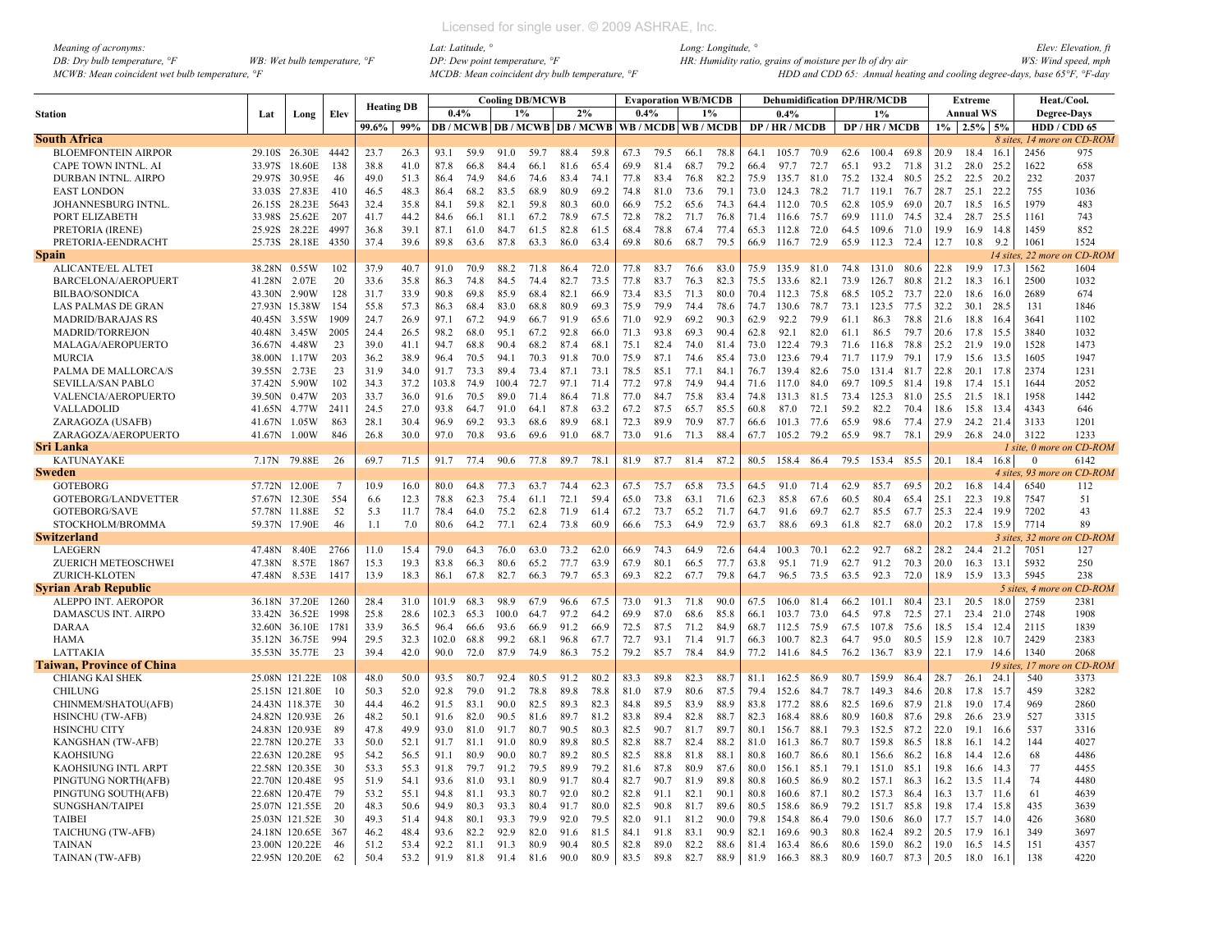| Meaning of acronyms:                           |                                         |
|------------------------------------------------|-----------------------------------------|
| DB: Dry bulb temperature, $\mathcal{F}$        | WB: Wet bulb temperature, $\mathcal{F}$ |
| MCWB: Mean coincident wet bulb temperature, °F |                                         |

|                                  |               |                |      |                   |      |       |      |       | <b>Cooling DB/MCWB</b> |                                          |      |                 |      | <b>Evaporation WB/MCDB</b> |      |      | <b>Dehumidification DP/HR/MCDB</b> |      |      |                |      |      | <b>Extreme</b>   |          | Heat./Cool.                |           |
|----------------------------------|---------------|----------------|------|-------------------|------|-------|------|-------|------------------------|------------------------------------------|------|-----------------|------|----------------------------|------|------|------------------------------------|------|------|----------------|------|------|------------------|----------|----------------------------|-----------|
| <b>Station</b>                   | Lat           | Long           | Elev | <b>Heating DB</b> |      | 0.4%  |      | 1%    |                        | 2%                                       |      | 0.4%            |      | 1%                         |      |      | 0.4%                               |      |      | 1%             |      |      | <b>Annual WS</b> |          | <b>Degree-Days</b>         |           |
|                                  |               |                |      | 99.6%             | 99%  |       |      |       |                        | <b>DB</b> / MCWB   DB / MCWB   DB / MCWB |      | WB/MCDB WB/MCDB |      |                            |      |      | DP / HR / MCDB                     |      |      | DP / HR / MCDB |      |      | $1\%$ 2.5% 5%    |          | HDD / CDD 65               |           |
| <b>South Africa</b>              |               |                |      |                   |      |       |      |       |                        |                                          |      |                 |      |                            |      |      |                                    |      |      |                |      |      |                  |          | 8 sites, 14 more on CD-ROM |           |
| <b>BLOEMFONTEIN AIRPOR</b>       |               | 29.10S 26.30E  | 4442 | 23.7              | 26.3 | 93.1  | 59.9 | 91.0  | 59.7                   | 88.4                                     | 59.8 | 67.3            | 79.5 | 66.1                       | 78.8 | 64.1 | 105.7                              | 70.9 | 62.6 | 100.4          | 69.8 | 20.9 | 18.4             | 16.1     | 2456                       | 975       |
| CAPE TOWN INTNL. AI              | 33.97S        | 18.60E         | 138  | 38.8              | 41.0 | 87.8  | 66.8 | 84.4  | 66.1                   | 81.6                                     | 65.4 | 69.9            | 81.4 | 68.7                       | 79.2 | 66.4 | 97.7                               | 72.7 | 65.1 | 93.2           | 71.8 | 31.2 | 28.0             | 25.2     | 1622                       | 658       |
| DURBAN INTNL. AIRPO              | 29.97S        | 30.95E         | 46   | 49.0              | 51.3 | 86.4  | 74.9 | 84.6  | 74.6                   | 83.4                                     | 74.1 | 77.8            | 83.4 | 76.8                       | 82.2 | 75.9 | 135.7                              | 81.0 | 75.2 | 132.4          | 80.5 | 25.2 | 22.5             | 20.2     | 232                        | 2037      |
| <b>EAST LONDON</b>               | 33.03S        | 27.83E         | 410  | 46.5              | 48.3 | 86.4  | 68.2 | 83.5  | 68.9                   | 80.9                                     | 69.2 | 74.8            | 81.0 | 73.6                       | 79.1 | 73.0 | 124.3                              | 78.2 | 71.7 | 119.1          | 76.7 | 28.7 | 25.1             | 22.2     | 755                        | 1036      |
| JOHANNESBURG INTNL.              | 26.15S        | 28.23E         | 5643 | 32.4              | 35.8 | 84.1  | 59.8 | 82.1  | 59.8                   | 80.3                                     | 60.0 | 66.9            | 75.2 | 65.6                       | 74.3 | 64.4 | 112.0                              | 70.5 | 62.8 | 105.9          | 69.0 | 20.7 | 18.5             | 16.5     | 1979                       | 483       |
| PORT ELIZABETH                   | 33.98S        | 25.62E         | 207  | 41.7              | 44 2 | 84.6  | 66.1 | 81.1  | 67.2                   | 78.9                                     | 67.5 | 72.8            | 78.2 | 71.7                       | 76.8 | 71.4 | 116.6                              | 75.7 | 699  | 111.0          | 74.5 | 32.4 | 28.7             | 25.5     | 1161                       | 743       |
|                                  | 25.92S        | 28.22E         | 4997 | 36.8              | 39.1 | 87.1  | 61.0 | 84.7  |                        | 82.8                                     | 61.5 | 68.4            | 78.8 | 67.4                       | 77.4 | 65.3 | 112.8                              | 72.0 | 64.5 | 109.6 71.0     |      | 19.9 | 16.9             | 14.8     | 1459                       | 852       |
| PRETORIA (IRENE)                 |               |                |      |                   |      |       |      |       | 61.5                   |                                          |      |                 |      |                            |      |      |                                    |      |      |                |      |      |                  |          |                            | 1524      |
| PRETORIA-EENDRACHT               |               | 25.73S 28.18E  | 4350 | 37.4              | 39.6 | 89.8  | 63.6 | 87.8  | 63.3                   | 86.0                                     | 63.4 | 69.8            | 80.6 | 68.7                       | 79.5 | 66.9 | 116.7 72.9                         |      | 65.9 | 112.3          | 72.4 | 12.7 | 10.8             | 9.2      | 1061                       |           |
| <b>Spain</b>                     |               |                |      |                   |      |       |      |       |                        |                                          |      |                 |      |                            |      |      |                                    |      |      |                |      |      |                  |          | 14 sites, 22 mor           | on CD-ROM |
| <b>ALICANTE/EL ALTET</b>         | 38.28N        | 0.55W          | 102  | 37.9              | 40.7 | 91.0  | 70.9 | 88.2  | 71.8                   | 86.4                                     | 72.0 | 77.8            | 83.7 | 76.6                       | 83.0 | 75.9 | 135.9                              | 81.0 | 74.8 | 131.0          | 80.6 | 22.8 | 19.9             | 17.3     | 1562                       | 1604      |
| BARCELONA/AEROPUERT              | 41.28N        | 2.07E          | 20   | 33.6              | 35.8 | 86.3  | 74.8 | 84.5  | 74.4                   | 82.7                                     | 73.5 | 77.8            | 83.7 | 76.3                       | 82.3 | 75.5 | 133.6                              | 82.1 | 73.9 | 126.7          | 80.8 | 21.2 | 18.3             | 16.1     | 2500                       | 1032      |
| <b>BILBAO/SONDICA</b>            | 43.30N        | 2.90W          | 128  | 31.7              | 33.9 | 90.8  | 69.8 | 85.9  | 68.4                   | 82.1                                     | 66.9 | 73.4            | 83.5 | 71.3                       | 80.0 | 70.4 | 112.3                              | 75.8 | 68.5 | 105.2          | 73.7 | 22.0 | 18.6             | 16.0     | 2689                       | 674       |
| <b>LAS PALMAS DE GRAN</b>        |               | 27.93N 15.38W  | 154  | 55.8              | 57.3 | 86.3  | 68.4 | 83.0  | 68.8                   | 80.9                                     | 69.3 | 75.9            | 79.9 | 74.4                       | 78.6 | 74.7 | 130.6                              | 78.7 | 73.1 | 123.5          | 77.5 | 32.2 | 30.1             | 28.5     | 131                        | 1846      |
| <b>MADRID/BARAJAS RS</b>         | 40.45N 3.55W  |                | 1909 | 24.7              | 26.9 | 97.1  | 67.2 | 94.9  | 66.7                   | 91.9                                     | 65.6 | 71.0            | 92.9 | 69.2                       | 90.3 | 62.9 | 92.2                               | 79.9 | 61.1 | 86.3           | 78.8 | 21.6 | 18.8             | 16.4     | 3641                       | 1102      |
| <b>MADRID/TORREJON</b>           | 40.48N 3.45W  |                | 2005 | 24.4              | 26.5 | 98.2  | 68.0 | 95.1  | 67.2                   | 92.8                                     | 66.0 | 71.3            | 93.8 | 69.3                       | 90.4 | 62.8 | 92.1                               | 82.0 | 61.1 | 86.5           | 79.7 | 20.6 | 17.8             | 15.5     | 3840                       | 1032      |
| MALAGA/AEROPUERTO                | 36.67N        | 4.48W          | 23   | 39.0              | 41.1 | 94.7  | 68.8 | 90.4  | 68.2                   | 87.4                                     | 68.1 | 75.1            | 82.4 | 74.0                       | 81.4 | 73.0 | 122.4                              | 79.3 | 71.6 | 116.8          | 78.8 | 25.2 | 21.9             | 19.0     | 1528                       | 1473      |
| <b>MURCIA</b>                    | 38.00N        | 1.17W          | 203  | 36.2              | 38.9 | 96.4  | 70.5 | 94.1  | 70.3                   | 91.8                                     | 70.0 | 75.9            | 87.1 | 74.6                       | 85.4 | 73.0 | 123.6                              | 79.4 | 71.7 | 117.9          | 79.1 | 17.9 | 15.6             | 13.5     | 1605                       | 1947      |
| PALMA DE MALLORCA/S              | 39.55N        | 2.73E          | 23   | 31.9              | 34.0 | 91.7  | 73.3 | 89.4  | 73.4                   | 87.1                                     | 73.1 | 78.5            | 85.1 | 77.1                       | 84.1 | 76.7 | 139.4                              | 82.6 | 75.0 | 131.4          | 81.7 | 22.8 | 20.1             | 17.8     | 2374                       | 1231      |
| <b>SEVILLA/SAN PABLO</b>         | 37.42N        | 5.90W          | 102  | 34.3              | 37.2 | 103.8 | 74.9 | 100.4 | 72.7                   | 97.1                                     | 71.4 | 77.2            | 97.8 | 74.9                       | 94.4 | 71.6 | 117.0                              | 84.0 | 69.7 | 109.5          | 81.4 | 19.8 | 17.4             | 15.1     | 1644                       | 2052      |
| VALENCIA/AEROPUERTO              | 39.50N        | 0.47W          | 203  | 33.7              | 36.0 | 91.6  | 70.5 | 89.0  | 71.4                   | 86.4                                     | 71.8 | 77.0            | 84.7 | 75.8                       | 83.4 | 74.8 | 131.3                              | 81.5 | 73.4 | 125.3          | 81.0 | 25.5 | 21.5             | 18.1     | 1958                       | 1442      |
| <b>VALLADOLID</b>                | 41.65N        | 4.77W          | 2411 | 24.5              | 27.0 | 93.8  | 64.7 | 91.0  | 64.1                   | 87.8                                     | 63.2 | 67.2            | 87.5 | 65.7                       | 85.5 | 60.8 | 87.0                               | 72.1 | 59.2 | 82.2           | 70.4 | 18.6 | 15.8             | 13.4     | 4343                       | 646       |
| ZARAGOZA (USAFB)                 | 41.67N        | 1.05W          | 863  | 28.1              | 30.4 | 96.9  | 69.2 | 93.3  | 68.6                   | 89.9                                     | 68.1 | 72.3            | 89.9 | 70.9                       | 87.7 | 66.6 | 101.3                              | 77.6 | 65.9 | 98.6           | 77.4 | 27.9 | 24.2             | 21.4     | 3133                       | 1201      |
| ZARAGOZA/AEROPUERTO              | 41.67N        | 1.00W          | 846  | 26.8              | 30.0 | 97.0  | 70.8 | 93.6  | 69.6                   | 91.0                                     | 68.7 | 73.0            | 91.6 | 71.3                       | 88.4 | 67.7 | 105.2                              | 79.2 | 65.9 | 98.7           | 78.1 | 29.9 | 26.8             | 24.0     | 3122                       | 1233      |
| Sri Lanka                        |               |                |      |                   |      |       |      |       |                        |                                          |      |                 |      |                            |      |      |                                    |      |      |                |      |      |                  |          | 1 site, 0 more on CD-ROM   |           |
| <b>KATUNAYAKE</b>                | 7.17N         | 79.88E         | 26   | 69.7              | 71.5 | 91.7  | 77.4 | 90.6  | 77.8                   | 89.7                                     | 78.  | 81.9            | 87.7 | 81.4                       | 87.2 | 80.5 | 158.4                              | 86.4 | 79.5 | 153.4 85.5     |      | 20.1 | 18.4             | 16.8     | $\overline{0}$             | 6142      |
| Sweden                           |               |                |      |                   |      |       |      |       |                        |                                          |      |                 |      |                            |      |      |                                    |      |      |                |      |      |                  |          | 4 sites, 93 more           | CD-ROM    |
|                                  |               |                |      |                   |      |       |      |       |                        |                                          |      |                 |      |                            |      |      |                                    |      |      |                |      |      |                  |          |                            |           |
| <b>GOTEBORG</b>                  | 57.72N 12.00E |                |      | 10.9              | 16.0 | 80.0  | 64.8 | 77.3  | 63.7                   | 74.4                                     | 62.3 | 67.5            | 75.7 | 65.8                       | 73.5 | 64.5 | 91.0                               | 71.4 | 62.9 | 85.7           | 69.5 | 20.2 | 16.8             | 14.4     | 6540                       | 112       |
| GOTEBORG/LANDVETTER              |               | 57.67N 12.30E  | 554  | 6.6               | 12.3 | 78.8  | 62.3 | 75.4  | 61.1                   | 72.1                                     | 59.4 | 65.0            | 73.8 | 63.1                       | 71.6 | 62.3 | 85.8                               | 67.6 | 60.5 | 80.4           | 65.4 | 25.1 | 22.3             | 19.8     | 7547                       | 51        |
| <b>GOTEBORG/SAVE</b>             | 57.78N 11.88E |                | 52   | 5.3               | 11.7 | 78.4  | 64.0 | 75.2  | 62.8                   | 71.9                                     | 61.4 | 67.2            | 73.7 | 65.2                       | 71.7 | 64.7 | 91.6                               | 69.7 | 62.7 | 85.5           | 67.7 | 25.3 | 22.4             | 19.9     | 7202                       | 43        |
| STOCKHOLM/BROMMA                 | 59.37N        | 17.90E         | 46   | 1.1               | 7.0  | 80.6  | 64.2 | 77.1  | 62.4                   | 73.8                                     | 60.9 | 66.6            | 75.3 | 64.9                       | 72.9 | 63.7 | 88.6                               | 69.3 | 61.8 | 82.7           | 68.0 | 20.2 | 17.8             | 15.9     | 7714                       | 89        |
| <b>Switzerland</b>               |               |                |      |                   |      |       |      |       |                        |                                          |      |                 |      |                            |      |      |                                    |      |      |                |      |      |                  | 3 sites. | $32$ mor                   | CD-ROM    |
| LAEGERN                          | 47.48N        | 8.40E          | 2766 | 11.0              | 15.4 | 79.0  | 64.3 | 76.0  | 63.0                   | 73.2                                     | 62.0 | 66.9            | 74.3 | 64.9                       | 72.6 | 64.4 | 100.3                              | 70.1 | 62.2 | 92.7           | 68.2 | 28.2 | 24.4             | 21.2     | 7051                       | 127       |
| ZUERICH METEOSCHWEI              | 47.38N        | 8.57E          | 1867 | 15.3              | 19.3 | 83.8  | 66.3 | 80.6  | 65.2                   | 77.7                                     | 63.9 | 67.9            | 80.1 | 66.5                       | 77.7 | 63.8 | 95.1                               | 71.9 | 62.7 | 91.2           | 70.3 | 20.0 | 16.3             | 13.1     | 5932                       | 250       |
| ZURICH-KLOTEN                    | 47.48N        | 8.53E          | 1417 | 13.9              | 18.3 | 86.1  | 67.8 | 82.7  | 66.3                   | 79.7                                     | 65.3 | 69.3            | 82.2 | 67.7                       | 79.8 | 64.7 | 96.5                               | 73.5 | 63.5 | 92.3           | 72.0 | 18.9 | 15.9             | 13.3     | 5945                       | 238       |
| <b>Syrian Arab Republic</b>      |               |                |      |                   |      |       |      |       |                        |                                          |      |                 |      |                            |      |      |                                    |      |      |                |      |      |                  |          | 5 sites, 4 moi             | CD-ROM    |
| ALEPPO INT. AEROPOR              |               | 36.18N 37.20E  | 1260 | 28.4              | 31.0 | 101.9 | 68.3 | 98.9  | 67.9                   | 96.6                                     | 67.5 | 73.0            | 91.3 | 71.8                       | 90.0 | 67.5 | 106.0                              | 81.4 | 66.2 | 101.1          | 80.4 | 23.1 | 20.5             | 18.0     | 2759                       | 2381      |
| DAMASCUS INT. AIRPO              |               | 33.42N 36.52E  | 1998 | 25.8              | 28.6 | 102.3 | 65.3 | 100.0 | 64.7                   | 97.2                                     | 64.2 | 69.9            | 87.0 | 68.6                       | 85.8 | 66.1 | 103.7                              | 73.0 | 64.5 | 97.8           | 72.5 | 27.1 | 23.4             | 21.0     | 2748                       | 1908      |
| <b>DARAA</b>                     |               | 32.60N 36.10E  | 1781 | 33.9              | 36.5 | 96.4  | 66.6 | 93.6  | 66.9                   | 91.2                                     | 66.9 | 72.5            | 87.5 | 71.2                       | 84.9 | 68.7 | 112.5                              | 75.9 | 67.5 | 107.8          | 75.6 | 18.5 | 15.4             | 12.4     | 2115                       | 1839      |
| <b>HAMA</b>                      |               | 35.12N 36.75E  | 994  | 29.5              | 32.3 | 102.0 | 68.8 | 99.2  | 68.1                   | 96.8                                     | 67.7 | 72.7            | 93.1 | 71.4                       | 91.7 | 66.3 | 100.7                              | 82.3 | 64.7 | 95.0           | 80.5 | 15.9 | 12.8             | 10.7     | 2429                       | 2383      |
| LATTAKIA                         |               | 35.53N 35.77E  | 23   | 39.4              | 42.0 | 90.0  | 72.0 | 87.9  | 74.9                   | 86.3                                     | 75.2 | 79.2            | 85.7 | 78.4                       | 84.9 | 77.2 | 141.6 84.5                         |      | 76.2 | 136.7          | 83.9 | 22.1 | 17.9             | 14.6     | 1340                       | 2068      |
| <b>Taiwan, Province of China</b> |               |                |      |                   |      |       |      |       |                        |                                          |      |                 |      |                            |      |      |                                    |      |      |                |      |      |                  |          | 19 sites, 17 moi           | n CD-ROM  |
| <b>CHIANG KAI SHEK</b>           |               | 25.08N 121.22E | 108  | 48.0              | 50.0 | 93.5  | 80.7 | 92.4  | 80.5                   | 91.2                                     | 80.2 | 83.3            | 89.8 | 82.3                       | 88.7 | 81.1 | 162.5                              | 86.9 | 80.7 | 159.9          | 86.4 | 28.7 | 26.1             | 24.1     | 540                        | 3373      |
| <b>CHILUNG</b>                   |               | 25.15N 121.80E | -10  | 50.3              | 52.0 | 92.8  | 79.0 | 91.2  | 78.8                   | 89.8                                     | 78.8 | 81.0            | 87.9 | 80.6                       | 87.5 | 79.4 | 152.6                              | 84.7 | 78.7 | 149.3          | 84.6 | 20.8 | 17.8             | 15.7     | 459                        | 3282      |
| CHINMEM/SHATOU(AFB)              |               | 24.43N 118.37E | 30   | 44.4              | 46.2 | 91.5  | 83.1 | 90.0  | 82.5                   | 89.3                                     | 82.3 | 84.8            | 89.5 | 83.9                       | 88.9 | 83.8 | 177.2                              | 88.6 | 82.5 | 169.6          | 87.9 | 21.8 | 19.0 17.4        |          | 969                        | 2860      |
| <b>HSINCHU</b> (TW-AFB)          |               | 24.82N 120.93E | 26   | 48.2              | 50.1 | 91.6  | 82.0 | 90.5  | 81.6                   | 89.7                                     | 81.2 | 83.8            | 89.4 | 82.8                       | 88.7 | 82.3 | 168.4                              | 88.6 | 80.9 | 160.8          | 87.6 | 29.8 | 26.6 23.9        |          | 527                        | 3315      |
| <b>HSINCHU CITY</b>              |               | 24.83N 120.93E | 89   | 47.8              | 49.9 | 93.0  | 81.0 | 91.7  | 80.7                   | 90.5                                     | 80.3 | 82.5            | 90.7 | 81.7                       | 89.7 | 80.1 | 156.7                              | 88.1 | 79.3 | 152.5          | 87.2 | 22.0 | 19.1             | - 16.6   | 537                        | 3316      |
| <b>KANGSHAN (TW-AFB)</b>         |               | 22.78N 120.27E | 33   | 50.0              | 52.1 | 91.7  | 81.1 | 91.0  | 80.9                   | 89.8                                     | 80.5 | 82.8            | 88.7 | 82.4                       | 88.2 | 81.0 | 161.3                              | 86.7 | 80.7 | 159.8          | 86.5 | 18.8 | 16.1             | 14.2     | 144                        | 4027      |
| <b>KAOHSIUNG</b>                 |               | 22.63N 120.28E | 95   | 54.2              | 56.5 | 91.1  | 80.9 | 90.0  | 80.7                   | 89.2                                     | 80.5 | 82.5            | 88.8 | 81.8                       | 88.1 | 80.8 | 160.7                              | 86.6 | 80.1 | 156.6          | 86.2 | 16.8 | 14.4 12.6        |          | 68                         | 4486      |
|                                  |               | 22.58N 120.35E | 30   | 53.3              | 55.3 | 91.8  | 79.7 |       |                        | 89.9                                     | 79.2 | 81.6            | 87.8 | 80.9                       | 87.6 | 80.0 | 156.1                              | 85.1 | 79.1 | 151.0          | 85.1 | 19.8 |                  | 14.3     | 77                         | 4455      |
| KAOHSIUNG INTL ARPT              |               |                |      |                   |      |       |      | 91.2  | 79.5                   |                                          |      |                 |      |                            |      |      |                                    |      |      |                |      |      | 16.6             |          |                            |           |
| PINGTUNG NORTH(AFB)              |               | 22.70N 120.48E | 95   | 51.9              | 54.1 | 93.6  | 81.0 | 93.1  | 80.9                   | 91.7                                     | 80.4 | 82.7            | 90.7 | 81.9                       | 89.8 | 80.8 | 160.5                              | 86.9 | 80 2 | 157.1          | 86.3 | 16.2 | 13.5             | 11.4     | 74                         | 4480      |
| PINGTUNG SOUTH(AFB)              |               | 22.68N 120.47E | 79   | 53.2              | 55.1 | 94.8  | 81.1 | 93.3  | 80.7                   | 92.0                                     | 80 2 | 82.8            | 91.1 | 82.1                       | 90.1 | 80.8 | 160.6                              | 87.1 | 80.2 | 157.3          | 86.4 | 16.3 | 13.7             | 11.6     | 61                         | 4639      |
| SUNGSHAN/TAIPEI                  |               | 25.07N 121.55E | -20  | 48.3              | 50.6 | 94.9  | 803  | 93.3  | 80.4                   | 91.7                                     | 80.0 | 82.5            | 90.8 | 81.7                       | 89.6 | 80.5 | 158.6                              | 86.9 | 79.2 | 151.7 85.8     |      | 19.8 | 17.4             | 15.8     | 435                        | 3639      |
| <b>TAIBEI</b>                    |               | 25.03N 121.52E | 30   | 49.3              | 51.4 | 94.8  | 80.1 | 93.3  | 79.9                   | 92.0                                     | 79.5 | 82.0            | 91.1 | 81.2                       | 90.0 | 79.8 | 154.8                              | 86.4 | 79.0 | 150.6          | 86.0 | 17.7 | 15.7             | 14.0     | 426                        | 3680      |
| TAICHUNG (TW-AFB)                |               | 24.18N 120.65E | 367  | 46.2              | 48.4 | 93.6  | 82.2 | 92.9  | 82.0                   | 91.6                                     | 81.5 | 84.1            | 91.8 | 83.1                       | 90.9 | 82.1 | 169.6                              | 90.3 | 80.8 | 162.4          | 89.2 | 20.5 | 17.9             | 16.1     | 349                        | 3697      |
| <b>TAINAN</b>                    |               | 23.00N 120.22E | 46   | 51.2              | 53.4 | 92.2  | 81.1 | 91.3  | 80.9                   | 90.4                                     | 80.5 | 82.8            | 89.0 | 82.2                       | 88.6 | 81.4 | 163.4                              | 86.6 | 80.6 | 159.0          | 86.2 | 19.0 | 16.5             | 14.5     | 151                        | 4357      |
| TAINAN (TW-AFB)                  |               | 22.95N 120.20E | 62   | 50.4              | 53.2 | 91.9  | 81.8 | 91.4  | 81.6                   | 90.0                                     | 80.9 | 83.5            | 89.8 | 82.7                       | 88.9 | 81.9 | 166.3 88.3                         |      | 80.9 | 160.7 87.3     |      | 20.5 | 18.0             | 16.1     | 138                        | 4220      |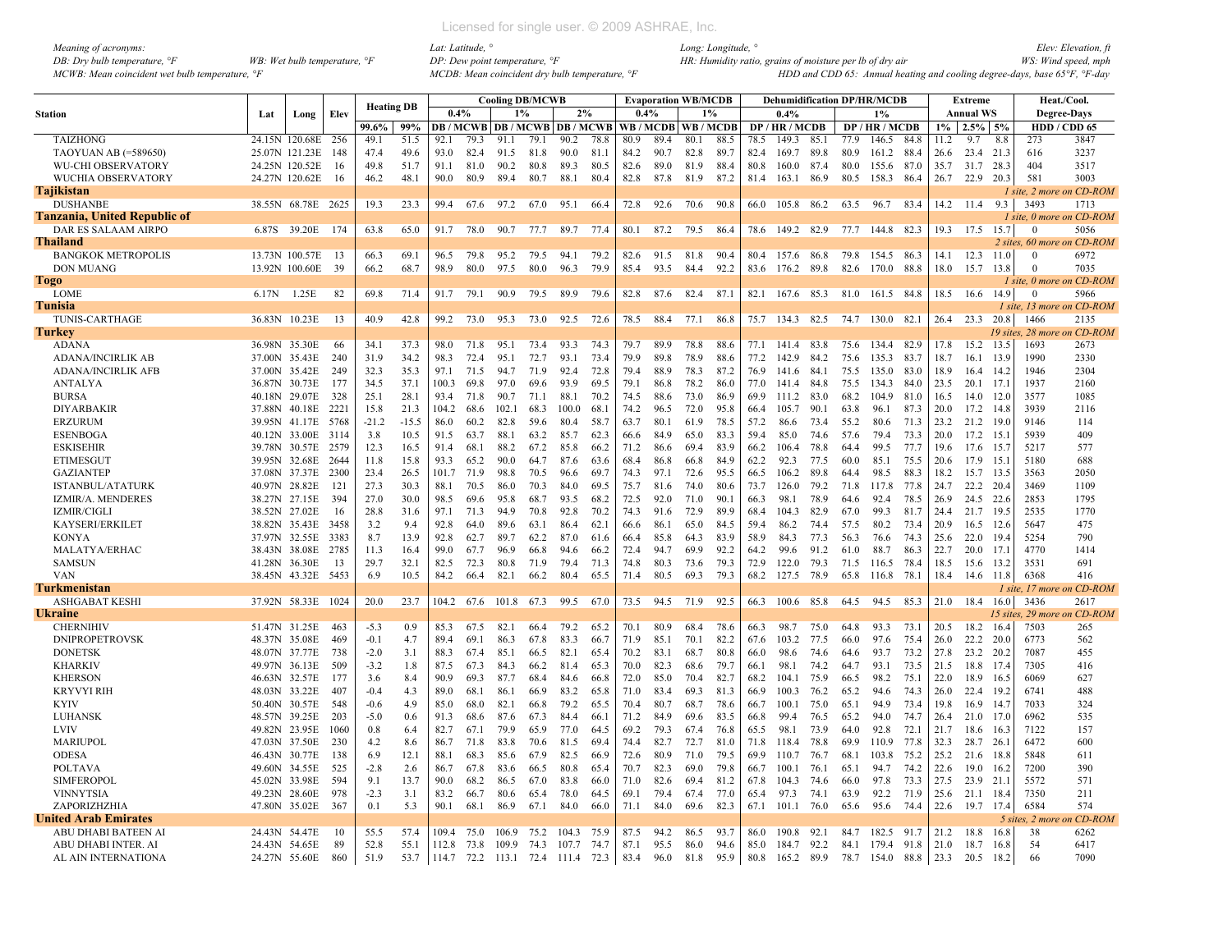| Meaning of acronyms:                           |                                       |
|------------------------------------------------|---------------------------------------|
| DB: Dry bulb temperature, $\mathcal{F}$        | WB: Wet bulb temperature, $\degree$ F |
| MCWB: Mean coincident wet bulb temperature, °F |                                       |

|                                     |        |                |      | <b>Heating DB</b> |         |       |      |            | <b>Cooling DB/MCWB</b> |                                   |      |      |      | <b>Evaporation WB/MCDB</b> |      |      | <b>Dehumidification DP/HR/MCDB</b> |      |      |                 |      |       | Extreme          |        |                 | Heat./Cool.                 |
|-------------------------------------|--------|----------------|------|-------------------|---------|-------|------|------------|------------------------|-----------------------------------|------|------|------|----------------------------|------|------|------------------------------------|------|------|-----------------|------|-------|------------------|--------|-----------------|-----------------------------|
| <b>Station</b>                      | Lat    | Long           | Elev |                   |         | 0.4%  |      |            | 1%                     |                                   | 2%   | 0.4% |      | 1%                         |      |      | 0.4%                               |      |      | 1%              |      |       | <b>Annual WS</b> |        |                 | <b>Degree-Days</b>          |
|                                     |        |                |      | 99.6%             | 99%     |       |      |            |                        | DB / MCWB   DB / MCWB   DB / MCWB |      |      |      | WB/MCDB WB/MCDB            |      |      | DP/HR/MCDB                         |      |      | DP / HR / MCDB  |      | $1\%$ | 2.5%             | 5%     |                 | HDD / CDD 65                |
| <b>TAIZHONG</b>                     |        | 24.15N 120.68E | 256  | 49.1              | 51.5    | 92.1  | 79.3 | 91.1       | 79.1                   | 90.2                              | 78.8 | 80.9 | 89.4 | 80.1                       | 88.5 | 78.5 | 149.3                              | 85.1 | 77.9 | 146.5           | 84.8 | 11.2  | 9.7              | 8.8    | 273             | 3847                        |
| TAOYUAN AB (=589650)                |        | 25.07N 121.23E | 148  | 47.4              | 49.6    | 93.0  | 82.4 | 91.5       | 81.8                   | 90.0                              | 81.1 | 84.2 | 90.7 | 82.8                       | 89.7 | 82.4 | 169.7                              | 89.8 | 80.9 | 161.2           | 88.4 | 26.6  | 23.4             | 21.3   | 616             | 3237                        |
| <b>WU-CHI OBSERVATORY</b>           |        | 24.25N 120.52E | 16   | 49.8              | 51.7    | 91.1  | 81.0 | 90.2       | 80.8                   | 89.3                              | 80.5 | 82.6 | 89.0 | 81.9                       | 88.4 | 80.8 | 160.0                              | 87.4 | 80.0 | 155.6           | 87.0 | 35.7  | 31.7             | 28.3   | 404             | 3517                        |
| WUCHIA OBSERVATORY                  |        | 24.27N 120.62E | -16  | 46.2              | 48.1    | 90.0  | 80.9 | 89.4       | 80.7                   | 88.1                              | 80.4 | 82.8 | 87.8 | 81.9                       | 87.2 | 81.4 | 163.1                              | 86.9 | 80.5 | 158.3           | 86.4 | 26.7  | 22.9 20.3        |        | 581             | 3003                        |
| <b>Tajikistan</b>                   |        |                |      |                   |         |       |      |            |                        |                                   |      |      |      |                            |      |      |                                    |      |      |                 |      |       |                  |        |                 | 1 site, 2 more on CD-ROM    |
| <b>DUSHANBE</b>                     |        | 38.55N 68.78E  | 2625 | 19.3              | 23.3    | 99.4  | 67.6 | 97.2       | 67.0                   | 95.1                              | 66.4 | 72.8 | 92.6 | 70.6                       | 90.8 | 66.0 | 105.8 86.2                         |      | 63.5 | 96.7            | 83.4 |       | 14.2 11.4        | 9.3    | 3493            | 1713                        |
| <b>Tanzania, United Republic of</b> |        |                |      |                   |         |       |      |            |                        |                                   |      |      |      |                            |      |      |                                    |      |      |                 |      |       |                  |        |                 | 1 site, 0 more on CD-ROM    |
| DAR ES SALAAM AIRPO                 | 6.87S  | 39.20E         | 174  | 63.8              | 65.0    | 91.7  | 78.0 | 90.7       | 77.7                   | 89.7                              | 77.4 | 80.1 | 87.2 | 79.5                       | 86.4 | 78.6 | 149.2                              | 82.9 | 77.7 | 144.8           | 82.3 | 19.3  | 17.5             | 15.7   | $\Omega$        | 5056                        |
| <b>Thailand</b>                     |        |                |      |                   |         |       |      |            |                        |                                   |      |      |      |                            |      |      |                                    |      |      |                 |      |       |                  |        |                 | 2 sites, 60 more on CD-ROM  |
| <b>BANGKOK METROPOLIS</b>           |        | 13.73N 100.57E | -13  | 66.3              | 69.1    | 96.5  | 79.8 | 95.2       | 79.5                   | 94.1                              | 79.2 | 82.6 | 91.5 | 81.8                       | 90.4 | 80.4 | 157.6 86.8                         |      | 79.8 | 154.5 86.3      |      | 14.1  | 12.3             | 11.0   | $\mathbf{0}$    | 6972                        |
| <b>DON MUANG</b>                    |        | 13.92N 100.60E | 39   | 66.2              | 68.7    | 98.9  | 80.0 | 97.5       | 80.0                   | 96.3                              | 79.9 | 85.4 | 93.5 | 84.4                       | 92.2 | 83.6 | 176.2                              | 89.8 | 82.6 | 170.0           | 88.8 | 18.0  | 15.7             | 13.8   | $\mathbf{0}$    | 7035                        |
| Togo                                |        |                |      |                   |         |       |      |            |                        |                                   |      |      |      |                            |      |      |                                    |      |      |                 |      |       |                  |        |                 | 1 site, 0 more on CD-ROM    |
| LOME                                | 6.17N  | 1.25E          | 82   | 69.8              | 71.4    | 91.7  | 79.1 | 90.9       | 79.5                   | 89.9                              | 79.6 | 82.8 | 87.6 | 82.4                       | 87.1 | 82.1 | 167.6 85.3                         |      |      | 81.0 161.5 84.8 |      |       | 18.5 16.6 14.9   |        | $\bf{0}$        | 5966                        |
| Tunisia                             |        |                |      |                   |         |       |      |            |                        |                                   |      |      |      |                            |      |      |                                    |      |      |                 |      |       |                  |        |                 | 1 site, 13 more on CD-ROM   |
| <b>TUNIS-CARTHAGE</b>               | 36.83N | 10.23E         | 13   | 40.9              | 42.8    | 99.2  | 73.0 | 95.3       | 73.0                   | 92.5                              | 72.6 | 78.5 | 88.4 | 77.1                       | 86.8 | 75.7 | 134.3                              | 82.5 | 74.7 | 130.0           | 82.1 | 26.4  | 23.3             | 20.8   | 1466            | 2135                        |
|                                     |        |                |      |                   |         |       |      |            |                        |                                   |      |      |      |                            |      |      |                                    |      |      |                 |      |       |                  |        |                 | 19 sites. 28 more on CD-ROM |
| Turkey                              |        |                |      |                   |         |       |      |            |                        |                                   |      |      |      |                            |      |      |                                    |      |      |                 |      |       |                  |        |                 |                             |
| <b>ADANA</b>                        |        | 36.98N 35.30E  | 66   | 34.1              | 37.3    | 98.0  | 71.8 | 95.1       | 73.4                   | 93.3                              | 74.3 | 79.7 | 89.9 | 78.8                       | 88.6 | 77.1 | 141.4                              | 83.8 | 75.6 | 134.4           | 82.9 | 17.8  | 15.2             | 13.5   | 1693            | 2673                        |
| <b>ADANA/INCIRLIK AB</b>            |        | 37.00N 35.43E  | 240  | 31.9              | 34.2    | 98.3  | 72.4 | 95.1       | 72.7                   | 93.1                              | 73.4 | 79.9 | 89.8 | 78.9                       | 88.6 | 77.2 | 142.9                              | 84.2 | 75.6 | 135.3           | 83.7 | 18.7  | 16.1             | 13.9   | 1990            | 2330                        |
| <b>ADANA/INCIRLIK AFB</b>           | 37.00N | 35.42E         | 249  | 32.3              | 35.3    | 97.1  | 71.5 | 94.7       | 71.9                   | 92.4                              | 72.8 | 79.4 | 88.9 | 78.3                       | 87.2 | 76.9 | 141.6                              | 84.1 | 75.5 | 135.0           | 83.0 | 18.9  | 16.4             | 14.2   | 1946            | 2304                        |
| <b>ANTALYA</b>                      |        | 36.87N 30.73E  | 177  | 34.5              | 37.1    | 100.3 | 69.8 | 97.0       | 69.6                   | 93.9                              | 69.5 | 79.1 | 86.8 | 78.2                       | 86.0 | 77.0 | 141.4                              | 84.8 | 75.5 | 134.3           | 84.0 | 23.5  | 20.1             | - 17.1 | 1937            | 2160                        |
| <b>BURSA</b>                        |        | 40.18N 29.07E  | 328  | 25.1              | 28.1    | 93.4  | 71.8 | 90.7       | 71.1                   | 88.1                              | 70.2 | 74.5 | 88.6 | 73.0                       | 86.9 | 69.9 | 111.2                              | 83.0 | 68.2 | 104.9           | 81.0 | 16.5  | 14.0             | - 12.0 | 3577            | 1085                        |
| <b>DIYARBAKIR</b>                   |        | 37.88N 40.18E  | 2221 | 15.8              | 21.3    | 104.2 | 68.6 | 102.1      | 68.3                   | 100.0                             | 68.1 | 74.2 | 96.5 | 72.0                       | 95.8 | 66.4 | 105.7                              | 90.1 | 63.8 | 96.1            | 87.3 | 20.0  | 17.2 14.8        |        | 3939            | 2116                        |
| <b>ERZURUM</b>                      |        | 39.95N 41.17E  | 5768 | $-21.2$           | $-15.5$ | 86.0  | 60.2 | 82.8       | 59.6                   | 80.4                              | 58.7 | 63.7 | 80.1 | 61.9                       | 78.5 | 57.2 | 86.6                               | 73.4 | 55.2 | 80.6            | 71.3 | 23.2  | 21.2             | -19.0  | 9146            | 114                         |
| <b>ESENBOGA</b>                     |        | 40.12N 33.00E  | 3114 | 3.8               | 10.5    | 91.5  | 63.7 | 88.1       | 63.2                   | 85.7                              | 62.3 | 66.6 | 84.9 | 65.0                       | 83.3 | 59.4 | 85.0                               | 74.6 | 57.6 | 79.4            | 73.3 | 20.0  | $17.2$ 15.       |        | 5939            | 409                         |
| <b>ESKISEHIR</b>                    |        | 39.78N 30.57E  | 2579 | 12.3              | 16.5    | 91.4  | 68.1 | 88.2       | 67.2                   | 85.8                              | 66.2 | 71.2 | 86.6 | 69.4                       | 83.9 | 66.2 | 106.4                              | 78.8 | 64.4 | 99.5            | 77.7 | 19.6  | 17.6             | - 15.7 | 5217            | 577                         |
| <b>ETIMESGUT</b>                    |        | 39.95N 32.68E  | 2644 | 11.8              | 15.8    | 93.3  | 65.2 | 90.0       | 64.7                   | 87.6                              | 63.6 | 68.4 | 86.8 | 66.8                       | 84.9 | 62.2 | 92.3                               | 77.5 | 60.0 | 85.1            | 75.5 | 20.6  | 17.9             | 15.    | 5180            | 688                         |
| <b>GAZIANTEP</b>                    |        | 37.08N 37.37E  | 2300 | 23.4              | 26.5    | 101.7 | 71.9 | 98.8       | 70.5                   | 96.6                              | 69.7 | 74.3 | 97.1 | 72.6                       | 95.5 | 66.5 | 106.2                              | 89.8 | 64.4 | 98.5            | 88.3 | 18.2  | 15.7             | - 13.5 | 3563            | 2050                        |
| <b>ISTANBUL/ATATURK</b>             |        | 40.97N 28.82E  | 121  | 27.3              | 30.3    | 88.1  | 70.5 | 86.0       | 70.3                   | 84.0                              | 69.5 | 75.7 | 81.6 | 74.0                       | 80.6 | 73.7 | 126.0                              | 79.2 | 71.8 | 117.8           | 77.8 | 24.7  | 22.2             | 20.4   | 3469            | 1109                        |
| IZMIR/A. MENDERES                   |        | 38.27N 27.15E  | 394  | 27.0              | 30.0    | 98.5  | 69.6 | 95.8       | 68.7                   | 93.5                              | 68.2 | 72.5 | 92.0 | 71.0                       | 90.1 | 66.3 | 98.1                               | 78.9 | 64.6 | 92.4            | 78.5 | 26.9  | 24.5             | 22.6   | 2853            | 1795                        |
| <b>IZMIR/CIGLI</b>                  |        | 38.52N 27.02E  | 16   | 28.8              | 31.6    | 97.1  | 71.3 | 94.9       | 70.8                   | 92.8                              | 70.2 | 74.3 | 91.6 | 72.9                       | 89.9 | 68.4 | 104.3                              | 82.9 | 67.0 | 99.3            | 81.7 | 24.4  | 21.7 19.5        |        | 2535            | 1770                        |
| <b>KAYSERI/ERKILET</b>              |        | 38.82N 35.43E  | 3458 | 3.2               | 9.4     | 92.8  | 64.0 | 89.6       | 63.1                   | 86.4                              | 62.1 | 66.6 | 86.1 | 65.0                       | 84.5 | 59.4 | 86.2                               | 74.4 | 57.5 | 80.2            | 73.4 | 20.9  | 16.5             | 12.6   | 5647            | 475                         |
| <b>KONYA</b>                        |        | 37.97N 32.55E  | 3383 | 8.7               | 13.9    | 92.8  | 62.7 | 89.7       | 62.2                   | 87.0                              | 61.6 | 66.4 | 85.8 | 64.3                       | 83.9 | 58.9 | 84.3                               | 77.3 | 56.3 | 76.6            | 74.3 | 25.6  | 22.0             | - 19.4 | 5254            | 790                         |
| <b>MALATYA/ERHAC</b>                |        | 38.43N 38.08E  | 2785 | 11.3              | 16.4    | 99.0  | 67.7 | 96.9       | 66.8                   | 94.6                              | 66.2 | 72.4 | 94.7 | 69.9                       | 92.2 | 64.2 | 99.6                               | 91.2 | 61.0 | 88.7            | 86.3 | 22.7  | 20.0             | -17.   | 4770            | 1414                        |
| <b>SAMSUN</b>                       |        | 41.28N 36.30E  | 13   | 29.7              | 32.1    | 82.5  | 72.3 | 80.8       | 71.9                   | 79.4                              | 71.3 | 74.8 | 80.3 | 73.6                       | 79.3 | 72.9 | 122.0                              | 79.3 | 71.5 | 116.5           | 78.4 | 18.5  | 15.6             | 13.2   | 3531            | 691                         |
| <b>VAN</b>                          |        | 38.45N 43.32E  | 5453 | 6.9               | 10.5    | 84.2  | 66.4 | 82.1       | 66.2                   | 80.4                              | 65.5 | 71.4 | 80.5 | 69.3                       | 79.3 | 68.2 | 127.5                              | 78.9 | 65.8 | 116.8           | 78.1 | 18.4  | 14.6             | 11.8   | 6368            | 416                         |
| <b>Turkmenistan</b>                 |        |                |      |                   |         |       |      |            |                        |                                   |      |      |      |                            |      |      |                                    |      |      |                 |      |       |                  |        |                 | 1 site. 17 more on CD-ROM   |
| <b>ASHGABAT KESHI</b>               |        | 37.92N 58.33E  | 1024 | 20.0              | 23.7    | 104.2 | 67.6 | 101.8      | 67.3                   | 99.5                              | 67.0 | 73.5 | 94.5 | 71.9                       | 92.5 | 66.3 | 100.6 85.8                         |      | 64.5 | 94.5            | 85.3 | 21.0  | 18.4             | 16.0   | 3436            | 2617                        |
| <b>Ukraine</b>                      |        |                |      |                   |         |       |      |            |                        |                                   |      |      |      |                            |      |      |                                    |      |      |                 |      |       |                  |        |                 | 15 sites, 29 more on CD-ROM |
| <b>CHERNIHIV</b>                    |        | 51.47N 31.25E  | 463  | $-5.3$            | 0.9     | 85.3  | 67.5 | 82.1       | 66.4                   | 79.2                              | 65.2 | 70.1 | 80.9 | 68.4                       | 78.6 | 66.3 | 98.7                               | 75.0 | 64.8 | 93.3            | 73.1 | 20.5  | 18.2             | 16.4   | 7503            | 265                         |
| <b>DNIPROPETROVSK</b>               |        | 48.37N 35.08E  | 469  | $-0.1$            | 4.7     | 89.4  | 69.1 | 86.3       | 67.8                   | 83.3                              | 66.7 | 71.9 | 85.1 | 70.1                       | 82.2 | 67.6 | 103.2                              | 77.5 | 66.0 | 97.6            | 75.4 | 26.0  | 22.2             | -20.0  | 6773            | 562                         |
| <b>DONETSK</b>                      |        | 48.07N 37.77E  | 738  | $-2.0$            | 3.1     | 88.3  | 67.4 | 85.1       | 66.5                   | 82.1                              | 65.4 | 70.2 | 83.1 | 68.7                       | 80.8 | 66.0 | 98.6                               | 74.6 | 64.6 | 93.7            | 73.2 | 27.8  | 23.2             | 20.2   | 7087            | 455                         |
| <b>KHARKIV</b>                      |        | 49.97N 36.13E  | 509  | $-3.2$            | 1.8     | 87.5  | 67.3 | 84.3       | 66.2                   | 81.4                              | 65.3 | 70.0 | 82.3 | 68.6                       | 79.7 | 66.1 | 98.1                               | 74.2 | 64.7 | 93.1            | 73.5 | 21.5  | 18.8             | 17.4   | 7305            | 416                         |
| <b>KHERSON</b>                      |        | 46.63N 32.57E  | 177  | 3.6               | 8.4     | 90.9  | 69.3 | 87.7       |                        | 84.6                              | 66.8 | 72.0 | 85.0 | 70.4                       | 82.7 | 68.2 | 104.1                              | 75.9 | 66.5 | 98.2            | 75.1 | 22.0  | 18.9             | 16.5   | 6069            | 627                         |
|                                     |        | 48.03N 33.22E  | 407  |                   | 4.3     | 89.0  |      |            | 68.4                   | 83.2                              |      |      | 83.4 | 69.3                       | 81.3 | 66.9 |                                    | 76.2 |      | 94.6            |      |       | 22.4             |        |                 | 488                         |
| <b>KRYVYI RIH</b>                   |        |                |      | $-0.4$            |         |       | 68.1 | 86.1       | 66.9                   |                                   | 65.8 | 71.0 |      |                            |      |      | 100.3                              |      | 65.2 |                 | 74.3 | 26.0  |                  | 19.2   | 6741            |                             |
| <b>KYIV</b>                         |        | 50.40N 30.57E  | 548  | $-0.6$            | 4.9     | 85.0  | 68.0 | 82.1       | 66.8                   | 79.2                              | 65.5 | 70.4 | 80.7 | 68.7                       | 78.6 | 66.7 | 100.1                              | 75.0 | 65.1 | 94.9            | 73.4 | 19.8  | 16.9             | 14.7   | 7033            | 324                         |
| LUHANSK                             |        | 48.57N 39.25E  | 203  | $-5.0$            | 0.6     | 91.3  | 68.6 | 87.6       | 67.3                   | 84.4                              | 66.1 | 71.2 | 84.9 | 69.6                       | 83.5 | 66.8 | 99.4                               | 76.5 | 65.2 | 94.0            | 74.7 | 26.4  | 21.0 17.0        |        | 6962            | 535                         |
| <b>LVIV</b>                         |        | 49.82N 23.95E  | 1060 | 0.8               | 6.4     | 82.7  | 67.1 | 79.9       | 65.9                   | 77.0                              | 64.5 | 69.2 | 79.3 | 67.4                       | 76.8 | 65.5 | 98.1                               | 73.9 | 64.0 | 92.8            | 72.1 | 21.7  | 18.6             | 16.3   | 7122            | 157                         |
| <b>MARIUPOL</b>                     |        | 47.03N 37.50E  | 230  | 4.2               | 8.6     | 86.7  | 71.8 | 83.8       | 70.6                   | 81.5                              | 69.4 | 74.4 | 82.7 | 72.7                       | 81.0 | 71.8 | 118.4                              | 78.8 | 69.9 | 110.9           | 77.8 | 32.3  | 28.7 26.1        |        | 6472            | 600                         |
| <b>ODESA</b>                        |        | 46.43N 30.77E  | 138  | 6.9               | 12.1    | 88.1  | 68.3 | 85.6       | 67.9                   | 82.5                              | 66.9 | 72.6 | 80.9 | 71.0                       | 79.5 | 69.9 | 110.7                              | 76.7 | 68.1 | 103.8           | 75.2 | 25.2  | 21.6             | - 18.8 | 5848            | 611                         |
| POLTAVA                             |        | 49.60N 34.55E  | 525  | $-2.8$            | 2.6     | 86.7  | 67.8 | 83.6       | 66.5                   | 80.8                              | 65.4 | 70.7 | 82.3 | 69.0                       | 79.8 | 66.7 | 100.1                              | 76.1 | 65.1 | 94.7            | 74.2 | 22.6  | 19.0             | 16.2   | 7200            | 390                         |
| <b>SIMFEROPOL</b>                   | 45.02N | 33.98E         | 594  | 9.1               | 13.7    | 90.0  | 68.2 | 86.5       | 67.0                   | 83.8                              | 66.0 | 71.0 | 82.6 | 69.4                       | 81.2 | 67.8 | 104.3                              | 74.6 | 66.0 | 97.8            | 73.3 | 27.5  | 23.9             | 21.1   | 5572            | 571                         |
| <b>VINNYTSIA</b>                    |        | 49.23N 28.60E  | 978  | $-2.3$            | 3.1     | 83.2  | 66.7 | 80.6       | 65.4                   | 78.0                              | 64.5 | 69.1 | 79.4 | 67.4                       | 77.0 | 65.4 | 97.3                               | 74.1 | 63.9 | 92.2            | 71.9 | 25.6  | 21.1             | 18.4   | 7350            | 211                         |
| ZAPORIZHZHIA                        |        | 47.80N 35.02E  | 367  | 0.1               | 5.3     | 90.1  | 68.1 | 86.9       | 67.1                   | 84.0                              | 66.0 | 71.1 | 84.0 | 69.6                       | 82.3 | 67.1 | 101.1                              | 76.0 | 65.6 | 95.6            | 74.4 | 22.6  | 19.7 17.4        |        | 6584            | 574                         |
| <b>United Arab Emirates</b>         |        |                |      |                   |         |       |      |            |                        |                                   |      |      |      |                            |      |      |                                    |      |      |                 |      |       |                  |        | 5 sites, 2 more | ו CD-ROM                    |
| ABU DHABI BATEEN AI                 |        | 24.43N 54.47E  | 10   | 55.5              | 57.4    | 109.4 | 75.0 | 106.9      | 75.2                   | 104.3                             | 75.9 | 87.5 | 94.2 | 86.5                       | 93.7 | 86.0 | 190.8                              | 92.1 | 84.7 | 182.5           | 91.7 | 21.2  | 18.8             | 16.8   | 38              | 6262                        |
| ABU DHABI INTER. AI                 |        | 24.43N 54.65E  | 89   | 52.8              | 55.1    | 112.8 | 73.8 | 109.9      | 74.3                   | 107.7                             | 74.7 | 87.1 | 95.5 | 86.0                       | 94.6 | 85.0 | 184.7 92.2                         |      | 84.1 | 179.4           | 91.8 | 21.0  | 18.7             | 16.8   | 54              | 6417                        |
| AL AIN INTERNATIONA                 |        | 24.27N 55.60E  | 860  | 51.9              | 53.7    | 114.7 |      | 72.2 113.1 | 72.4                   | 111.4                             | 72.3 | 83.4 | 96.0 | 81.8                       | 95.9 | 80.8 | 165.2 89.9                         |      |      | 78.7 154.0      | 88.8 | 23.3  | 20.5             | 18.2   | 66              | 7090                        |